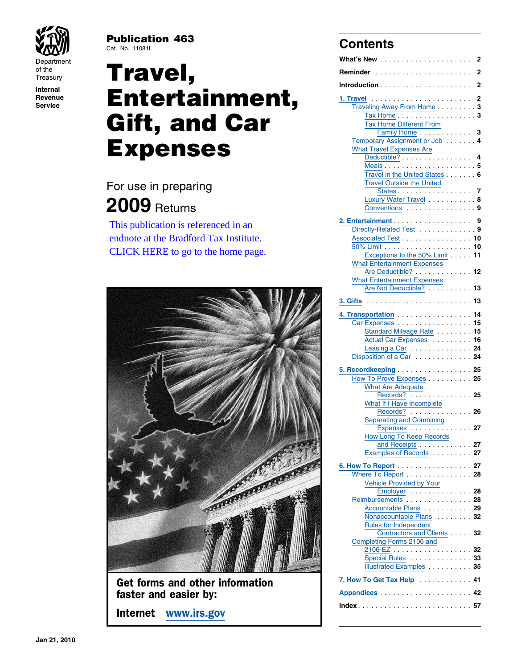

# **Publication 463 PUDIICATION 463**<br>Cat. No. 11081L

# of the **Reminder** ...................... **<sup>2</sup>** Treasury **Travel, Introduction** ..................... **<sup>2</sup> Internal Revenue Entertainment, 1. Travel 1. Travel Travel <b>Entertainment**, **1. Travel Traveling Away From Home . . . . .** . . 3 **Gift, and Car Expenses**

# For use in preparing **2009** Returns



Internet www.irs.gov

| ₹∆∆″               |                                        |                                                                                                                                                                                                                                                                                                                                                                                                                                                                                                       |
|--------------------|----------------------------------------|-------------------------------------------------------------------------------------------------------------------------------------------------------------------------------------------------------------------------------------------------------------------------------------------------------------------------------------------------------------------------------------------------------------------------------------------------------------------------------------------------------|
| Department         |                                        |                                                                                                                                                                                                                                                                                                                                                                                                                                                                                                       |
| of the<br>Treasury | Travel,                                |                                                                                                                                                                                                                                                                                                                                                                                                                                                                                                       |
| Internal           |                                        |                                                                                                                                                                                                                                                                                                                                                                                                                                                                                                       |
| Revenue<br>Service | <b>Entertainment,</b>                  | 1. Travel <b>1. Travel 1. Travel 1. Travel 1. Travel 2.</b><br>Traveling Away From Home 3                                                                                                                                                                                                                                                                                                                                                                                                             |
|                    |                                        | Tax Home 3                                                                                                                                                                                                                                                                                                                                                                                                                                                                                            |
|                    | <b>Gift, and Car</b>                   | Tax Home Different From<br>Family Home 3                                                                                                                                                                                                                                                                                                                                                                                                                                                              |
|                    | <b>Expenses</b>                        | Temporary Assignment or Job 4<br><b>What Travel Expenses Are</b>                                                                                                                                                                                                                                                                                                                                                                                                                                      |
|                    |                                        | Deductible? 4                                                                                                                                                                                                                                                                                                                                                                                                                                                                                         |
|                    |                                        | Travel in the United States  6                                                                                                                                                                                                                                                                                                                                                                                                                                                                        |
|                    | For use in preparing                   | <b>Travel Outside the United</b>                                                                                                                                                                                                                                                                                                                                                                                                                                                                      |
|                    | 2009 Returns                           | Luxury Water Travel 8                                                                                                                                                                                                                                                                                                                                                                                                                                                                                 |
|                    |                                        | Conventions 9                                                                                                                                                                                                                                                                                                                                                                                                                                                                                         |
|                    | This publication is referenced in an   | Directly-Related Test 9                                                                                                                                                                                                                                                                                                                                                                                                                                                                               |
|                    | endnote at the Bradford Tax Institute. | Associated Test  10                                                                                                                                                                                                                                                                                                                                                                                                                                                                                   |
|                    | CLICK HERE to go to the home page.     | Exceptions to the 50% Limit 11                                                                                                                                                                                                                                                                                                                                                                                                                                                                        |
|                    |                                        | <b>What Entertainment Expenses</b><br>Are Deductible? 12                                                                                                                                                                                                                                                                                                                                                                                                                                              |
|                    |                                        | <b>What Entertainment Expenses</b>                                                                                                                                                                                                                                                                                                                                                                                                                                                                    |
|                    |                                        | Are Not Deductible? 13                                                                                                                                                                                                                                                                                                                                                                                                                                                                                |
|                    |                                        |                                                                                                                                                                                                                                                                                                                                                                                                                                                                                                       |
|                    |                                        | Car Expenses 15                                                                                                                                                                                                                                                                                                                                                                                                                                                                                       |
|                    |                                        | Standard Mileage Rate 15<br>Actual Car Expenses 16                                                                                                                                                                                                                                                                                                                                                                                                                                                    |
|                    |                                        | Leasing a Car 24                                                                                                                                                                                                                                                                                                                                                                                                                                                                                      |
|                    |                                        | Disposition of a Car 24<br>5. Recordkeeping 25                                                                                                                                                                                                                                                                                                                                                                                                                                                        |
|                    |                                        | How To Prove Expenses 25                                                                                                                                                                                                                                                                                                                                                                                                                                                                              |
|                    |                                        | <b>What Are Adequate</b>                                                                                                                                                                                                                                                                                                                                                                                                                                                                              |
|                    |                                        | What If I Have Incomplete<br>Records? 26                                                                                                                                                                                                                                                                                                                                                                                                                                                              |
|                    |                                        | <b>Separating and Combining</b>                                                                                                                                                                                                                                                                                                                                                                                                                                                                       |
|                    |                                        | How Long To Keep Records                                                                                                                                                                                                                                                                                                                                                                                                                                                                              |
|                    |                                        | and Receipts 27<br>Examples of Records 27                                                                                                                                                                                                                                                                                                                                                                                                                                                             |
|                    |                                        | 6. How To Report 27                                                                                                                                                                                                                                                                                                                                                                                                                                                                                   |
|                    |                                        | Where To Report 28                                                                                                                                                                                                                                                                                                                                                                                                                                                                                    |
|                    |                                        | <b>Vehicle Provided by Your</b><br>Employer 28                                                                                                                                                                                                                                                                                                                                                                                                                                                        |
|                    |                                        | Reimbursements 28<br>Accountable Plans 29                                                                                                                                                                                                                                                                                                                                                                                                                                                             |
|                    |                                        | Nonaccountable Plans 32                                                                                                                                                                                                                                                                                                                                                                                                                                                                               |
|                    |                                        | Rules for Independent<br>Contractors and Clients 32                                                                                                                                                                                                                                                                                                                                                                                                                                                   |
|                    |                                        | Completing Forms 2106 and<br>$2106$ -EZ $\overline{\phantom{a}}$ $\overline{\phantom{a}}$ $\overline{\phantom{a}}$ $\overline{\phantom{a}}$ $\overline{\phantom{a}}$ $\overline{\phantom{a}}$ $\overline{\phantom{a}}$ $\overline{\phantom{a}}$ $\overline{\phantom{a}}$ $\overline{\phantom{a}}$ $\overline{\phantom{a}}$ $\overline{\phantom{a}}$ $\overline{\phantom{a}}$ $\overline{\phantom{a}}$ $\overline{\phantom{a}}$ $\overline{\phantom{a}}$ $\overline{\phantom{a}}$ $\overline{\phantom$ |
|                    |                                        | Special Rules 33                                                                                                                                                                                                                                                                                                                                                                                                                                                                                      |
|                    |                                        | Illustrated Examples  35                                                                                                                                                                                                                                                                                                                                                                                                                                                                              |
|                    | Get forms and other information        | 7. How To Get Tax Help  41                                                                                                                                                                                                                                                                                                                                                                                                                                                                            |
|                    | faster and easier by:                  | Index57                                                                                                                                                                                                                                                                                                                                                                                                                                                                                               |
|                    |                                        |                                                                                                                                                                                                                                                                                                                                                                                                                                                                                                       |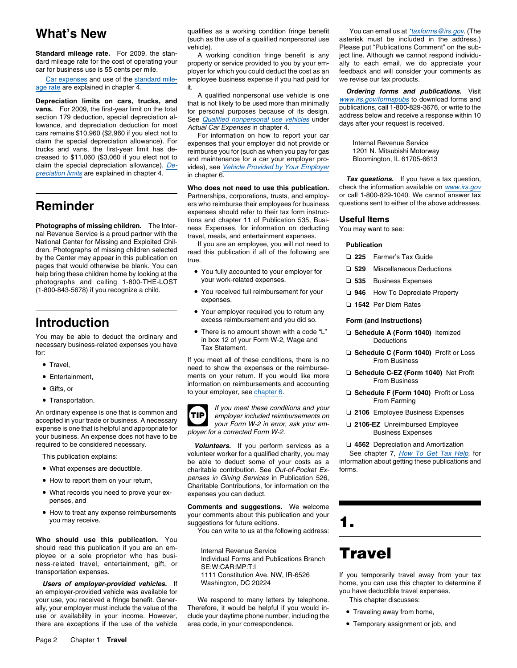Example rate are explained in chapter 4. The distribution in the total of that is not likely to be used more than minimally<br> **Depreciation limits on cars, trucks, and** that is not likely to be used more than minimally<br> **D** 

**Photographs of missing children.** The Inter-<br>nal Revenue Service is a proud partner with the travel, meals, and entertainment expenses.<br>National Center for Missing and Exploited Chil-<br>dren. Photographs of missing children pages that would otherwise be blank. You can<br> **D** 529 Miscellaneous Deductions **•** You fully accounted to your employer for **□ 529** Miscellaneous Deductions Nelp bring these children home by looking at the  $\bullet$  You fully accounted to your enhancement is and calling 1-800-THE-LOST vour work-related expenses. photographs and calling 1-800-THE-LOST your work-related expenses. ❏ **<sup>535</sup>** Business Expenses (1-800-843-5678) if you recognize a child. •

You may be able to deduct the ordinary and<br>
in box 12 of your Form W-2, Wage and<br>
Tax Statement. The Casary business-related expenses you have Tax Statement. and Deductions Deductions<br>
Tax Statement. Discrement Deductions

- 
- 
- 
- 

experise is one that is helpful and appropriate for ployer for a corrected Form W-2.<br>your business. An expense does not have to be

- What expenses are deductible,
- 
- What records you need to prove your ex- expenses you can deduct.
- How to treat any expense reimbursements

**Who should use this publication.** You should read this publication if you are an em-<br>Internal Revenue Service should read this publication if you are an em-<br>ployee or a sole proprietor who has busi-<br>Individual Forms and Publications Branch ness-related travel, entertainment, gift, or SE:W:CAR:MP:T:I<br>transportation expenses.

**Users of employer-provided vehicles.** If Washington, DC 20224 home, you can use this chapter to de the individual<br>In employer-provided vehicle was available for an employer-provided vehicle was available for your use, you received a fringe benefit. Gener- We respond to many letters by telephone. This chapter discusses: ally, your employer must include the value of the Therefore, it would be helpful if you would in-<br>use or availability in your income. However, clude your daytime phone number, including the **•** Traveling away from home, use or availability in your income. However, there are exceptions if the use of the vehicle area code, in your correspondence. • Temporary assignment or job, and

**What's New** qualifies as a working condition fringe benefit You can email us at *\*taxforms@irs.gov*. (The vertical carriers are continuous of a qualified nonpersonal use asterisk must be included in the address.) (such as the use of a qualified nonpersonal use

Car expenses and use of the standard mile-<br>age rate are explained in chapter 4. it.<br>
it.

trucks and vans, the first-year limit has de-<br>creased to \$11,060 (\$3,060 if you elect not to<br>claim the special depreciation allowance). <u>De-</u> vides), see *Vehicle Provided by Your Employer*<br>preciation limits are explained

Partnerships, corporations, trusts, and employ- or call 1-800-829-1040. We cannot answer tax<br>ers who reimburse their employees for business questions sent to either of the above addresses. **ers who reimburse their employees for business about the above address** expenses should refer to their tax form instructions and chapter 11 of Publication 535, Busi- **Useful Items**

- 
- You received full reimbursement for your ❏ **<sup>946</sup>** How To Depreciate Property
- Your employer required you to return any **Introduction** excess reimbursement and you did so. Form (and Instructions)
	- There is no amount shown with a code "L"

If you meet all of these conditions, there is no From Business<br>• Travel, example about the expanses of the reimburge ■ Travel,<br>
■ Travel, need to show the expenses or the reimburse-<br>
■ **Schedule C-EZ (Form 1040)** Net Profit • net ments on your return. If you would like more in Schedule C-EZ (Form 1040) Net Profit • From Business ■ Gifts, or **Entertainment** on reimbursements and accounting • Gifts, or



An ordinary expense is one that is common and<br>accepted in your rade or business. A necessary<br>expense is one that is helpful and appropriate for<br>ployer for a corrected Form W-2. Durely the Dusiness Expenses<br>Business Expens

required to be considered necessary. *Volunteers.* If you perform services as a ❏ **<sup>4562</sup>** Depreciation and Amortization This publication explains: volunteer worker for a qualified charity, you may See chapter 7, How To Get Tax Help, for This publications and be able to deduct some of your costs as a information about getting these publicati charitable contribution. See Out-of-Pocket Ex- forms. • How to report them on your return, penses in Giving Services in Publication 526, Charitable Contributions, for information on the

penses, and **Comments and suggestions.** We welcome How to treat any expense reimbursements your comments about this publication and your you may receive. suggestions for future editions. **1.**

You can write to us at the following address:

vehicle).<br>**Standard mileage rate.** For 2009, the stan-<br>dard mileage rate for the cost of operating your<br>property or service provided to you by your em-<br>car for business use is 55 cents per mile. ployer for which you could

Who does not need to use this publication. check the information available on www.irs.gov<br>Partnerships. corporations, trusts, and employ- or call 1-800-829-1040. We cannot answer tax

- 
- 
- 
- 
- □ 1542 Per Diem Rates

- 
- 
- 
- □ Schedule F (Form 1040) Profit or Loss • Transportation.  $\begin{array}{ccc} & - & - \ - & - \end{array}$ 
	-
	-
	-

1111 Constitution Ave. NW, IR-6526 If you temporarily travel away from your tax<br>Washington, DC 20224 home, you can use this chapter to determine if

- 
- 
-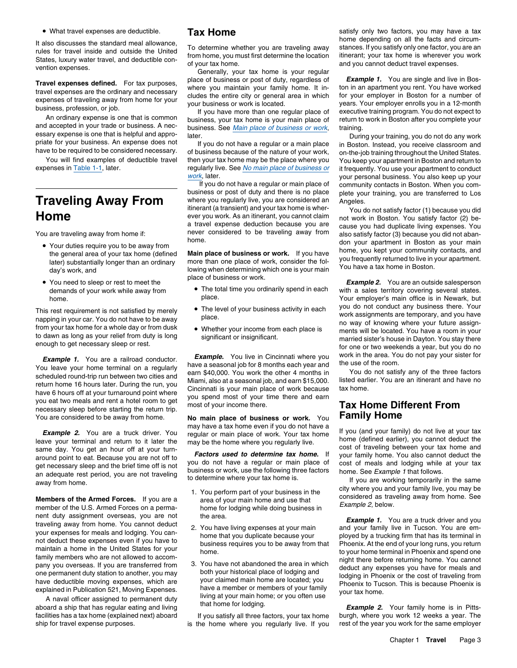• What travel expenses are deductible.

It also discusses the standard meal allowance,<br>
rules for travel inside and outside the United<br>
States, luxury water travel, and deductible con-<br>
of your tax home.<br>
States, luxury water travel, and deductible con-<br>
of your

- Your duties require you to be away from
- You need to sleep or rest to meet the

you eat two meals and rent a hotel room to get<br>necessary sleep before starting the return trip.<br>You are considered to be away from home.<br>No main place of business or work You **Family Home** 

**Example 2.** You are a truck driver. You regular or main place of work. Your tax home (defined earing and return to it later the may be the home where you regularly live.<br>
and a return to it later the may be the home wher

ment duty assignment overseas, you are not<br>traveling away from home. You cannot deduct<br>your expenses for meals and lodging. You can-<br>not deduct these expenses even if you have to<br>not deduct these expenses even if you have

You will find examples of deductible travel then your tax home may be the place where you<br>Penses in Table 1-1, later. determined the set of property in Table 1-1, later. See Normain place of business or it frequently. You

If you do not have a regular or main place of community contacts in Boston. When you com-<br>business or post of duty and there is no place blete your training, you are transferred to Los business or post of duty and there is no place plete your training, you are transferred to Los<br>where you regularly live, you are considered an Angeles. **Traveling Away From** where you regularly live, you are considered an Angeles.<br> **Hence are Struggler Constructed** Angeles.<br> **Hence are Struggler Constructed** Angeles.<br>
You do not satisfy factor (1) because you did itinerant (a transient) and your tax home is where<br>ever you work. As an itinerant, you cannot claim<br>a travel expense deduction because you are cause you had duplicate living expenses. You<br>a travel expense deduction because

later) substantially longer than an ordinary more than one place of work, consider the fol-<br>lowing when determining which one is your main You have a tax home in Boston. place of business or work.

- 
- 
- 

**Example 1.** You are a railroad conductor. **Example.** You live in Cincinnati where you work in the area. You do not pay your sister for **Example 1.** You are a railroad conductor. **Example.** You live in Cincinnati where you Example the terminal on a regularly<br>Scheduled round-trip run between two cities and<br>return home 16 hours later. During the run, you<br>have 6 hours later. During the run, you<br>have 6 hours off at your turnaround point where<br>yo

You are considered to be away from home. **No main place of business or work.** You may have a tax home even if you do not have a

- 
- 
- explained in Publication 521, Moving Expenses. have a member or members of your family<br>A naval officer assigned to permanent duty living at your main home; or you often use<br>aboard a ship that has regular eating and living

facilities has a tax home (explained next) aboard If you satisfy all three factors, your tax home burgh, where you work 12 weeks a year. The ship for travel expense purposes. is the home where you regularly live. If you rest of the year you work for the same employer

Tax Home **Tax Home Expenses are are a tax is are a tax SACC** satisfy only two factors, you may have a tax

Travel expenses defined. For tax purposes,<br>travel expenses are the ordinary and necessary<br>expenses are the ordinary and necessary<br>expenses of traveling away from home for your<br>business or work is located.<br>business, profess

essary expense is one that is helpful and appro-<br>priate for your business. An expense does not byou do not have a regular or a main place byour training, you do not do any work<br>have to be required to be considered necessar expenses in Table 1-1, later. regularly live. See No main place of business or it frequently. You use your apartment to conduct versure to conduct vour personal business. You also keep up vour k, later.<br>If you do not have a regular or main place of community contacts in Boston. When you com-

a travel expense deduction because you are cause you had duplicate living expenses. You<br>home. never considered to be traveling away from also satisfy factor (3) because you did not aban-<br>don your apartment in Boston as you Four data of your tax home (defined **Main place of business or work.** If you have home, you kept your community contacts, and the general area of your tax home (defined If you have If you have If you have If you have a lat

Four are an outside salesperson<br>• The total time you ordinarily spend in each with a sales territory covering several states. demands of your work while away from • The total time you ordinarily spend in each with a sales territory covering several states. home. **The contract of the set of the place.** Place. The vertext of the Your employer's main office is in Newark, but This rest requirement is not satisfied by merely **The level of your business activity** in each you do not conduct any business there. Your business activity in each you do not conduct any business there. Your place way pla from your tax home for a whole day or from dusk<br>to dawn as long as your relief from duty is long<br>to dawn as long as your relief from duty is long<br>enough to get necessary sleep or rest.<br>enough to get necessary sleep or rest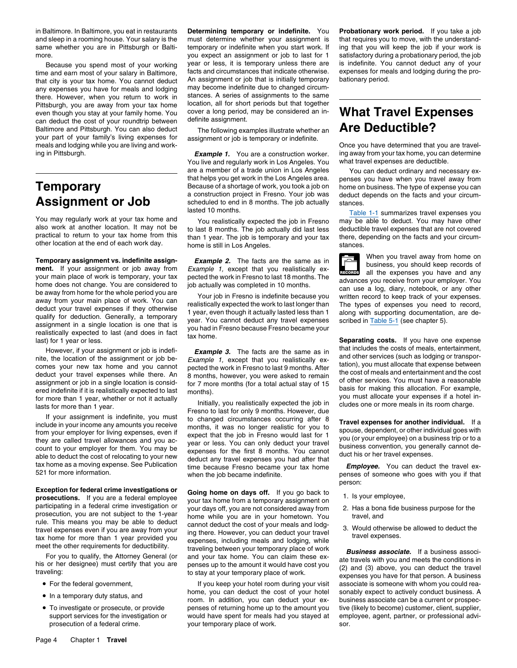in Baltimore. In Baltimore, you eat in restaurants **Determining temporary or indefinite.** You **Probationary work period.** If you take a job and sleep in a rooming house. Your salary is the must determine whether your assignment is that requires you to move, with the understand-<br>same whether you are in Pittsburgh or Balti- temporary or indefinite when you start same whether you are in Pittsburgh or Baltimore. The state of the state of the expect an assignment or job to last for 1 satisfactory during a probationary period, the job

Pittsburgh, you are away from your tax home location, all for short periods but that together<br>even though you stay at your family home You cover a long period, may be considered an in-Friesburgh, you are away hom you has home.<br>
even though you stay at your family home. You cover a long period, may be considered an in-<br>
can deduct the cost of your roundtrip between definite assignment.<br>
Baltimore and Pit Baltimore and Pittsburgh. You can also deduct The following examples illustrate whether an your part of your family's living expenses for assignment or iob is temporary or indefinite. your part of your family's living expenses for assignment or job is temporary or indefinite.<br>meals and lodging while you are living and work-

also work at another location. It may not be to last 8 months. The job actually did last less deductible travel expenses that are not covered<br>practical to return to your tax home from this than 1 year. The job is temporary practical to return to your tax home from this than 1 year. The job is temporary and your tax there, depending on the facts and your circum-<br>other location at the end of each work day.

**Temporary assignment vs. indefinite assign-**<br> **Example 2.** The facts are the same as in<br>
ment. If your assignment or job away from  $\frac{Example 1}{2}$ , except that you realistically ex-<br>
your main place of work is temporary, you

Exception for federal crime investigations or<br>
prosecutions. If you are a federal employee your tax home from a temporary assignment on<br>
participating in a federal crime investigation or your days off, you are not consider

- For the federal government,
- 
- To investigate or prosecute, or provide

Because you spend most of your working year or less, it is temporary unless there are is indefinite. You cannot deduct any of your time and earn most of your salary in Baltimore, facts and circumstances that indicate other time and earn most of your salary in Baltimore, facts and circumstances that indicate otherwise. expenses for meals and lodging during the pro-<br>that city is your tax home. You cannot deduct An assignment or job that is ini

You live and regularly work in Los Angeles. You what travel expenses are deductible. are a member of a trade union in Los Angeles You can deduct ordinary and necessary ex-<br>that helps you get work in the Los Angeles area. penses you have when you travel away from **Temporary** Because of a shortage of work, you took a job on home on business. The type of expense you can<br>a construction project in Fresno. Your job was deduct depends on the facts and your circum-**Assignment or Job** scheduled to end in 8 months. The job actually stances.

home is still in Los Angeles.

However, if your assignment or job is indefi-<br>
However, if your assignment or job is indefi-<br>
interaction of the assignment or job be-<br>
Example 3. The facts are the same as in that inductes the cost of meals<br>
comes your ne 521 for more information. when the job became indefinite. performation penses of someone who goes with you if that

This means you may be able to deduct<br>travel expenses even if you are away from your<br>travel expenses, including meals and lodging, while<br>meet the other requirements for deductibility.<br>For you to qualify, the Attorney Genera

• In a temporary duty status, and home, you can deduct the cost of your hotel sonably expect to actively conduct business. A • • room. In addition, you can deduct your ex- business associate can be a current or prospecroom. In addition, you can deduct your expenses of returning home up to the amount you tive (likely to become) customer, client, supplier, support services for the investigation or would have spent for meals had you stayed at employee, agent, partner, or professional adviprosecution of a federal crime.  $y_{\text{our}}$  temporary place of work. sor.

Once you have determined that you are traveling in Pittsburgh. *Example 1.* You are a construction worker. ing away from your tax home, you can determine

penses you have when you travel away from

Table 1-1 summarizes travel expenses you You may regularly work at your tax home and You realistically expected the job in Fresno may be able to deduct. You may have other<br>also work at another location. It may not be to last 8 months. The job actually did last le

person:

- 
- 
- 

If you keep your hotel room during your visit associate is someone with whom you could rea-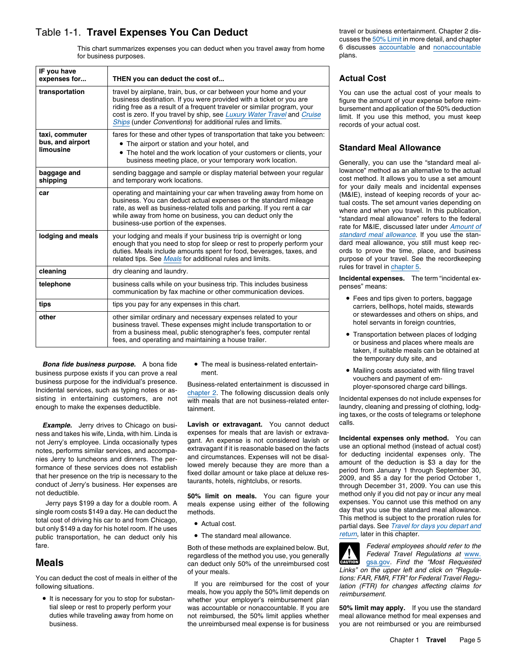# Table 1-1. **Travel Expenses You Can Deduct Travel or business entertainment. Chapter 2 dis-**<br>Cusses the 50% Limit in more detail, and chapter

This chart summarizes expenses you can deduct when you travel away from home 6 discusses accountable and nonaccountable for business purposes for business purposes.

| IF you have<br>expenses for                     | THEN you can deduct the cost of                                                                                                                                                                                                                                                                                                                              | <b>Actual Cost</b>                                                                                                                                                                                                                                       |
|-------------------------------------------------|--------------------------------------------------------------------------------------------------------------------------------------------------------------------------------------------------------------------------------------------------------------------------------------------------------------------------------------------------------------|----------------------------------------------------------------------------------------------------------------------------------------------------------------------------------------------------------------------------------------------------------|
| transportation                                  | travel by airplane, train, bus, or car between your home and your<br>business destination. If you were provided with a ticket or you are<br>riding free as a result of a frequent traveler or similar program, your<br>cost is zero. If you travel by ship, see Luxury Water Travel and Cruise<br>Ships (under Conventions) for additional rules and limits. | You can use the actual cost of your meals to<br>figure the amount of your expense before reim-<br>bursement and application of the 50% deduction<br>limit. If you use this method, you must keep<br>records of your actual cost.                         |
| taxi. commuter<br>bus, and airport<br>limousine | fares for these and other types of transportation that take you between:<br>• The airport or station and your hotel, and<br>• The hotel and the work location of your customers or clients, your<br>business meeting place, or your temporary work location.                                                                                                 | <b>Standard Meal Allowance</b><br>Generally, you can use the "standard meal al-                                                                                                                                                                          |
| baggage and<br>shipping                         | sending baggage and sample or display material between your regular<br>and temporary work locations.                                                                                                                                                                                                                                                         | lowance" method as an alternative to the actual<br>cost method. It allows you to use a set amount<br>for your daily meals and incidental expenses                                                                                                        |
| car                                             | operating and maintaining your car when traveling away from home on<br>business. You can deduct actual expenses or the standard mileage<br>rate, as well as business-related tolls and parking. If you rent a car<br>while away from home on business, you can deduct only the<br>business-use portion of the expenses.                                      | (M&IE), instead of keeping records of your ac-<br>tual costs. The set amount varies depending on<br>where and when you travel. In this publication,<br>"standard meal allowance" refers to the federal<br>rate for M&IE, discussed later under Amount of |
| lodging and meals                               | your lodging and meals if your business trip is overnight or long<br>enough that you need to stop for sleep or rest to properly perform your<br>duties. Meals include amounts spent for food, beverages, taxes, and<br>related tips. See Meals for additional rules and limits.                                                                              | standard meal allowance. If you use the stan-<br>dard meal allowance, you still must keep rec-<br>ords to prove the time, place, and business<br>purpose of your travel. See the recordkeeping                                                           |
| cleaning                                        | dry cleaning and laundry.                                                                                                                                                                                                                                                                                                                                    | rules for travel in chapter 5.                                                                                                                                                                                                                           |
| telephone                                       | business calls while on your business trip. This includes business<br>communication by fax machine or other communication devices.                                                                                                                                                                                                                           | <b>Incidental expenses.</b> The term "incidental ex-<br>penses" means:                                                                                                                                                                                   |
| tips                                            | tips you pay for any expenses in this chart.                                                                                                                                                                                                                                                                                                                 | • Fees and tips given to porters, baggage<br>carriers, bellhops, hotel maids, stewards                                                                                                                                                                   |
| other                                           | other similar ordinary and necessary expenses related to your<br>business travel. These expenses might include transportation to or<br>from a business meal, public stenographer's fees, computer rental<br>fees, and operating and maintaining a house trailer.                                                                                             | or stewardesses and others on ships, and<br>hotel servants in foreign countries,<br>• Transportation between places of lodging<br>or business and places where meals are                                                                                 |

business purpose exists if you can prove a real ment.<br>
business purpose for the individual's presence.<br>
Incidental services, such as typing notes or as-<br>
sisting in entertaining customers, are not with meals that are not b

not Jerry's employee. Linda with him. Linda is<br>not Jerry's employee. Linda occasionally types<br>notes, performs similar services, and accompa-<br>notes, performs similar services, and accompa-<br>nies Jerry to luncheons and dinner

but only \$149 a day for his hotel room. If he uses<br>public transportation, he can deduct only his • The standard meal allowance. public transportation, he can deduct only his

• It is necessary for you to stop for substan-

**Eona fide business purpose.** A bona fide • The meal is business-related entertain-<br> **Bona fide business purpose over the business** associated with filing travel

**Example.** Jerry drives to Chicago on busi-<br>Lavish or extravagant. You cannot deduct calls.<br>Sex and takes his wife. Linda, with him. Linda is expenses for meals that are lavish or extrava-

meals expense using either of the following expenses. You cannot use this method on any<br>methods

- 
- The standard meal allowance.

**Meals** can deduct only 50% of the unreimbursed cost **Meals** 

It is necessary for you to stop for substan-<br>It is necessary for you to stop for myour was accountable or nonaccountable. If you are tial sleep or rest to properly perform your was accountable or nonaccountable. If you are **50% limit may apply.** If you use the standard duties while traveling away from home on not reimbursed, the 50% limit applies whethe not reimbursed, the 50% limit applies whether meal allowance method for meal expenses and business. the unreimbursed meal expense is for business you are not reimbursed or you are reimbursed

# **Actual Cost**

# **Standard Meal Allowance**

- Fees and tips given to porters, baggage carriers, bellhops, hotel maids, stewards or stewardesses and others on ships, and<br>hotel servants in foreign countries,
- Transportation between places of lodging<br>or business and places where meals are taken, if suitable meals can be obtained at
- 

enough to make the expenses deductible. lainment and the state of clothing, lodg-<br>alundry, cleaning and pressing of clothing, lodging taxes, or the costs of telegrams or telephone

not deductible. **50% limit on meals.** You can figure your method only if you did not pay or incur any meal<br>Jerry pays \$199 a day for a double room. A meals expense using either of the following expenses. You cannot use thi single room costs \$149 a day. He can deduct the methods.<br>
total cost of driving his car to and from Chicago entity and the methods of the protation rules for This method is subject to the proration rules for total cost.<br>This method is subject to the proration rules for the uses expansion of the uses of the proration of the uses o<br>partial days. See Travel for days you depart and

fare. The state methods are explained below. But, Federal employees should refer to the regardless of the method you use, you generally regardless of the method you use, you generally Tay Federal Travel Regulations at www.<br>can deduct only 50% of the unreimbursed cost caying gsa.gov. Find the "Most Requested" **!** of your meals. The upper left and click on "Regula-<br>tions: FAR, FMR, FTR" for Federal Travel Regu-You can deduct the cost of meals in either of the<br>following situations.<br>following situations.<br>meals, how you apply the 50% limit depends on reimbursement.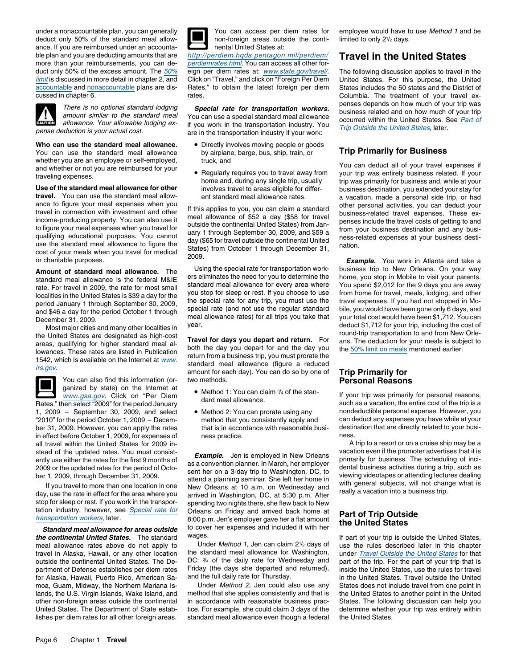under a nonaccountable plan, you can generally **To a** You can access per diem rates for employee would have to use Method 1 and be deduct only 50% of the standard meal allow-<br>ance. If you are reimbursed under an accounta-<br>nental United States at: ance. If you are reimbursed under an accountable plan and you are deducting amounts that are http://perdiem.hqda.pentagon.mil/perdiem/ **Travel in the United States**<br>more than your reimbursements, you can de- perdiemrates.html. You can access all other formore than your reimbursements, you can deduct only 50% of the excess amount. The 50% eign per diem rates at: www.state.gov/travel/. The following discussion applies to travel in the limit is discussed in more detail in chapter 2, and Click on "Travel," and click on "Foreign Per Diem United States. For this purpose, the United accountable and nonaccountable plans are dis-<br>accountable and nonaccountable



### **Who can use the standard meal allowance.** •

whether you are an employee or self-employed, truck, and and whether or not you are reimbursed for your vectors of travel expenses if and whether or not you are reimbursed for your vectors of travel away from trip was enti

**travel.** You can use the standard meal allow- ent standard meal allowance rates. a vacation, made a personal side trip, or had ance to figure your meal expenses when you ance to figure your meal expenses when you<br>travel in connection with investment and other this applies to you, you can claim a standard<br>income-producing property. You can also use it and allowance of \$52 a day (\$58 for tra

the United States are designated as high-cost<br>areas, qualifying for higher standard meal al-<br>lowances. These rates are listed in Publication<br>1542, which is available on the Internet at <u>www.</u><br>1542, which is available on th



ganized by state) on the Internet at www.gsa.gov. Click on "Per Diem

1, 2009 – September 30, 2009, and select • Method 2: You can prorate using any ber 31, 2009. However, you can apply the rates that is in accordance with reasonable busiin effect before October 1, 2009, for expenses of ness practice.<br>
all travel within the United States for 2009 in-<br>
all travel within the United States for 2009 inall travel within the United States for 2009 in-

stop for sleep or rest. If you work in the transpor-<br>tation industry, however, see *Special rate for* Orleans on Friday and arrived back home at

**Standard meal allowance for areas outside the continental United States.** The standard wages.<br>meal allowance rates above do not apply to Under Method 1, Jen can claim 2<sup>1</sup>/<sub>2</sub> days of use the rules described later in this chapter meal allowance rates above do not apply to Under Method 1, Jen can claim 2<sup>1</sup>/<sub>2</sub> days of use the rules described later in this chapter travel in Alaska. Hawaii, or any other location the standard meal allowance for Washin travel in Alaska, Hawaii, or any other location the standard meal allowance for Washington, under Travel Outside the United States for that is out trip that is any other location under that is any other location under that outside the continental United States. The De- DC:  $\frac{3}{4}$  of the daily rate for Wednesday and part of the trip. For the part of your trip that is partment of Defense establishes per diem rates Friday (the days she depa partment of Defense establishes per diem rates Friday (the days she departed and returned), inside the United States, use the rules for travel<br>For Alaska, Hawaii, Puerto Rico, American Sa- and the full daily rate for Thurs for Alaska, Hawaii, Puerto Rico, American Sa- and the full daily rate for Thursday. The United States. Travel outside the United moa, Guam, Midway, the Northern Mariana Is-<br>Under Method 2, Jen could also use any States does not include travel from one point in lands, the U.S. Virgin Islands, Wake Island, and method that she applies consistently and that is the United States to another point in the United other non-foreign areas outside the continental in accordance with reasonable business prac-<br>States. The following discussion can help you United States. The Department of State estab- tice. For example, she could claim 3 days of the determine whether your trip was entirely within lishes per diem rates for all other foreign areas. standard meal allowance even though a federal the United States.



allowance. Your allowable lodging ex-<br>pense deduction is your actual cost. are in the transportation industry if your work: Trip Outside the United States, later.

- Directly involves moving people or goods You can use the standard meal allowance by airplane, barge, bus, ship, train, or **Trip Primarily for Business**
	-

**Amount of standard meal allowance.** The Using the special rate for transportation work-<br>standard meal allowance is the federal M&IE ers eliminates the need for you to determine the home, you stop in Mobile to visit your p

You can also find this information (or- two methods. **Personal Reasons**

- Method 1: You can claim  $\frac{3}{4}$  of the stan-
- 

stead of the updated rates. You must consister the rist of the first 9 months of<br>ently use either the rates for the first 9 months of<br>2009 or the updated rates for the period of Octo-<br>ber 1, 2009, through December 31, 2009 tation industry, however, see *Special rate for* Orleans on Friday and arrived back home at **Part of Trip Outside**<br>transportation workers, later. 8:00 p.m. Jen's employer gave her a flat amount **the United States**<br>**Standar** 

limited to only 2<sup>1</sup>/<sub>2</sub> days.

States includes the 50 states and the District of cussed in chapter 6. The treatment of your travel ex-<br> **Columbia.** The treatment of your travel ex-There is no optional standard lodging **Special rate for transportation workers.**<br>amount similar to the standard meal You can use a special standard meal allowance allowance allowance. Your allowable lodging ex-<br>allowance.

Regularly expenses.<br>
Use of the standard meal allowance for other involves travel to areas eligible for differ-<br>
Use of the standard meal allowance for other involves travel to areas eligible for differ-<br>
Losiness destinat Use of the standard meal allowance for other involves travel to areas eligible for differ-<br>**travel.** You can use the standard meal allow- ent standard meal allowance rates.<br>a vacation, made a personal side trip, or had

December 31, 2009.<br>Most major cities and many other localities in year.<br>Most major cities and many other localities in year.<br>the United States are designated as bigh-cost of the United States are designated as bigh-cost

www.gsa.gov. Click on "Per Diem If your Collection and the states," then select "2009" for the period January dard meal allowance.<br>
1, 2009 – September 30, 2009, and select Method 2: You can prorate using any nondeductible "2010" for the period October 1, 2009 – Decem- method that you consistently apply and can deduct any expenses you have while at your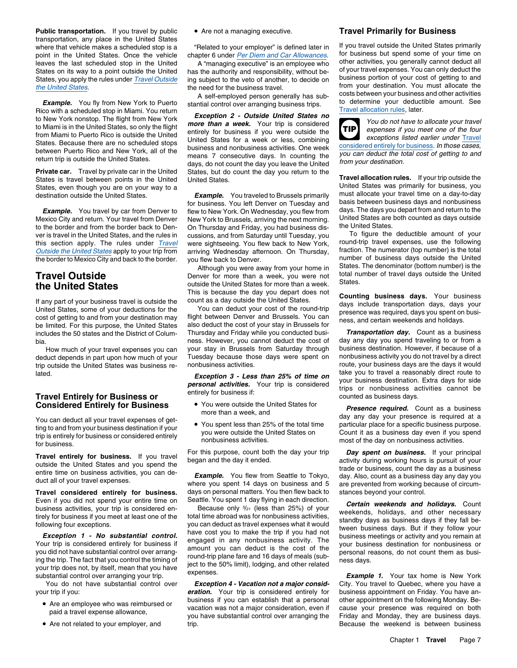**Public transportation.** If you travel by public • Are not a managing executive. **Travel Primarily for Business** transportation, any place in the United States where that vehicle makes a scheduled stop is a "Related to your employer" is defined later in If you travel outside the United States primarily<br>noint in the United States. Once the vehicle chapter 6 under Per Diem and Car point in the United States. Once the vehicle chapter 6 under *Per Diem and Car Allowances*. for business but spend some of your time on<br>Jeaves the last scheduled stop in the United a "managing executive" is an employee who leaves the last scheduled stop in the United a "managing executive" is an employee who other activities, you generally cannot deduct all leaves the united all States on its way to a point outside the United a has the autho States on its way to a point outside the United has the authority and responsibility, without be-<br>States, you apply the rules under *Travel Outside* ing subject to the veto of another, to decide on business portion of your States, you apply the rules under *Travel Outside* ing subject to the veto of another, to decide on the United States.

**Example.** You fly from New York to Puerto stantial control over arranging business trips. to determine your deduction rules, later. Rico with a scheduled stop in Miami. You return<br>to Now York ponstop. The flight from Now York **Exception 2 - Outside United States no** to New York nonstop. The flight from New York<br>to Miami is in the United States, so only the flight<br>from Miami to Puerto Rico is outside the United<br>States. Because there are no scheduled stops<br>States. Because there are no s

**Private car.** Travel by private car in the United States, but do count the day you return to the States is travel between points in the United United States. **Travel allocation rules.** If your trip outside the States, even though you are on your way to a<br> **Example** You traveled to Brussels primarily must allocate your travel time on a day-to-day<br>
destination outside the United States

Mexico City and return. Your travel from Denver New York to Brussels, arriving the next morning. United States are to the border and from the border back to Den- On Thursday and Friday, you had business dis- the United Sta ver is travel in the United States, and the rules in cussions, and from Saturday until Tuesday, you To figure the deductible amount of your<br>this section apply. The rules under *Travel* were sightseeing. You flew back to Ne

bia. **heta** ness. However, you cannot deduct the cost of

our specific business purpose.<br>
In the set of the total time particular place for a specific business purpose.<br>
you were outside the United States on Count it as a business day even if you spend<br>
for business.<br>
for busines

- 
- Are not related to your employer, and

States. Because there are no scheduled stops<br>between Puerto Rico and New York, all of the<br>return trip is outside the United States.<br>The consecutive days. In counting the<br>return trip is outside the United States.<br>days, do n

*Example.* You travel by car from Denver to flew to New York. On Wednesday, you flew from days. The days you depart from and return to the the United States. to the border and from the border back to Den- On Thursday and Friday, you had business dis-

Travel Outside<br>
the United States<br>
the United States and part of your business travel is outside the lotside the United States<br>
If any part of your business travel is outside the<br>
United States, some of your deductions for

includes the 50 states and the District of Colum- Thursday and Friday while you conducted busi- *Transportation day.* Count as a business How much of your travel expenses you can your stay in Brussels from Saturday through business destination. However, if because of a<br>duct depends in part upon how much of your Tuesday because those days were spent on nonbus deduct depends in part upon how much of your Tuesday because those days were spent on nonbusiness activity you do not travel by a direct<br>trip outside the United States was business re- nonbusiness activities. The oute of t

- 
- 

**Travel considered entirely for business.** days on personal matters. You then flew back to stances beyond your control.<br>Even if you did not spend your entire time on Seattle. You spent 1 day flying in each direction.

Even if you did not spend your entire time on<br>
business activities, you trip is considered en-<br>
business activities, you can deduct as travel expenses what it would<br>
field the the species of the travel expenses what it wo

You do not have substantial control over **Exception 4 - Vacation not a major consid-** City. You travel to Quebec, where you have a your trip if you: **eration.** Your trip is considered entirely for business appointment on Friday. You have an-• Are an employee who was reimbursed or business if you can establish that a personal other appointment on the following Monday. Be-<br>vacation was not a major consideration, even if cause your presence was required on both paid a travel expense allowance,<br>you have substantial control over arranging the Friday and Monday, they are business days. trip. Are not related to your employer, and the weekend is between business

the need for the business travel.<br>
A self-employed person generally has sub-<br>
Costs between your business and other activities A self-employed person generally has sub-<br>htial control over arranging business trins and determine your deductible amount. See

**TIP**

destination outside the United States. *Example.* You traveled to Brussels primarily must allocate your travel time on a day-to-day for business. You left Denver on Tuesday and basis between business days and nonbusiness<br>flew to New York, On Wednesday, you flew from days. The days you depart from and return to the

this section apply. The rules under *Travel* were sightseeing. You flew back to New York, round-trip travel expenses, use the following Outside the United States apply to your trip from arriving Wednesday afternoon. On Thu arriving Wednesday afternoon. On Thursday, fraction. The numerator (top number) is the total apply to the total<br>wou flew back to Denver. the border to Mexico City and back to the border. you flew back to Denver. we have number of business days outside the United at the United out were away from your home in States. The denominator (bottom number) is the Although you were away from your home in States. The denominator (bottom number) is the<br>nver for more than a week, you were not total number of travel days outside the United

trip outside the United States was business re- nonbusiness activities.<br>Iated the securities and set of the CFC of time area take you to travel a reasonably direct route to lated.<br>Interestion 3 - Less than 25% of time on take you to travel a reasonably direct route to<br>Travel Entirely for Business or entirely for business if:<br>Travel Entirely for Business or entirely for business if:<br>counted as

**Considered Entirely for Business** • You were outside the United States for<br>The United States for **Presence required.** Count as a business<br>You can deduct all your travel expenses of get exponsion of the Stand Transportiona

**Travel entirely for business.** If you travel For this purpose, count both the day your trip **Day spent on business.** If you principal began and the day it ended.<br>
Travel entire time on business activities, you can de-<br>
du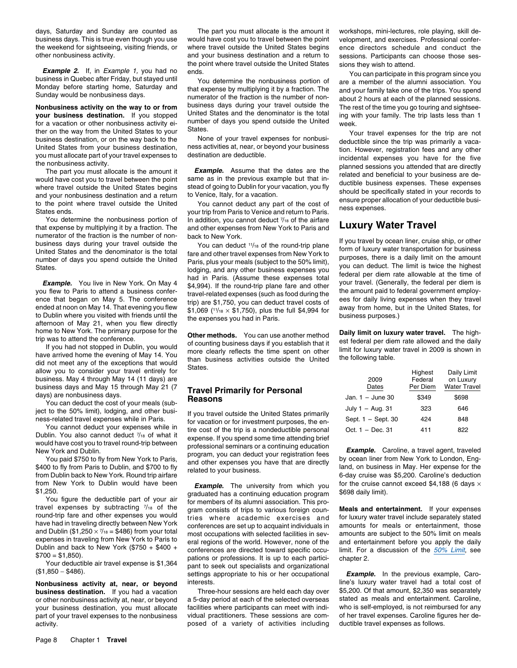business days. This is true even though you use would have cost you to travel between the point velopment, and exercises. Professional confer-<br>the weekend for sightseeing, visiting friends, or where travel outside the Unit

the point where travel outside the United States<br>
business in Quebec after Friday, but stayed until<br>
Monday before starting home, Saturday and<br>
Sunday would be nonbusiness days.<br>
Sunday would be nonbusiness days.<br>
Sunday w

ther on the way from the United States to your<br>business destination, or on the way back to the None of your travel expenses for nonbusi-<br>deductible since the trip was primarily a vaca-

You determine the nonbusiness portion of

business. May 4 through May 14 (11 days) are business days and May 15 through May 21 (7 **Travel Primarily for Personal** days) are nonbusiness days. **Reasons** You can deduct the cost of your meals (sub-

Dublin. You also cannot deduct 7/18 of what it

round-trip fare and other expenses you would<br>have had in traveling directly between New York<br>and Dublin (\$1,250  $\times$  7/18 = \$486) from your total<br>expenses in traveling from New York to Paris to<br>expenses in traveling from

**business destination.** If you had a vacation Three-hour sessions are held each day over \$5,200. Of that amount, \$2,350 was separately or other nonbusiness activity at near, or bevond a 5-day period at each of the selected or other nonbusiness activity at, near, or beyond a 5-day period at each of the selected overseas stated as meals and entertainment. Caroline, vour business destination, vou must allocate facilities where participants can your business destination, you must allocate facilities where participants can meet with indi- who is self-employed, is not reimbursed for any<br>part of your travel expenses to the nonbusiness vidual practitioners. These ses part of your travel expenses to the nonbusiness vidual practitioners. These sessions are comactivity. posed of a variety of activities including ductible travel expenses as follows.

where travel outside the United States begins ence directors schedule and conduct the other nonbusiness activity. and your business destination and a return to sessions. Participants can choose those ses-<br>the point where travel outside the United States sions they wish to attend.

Nonbusiness activity on the way to or from<br>
your from business days during your travel outside the The rest of the time you go touring and sightsee-<br>
your business destination. If you stopped United States and the denomina

In addition, you cannot deduct  $\frac{7}{18}$  of the airfare that expense by multiplying it by a fraction. The and other expenses from New York to Paris and **Luxury Water Travel** numerator of the fraction is the number of non-back to New York.

home to New York. The primary purpose for the<br>trip was to attend the conference.<br>It you had not stopped in Dublin, you would<br>have arrived home the evening of May 14. You<br>have arrived home the evening of May 14. You<br>did not

Dublin. You also cannot deduct  $\frac{7}{18}$  of what it<br>would have cost you to travel round-trip between<br>New York and Dublin.<br>You paid \$750 to fly from New York to Paris,<br>\$400 to fly from Paris to Dublin, and \$700 to fly<br>from

from New York to Dublin would have been<br>\$1,250.<br>You figure the deductible part of your air for members of its alumni association. This pro-<br>Travel expenses by subtracting  $\frac{\eta}{3}$  for members of its alumni association. T and Dublin (\$1,250 x  $\frac{7}{18}$  = \$486) from your total most occupations with selected facilities in sev-<br>expenses in traveling from New York to Paris to<br>Dublin and back to New York (\$750 + \$400 +<br>\$700 = \$1,850).<br>Sublin a

days, Saturday and Sunday are counted as The part you must allocate is the amount it workshops, mini-lectures, role playing, skill de-

business destination, or on the way back to the<br>United States from your business destination, ness activities at, near, or beyond your business<br>the the trip was primarily a vaca-<br>the nonbusiness activity.<br>The part you must

numerator of the fraction is the number of on-<br>
business days during your travel and other travel in the cumulative the two can deduct <sup>11/</sup><sup>1</sup> of the round-trip plane<br>
United States and the denominator is the total<br>
in th

| allow you to consider your travel entirely for                                          | olal <del>c</del> o.                                                                                  |                      | Highest  | Daily Limit         |
|-----------------------------------------------------------------------------------------|-------------------------------------------------------------------------------------------------------|----------------------|----------|---------------------|
| business. May 4 through May 14 (11 days) are                                            |                                                                                                       | 2009                 | Federal  | on Luxury           |
| business days and May 15 through May 21 (7)                                             | <b>Travel Primarily for Personal</b>                                                                  | Dates                | Per Diem | <b>Water Travel</b> |
| days) are nonbusiness days.<br>You can deduct the cost of your meals (sub-              | <b>Reasons</b>                                                                                        | Jan. $1 -$ June 30   | \$349    | \$698               |
| ject to the 50% limit), lodging, and other busi-                                        |                                                                                                       | July $1 -$ Aug. 31   | 323      | 646                 |
| ness-related travel expenses while in Paris.                                            | If you travel outside the United States primarily<br>for vacation or for investment purposes, the en- | Sept. $1 -$ Sept. 30 | 424      | 848                 |
| You cannot deduct your expenses while in<br>Duktin Mau alaa aannat dadust 7/ af ukat it | tire cost of the trip is a nondeductible personal                                                     | $Oct. 1 - Dec. 31$   | 411      | 822                 |

**Nonbusiness activity at, near, or beyond** interests.<br>**husiness destination** If you had a vacation Three-hour sessions are held each day over \$5,200. Of that amount, \$2,350 was separately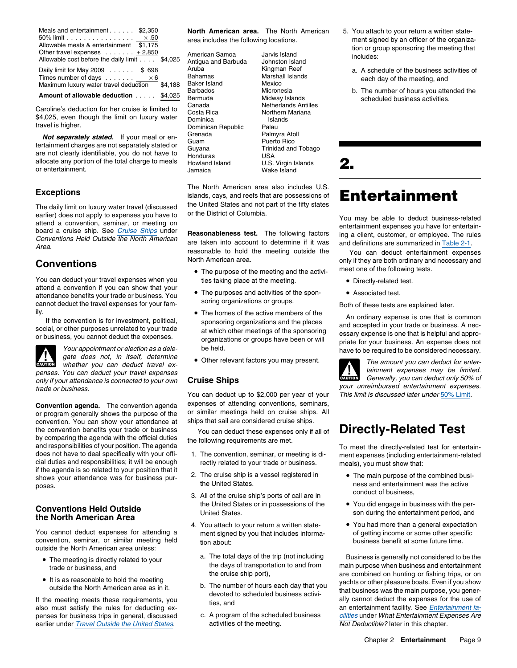| Meals and entertainment \$2,350                                                                                                      |                                         | North American area. The North American           | 5. You attach to your return a written state-                               |
|--------------------------------------------------------------------------------------------------------------------------------------|-----------------------------------------|---------------------------------------------------|-----------------------------------------------------------------------------|
| Allowable meals & entertainment \$1,175                                                                                              | area includes the following locations.  |                                                   | ment signed by an officer of the organiza-                                  |
| Other travel expenses $\ldots$ , $\ldots$ + 2,850<br>Allowable cost before the daily limit \$4,025                                   | American Samoa<br>Antigua and Barbuda   | Jarvis Island<br>Johnston Island                  | tion or group sponsoring the meeting that<br>includes:                      |
| Daily limit for May 2009 \$ 698<br>Times number of days $\dots \dots$ $\times 6$<br>\$4.188<br>Maximum luxury water travel deduction | Aruba<br><b>Bahamas</b><br>Baker Island | Kingman Reef<br><b>Marshall Islands</b><br>Mexico | a. A schedule of the business activities of<br>each day of the meeting, and |
| Amount of allowable deduction<br>\$4.025                                                                                             | <b>Barbados</b><br>$D = max + 1 - 1$    | Micronesia<br>والمعرما والمناسبة المثالية         | b. The number of hours you attended the                                     |

Caroline's deduction for her cruise is limited to<br>
\$4,025, even though the limit on luxury water<br>
travel is higher.<br>
Internal Costa Rica<br>
Dominican Republic<br>
Palau

**Not separately stated.** If your meal or en-<br>tertainment charges are not separately stated or Guam<br>are not clearly identifiable, you do not have to  $\frac{G$ uam and Trinidad and Tobago<br>Honduras (ISA allocate any portion of the total charge to meals Howland Island U.S. Virgin Islands **2.** or entertainment. Jamaica Wake Island

The daily limit on luxury water travel (discussed the United States and not partier) does not apply to expenses you have to or the District of Columbia. earlier) does not apply to expenses you have to<br>attend a convention, seminar, or meeting on<br>board a cruise ship. See *Cruise Ships* under<br>board a cruise ship. See *Cruise Ships* under<br>*Conventions Held Outside the North Am* 

attend a convention if you can show that your<br> **•** The purposes and activities of the sponattendance benefits your trade or business. You<br>
cannot deduct the travel expenses for your famelels are explained later.<br>
The homes of the active members of the<br>
The homes of the active members of the ily. •



Your appointment or election as a dele-<br>gate does not, in itself, determine **b**e held.<br>whether you can deduct travel ex-<br>whether you can deduct for enter-

penses. You can deduct your travel expenses<br>only if your attendance is connected to your own **Cruise Ships** 

or program generally shows the purpose of the or similar meetings held on cruise ships.<br>
Sonvention, You can show your attendance at ships that sail are considered cruise ships. convention. You can show your attendance at the convention benefits your trade or business. the convention benefits your trade or business<br>by comparing the agenda with the official duties<br>and responsibilities of your position. The agenda<br>does not have to deal specifically with your offi-<br>1. The convention, semina does not have to deal specifically with your offi-<br>cial duties and responsibilities; it will be enough entity related to your trade or business.<br>cial duties and responsibilities; it will be enough entity related to your tr cial duties and responsibilities; it will be enough eactly related to your trade or business. The agenda is so related to your position that it<br>if the agenda is so related to your position that it<br>shows your attendance was

You cannot deduct expenses for attending a ment signed by you that includes informa- of getting income or some other specific convention, seminar, or similar meeting held tion about: business benefit at some future time. convention, seminar, or similar meeting held  $\overline{t}_{\text{ion about}}$ : outside the North American area unless:

- 
- It is as reasonable to hold the meeting

earlier under Travel Outside the United States. activities of the meeting. Not Deductible? later in this chapter.

Dominican Republic Palau<br>Grenada Palmyra Atoll

Times 19 Bahamas 1980 Marshall Islands each day of the meeting, and<br>19 Baker Island Mexico<br>2 Barbados Micronesia botton b. The number of hours you atte

**Exceptions**<br>
The North American area also includes U.S.<br>
The daily limit on luxury water travel (discussed the United States and not part of the fifty states

- The purpose of the meeting and the activi-You can deduct your travel expenses when you ties taking place at the meeting. • Directly-related test.
	-
- If the convention is for investment, political,<br>social, or other purposes unrelated to your trade<br>or business. A necestial, or other purposes unrelated to your trade<br>or business, you cannot deduct the expenses.<br>organizatio
	-

You can deduct up to \$2,000 per year of your This limit is discussed later under 50% Limit. **Convention agenda.** The convention agenda expenses of attending conventions, seminars, or program generally shows the purpose of the or similar meetings held on cruise ships. All

- 
- 
- conduct of business, 3. All of the cruise ship's ports of call are in
- 4. You attach to your return a written state-<br>ment signed by you that includes informa-<br>of getting income or some other specific
	-
	-
	-
- 
- Daily limit for May 2009 Aruba Kingman Reef . . . . . . \$ <sup>698</sup> a. A schedule of the business activities of
- Barbados Micronesia b. The number of hours you attended the **Bermuda** Midway Islands **b.** The number of hours you attended the **Bermuda** Metherlands Antilles

**Conventions**<br>**only if they are both ordinary and necessary and necessary and necessary and necessary and necessary and necessary and necessary and necessary and necessary and necessary and necessary and necessary and nece** 

- 
- 

• Other relevant factors you may present. The amount you can deduct for enter-<br> **CAUTION** tainment expenses may be limited. Generally, you can deduct only 50% of **!** only if your attendance is connected to your own **Cruise Ships** your service of the service of the tendent only business.<br>Trade or business.

- 
- **Conventions Held Outside the United States or in possessions of the •** You did engage in business with the per-<br> **the North American Area United States.** Son during the entertainment period, and **the North American Ar** 
	-

The meeting is directly related to your a. The total days of the trip (not including Business is generally not considered to be the • The total days of the trip (not including • Business is generally not considered to be t The meeting is directly related to your the days of transportation to and from main purpose when business and entertainment trade or business, and the cruise ship port), are combined on hunting or fishing trips, or on • It is as reasonable to hold the meeting<br>outside the North American area as in it.<br>If the meeting meets these requirements, you<br>also must satisfy the rules for deducting ex-<br>also must satisfy the rules for deducting ex-<br>a penses for business trips in general, discussed c. A program of the scheduled business cilities under What Entertainment Expenses Are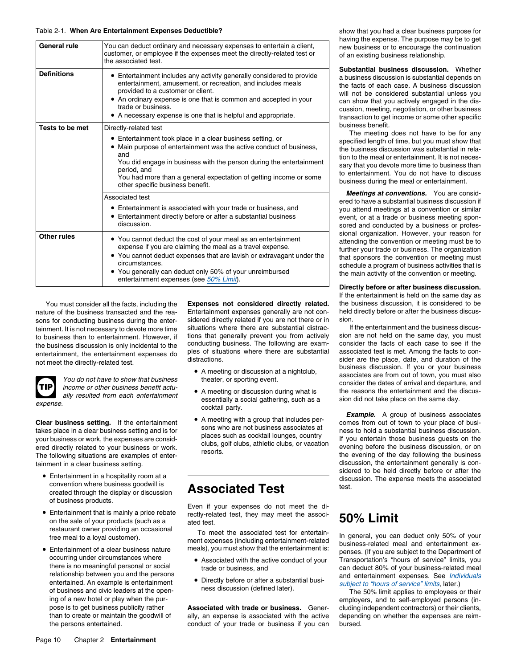### Table 2-1. When Are Entertainment Expenses Deductible? **Show that you had a clear business purpose for** the show that you had a clear business purpose for

|                    |                                                                                                                                                                                                                                                                                                                                                                  | having the expense. The purpose may be to get                                                                                                                                                                                                                                                                                                                                |  |  |
|--------------------|------------------------------------------------------------------------------------------------------------------------------------------------------------------------------------------------------------------------------------------------------------------------------------------------------------------------------------------------------------------|------------------------------------------------------------------------------------------------------------------------------------------------------------------------------------------------------------------------------------------------------------------------------------------------------------------------------------------------------------------------------|--|--|
| General rule       | You can deduct ordinary and necessary expenses to entertain a client,<br>customer, or employee if the expenses meet the directly-related test or<br>the associated test.                                                                                                                                                                                         | new business or to encourage the continuation<br>of an existing business relationship.                                                                                                                                                                                                                                                                                       |  |  |
| <b>Definitions</b> | • Entertainment includes any activity generally considered to provide<br>entertainment, amusement, or recreation, and includes meals<br>provided to a customer or client.<br>• An ordinary expense is one that is common and accepted in your<br>trade or business.<br>• A necessary expense is one that is helpful and appropriate.                             | Substantial business discussion. Whether<br>a business discussion is substantial depends on<br>the facts of each case. A business discussion<br>will not be considered substantial unless you<br>can show that you actively engaged in the dis-<br>cussion, meeting, negotiation, or other business<br>transaction to get income or some other specific                      |  |  |
| Tests to be met    | Directly-related test<br>• Entertainment took place in a clear business setting, or<br>• Main purpose of entertainment was the active conduct of business,<br>and<br>You did engage in business with the person during the entertainment<br>period, and<br>You had more than a general expectation of getting income or some<br>other specific business benefit. | business benefit.<br>The meeting does not have to be for any<br>specified length of time, but you must show that<br>the business discussion was substantial in rela-<br>tion to the meal or entertainment. It is not neces-<br>sary that you devote more time to business than<br>to entertainment. You do not have to discuss<br>business during the meal or entertainment. |  |  |
|                    | Associated test<br>• Entertainment is associated with your trade or business, and<br>• Entertainment directly before or after a substantial business<br>discussion.                                                                                                                                                                                              | <b>Meetings at conventions.</b> You are consid-<br>ered to have a substantial business discussion if<br>you attend meetings at a convention or similar<br>event, or at a trade or business meeting spon-<br>sored and conducted by a business or profes-                                                                                                                     |  |  |
| Other rules        | • You cannot deduct the cost of your meal as an entertainment<br>expense if you are claiming the meal as a travel expense.<br>• You cannot deduct expenses that are lavish or extravagant under the<br>circumstances.<br>• You generally can deduct only 50% of your unreimbursed<br>entertainment expenses (see 50% Limit).                                     | sional organization. However, your reason for<br>attending the convention or meeting must be to<br>further your trade or business. The organization<br>that sponsors the convention or meeting must<br>schedule a program of business activities that is<br>the main activity of the convention or meeting.<br>Disaathy bafasa as aftas buainaan dinaunainn                  |  |  |

nature of the business transacted and the rea-<br>
Entertainment expenses generally are not consons for conducting business during the enter-<br>tainment It is not necessary to devote more time situations where there are substantial distrac-<br>tainment It is not necessary to devote more time situations where there are su tainment. It is not necessary to devote more time situations where there are substantial distrac- If the entertainment and the business discus-<br>to business than to entertainment. However, if tions that generally prevent yo to business than to entertainment. However, if tions that generally prevent you from actively sion are not held on the same day, you must<br>the business discussion is only incidental to the conducting business. The following



- Entertainment in a hospitality room at a discussion. The expense meets the associated convention where business goodwill is convention **ASSOCIATED TEST** test. created through the display or discussion
- Entertainment that is mainly a price rebate
- Entertainment of a clear business nature entertained. An example is entertainment<br>of business and civic leaders at the open-<br>ing of a new hotel or play when the pur-<br>ing of a new hotel or play when the pur-<br>ing of a new hotel or play when the pur-<br>ing of a new ho

- 
- any resulted notified entertainment essentially a social gathering, such as a<br>expense.<br>cocktail party.
	-

of business products. Even if your expenses do not meet the di rectly-related test, they may meet the associentendminent that is malling a price reparte rectly-related test, they may meet the associ-<br>on the sale of your products (such as a a cated test.

restaurant owner providing an occasional<br>free meal to a loyal customer).<br>Entertainment of a clear business nature meals), you must show that the entertainment is:<br>Entertainment of a clear business nature meals), you must s

- 
- 

the persons entertained. conduct of your trade or business if you can bursed.

having the expense. The purpose may be to get new business or to encourage the continuation of an existing business relationship.

## **Directly before or after business discussion.**

If the entertainment is held on the same day as You must consider all the facts, including the **Expenses not considered directly related.** the business discussion, it is considered to be usiness discus-<br>The pusiness transacted and the rea-<br>
Entertainment expenses genera

the business discussion is only incidental to the conducting business. The following are exam-<br>entertainment, the entertainment expenses do ples of situations where there are substantial associated test is met. Among the f You do not have to show that business<br>
Theater, or sporting event.<br>
income or other business benefit actu-<br>
income or other business benefit actu-<br>
A meeting or discussion during what is<br>
A meeting or discussion during wha income or other business benefit actu-<br>ally resulted from each entertainment<br>essentially a social gathering, such as a sion did not take place on the same day.

• A meeting with a group that includes per-<br>**Example.** A group of business associates **•** comes from out of town to your place of busi-Clear business setting. If the entertainment<br>takes place in a clear business setting and is for<br>your business are considered directly related to your business or work, the expenses are consid-<br>ered directly related to your tainment in a clear business setting. The entertainment generally is considered to be held directly before or after the •

Entertainment of a clear business nature meals), you must show that the entertainment is: penses. (If you are subject to the Department of occurring under circumstances where • Associated with the active conduct of your Tr there is no meaningful personal or social trade or business, and can deduct 80% of your business-related meal<br>relationship between you and the persons trade or business, and can deduct 80% of your business-related meal relationship between you and the persons **and the persons** and entertainment expenses. See *Individuals* entertained. An example is entertainment **•** Directly before or after a substantial busi-<br>entertained. An example is

ing of a new hotel or play when the pur-<br>pose is to get business publicity rather **Associated with trade or business.** Gener- cluding independent contractors) or their clients, Associated with trade or business. Gener- cluding independent contractors) or their clients, than to create or maintain the goodwill of ally, an expense is associated with the active depending on whether the expenses are reim-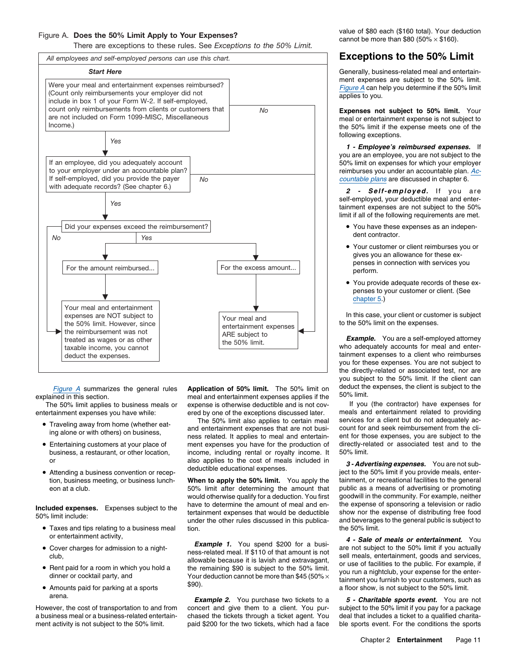## Figure A. **Does the 50% Limit Apply to Your Expenses?**

There are exceptions to these rules. See *Exceptions to the 50% Limit.*



- 
- Entertaining customers at your place of
- Attending a business convention or recep-

- 
- 
- 
- 

explained in this section. meal and entertainment expenses applies if the 50% limit.<br>The 50% limit applies to business meals or expense is otherwise deductible and is not cov-<br>If you (the contractor) have expenses for The 50% limit applies to business meals or expense is otherwise deductible and is not cov-<br>The soult (the contractor) have expenses for expense is otherwise deductible and is not cov-<br>ertainment expenses you have while:<br>er

The 50% limit also applies to certain meal services for a client but do not adequately ac-<br>-incology and entertainment expenses that are not busi- count for and seek reimbursement from the cliing alone or with others) on business,<br>ness related. It applies to meal and entertain-<br>Entertaining customers at your place of ment expenses you have for the production of directly-related or associated test and to the Entertaining customers at your place of ment expenses you have for the production of directly-re<br>business, a restaurant, or other location, income, including rental or royalty income. It 50% limit. income, including rental or royalty income. It or also applies to the cost of meals included in **3-Advertising expenses.** You are not sub-<br>Attending a business convention or recep-<br>ect to the 50% limit if you provide meals, enter-

tion, business meeting, or business lunch- **When to apply the 50% limit.** You apply the tainment, or recreational facilities to the general eon at a club. 50% limit after determining the amount that public as a means of advertising or promoting<br>would otherwise qualify for a deduction. You first goodwill in the community. For example, neither would otherwise qualify for a deduction. You first goodwill in the community. For example, neither<br>have to determine the amount of meal and en-<br>the expense of sponsoring a television or radio Included expenses. Expenses subject to the have to determine the amount of meal and en-<br>50% limit include:<br>50% limit include:<br>50% limit include:<br>50% limit include:<br>50% limit include:<br>50% limit include:<br>50% limit.  $\bullet$  Taxes and tips relating to a business meal tion. the 50% limit.

• Cover charges for admission to a hight-<br>club,<br>exercised meal. If \$110 of that amount is not<br>allowable because it is lavish and extravagant,<br>exercise is the remaining \$90 is subject to the 50% limit.<br>wou run a nightclub,

However, the cost of transportation to and from concert and give them to a client. You pur- subject to the 50% limit if you pay for a package a business meal or a business-related entertain- chased the tickets through a ticket agent. You deal that includes a ticket to a qualified charitament activity is not subject to the 50% limit. paid \$200 for the two tickets, which had a face ble sports event. For the conditions the sports

value of \$80 each (\$160 total). Your deduction cannot be more than \$80 (50%  $\times$  \$160).

# **Exceptions to the 50% Limit**

Generally, business-related meal and entertainment expenses are subject to the 50% limit. Figure A can help you determine if the 50% limit applies to you.

**Expenses not subject to 50% limit.** Your meal or entertainment expense is not subject to the 50% limit if the expense meets one of the following exceptions.

*1 - Employee's reimbursed expenses.* If you are an employee, you are not subject to the 50% limit on expenses for which your employer reimburses you under an accountable plan. Accountable plans are discussed in chapter 6.

*2 - Self-employed.* If you are self-employed, your deductible meal and entertainment expenses are not subject to the 50% limit if all of the following requirements are met.

- You have these expenses as an independent contractor.
- Your customer or client reimburses you or gives you an allowance for these expenses in connection with services you perform.
- You provide adequate records of these expenses to your customer or client. (See chapter 5.)

In this case, your client or customer is subject to the 50% limit on the expenses.

**Example.** You are a self-employed attorney who adequately accounts for meal and entertainment expenses to a client who reimburses you for these expenses. You are not subject to the directly-related or associated test, nor are you subject to the 50% limit. If the client can Figure A summarizes the general rules **Application of 50% limit.** The 50% limit on deduct the expenses, the client is subject to the meal and entertainment expenses applies if the 50% limit.

entertainment expenses you have while: ered by one of the exceptions discussed later. meals and entertainment related to providing experience of the exceptions discussed later. meals and entertainment related to providing

or entertainment activity,<br>*Example 1.* You spend \$200 for a busi-<br>are not subject to the 50% limit if you actually<br>are not subject to the 50% limit if you actually • Rent paid for a room in which you hold a<br>dinner or cocktail party, and<br>• Amounts paid for parking at a sports<br>• Amounts paid for parking at a sports<br>• Amounts paid for parking at a sports<br>• Amounts paid for parking at a ● Amounts paid for parking at a sports  $$90)$ . <br>● Amounts paid for parking at a sports **a** floor show, is not subject to the 50% limit.

arena. *Example 2.* You purchase two tickets to a *5 - Charitable sports event.* You are not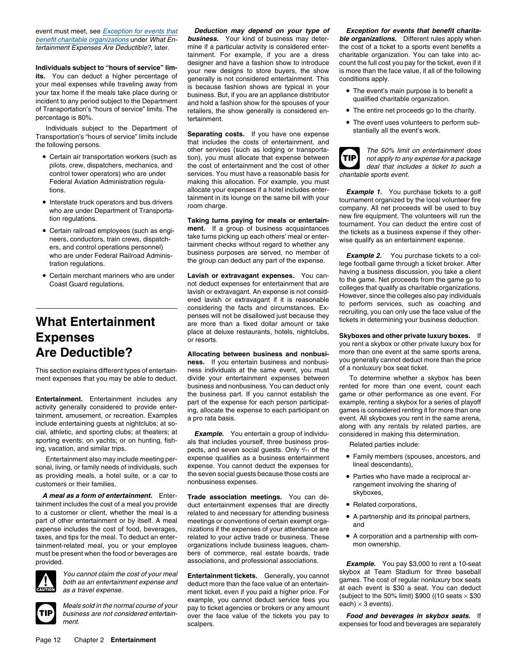benefit charitable organizations under What En- *business.* Your kind of business may deter- *ble organizations.* Different rules apply when

your meal expenses while traveling away from<br>
your tax home if the meals take place during or<br>
incident to any period subject to the Department<br>
of Transportation's "hours of service" limits. The<br>
of Transportation's "hour percentage is 80%. The event uses volunteers to perform sub-

- Certain air transportation workers (such as
- 
- 
- 

# place at deluxe restaurants, hotels, nightclubs, **Skyboxes and other private luxury boxes.** If or resorts.<br>you rent a skybox or other private luxury box for

**Entertainment.** Entertainment includes any the business part. If you cannot establish the game or other performance as one event. For part of the expense for each person participat-<br>activity generally considered to provid

sonal, living, or family needs of individuals, such expense. You cannot deduct the expenses for as providing meals, a hotel suite, or a car to the seven social guests because those costs are as providing meals, a hotel suite, or a car to the seven social guests because those costs are • Parties who have made a reciprocal ar-<br>customers or their families. customers or their families. rangement involving the shar

skyboxes, *A meal as a form of entertainment.* Enter- **Trade association meetings.** You can detainment includes the cost of a meal you provide duct entertainment expenses that are directly to a customer or client, whether the meal is a related to and necessary for attending business to a customer or client, whether the meal is a related to and necessary for attending business • A partnership and its principal partners, part of other entertainment or by itself. A meal meetings or conventions of certain experience includes the cost of food, beverages, inizations if the experience of your attendance are<br>experience includes the cost of food, beverages, inizations if the expenses of your attendance are<br>taxes, and tips for th taxes, and tips for the meal. To deduct an enter-<br>related to your active trade or business. These tainment-related meal, you or your employee organizations include business leagues, cham- mon ownership. must be present when the food or beverages are bers of commerce, real estate boards, trade<br>associations, and professional associations.





ment.

event must meet, see *Exception for events that* **Deduction may depend on your type of** *Exception for events that benefit charita-***<br>***benefit charitable organizations* **under What En-<br><b>benefit charitable organizations unde** tertainment Expenses Are Deductible?, later. mine if a particular activity is considered enter-<br>tainment. For example, if you are a dress charitable organization. You can take into actainment. For example, if you are a dress charitable organization. You can take into ac-<br>designer and have a fashion show to introduce count the full cost you pay for the ticket, even if it Individuals subject to "hours of service" lim-<br>its. You can deduct a higher percentage of your new designs to store buyers, the show is more than the face value, if all of the following<br>its. You can deduct a higher percent retailers, the show generally is considered en- • The entire net proceeds go to the charity.

Individuals subject to the Department of<br>Individuals subject to the Department of Separating costs. If you have one expense<br>the following persons.<br>the following persons.<br>the following persons.<br>the following persons.<br>the fo Certain air transportation workers (such as tion), you must allocate that expense between  $\Box$  not apply to any expense for a package pilots, crew, dispatchers, mechanics, and the cost of entertainment and the cost of oth the cost of entertainment and the cost of other deal that includes a ticket to such a control tower operators) who are under services. You must have a reasonable basis for charitable sports event.<br>Federal Aviation Administration regula- making this allocation. For example, you must making this allocation. For example, you must tions.<br>
• Interstate truck operators and bus drivers<br>
• Interstate truck operators and bus drivers<br>
interstate truck operators and bus drivers<br>
interstate truck operators and bus drivers<br>
interstate truck operators and bus

• Certain railroad employees (such as engi-<br>neers, conductors, train crews, dispatch-<br>ers, and control operations personnel)<br>who are under Federal Railroad Adminis-<br>tainment checks without regard to whether any<br>the group c

• Certain merchant mariners who are under<br>
Coast Guard regulations.<br>
Coast Guard regulations.<br>
Lavish or extravagant expenses for entertainment that are<br>
lavish or extravagant. An expense is not consider<br>
lavish or extrava

ness. If you entertain business and nonbusi-<br>This section explains different types of entertain- ness individuals at the same event, you must of a nonluxury box seat ticket. ment expenses that you may be able to deduct. divide your entertainment expenses between To determine whether a skybox has been business and nonbusiness. You can deduct only rented for more than one event, count each

pects, and seven social guests. Only  $4/11$  of the Entertainment also may include meeting per-<br>La living or family needs of individuals such expense. You cannot deduct the expenses for lineal descendants),

as a travel experise.<br>
example, you cannot deduct service fees you<br>
Meals sold in the normal course of your<br>
business are not considered entertain-<br>
business are not considered entertain-<br>
business are not considered ente scalpers. expenses for food and beverages are separately

- 
- 
- 

**TIP**

who are under Department of Transporta-<br>
interstate truck operators rounders will run the<br>
interstation rounders will run the<br>
interstation rounders will run the Taking turns paying for meals or entertain-<br>■ tournament. You can deduct the entire cost of<br>• Certain railroad employees (such as engi-<br>• the tickets as a business expense if they other-<br>• the tickets as a business expens

Certain merchant mariners who are under<br> **Lavish or extravagant expenses.** You can-<br>
to the game. Net proceeds from the game go to

**Are Deductible?** Allocating between business and nonbusi-<br>ness If you entertain business and nonbusi-you generally cannot deduct more than the price

- 
- 
- 
- 
- 

provided. associations, and professional associations. *Example.* You pay \$3,000 to rent a 10-seat You cannot claim the cost of your meal<br>both as an entertainment expense and<br>as a travel expense.<br>ment ticket, even if you paid a higher price. For<br>ment ticket, even if you paid a higher price. For<br>as a travel expense.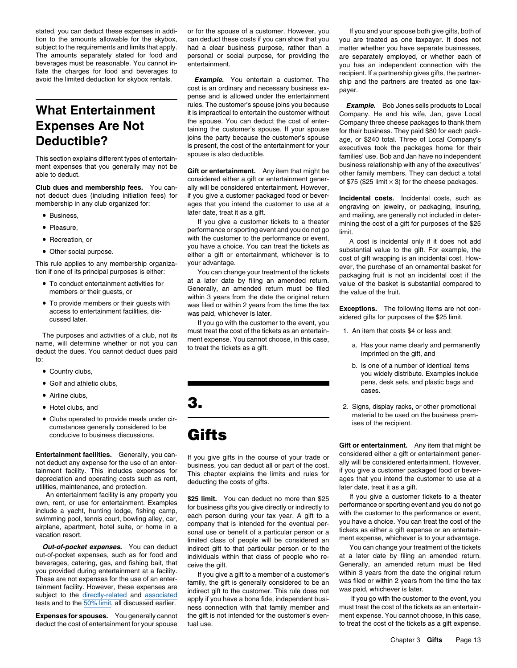stated, you can deduct these expenses in addi- or for the spouse of a customer. However, you If you and your spouse both give gifts, both of subject to the requirements and limits that apply. had a clear business purpose, rather than a matter whether you have separate businesses,<br>The amounts separately stated for food and personal or social purpose, for providi

- 
- 
- Recreation, or
- 

- 
- To provide members or their guests with • To provide members or their guests with was filed or within 2 years from the time the tax<br>access to entertainment facilities, dis-<br>cussed later. If you go with the customer to the event, you

The purposes and activities of a club, not its must treat the cost of the tickets as an entertain-<br>name, will determine whether or not you can ment expense. You cannot choose, in this case,<br>deduct the dues. You cannot dedu

- Country clubs,
- Golf and athletic clubs.
- Airline clubs,
- Hotel clubs, and
- cumstances generally considered to be<br>
conducive to business discussions. **Cifts** conducive to business discussions.

out-of-pocket expenses, such as for food and individuals within that class of people who re- at a later date by filing an amended return.<br>Generally, an amended return must be filed beverages, catering, gas, and fishing bait, that ceive the gift.<br>you provided during entertainment at a facility.<br>If you give a gift to a member of a customer's within 3 years from the date the original return

cost is an ordinary and necessary business ex-<br>pense and is allowed under the entertainment **What Entertainment** rules. The customer's spouse joins you because *Example.* Bob Jones sells products to Local it is impractical to entertain the customer without Company. He and his wife, Jan, gave Local the spouse. You **Expenses Are Not** the spouse. You can deduct the cost of enter-<br>taining the customer's spouse. If your spouse for their business. They paid \$80 for each pack-<br>ioins the party because the customer's spouse age or \$240 tota **Deductible?** joins the party because the customer's spouse age, or \$240 total. Three of Local Company's is present, the cost of the entertainment for your executives took the packages home for their

business relationship with any of the executives<br>able to deduct. **Gift or entertainment.** Any item that might be business relationship with any of the executives<br>considered either a gift or entertainment gener-<br>**Club dues** not deduct dues (including initiation fees) for if you give a customer packaged food or bever-<br>membership in any club organized for: ages that you intend the customer to use at a<br>and mailing, are generally not included in

performance or sporting event and you do not go<br>with the customer to the performance or event, • Recreation, or with the customer to the performance or event, a cost is incidental only if it does not add you have a choice. You can treat the tickets as • a cost of ait uncomple, the either a gift or entertainment, whi

members or their guests, or Generally, an amended return must be filed the value of the fruit. within 3 years from the date the original return

An entertainment facility is any property you<br>own, rent, or use for entertainment. Examples<br>include a yacht, hunting lodge, fishing camp,<br>include a yacht, hunting lodge, fishing camp,<br>swimming pool, tennis court, bowling a **Out-of-pocket expenses.** You can deduct indirect gift to that particular person or to the You can change your treatment of the tickets out-of-pocket expenses, such as for food and individuals within that class of people w

you provided during entertainment at a facility.<br>
These are not expenses for the use of an enter-<br>
tainment facility. However, these expenses are<br>
subject to the directly-related and associated<br>
subject to the directly-rel **Expenses for spouses.** You generally cannot the gift is not intended for the customer's even- ment expense. You cannot choose, in this case, deduct the cost of entertainment for your spouse tual use. The cost of the tickets as a gift expense.

tion to the amounts allowable for the skybox, can deduct these costs if you can show that you you are treated as one taxpayer. It does not subject to the requirements and limits that apply. had a clear business purpose, ra The amounts separately stated for food and personal or social purpose, for providing the are separately employed, or whether each of beverages must be reasonable. You cannot in-<br>wou has an independent connection with the beverages must be reasonable. You cannot in-<br>flate the charges for food and beverages to **example.** You entertain a customer. The expriment. If a partnership gives gifts, the partner-<br>avoid the limited deduction for skybox

is present, the cost of the entertainment for your<br>This section explains different types of entertain-<br>ment expenses that you generally may not be<br>business relationship with any of the executives'

Business,<br>and mailing, are generally not included in deter-<br>Pleasure,<br>Pleasure,<br>Pleasure,<br>performance or sporting event and you do not go<br>limit.

• Other social purpose.<br>
This rule applies to any membership organiza-<br>
tion if one of its principal purposes is either:<br>
To conduct entertainment activities for<br>
• To conduct entertainment activities for<br>
• To conduct ent • To conduct entertainment activities for at a later date by filing an amended return. value of the basket is substantial compared to

- -
	- b. Is one of a number of identical items you widely distribute. Examples include pens, desk sets, and plastic bags and cases.
- **3.** 2. Signs, display racks, or other promotional • Clubs operated to provide meals under cir-<br>
• Clubs operated to provide meals under cir-<br>
ises of the recipient.

**Gift or entertainment.** Any item that might be **Entertainment facilities.** Generally, you can-<br>not deduct any expense for the use of an enter-<br>hainment facility. This includes expenses for<br>depreciation and operating costs such as rent,<br>deducting the costs of gifts.<br>til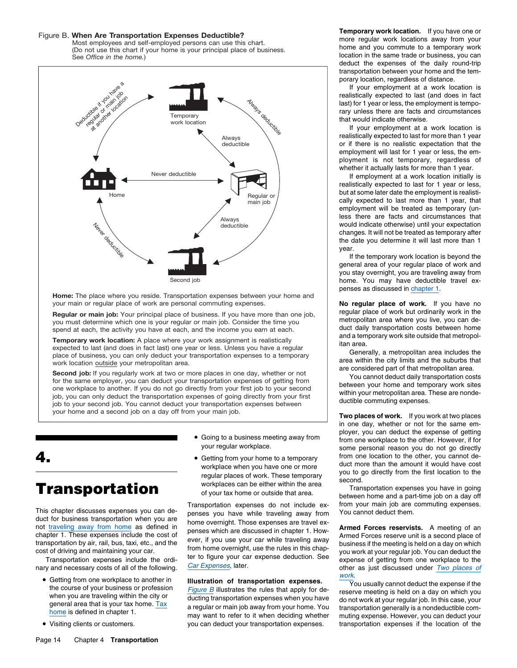### Figure B. **When Are Transportation Expenses Deductible?**

Most employees and self-employed persons can use this chart. (Do not use this chart if your home is your principal place of business. See *Office in the home.*)



**Home:** The place where you reside. Transportation expenses between your home and your main or regular place of work are personal commuting expenses.

**Regular or main job:** Your principal place of business. If you have more than one job, you must determine which one is your regular or main job. Consider the time you spend at each, the activity you have at each, and the income you earn at each.

**Temporary work location:** A place where your work assignment is realistically expected to last (and does in fact last) one year or less. Unless you have a regular place of business, you can only deduct your transportation expenses to a temporary work location outside your metropolitan area.

**Second job:** If you regularly work at two or more places in one day, whether or not for the same employer, you can deduct your transportation expenses of getting from one workplace to another. If you do not go directly from your first job to your second job, you can only deduct the transportation expenses of going directly from your first job to your second job. You cannot deduct your transportation expenses between your home and a second job on a day off from your main job.

This chapter discusses expenses you can de-<br>duct for business transportation when you are being avaining these avances are travel av

- Getting from one workplace to another in
- Visiting clients or customers.
- Going to a business meeting away from
- **4.**<br>
 Getting from your home to a temporary from one location to the other, you cannot de-<br>
workplace when you have one or more<br>
vorkplaces of work. These temporary you to go directly from the first location to the<br>
seco

duct for business transportation when you are<br>not <u>traveling away from home</u> as defined in<br>chapter 1. These expenses include the cost of<br>transportation by air, rail, bus, taxi, etc., and the<br>cost of driving and maintaining

you can deduct your transportation expenses. <br>transportation expenses if the location of the

**Temporary work location.** If you have one or more regular work locations away from your home and you commute to a temporary work location in the same trade or business, you can deduct the expenses of the daily round-trip transportation between your home and the temporary location, regardless of distance.

If your employment at a work location is realistically expected to last (and does in fact last) for 1 year or less, the employment is temporary unless there are facts and circumstances that would indicate otherwise.

If your employment at a work location is realistically expected to last for more than 1 year or if there is no realistic expectation that the employment will last for 1 year or less, the employment is not temporary, regardless of whether it actually lasts for more than 1 year.

If employment at a work location initially is realistically expected to last for 1 year or less, but at some later date the employment is realistically expected to last more than 1 year, that employment will be treated as temporary (unless there are facts and circumstances that would indicate otherwise) until your expectation changes. It will not be treated as temporary after the date you determine it will last more than 1 year.

If the temporary work location is beyond the general area of your regular place of work and you stay overnight, you are traveling away from home. You may have deductible travel expenses as discussed in chapter 1.

**No regular place of work.** If you have no regular place of work but ordinarily work in the metropolitan area where you live, you can deduct daily transportation costs between home and a temporary work site outside that metropolitan area.

Generally, a metropolitan area includes the area within the city limits and the suburbs that are considered part of that metropolitan area.

You cannot deduct daily transportation costs between your home and temporary work sites within your metropolitan area. These are nondeductible commuting expenses.

**Two places of work.** If you work at two places in one day, whether or not for the same employer, you can deduct the expense of getting Going to a business meeting away from the mone workplace to the other. However, if for the other. However, if for<br>Some personal reason you do not go directly some personal reason you do not go directly

Transportation expenses do not include ex- from your main job are commuting expenses.<br>Denses you have while traveling away from You cannot deduct them.

work.

• Getting from one workplace to another in **Illustration of transportation expenses.** The course of your business or profession the course of your business or profession when you are traveling within the city or de-<br>when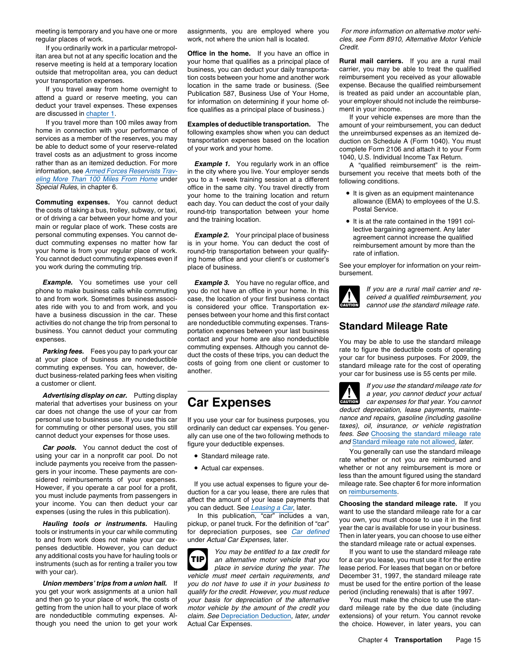If you ordinarily work in a particular metropol-<br>Larea hut not at any specific location and the **Office in the home.** If you have an office in

itan area but not at any specific location and the **Office in the home.** If you have an office in the **computer** meeting is held at a temporary location is business, you can deduct your daily transportation expense. They

**Commuting expenses.** You cannot deduct each day. You can deduct the cost of your daily allowance (EM, the costs of taking a bus, trolley, subway, or taxi, round-trip transportation between your home Postal Service. or of driving a car between your home and your and the training location.<br>• main or regular place of work. These costs are main or regular place of work. These costs are<br>personal commuting expenses. You cannot de-<br>duct commuting expenses no matter how far is in your home. You can deduct the cost of agreement cannot increase the qualified<br>duct

phone to make business calls while commuting you do not have an office in your home. In this figure and a rural mail carrier and re-<br>to and from work. Sometimes business associ-case, the location of your first business con ates ride with you to and from work, and you is considered your office. Transportation exhave a business discussion in the car. These penses between your home and this first contact activities do not change the trip from personal to are nondeductible commuting expenses. Trans- **Standard Mileage Rate** business. You cannot deduct your commuting portation expenses between your last business

a customer or client.

material that advertises your business on your **CAITEXPENSES**<br>car does not change the use of your car from personal use to business use. If you use this car If you use your car for business purposes, you nance and repairs, gasoline (including gasoline<br>for commuting or other personal uses, you still ordinarily can deduct car exp

cannot deduct your expenses for those uses. ally can use one of the two following methods to<br> **Car pools.** You cannot deduct the cost of figure your deductible expenses.<br> **Car pools.** You cannot deduct the cost of figure y

deresses in your income. These payments are considered reinbursements of your expenses.<br>
Sidence in your income. These payments are considered reinbursements of your expenses.<br>
However, if you user a car pool for a profit,

meeting is temporary and you have one or more assignments, you are employed where you For more information on alternative motor vehi-

office in the same city. You travel directly from<br>your home to the training location and return <br>each day. You can deduct the cost of your daily allowance (EMA) to employees of the U.S.

You cannot deduct commuting expenses even if ing home office and your client's or customer's<br>you work during the commuting trip. place of business. See your employer for information on your reim-<br>bursement.

*Example.* You sometimes use your cell *Example 3.* You have no regular office, and case, the location of your first business contact  $\sum_{\text{c}}$  ceived a qualified reimbursement, your first business contact ceived a qualified reimbursement, your first business contact ceived a qualified reimbursement, yo

ordinarily can deduct car expenses. You gener- taxes), oil, insurance, or vehicle registration<br>ally can use one of the two following methods to fees. See Choosing the standard mileage rate

- 
- 

**TIP** with your car).<br>with your car).<br>**Vehicle must meet certain requirements, and** December 31, 1997, the standard mileage rate<br>**Union members' trips from a union hall.** If you do not have to use it in your business to must be you do not have to use it in your business to must be used for the entire portion of the lease you get your work assignments at a union hall qualify for the credit. However, you must reduce period (including renewals) that is after 1997. and then go to your place of work, the costs of your basis for depreciation of the alternative You must make the choice to use the stangetting from the union hall to your place of work motor vehicle by the amount of the credit you dard mileage rate by the due date (including are nondeductible commuting expenses. Al- claim. See Depreciation Deduction, later, under extensions) of your return. You cannot revoke though you need the union to get your work Actual Car Expenses. The choice. However, in later years, you can

regular places of work. work work, not where the union hall is located. cles, see Form 8910, Alternative Motor Vehicle<br>Fredit work in a particular metropol.

- It is given as an equipment maintenance
- It is at the rate contained in the 1991 col-



expenses.<br> **Parking fees.** Fees you pay to park your care also nondeductible<br> **Parking fees.** Fees you pay to park your care commuting expenses. Although you cannot de-<br>
at your place of business are nondeductible<br>
commuti

Advertising display on car. Putting display **Car Expenses** and the state of a year, you cannot deduct your actual display on cannot deduct your actual display on cannot deduct your actual carexpenses for that year. You can **Advertising display on car.** Putting display **Car Expenses** denote the strategies a you cannot deduct your actual<br>material that advertises your business on your **Car Expenses** deduct depreciation, lease payments, mainte-<br>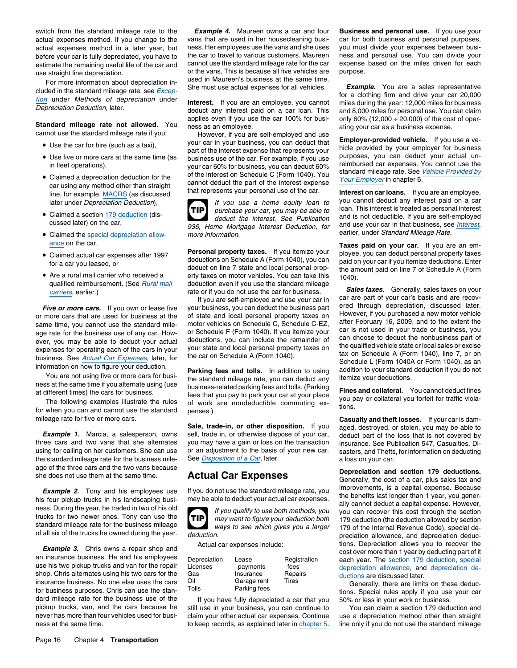actual expenses method. If you change to the vans that are used in her housecleaning busi- car for both business and personal purposes,<br>actual expenses method in a later year, but ness. Her employees use the vans and she u actual expenses method in a later year, but ness. Heremployees use the vans and she uses you must divide your expenses between busi-<br>before your car is fully depreciated, you have to the car to travel to various customers. before your car is fully depreciated, you have to the car to travel to various customers. Maureen ness and personal use. You can divide your<br>estimate the remaining useful life of the car and cannot use the standard mileage estimate the remaining useful life of the car and cannot use the standard mileage rate for the car expense<br>or the vans. This is because all five vehicles are purpose.

use straight line depreciation.<br>
For more information about depreciation in-<br>
cluded in the standard mileage rate, see *Excep*<br>
She must use actual expenses for all vehicles.<br>
She must use actual expenses for all vehicles.

standard mileage rate not allowed. You applies even if you use the car 100% for busi-<br>cannot use the standard mileage rate if you:<br>express as an employee. However, if you are self-employed and use<br>vour car in your business

- 
- Use five or more cars at the same time (as
- Example the discussion of the interest expense the car. The car using any method other than straight<br>
line, for example, MACRS (as discussed<br>
later under Depreciation Deduction) that represents your personal use of the car
- 
- 
- Claimed actual car expenses after 1997
- Are a rural mail carrier who received a

the standard mileage rate for the business mile-<br>
See *Disposition of a Car*, later.<br>
a loss on your car. age of the three cars and the two vans because<br>she does not use them at the same time. **Actual Car Expenses Depreciation and section 179 deductions.**<br>Generally, the cost of a car, plus sales tax and

shop. Chris alternates using his two cars for the Gas<br>
insurance business. No one else uses the cars Oil Garage rent Tires Generally, there are limits on these deduc-<br>
for business purposes. Chris can use the stan-<br>
Tolls dard mileage rate for the business use of the If you have fully depreciated a car that you 50% or less in your work or business.<br>Pickup trucks, van, and the cars because he still use in your business, you can continue to Y

■ Use the car for hire (such as a taxi), wour car in your business, you can deduct that **Employer-provided vehicle.** If you use a ve-<br>
part of the interest expense that represents your employer for business<br>
■ Use five or

It you use a home equity loan to you cannot deduct any interest paid on a car<br>• Claimed a section 179 deduction (dis-<br>• Claimed a section 179 deduction (dis-<br>• Claimed a section 179 deduction (dis-<br>• deduct the interest. S Claimed a section 179 deduction (dis-<br>cussed later) on the car, and is not deductible. If you are self-employed<br>cussed later) on the car, **TIP** 936, Home Mortgage Interest Deduction, for and use your car in that business, see *Interest*, encre information. • Claimed the special depreciation allow- *more information.* The second of the standard Mileage Rate.

Claimed actual car expenses after 1997 Personal property taxes. If you itemize your ployee, you can deduct personal property taxes deductions on Schedule A (Form 1040), you can paid on your car if you itemize deductions. E

**Sale, trade-in, or other disposition.** If you aged, destroyed, or stolen, you may be able to sell, trade in, or otherwise dispose of your car, deduct part of the loss that is not covered by **Example 1.** Marcia, a salesperson, owns sell, trade in, or otherwise dispose of your car, deduct part of the loss that is not covered by three cars and two vans that she alternates you may have a gain or loss on the trans using for calling on her customers. She can use or an adjustment to the basis of your new car. sasters, and Thefts, for information on deducting<br>the standard mileage rate for the business mile-<br>See Disposition of a Car, la

**TIP**

pickup trucks, van, and the cars because he still use in your business, you can continue to You can claim a section 179 deduction and never has more than four vehicles used for busi-claim your other actual car expenses. Co claim your other actual car expenses. Continue use a depreciation method other than straight ness at the same time. to keep records, as explained later in chapter 5. line only if you do not use the standard mileage

switch from the standard mileage rate to the *Example 4.* Maureen owns a car and four **Business and personal use.** If you use your

Use five or more cars at the same time (as purposes use of the car. For example, if you use purposes, you can deduct your actual un-<br>in fleet operations), you can business you can deduct 60% for business wou can deduct 60% in fleet operations), your car 60% for business, you can deduct 60% in fleet operations), your car 60% for business, you can deduct 60% standard mileage rate. See Vehicle Provided by of the interest on Schedule C (Form 104

ance on the car,<br>Cleimed estual are areased after 1997 **Personal property taxes.** If you itemize your ployee you can deduct personal property taxes

• Are a rural mail carrier who received a<br>qualified reimbursement. (See *Rural mail* deduction even if you use the standard mileage<br>carriers, earlier.) deduction even if you use the standard mileage<br>carriers, earlier. (See same time, you cannot use the standard mile-<br>age rate for the business use of any car. How-<br>age rate for the business use of any car. How-<br>or Schedule F (Form 1040). If you itemize your car is not used in your trade or bu

mileage rate for five or more cars.<br>Sale, trade-in, or other disposition. If you aged, destroyed, or stolen, you may be able to insurance. See Publication 547, Casualties, Di-

**Example 2.** Tony and his employees use If you do not use the standard mileage rate, you improvements, is a capital expense. Because<br>his four pickup trucks in his landscaping busi-<br>may be able to deduct your actual car exp standard mileage rate for the business mileage ways to see which gives you a larger 179 of the Internal Revenue Code), special de-<br>of all six of the trucks he owned during the year. deduction. **Example 3.** Chris owns a repair shop and<br>an insurance business. He and his employees<br>use his two pickup trucks and van for the repair<br>shop. Chris alternates using his two cars for the Gas<br>shop. Chris alternates using his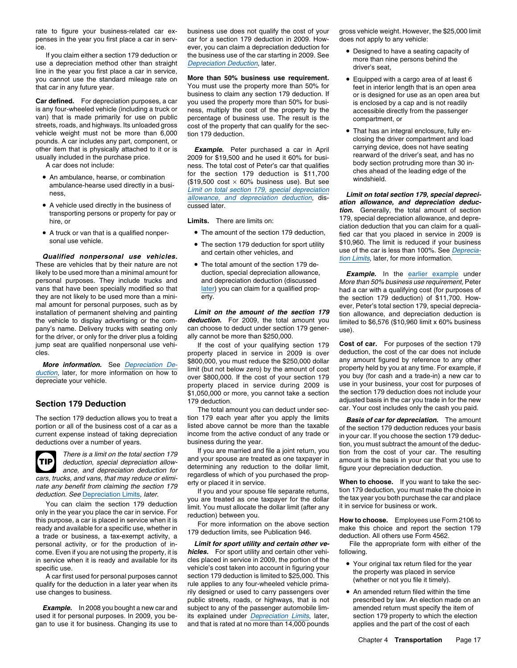If you claim either a section 179 deduction or the business use of the car starting in 2009. See<br>use a depreciation method other than straight *Depreciation Deduction*, later.<br>line in the year you first place a car in serv you cannot use the standard mileage rate on **More than 50% business use requirement.** • Equipped with a cargo area of at least 6<br>You must use the property more than 50% for feet in interior length that is an open area

streets, roads, and highways. Its unloaded gross cost of the property that can qualify for the sec-<br>vehicle weight must not be more than 6,000 tion 179 deduction.<br>pounds. A car includes any part. component. or<br>closing the pounds. A car includes any part, component, or<br>other item that is physically attached to it or is **Example.** Peter purchased a car in April carrying device, does not have seating<br>usually included in the purchase price. 200

- 
- 
- A truck or van that is a qualified nonper-

These are vehicles that by their nature are not likely to be used more than a minimal amount for duction, special depreciation allowance, **Example.** In the earlier example under personal purposes. They include trucks and and depreciation deduction (discussed *More than* they are not likely to be used more than a mini-<br>mal amount for personal purposes, such as by the section 179 deduction 179, special deprecia-<br>ever. Peter's total section 179, special depreciapany's name. Delivery trucks with seating only can choose to deduct under section 179 gener-<br>for the driver, or only for the driver plus a folding ally cannot be more than \$250,000. for the driver, or only for the driver plus a folding jump seat are qualified nonpersonal use vehi- If the cost of your qualifying section 179 **Cost of car.** For purposes of the section 179



You can claim the section 179 deduction limit. You must allocate the dollar limit (after any<br>only in the year you place the car in service. For reduction) between you.<br>this purpose, a car is placed in service when it is<br>re personal activity, or for the production of in-<br>come. Even if you are not using the property, it is **hicles.** For sport utility and certain other vehi-<br>following. come. Even if you are not using the property, it is *hicles.* For sport utility and certain other vehi-<br>in service when it is ready and available for its cles placed in service in 2009, the portion of the in service when it is ready and available for its cles placed in service in 2009, the portion of the • Your original tax return filed for the year<br>specific use.

use changes to business. This rily designed or used to carry passengers over • An amended return filed within the time

used it for personal purposes. In 2009, you be- its explained under Depreciation Limits, later, section 179 property to which the election gan to use it for business. Changing its use to and that is rated at no more than 14,000 pounds applies and the part of the cost of each

rate to figure your business-related car ex- business use does not qualify the cost of your gross vehicle weight. However, the \$25,000 limit penses in the year you first place a car in serv- car for a section 179 deduction in 2009. How- does not apply to any vehicle: ice.<br>If you claim either a section 179 deduction or the business use of the car starting in 2009. See If you claim either a section 179 deduction or the business use of the car starting in 2009. See If you claim either a s

business to claim any section 179 deduction. If or is designed for use as an open area but<br>is any four-wheeled vehicle (including a truck or<br>van) that is made primarily for use on public percentage of business use. The res

A car does not include:<br>
• An ambulance, hearse, or combination for the section 179 deduction is \$11,700 ches ahead of the leading edge of the method of the for the section 179 deduction is \$11,700 ches ahead of the leadin • An ambulance, hearse, or combination<br>
ambulance-hearse used directly in a busi-<br>
mess,<br>
allowance, and depreciation deduction, dis-<br>
allowance, and depreciation deduction, dis-<br>
A vehicle used directly in the business o

- 
- 
- 

deduction. For 2009, the total amount you limited to \$6,576 (\$10,960 limit x 60% business can choose to deduct under section 179 gener-

cles.<br>\$800,000, you must reduce the \$250,000 dollar any amount figured by reference to any other \$800,000, you must reduce the \$250,000 dollar any amount figured by reference to any other **More information.** See *Depreciation De*<br>duction, later, for more information on how to<br>depreciate your vehicle. where the strengthend imit (but not below zero) by the amount of cost<br>depreciate your at any time. For examp \$1,050,000 or more, you cannot take a section the section 179 deduction does not include your

The total amount you can deduct under sec-The section 179 deduction allows you to treat a tion 179 each year after you apply the limits **Basis of car for depreciation.** The amount portion or all of the business cost of a car as a listed above cannot be more than t portion or all of the business cost of a car as a listed above cannot be more than the taxable of the section 179 deduction reduces your basis current expense instead of taking depreciation income from the active conduct o

There is a limit on the total section 179 If you are married and file a joint return, you tion from the cost of your car. The resulting<br>deduction, special depreciation allow-<br>ance, and depreciation deduction for determini

expective using the cost taken into account in figuring your<br>A car first used for personal purposes cannot section 179 deduction is limited to \$25,000. This<br>quality for the deduction in a later year when its rule applies t public streets, roads, or highways, that is not prescribed by law. An election made on an **Example.** In 2008 you bought a new car and subject to any of the passenger automobile lim- amended return must specify the item of

- 
- that car in any future year.<br>business to claim any section 179 deduction. If free in interior length that is an open area business to claim any section 179 deduction. If
	-

• A vehicle used directly in the business of cussed later.<br>
transporting persons or property for pay or<br>
limits. There are limits on: 179, special depreciation allowance, and depre-<br>
tion. Generally, the total amount of se ciation deduction that you can claim for a quali- A truck or van that is a qualified nonper-<br>Sonal use vehicle.<br>A The section 179 deduction for sectivities in 10.960. The limit is reduced if your business • The section 179 deduction for sport utility \$10,960. The limit is reduced if your business **The section for section for sport unity** use of the car is less than 100%. See <u>Deprecia-</u><br>and certain other vehicles, and *tion Limits*, later, for more information.<br>nese are vehicles that by their nature are not • The t

personal purposes. They include trucks and and depreciation deduction (discussed More than 50% business use requirement, Peter<br>vans that have been specially modified so that later) you can claim for a qualified prop-had a vans that have been specially modified so that later) you can claim for a qualified prop-<br>the section 179 deduction) of \$11.700. How-<br>the section 179 deduction) of \$11.700. Howmal amount for personal purposes, such as by exer, Peter's total section 179, special deprecia-<br>installation of permanent shelving and painting Limit on the amount of the section 179 tion allowance, and depreciation deduct installation of permanent shelving and painting **Limit on the amount of the section 179** tion allowance, and depreciation deduction is<br>the vehicle to display advertising or the com-<br>deduction. For 2009, the total amount yo

adjusted basis in the car you trade in for the new<br>The total amount you can deduct under sec- car. Your cost includes only the cash you paid.

current expense instead of taking depreciation income from the active conduct of any trade or in your car. If you choose the section 179 deduc-<br>deductions over a number of years. business during the year. diness during the year.<br>If you are married and file a joint return, you sine from the cost of your car. The resulting

cars, trucks, and vans, that may reduce or elimi-<br>nate any benefit from claiming the section 179 expansion of the section 179 expansion of the section 179 expansion of the section 179 expansion of the section. See Deprecia

- 
-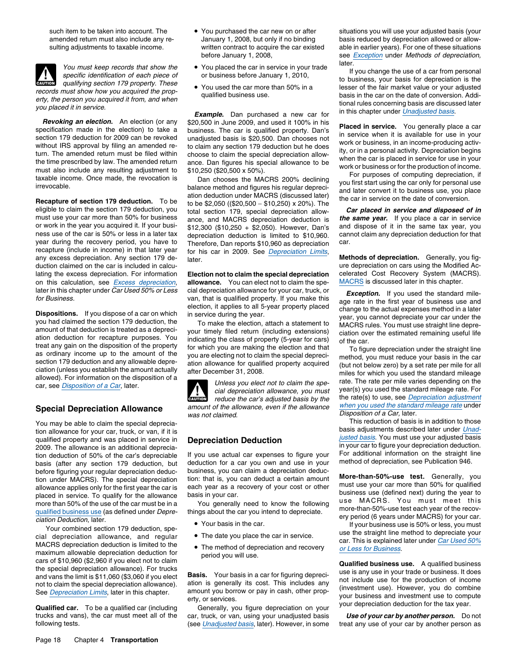

You must keep records that show the vouplaced the car in service in your trade<br>specific identification of each piece of or business before January 1, 2010,<br>qualifying section 179 property. These a You used the service then

**Revoking an election.** An election (or any \$20,500 in June 2009, and used it 100% in his<br>section and in the election) to take a business. The car is qualified property. Dan's expection and in the election of a business, i

must use your car more than 50% for business ance, and MACRS depreciation deduction is **the same year.** If you place a car in service<br>or work in the year you acquired it. If your busi-<br>\$12.300 (\$10.250 + \$2.050). However. or work in the year you acquired it. If your busi-<br>ness use of the car is 50% or less in a later tax<br>depreciation deduction for that<br>depreciation deduction for that<br>depreciation deduction for that ness use of the car is 50% or less in a later tax depreciation deduction is limited to \$10,960. can<br>year during the recovery period, you have to Therefore Dan reports \$10,960 as depreciation car. year during the recovery period, you have to Therefore, Dan reports \$10,960 as depreciation<br>recapture (include in income) in that later year for his car. in 2009. See Depreciation Limits any excess depreciation. Any section 179 de-<br>duction claimed on the car is included in calcu-<br>and a section of the materiation on cars using the Modified Acduction claimed on the car is included in calculating the excess depreciation. For information **Election not to claim the special depreciation** celerated Cost Recovery System (MACRS).

later in this chapter under Car Used 50% or Less<br>for Business.<br>for Business.<br>**Dispositions.** If you dispose of a car on which is qualified property. If you used the standard mile-<br>**Dispositions.** If you dispose of a car on

tion allowance for your car, truck, or van, if it is<br>qualified property and was placed in service in **Depreciation Deduction the property and was placed in service in**<br>2009. The allowance is an additional depreciation deduction of 50% of the car's depreciable If you use actual car expenses to figure your For additional information on the straight line basis (after any section 179 deduction, but deduction for a car you own and use i basis (after any section 179 deduction, but before figuring your regular depreciation deduc-<br>tion under MACRS). The special depreciation tion: that is, you can claim a depreciation deduc-<br>allowance applies only for the first year the car is each year as a recovery o

The method of depreciation and recovery<br>
cars of \$10,960 (\$2,960 if you elect not to claim<br>
the special depreciation allowance). For trucks<br>
and vans the limit is \$11,060 (\$3,060 if you elect<br>
not to claim the special depr

- such item to be taken into account. The You purchased the car new on or after situations you will use your adjusted basis (your
	-
	- You used the car more than 50% in a

for his car in 2009. See Depreciation Limits,

on this calculation, see Excess depreciation, **allowance.** You can elect not to claim the spe- MACRS is discussed later in this chapter.

**!** amount of the air's adjusted basis by the the rate(s) to use, see *Depreciation adjustment*<br>Special Depreciation Allowance amount of the allowance, even if the allowance when you used the standard mileage rate under<br>Dispos

- 
- 
- 

trucks and vans), the car must meet all of the car, truck, or van, using your unadjusted basis *Use of your car by another person.* Do not following tests. **Example 3** (see Unadjusted basis, later). However, in some treat any use of your car by another person as

amended return must also include any re-<br>
sulting adjustments to taxable income. Written contract to acquire the car existed able in earlier years). For one of these situations sulting adjustments to taxable income. written contract to acquire the car existed able in earlier years). For one of these situations before January 1, 2008, see Exception under Methods of depreciation,

Fraction of the principle of the service order in the date of the fair market value or your adjusted<br>
example. Dan purchased a new car for the fair market value or your adjusted<br>
you placed it in service.<br>
Figure of the pr

You may be able to claim the special deprecia-<br>
tion allowance for your car, truck, or yan, if it is

For position and the carrelation of the carrelation of the carrelation of the carrelation of the carrelation of the carrelation of the carrelation of the carrelation of the carrelation of the carrelation of the carrelation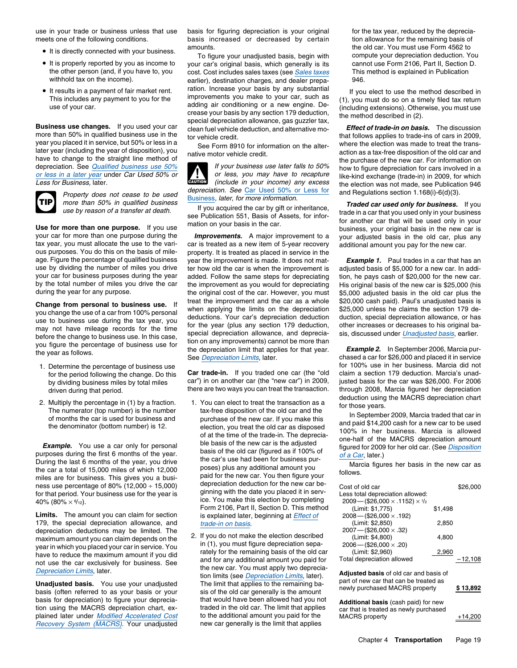- 
- It is properly reported by you as income to
- 

year you placed it in service, but 50% or less in a See Form 8910 for information on the alter- where the election was made to treat the trans-<br>later year (including the year of disposition), you native mater vehicle credi



your car for more than one purpose during the *Improvements*. A major improvement to a your adjusted basis in the old car, plus any tax year, you must allocate the use to the vari-<br>tax year, you must allocate the use to th tax year, you must allocate the use to the vari- car is treated as a new item of 5-year recovery additional amount you pay for the new car.<br>ous purposes. You do this on the basis of mile- property. It is treated as placed age. Figure the percentage of qualified business year the improvement is made. It does not mat-<br>use by dividing the number of miles you drive ter how old the car is when the improvement is adjusted basis of \$5.000 for a ne use by dividing the number of miles you drive ter how old the car is when the improvement is adjusted basis of \$5,000 for a new car. In addi-<br>your car for business purposes during the year added. Follow the same steps for your car for business purposes during the year added. Follow the same steps for depreciating tion, he pays cash of \$20,000 for the new car.<br>by the total number of miles you drive the car the improvement as you would for de by the total number of miles you drive the car the improvement as you would for depreciating His original basis of the new car is \$25,000 (his during the year for any purpose.

- 
- 

the car a total of 15,000 miles of which 12,000 poses) plus any additional amount you<br>miles are for business. This gives you a busi-<br>new car. You then figure your<br>nece use perceptions of 90% (12,000 + 15,000) depreciation 40% (80%  $\times$  %/2).<br>The extra structure of the Vou make this election by completing

**Limits.** The amount you can claim for section is explained later, beginning at *Effect of* 179, the special depreciation allowance, and trade-in on basis. 179, the special depreciation allowance, and depreciation deductions may be limited. The 2007—(\$26,000 <sup>×</sup> .32) maximum amount you can claim depends on the 2. If you do not make the election described (Maximum amount you can claim depends on the 3,800) in (1), you must figure depreciation sepa-

basis for depreciation) to figure your deprecia-<br>tion using the MACRS depreciation chart, ex-<br>plained later under *Modified Accelerated Cost* to the additional amount you paid for the MACRS property<br>plained later under *Mo* plained later under *Modified Accelerated Cost* to the additional amount you paid for the MACRS property  $\frac{+14,200}{+14,200}$ <br>*Recovery System (MACRS).* Your unadjusted new car generally is the limit that applies Recovery System (MACRS). Your unadjusted

use in your trade or business unless that use basis for figuring depreciation is your original for the tax year, reduced by the depreciameets one of the following conditions. basis increased or decreased by certain tion allowance for the remaining basis of

To figure your unadjusted basis, begin with It is properly reported by you as income to your car's original basis, which generally is its cannot use Form 2106, Part II, Section D.<br>the other person (and, if you have to, you cost. Cost includes sales taxes (see Sales the other person (and, if you have to, you cost. Cost includes sales taxes (see Sales taxes withhold tax on the income).<br>
earlier), destination charges, and dealer prepaearlier), destination charges, and dealer prepa- 946. • It results in a payment of fair market rent. ration. Increase your basis by any substantial • It results in a payment of fair market rent.<br>
This includes any payment to you for the<br>
use of your car.<br>
use of your car.<br>
use of your car.<br>
Leading air conditioning or a new engine. De-<br>
crease your basis by any sectio

**PAUTION** Business, later.<br>
Property does not cease to be used<br>
more than 50% in qualified business<br>
we by reason of a transfer at death.<br>
Traded car used only for business. If you acquired the car by gift or inheritance,<br>
If you ac

property. It is treated as placed in service in the the original cost of the car. However, you must \$5,000 adjusted basis in the old car plus the treat the improvement and the car as a whole \$20,000 cash paid). Paul's unadjusted basis is **Change from personal to business use.** If the improvement and the car as a whole \$20,000 cash paid). Paul's unadjusted basis is<br>you change the use of a car from 100% personal when applying the limits on the depreciation

for the period following the change. Do this **Car trade-in.** If you traded one car (the "old by dividing business miles by total miles car") in on another car (the "new car") in 2009,

- 2. Multiply the percentage in (1) by a fraction.<br>
The numerator (top number) is the number<br>
of months the car is used for business and<br>
the denominator (bottom number) is 12.<br>
the denominator (bottom number) is 12.<br>
the d Form 2106, Part II, Section D. This method
- Wear in which you placed your car in service. You<br>have to reduce the maximum amount if you did<br>not use the car exclusively for business. See<br>Depreciation Limits, later.<br>**Depreciation Limits**, later.<br>**Unadjusted basis**. Yo

It is directly connected with your business. amounts.<br>To figure your unadjusted basis, begin with compute your depreciation deduction. You

**Business use changes.** If you used your car clean fuel vehicle deduction, and alternative mo-<br>more than 50% in qualified business use in the that for vehicle credit. The that follows applies to trade-ins of cars in 2009, later year (including the year of disposition), you native motor vehicle credit. action as a tax-free disposition of the old car and have to change to the straight line method of the old car and the nurchase of the new car the purchase of the new car. For information on<br>If your business use later falls to 50% how to figure depreciation for cars involved in a depreciation. See *Qualified business use 50%* If your business use later falls to 50% how to figure depreciation for cars involved in a or less in a later year under Car Used 50% or or less in a later year under Car Used 50% or **or less**, you may have to recapture like-kind exchange (trade-in) in 2009, for which Less for Business, later.<br>Less for Business, later. **CAUTION** (include in your income) any

Use by reason or a transfer at death.<br>See Publication 551, Basis of Assets, for infor-<br>Use for more than one purpose. If you use mation on your basis in the car.<br>Use for more than one purpose. If you use mation on your bas

1. Determine the percentage of business use<br>for the period following the change. Do this **Car trade-in.** If you traded one car (the "old claim a section 179 deduction. Marcia's unadby dividing business miles by total miles car") in on another car (the "new car") in 2009, justed basis for the car was \$26,000. For 2006<br>driven during that period, there are two ways you can treat the transaction. through driven during that period.<br>
there are two ways you can treat the transaction. through 2008, Marcia figured her depreciation chart<br>
there are two ways you can treat the transaction. through 2008, Marcia figured her deprecia

| ness use percentage of 80% (12,000 $\div$ 15,000)   | depreciation deduction for the new car be-                                                | Cost of old car                                                       |         | \$26,000  |
|-----------------------------------------------------|-------------------------------------------------------------------------------------------|-----------------------------------------------------------------------|---------|-----------|
| for that period. Your business use for the year is  | ginning with the date you placed it in serv-<br>ice. You make this election by completing | Less total depreciation allowed:                                      |         |           |
| 40% (80% × %12).                                    | Form 2106, Part II, Section D. This method                                                | $2009 - (26000 \times 0.1152) \times \frac{1}{2}$<br>(Limit: \$1,775) | \$1.498 |           |
| <b>Limits.</b> The amount you can claim for section | is explained later, beginning at <i>Effect of</i>                                         | $2008 - (26000 \times 192)$                                           |         |           |
| 179, the special depreciation allowance, and        | trade-in on basis.                                                                        | (Limit: \$2,850)                                                      | 2.850   |           |
| depreciation deductions may be limited. The         |                                                                                           | $2007 - (26,000 \times .32)$                                          |         |           |
| maximum amount you can claim depends on the         | 2. If you do not make the election described                                              | (Limit: \$4,800)                                                      | 4.800   |           |
| year in which you placed your car in service. You   | in (1), you must figure depreciation sepa-                                                | $2006 - (2000 \times .20)$                                            |         |           |
| have to reduce the maximum amount if you did        | rately for the remaining basis of the old car                                             | (Limit: \$2,960)                                                      | 2,960   |           |
| not use the sex eveluations for business. Cas       | and for any additional amount you paid for                                                | Total depreciation allowed                                            |         | $-12,108$ |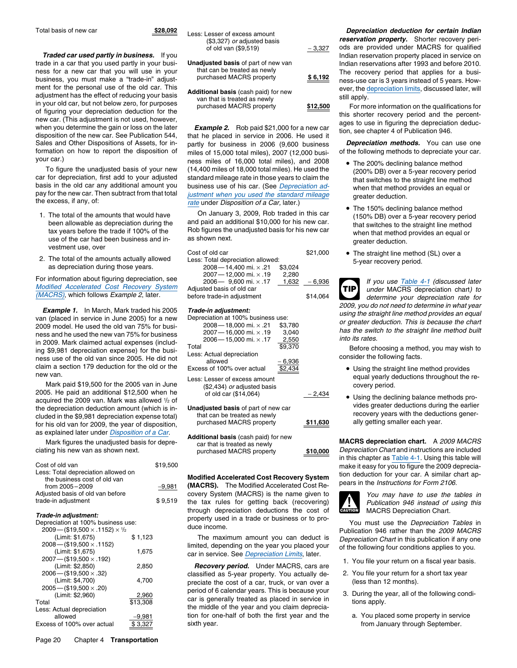

ment for the personal use of the old car. This<br>adjustment has the effect of reducing your basis<br>in your old car, but not below zero, for purposes<br>of figuring your depreciation deduction for the<br>new car. (This adjustment is Sales and Other Dispositions of Assets, for in-<br>formation on how to report the disposition of miles of 15,000 total miles) 2007 (12,000 busi-<br>of the following methods to depreciate your car.

- been allowable as depreciation during the and paid an additional \$10,000 for his new car.<br>
tax years before the trade if 100% of the Rob figures the unadjusted basis for his new car<br>
use of the car had been business and in
- 

Fin 2009. Mark claimed actual expenses (included and the business use of the old van since 2005. He did not<br>
ling \$9,981 depreciation expense) for the business use of the old van since 2005. He did not allowed claim a sec

| Cost of old van<br>Less: Total depreciation allowed on<br>the business cost of old van<br>from 2005-2009 | \$19,500<br>$-9,981$ | <b>Modified Accelerated Cost Recovery System</b><br>(MACRS). The Modified Accelerated Cost Re-   | $\frac{1}{2}$ and only to a case takes the comity time takes with<br>make it easy for you to figure the 2009 deprecia-<br>tion deduction for your car. A similar chart ap-<br>pears in the Instructions for Form 2106. |
|----------------------------------------------------------------------------------------------------------|----------------------|--------------------------------------------------------------------------------------------------|------------------------------------------------------------------------------------------------------------------------------------------------------------------------------------------------------------------------|
| Adjusted basis of old van before                                                                         |                      | covery System (MACRS) is the name given to                                                       | You may have to use the tables in                                                                                                                                                                                      |
| trade-in adjustment                                                                                      | \$9,519              | the tax rules for getting back (recovering)                                                      | <u>{ </u><br>Publication 946 instead of using this                                                                                                                                                                     |
| Trade-in adjustment:                                                                                     |                      | through depreciation deductions the cost of                                                      | <b>MACRS Depreciation Chart.</b><br><b>CAUTION</b>                                                                                                                                                                     |
| Depreciation at 100% business use:<br>$2009 - (119,500 \times .1152) \times \frac{1}{2}$                 |                      | property used in a trade or business or to pro-<br>duce income.                                  | You must use the Depreciation Tables in<br>Publication 946 rather than the 2009 MACRS                                                                                                                                  |
| (Limit: \$1,675)<br>$2008 - (119,500 \times .1152)$                                                      | \$1,123              | The maximum amount you can deduct is<br>limited, depending on the year you placed your           | Depreciation Chart in this publication if any one<br>of the following four conditions applies to you.                                                                                                                  |
| (Limit: \$1,675)                                                                                         | 1,675                | car in service. See <i>Depreciation Limits</i> , later.                                          |                                                                                                                                                                                                                        |
| $2007 - (119.500 \times 192)$                                                                            |                      |                                                                                                  | 1. You file your return on a fiscal year basis.                                                                                                                                                                        |
| (Limit: \$2,850)<br>$2006 - (119,500 \times .32)$<br>(Limit: \$4,700)                                    | 2,850<br>4,700       | <b>Recovery period.</b> Under MACRS, cars are<br>classified as 5-year property. You actually de- | 2. You file your return for a short tax year                                                                                                                                                                           |
| $2005 - (119,500 \times .20)$                                                                            |                      | preciate the cost of a car, truck, or van over a                                                 | (less than 12 months).                                                                                                                                                                                                 |
| (Limit: \$2,960)                                                                                         | 2,960                | period of 6 calendar years. This is because your                                                 | 3. During the year, all of the following condi-                                                                                                                                                                        |
| Total                                                                                                    | \$13,308             | car is generally treated as placed in service in                                                 | tions apply.                                                                                                                                                                                                           |
| Less: Actual depreciation                                                                                |                      | the middle of the year and you claim deprecia-                                                   |                                                                                                                                                                                                                        |
| allowed                                                                                                  | $-9,981$             | tion for one-half of both the first year and the                                                 | a. You placed some property in service                                                                                                                                                                                 |
| Excess of 100% over actual                                                                               | \$3,327              | sixth year.                                                                                      | from January through September.                                                                                                                                                                                        |
|                                                                                                          |                      |                                                                                                  |                                                                                                                                                                                                                        |

| Less: Lesser of excess amount |
|-------------------------------|
| (\$3,327) or adjusted basis   |
| of old van (\$9,519)          |
|                               |

| <b>Unadjusted basis</b> of part of new van |  |
|--------------------------------------------|--|
| that can be treated as newly               |  |
| purchased MACRS property                   |  |
|                                            |  |

| <b>Additional basis</b> (cash paid) for new |      |
|---------------------------------------------|------|
| van that is treated as newly                |      |
| purchased MACRS property                    | \$12 |

miles of 15,000 total miles), 2007 (12,000 busiyour car.) ness miles of 16,000 total miles), and 2008 • The 200% declining balance method To figure the unadjusted basis of your new (14,400 miles of 16,000 total miles), and 2006<br>
To figure the unadjusted basis of your new (14,400 miles of 18,000 total miles). He used the<br>
car for depreciation, first add to y

1. The total of the amounts that would have On January 3, 2009, Rob traded in this car (150% DB) over a 5-year recovery period<br>been allowable as depreciation during the and paid an additional \$10,000 for his new car. that

| vesunent use, over                               | Cost of old car                   | \$21.000          | • The straight line method (SL) over a     |
|--------------------------------------------------|-----------------------------------|-------------------|--------------------------------------------|
| 2. The total of the amounts actually allowed     | Less: Total depreciation allowed: |                   | 5-year recovery period.                    |
| as depreciation during those years.              | $2008 - 14,400$ mi. $\times$ .21  | \$3.024           |                                            |
| For information about figuring depreciation, see | $2007 - 12,000$ mi. $\times$ .19  | 2.280             |                                            |
|                                                  | $2006 - 9.600$ mi. $\times$ .17   | $-6,936$<br>1,632 | If you use Table 4-1 (discussed later      |
| Modified Accelerated Cost Recovery System        | Adjusted basis of old car         |                   | TIP'<br>under MACRS depreciation chart) to |
| (MACRS), which follows Example 2, later.         | before trade-in adjustment        | \$14.064          | determine your depreciation rate for       |

| $=$ $\frac{1}{2}$ $\frac{1}{2}$ $\frac{1}{2}$ $\frac{1}{2}$ $\frac{1}{2}$ $\frac{1}{2}$ $\frac{1}{2}$ $\frac{1}{2}$ $\frac{1}{2}$ $\frac{1}{2}$ $\frac{1}{2}$ $\frac{1}{2}$ $\frac{1}{2}$ $\frac{1}{2}$ $\frac{1}{2}$ $\frac{1}{2}$ $\frac{1}{2}$ $\frac{1}{2}$ $\frac{1}{2}$ $\frac{1}{2}$ $\frac{1}{2}$ $\frac{1}{2$<br>van (placed in service in June 2005) for a new<br>2009 model. He used the old van 75% for busi-<br>ness and he used the new van 75% for business<br>in 2009. Mark claimed actual expenses (includ-<br>ing \$9,981 depreciation expense) for the busi-<br>ness use of the old van since 2005. He did not | Depreciation at 100% business use:<br>2008-18,000 mi. × .21<br>\$3.780<br>2007-16,000 mi. × .19<br>2006-15,000 mi. × .17<br>\$9,370<br>Total<br>Less: Actual depreciation<br>allowed<br>$-6,936$ | 3.040<br>2,550      | using the straight line method provides an equal<br>or greater deduction. This is because the chart<br>has the switch to the straight line method built<br>into its rates.<br>Before choosing a method, you may wish to<br>consider the following facts. |
|-----------------------------------------------------------------------------------------------------------------------------------------------------------------------------------------------------------------------------------------------------------------------------------------------------------------------------------------------------------------------------------------------------------------------------------------------------------------------------------------------------------------------------------------------------------------------------------------------------------------------------------|--------------------------------------------------------------------------------------------------------------------------------------------------------------------------------------------------|---------------------|----------------------------------------------------------------------------------------------------------------------------------------------------------------------------------------------------------------------------------------------------------|
| claim a section 179 deduction for the old or the<br>new van.<br>Mark paid \$19,500 for the 2005 van in June                                                                                                                                                                                                                                                                                                                                                                                                                                                                                                                       | Excess of 100% over actual<br>\$2,434<br>Less: Lesser of excess amount<br>(\$2,434) or adjusted basis                                                                                            |                     | • Using the straight line method provides<br>equal yearly deductions throughout the re-<br>covery period.                                                                                                                                                |
| 2005. He paid an additional \$12,500 when he<br>acquired the 2009 van. Mark was allowed 1/2 of<br>the depreciation deduction amount (which is in-<br>cluded in the \$9,981 depreciation expense total)<br>for his old van for 2009, the year of disposition,                                                                                                                                                                                                                                                                                                                                                                      | of old car (\$14,064)<br><b>Unadjusted basis of part of new car</b><br>that can be treated as newly<br>purchased MACRS property                                                                  | – 2,434<br>\$11,630 | • Using the declining balance methods pro-<br>vides greater deductions during the earlier<br>recovery years with the deductions gener-<br>ally getting smaller each year.                                                                                |
| as explained later under Disposition of a Car.<br>Mark figures the unadjusted basis for depre-<br>ciating his new van as shown next.                                                                                                                                                                                                                                                                                                                                                                                                                                                                                              | Additional basis (cash paid) for new<br>car that is treated as newly<br>purchased MACRS property                                                                                                 | \$10,000            | <b>MACRS depreciation chart.</b> A 2009 MACRS<br>Depreciation Chart and instructions are included                                                                                                                                                        |

Total basis of new car **\$28,092 \$28,092** *Depreciation deduction for certain Indian* Less: Less: Less: Lesser of excess amount *reservation property.* Shorter recovery peri-<br>-3,327 ods are provided under MACRS for qualified ods are provided under MACRS for qualified **Traded car used partly in business.** If you Indian reservation property placed in service on trade in a car that you used partly in your busi- **Unadjusted basis** of part of new van Indian reservations after 1993 and before 2010. ness for a new car that you will use in your<br>business, you must make a "trade-in" adjust-<br>ment for the personal use of the old car. This

- 
- The 150% declining balance method
- 

**TIP Example 1.** In March, Mark traded his 2005 **Trade-in adjustment:**<br>van (placed in service in June 2005) for a new Depreciation at 100% business use:<br>2009 model. He used the old van 75% for busi-<br>2008—18,000 mi. x .21 \$3,78

- 
- 

purchased MACRS property **\$10,000** Depreciation Chart and instructions are included in this chapter as Table 4-1. Using this table will



- 
- 
- -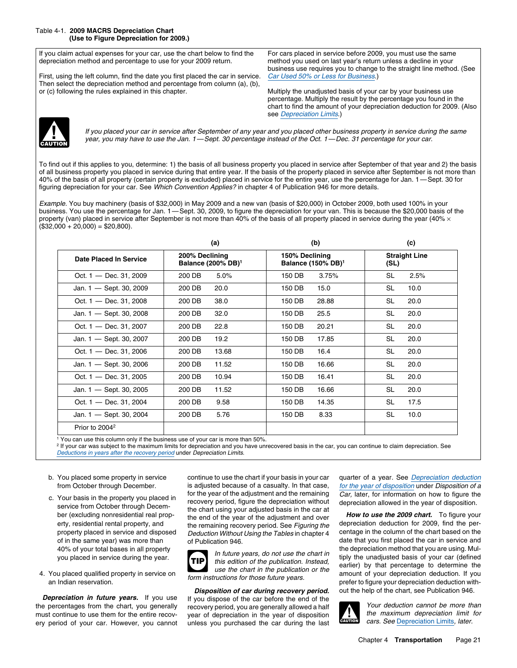depreciation method and percentage to use for your 2009 return. method you used on last year's return unless a decline in your

First, using the left column, find the date you first placed the car in service. Then select the depreciation method and percentage from column (a), (b), or (c) following the rules explained in this chapter.

If you claim actual expenses for your car, use the chart below to find the For cars placed in service before 2009, you must use the same business use requires you to change to the straight line method. (See Car Used 50% or Less for Business.)

> Multiply the unadjusted basis of your car by your business use percentage. Multiply the result by the percentage you found in the chart to find the amount of your depreciation deduction for 2009. (Also see Depreciation Limits.)



If you placed your car in service after September of any year and you placed other business property in service during the same year, you may have to use the Jan. 1—Sept. 30 percentage instead of the Oct. 1—Dec. 31 percentage for your car.

To find out if this applies to you, determine: 1) the basis of all business property you placed in service after September of that year and 2) the basis of all business property you placed in service during that entire year. If the basis of the property placed in service after September is not more than 40% of the basis of all property (certain property is excluded) placed in service for the entire year, use the percentage for Jan. 1—Sept. 30 for figuring depreciation for your car. See Which Convention Applies? in chapter 4 of Publication 946 for more details.

Example. You buy machinery (basis of \$32,000) in May 2009 and a new van (basis of \$20,000) in October 2009, both used 100% in your business. You use the percentage for Jan. 1—Sept. 30, 2009, to figure the depreciation for your van. This is because the \$20,000 basis of the property (van) placed in service after September is not more than 40% of the basis of all property placed in service during the year (40%  $\times$  $($32,000 + 20,000) = $20,800).$ 

|                            | (a)                                  | (b)                                  | (c)                  |
|----------------------------|--------------------------------------|--------------------------------------|----------------------|
| Date Placed In Service     | 200% Declining                       | 150% Declining                       | <b>Straight Line</b> |
|                            | <b>Balance (200% DB)<sup>1</sup></b> | <b>Balance (150% DB)<sup>1</sup></b> | (SL)                 |
| Oct. 1 - Dec. 31, 2009     | 200 DB                               | 150 DB                               | 2.5%                 |
|                            | 5.0%                                 | 3.75%                                | SL                   |
| Jan. 1 - Sept. 30, 2009    | 200 DB                               | 150 DB                               | SL                   |
|                            | 20.0                                 | 15.0                                 | 10.0                 |
| Oct. $1 -$ Dec. 31, 2008   | 38.0                                 | 150 DB                               | SL                   |
|                            | 200 DB                               | 28.88                                | 20.0                 |
| Jan. $1 -$ Sept. 30, 2008  | 32.0                                 | 150 DB                               | SL                   |
|                            | 200 DB                               | 25.5                                 | 20.0                 |
| Oct. 1 - Dec. 31, 2007     | 200 DB                               | 150 DB                               | SL                   |
|                            | 22.8                                 | 20.21                                | 20.0                 |
| Jan. 1 - Sept. 30, 2007    | 19.2                                 | 150 DB                               | <b>SL</b>            |
|                            | 200 DB                               | 17.85                                | 20.0                 |
| Oct. $1 -$ Dec. 31, 2006   | 200 DB                               | 150 DB                               | SL                   |
|                            | 13.68                                | 16.4                                 | 20.0                 |
| Jan. $1 -$ Sept. 30, 2006  | 11.52                                | 150 DB                               | SL                   |
|                            | 200 DB                               | 16.66                                | 20.0                 |
| Oct. $1 -$ Dec. 31, 2005   | 200 DB                               | 150 DB                               | SL                   |
|                            | 10.94                                | 16.41                                | 20.0                 |
| Jan. 1 - Sept. 30, 2005    | 11.52                                | 150 DB                               | SL                   |
|                            | 200 DB                               | 16.66                                | 20.0                 |
| Oct. 1 - Dec. 31, 2004     | 200 DB                               | 150 DB                               | SL                   |
|                            | 9.58                                 | 14.35                                | 17.5                 |
| Jan. 1 - Sept. 30, 2004    | 5.76                                 | 8.33                                 | SL                   |
|                            | 200 DB                               | 150 DB                               | 10.0                 |
| Prior to 2004 <sup>2</sup> |                                      |                                      |                      |

<sup>1</sup> You can use this column only if the business use of your car is more than 50%.

<sup>2</sup> If your car was subject to the maximum limits for depreciation and you have unrecovered basis in the car, you can continue to claim depreciation. See Deductions in years after the recovery period under Depreciation Limits.

- 
- 
- 

the percentages from the chart, you generally recovery period, you are generally allowed a half Your deduction cannot be more than must continue to use them for the entire recov-<br>wear of depreciation in the vear of disposi must continue to use them for the entire recov-<br>ery period of your car. However, you cannot unless you purchased the car during the last carries cars. See Depreciation Limits, later.

b. You placed some property in service continue to use the chart if your basis in your car quarter of a year. See Depreciation deduction<br>from October through December. is adjusted because of a casualty. In that case, for t from October through December. is adjusted because of a casualty. In that case, for the year of disposition under Disposition of a c. Your basis in the property you placed in<br>service from October through Decem-<br>ber (excluding nonresidential real prop-<br>erty, residential rental property, and<br>erty, residential rental property, and<br>the remaining recovery property placed in service and disposed Deduction Without Using the Tables in chapter 4 centage in the column of the chart based on the of in the same year) was more than of Publication 946.



*Disposition of car during recovery period.* out the help of the chart, see Publication 946. **Depreciation in future years.** If you use If you dispose of the car before the end of the

date that you first placed the car in service and 40% of your total bases in all property<br>you placed in service during the year.<br>we the chart in the publication. Instead,<br>we the chart in the publication or the<br>we the chart in the publication or the<br>exact of the consistent 4. You placed qualified property in service on an instructions for those future years.<br>an Indian reservation. If you form instructions for those future years.<br>prefer to figure your depreciation deduction with-<br>prefer to fi

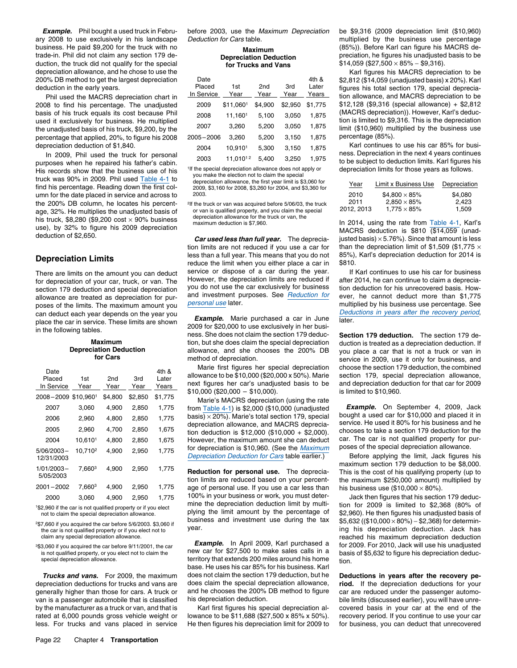**Example.** Phil bought a used truck in Febru-<br>before 2003, use the Maximum Depreciation be \$9,316 (2009 depreciation limit (\$10,960) ary 2008 to use exclusively in his landscape Deduction for Cars table.<br>business. He paid \$9,200 for the truck with no **Maximum** (85%). Before Karl can figure his MACRS debusiness. He paid \$9,200 for the truck with no **(85)**<br>trade-in. Phil did not claim any section 179 de- **Depreciation Der** duction, the truck did not qualify for the special **14** depreciation allowance, and he chose to use the Karl figures his MACRS depreciation to be Karl figures his MACRS depreciation to be

In 2009, Phil used the truck for personal 2003  $11,010^{12}$  5,400 3,250  $1,975$  ness. Depreciation in the next 4 years continues purposes when he repaired his father's cabin.<br>His records show that the business use of his His records show that the business use of his If the special depreciation allowance does not a<br>truck was 00% in 2000. Bhil wood Toble 4.1 to you make the election not to claim the special truck was 90% in 2009. Phil used  $\frac{\text{Table 4-1}}{\text{Table 4-1}}$  to<br>find his percentage. Reading down the first col-<br>umn for the data placed in service and agrees to<br> $\frac{2003}{3003}$ umn for the date placed in service and across to the 200% DB column, he locates his percent-  $^{2}$ If the truck or van was acquired before 5/06/03, the truck age, 32%. He multiplies the unadjusted basis of or van is qualified property, and you claim the special  $2012$ ,  $2013$  1,775  $\times$  85% 1,509<br>his truck, \$8,280 (\$9,200 cost  $\times$  90% business depreciation allowance for the t

for depreciation of your car, truck, or van. The However, the depreciation limits are reduced if after 2014, he can continue to claim a deprecia-<br>section 179 deduction and special depreciation you do not use the car exclus section 179 deduction and special depreciation you do not use the car exclusively for business tion deduction for his unrecovered basis. How-<br>allowance are treated as depreciation for pur- and investment purposes. See *Red* allowance are treated as depreciation for pur-<br>noses of the limits. The maximum amount you personal use later. poses of the limits. The maximum amount you *personal use* later.<br>can deduct each year depends on the year you can deductions in years after the recovery period, can deduct each year depends on the year you<br>place the car in service. These limits are shown **Example.** Marie purchased a car in June  $\frac{Dedt}{\text{later}}$ . place the car in service. These limits are shown<br>2009 for \$20,000 to use exclusively in her busi-<br>purchased a car in June

| Date<br>Placed<br>In Service | 1st<br>Year         | 2nd<br>Year | 3rd<br>Year | 4th &<br>Later<br>Years |
|------------------------------|---------------------|-------------|-------------|-------------------------|
| 2008-2009 \$10.9601          |                     | \$4.800     | \$2,850     | \$1,775                 |
| 2007                         | 3,060               | 4,900       | 2,850       | 1,775                   |
| 2006                         | 2,960               | 4,800       | 2,850       | 1,775                   |
| 2005                         | 2,960               | 4,700       | 2,850       | 1,675                   |
| 2004                         | 10,6101             | 4,800       | 2,850       | 1,675                   |
| 5/06/2003-<br>12/31/2003     | 10,710 <sup>2</sup> | 4,900       | 2,950       | 1,775                   |
| 1/01/2003-<br>5/05/2003      | 7,6603              | 4.900       | 2,950       | 1,775                   |
| $2001 - 2002$                | 7.6603              | 4.900       | 2.950       | 1,775                   |
| 2000                         | 3.060               | 4.900       | 2.950       | 1.775                   |

depreciation deductions for trucks and vans are does claim the special depreciation allowance, **riod.** If the depreciation deductions for your generally higher than those for cars. A truck or and he chooses the 200% DB method to figure car are reduced under the passenger automovan is a passenger automobile that is classified his depreciation deduction. bile limits (discussed earlier), you will have unreby the manufacturer as a truck or van, and that is Karl first figures his special depreciation al-covered basis in your car at the end of the rated at 6,000 pounds gross vehicle weight or lowance to be \$11,688 (\$27,500 x 85% x 50%). recovery period. If you continue to use your car less. For trucks and vans placed in service He then figures his depreciation limit for 2009 to for business, you can deduct that unrecovered

Page 22 Chapter 4 **Transportation**

| 200% DB method to get the largest depreciation     | Date          |                      |         |                 | 4th & | \$2,812 (\$14,059 (unadjusted basis) x 20%). Karl    |
|----------------------------------------------------|---------------|----------------------|---------|-----------------|-------|------------------------------------------------------|
| deduction in the early years.                      | Placed        | 1st                  | 2nd     | 3rd             | Later | figures his total section 179, special deprecia-     |
| Phil used the MACRS depreciation chart in          | In Service    | Year                 | Year    | Year            | Years | tion allowance, and MACRS depreciation to be         |
| 2008 to find his percentage. The unadjusted        | 2009          | \$11.0601            | \$4.900 | \$2,950 \$1,775 |       | $$12,128$ (\$9,316 (special allowance) + \$2,812     |
| basis of his truck equals its cost because Phil    | 2008          | 11.1601              | 5.100   | 3.050           | 1.875 | (MACRS depreciation)). However, Karl's deduc-        |
| used it exclusively for business. He multiplied    |               |                      |         |                 |       | tion is limited to \$9,316. This is the depreciation |
| the unadjusted basis of his truck, \$9,200, by the | 2007          | 3.260                | 5.200   | 3.050           | 1.875 | limit (\$10,960) multiplied by the business use      |
| percentage that applied, 20%, to figure his 2008   | $2005 - 2006$ | 3.260                | 5.200   | 3.150           | 1.875 | percentage (85%).                                    |
| depreciation deduction of \$1,840.                 | 2004          | 10.9101              | 5.300   | 3.150           | 1.875 | Karl continues to use his car 85% for busi-          |
| In 2009, Phil used the truck for personal          |               |                      |         |                 |       | ness. Depreciation in the next 4 years continues     |
| nurnanon whan he renaired his fotbor's cohin       | 2003          | 11.010 <sup>12</sup> | 5.400   | 3.250           | 1.975 | to be subject to deduction limits. Karl figures his  |

<sup>1</sup>If the special depreciation allowance does not apply or

tion limits are not reduced if you use a car for than the depreciation limit of \$1,509 (\$1,775  $\times$ **Depreciation Limits Example 18 Increases than a full year.** This means that you do not 85%), Karl's depreciation deduction for 2014 is reduce the limit when you either place a car in \$810. There are limits on the amount you can deduct service or dispose of a car during the year. If Karl continues to use his car for business<br>for depreciation of your car truck or van The However, the depreciation limits are re

in the following tables. **networking tables** in the section to use exclusively in her busi-<br>ness. She does not claim the section 179 deduc-<br>**Section 179 deduction.** The section 179 de-**Maximum** tion, but she does claim the special depreciation duction is treated as a depreciation deduction. If<br>**Depreciation Deduction** allowance, and she chooses the 200% DB you place a car that is not a truck or van in iation Deduction **allowance, and she chooses the 200% DB** you place a car that is not a truck or van in for Cars<br>
for Cars method of depreciation. service in 2009, use it only for business, and

Marie's MACRS depreciation (using the rate<br>n Table 4-1) is \$2,000 (\$10,000 (unadiusted **Example.** On September 4, 2009, Jack depreciation allowance, and MACRS deprecia-<br>tion deduction is \$12,000 (\$10,000 + \$2,000) chooses to take a section 179 deduction for the tion deduction is \$12,000 (\$10,000 + \$2,000). Chooses to take a section 179 deduction for the<br>However the maximum amount she can deduct car. The car is not qualified property for pur-However, the maximum amount she can deduct car. The car is not qualified property for pur-<br>for depreciation is \$10,960, (See the *Maximum* poses of the special depreciation allowance. for depreciation is \$10,960. (See the *Maximum* poses of the special depreciation allowance.<br>Depreciation Deduction for Cars table earlier.) Before applying the limit, Jack figures his Depreciation Deduction for Cars table earlier.)

age of personal use. If you use a car less than his business use (\$10,000  $\times$  80%). 100% in your business or work, you must deter-<br>mine the depreciation deduction limit by multi-<br>tion for 2009 is limited to \$2.368 (80% of fs2,960 if the car is not qualified property or if you elect mine the depreciation deduction limit by multi-<br>not to claim the special depreciation allowance. phying the limit amount by the percentage of \$2,960). He then fi plying the limit amount by the percentage of  $$2,960$ . He then figures his unadjusted basis of business and investment use during the tax  $$5.632/($10.000 \times 80\%)-$2.368$  for determin-

<sup>3</sup>\$3,060 if you acquired the car before 9/11/2001, the car<br>is not qualified property, or you elect not to claim the new car for \$27,500 to make sales calls in a hasis of \$26,900. For 2010, Jack will use his unadjusted  $\frac{1}{2}$  is not qualified property, or you elect not to claim the new car for \$27,500 to make sales calls in a basis of \$5,632 to figure his depreciation deduc-<br>special depreciation allowance. territory that extends 200 miles around his home  $\frac{1}{\text{tion}}$ . base. He uses his car 85% for his business. Karl *Trucks and vans.* For 2009, the maximum does not claim the section 179 deduction, but he **Deductions in years after the recovery pe-**

tradition Deduction preciation, he figures his unadjusted basis to be<br>for Trucks and Vans **\$14,059** (\$27,500  $\times$  85% – \$9,316).

200% DB method to get the largest depreciation Date **Date 1.4th & \$2,812** (\$14,059 (unadjusted basis) x 20%). Karl 2008 to find his percentage. The unadjusted <sup>2009</sup> \$11,060<sup>1</sup> \$4,900 \$2,950 \$1,775 \$12,128 (\$9,316 (special allowance) + \$2,812 basis of his truck equals its cost because Phil 2008 11,160<sup>1</sup> 5,100 3,050 1,875 (MACRS depreciation)). However, Karl's deduc-<br>used it exclusively for business. He multiplied

| Year                    | Limit x Business Use | Depreciation |
|-------------------------|----------------------|--------------|
| 2010                    | \$4.800 $\times$ 85% | \$4.080      |
| 2011                    | $2.850 \times 85\%$  | 2.423        |
| 2012, 2013 <sup>,</sup> | $1,775 \times 85\%$  | 1.509        |

Marie first figures her special depreciation choose the section 179 deduction, the combined allowance to be \$10,000 (\$20,000 x 50%). Marie section 179, special depreciation allowance, next figures her car's unadjusted bas

from Table 4-1) is \$2,000 (\$10,000 (unadjusted **Example.** On September 4, 2009, Jack<br>basis) x 20%), Marie's total section 179, special bought a used car for \$10,000 and placed it in basis)  $\times$  20%). Marie's total section 179, special bought a used car for \$10,000 and placed it in depreciation allowance, and MACRS deprecia-<br>depreciation allowance, and MACRS deprecia-<br>service. He used it 80% for his b

maximum section 179 deduction to be \$8,000.<br> **Reduction for personal use.** The deprecia-<br>
This is the cost of his qualifying property (up to<br>
tion limits are reduced based on your percent-<br>
the maximum \$250,000 amount) mul

-\$7,660 if you acquired the car before 5/6/2003. \$3,060 if business and investment use during the tax \$5,632 ((\$10,000 × 80%) - \$2,368) for determin-<br>the car is not qualified property or if you elect not to year. year.<br>cla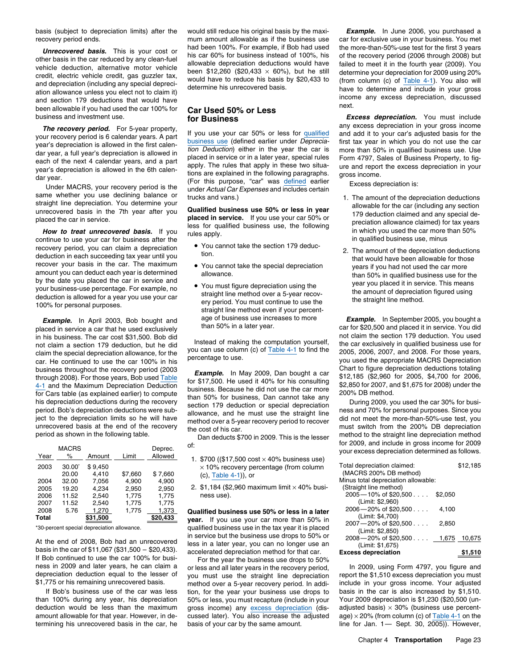next. been allowable if you had used the car 100% for **Car Used 50% or Less** next.<br>business and investment use. **Fx** 

The continue to use your car for business after the<br>
recovery period, you can claim a depreciation **and the depreciation and the depreciation** a depreciation **a**<br>
deduction in each succeeding tax year until you that would recover your basis in the car. The maximum  $\bullet$  You cannot take the special depreciation recover your basis in the car. The maximum<br>amount you can deduct each year is determined<br>by the date you placed the car in service and<br>by the date you placed the car in service and<br>vear you placed it in service. This means

placed in service a car that he used exclusively than 50% in a later year. car for \$20,500 and placed it in service. You did<br>in his business. The car cost \$31,500. Bob did in his business. The car cost \$31,500. Bob did<br>not claim a section 179 deduction, but he did linstead of making the computation yourself, the car exclusively in qualified business use for not claim a section 179 deduction, but he did<br>claim the special depreciation allowance, for the you can use column (c) of Table 4-1 to find the 2005, 2006, 2007, and 2008. For those years,<br>car. He continued to use the car business throughout the recovery period (2003<br>
At-1 and the Maximum Depreciation Deduction<br>
At-1 and the Maximum Depreciation Deduction<br>
At-1 and the Maximum Depreciation Deduction<br>
At-1 and the Maximum Depreciation Deduc

|       | <b>MACRS</b>    |          |         | Deprec.  | of:                                                  | TOT ZUUS, AITU IHCIUUE III YHUSS IHCUHE<br>your excess depreciation determined as |         |
|-------|-----------------|----------|---------|----------|------------------------------------------------------|-----------------------------------------------------------------------------------|---------|
| Year  | %               | Amount   | Limit   | Allowed  | 1. \$700 ((\$17,500 cost $\times$ 40% business use)  |                                                                                   |         |
| 2003  | $30.00^{\circ}$ | \$9.450  |         |          | $\times$ 10% recovery percentage (from column        | Total depreciation claimed:                                                       |         |
|       | 20.00           | 4.410    | \$7.660 | \$7.660  | $(c)$ , Table 4-1), or                               | (MACRS 200% DB method)                                                            |         |
| 2004  | 32.00           | 7.056    | 4.900   | 4.900    |                                                      | Minus total depreciation allowable:                                               |         |
| 2005  | 19.20           | 4.234    | 2.950   | 2.950    | 2. \$1,184 (\$2,960 maximum limit $\times$ 40% busi- | (Straight line method)                                                            |         |
| 2006  | 11.52           | 2.540    | 1.775   | 1.775    | ness use).                                           | $2005 - 10\%$ of \$20,500 $\ldots$                                                | \$2,050 |
| 2007  | 11.52           | 2.540    | 1.775   | 1.775    |                                                      | (Limit: \$2,960)                                                                  |         |
| 2008  | 5.76            | .270،    | 1.775   | 1,373    | Qualified business use 50% or less in a later        | $2006 - 20\%$ of \$20,500 $\ldots$                                                | 4.100   |
| Total |                 | \$31.500 |         | \$20,433 | If you use your car more than $50\%$ in<br>voor      | (Limit: \$4,700)                                                                  |         |

amount allowable for that year. However, in de- cussed later). You also increase the adjusted

basis (subject to depreciation limits) after the would still reduce his original basis by the maxi- *Example.* In June 2006, you purchased a

**The recovery period.** For 5-year property, the you use your car 50% or less for <u>qualified</u> and add it to your car's adjusted basis for the year's depreciation is allowed in the first calendar years. A part<br>year's depreci

- You cannot take the section 179 deduc-
- 
- but must figure depreciation using the<br>deduction is allowed for a year you use your car<br>deduction is allowed for a year you use your car<br>the amount of depreciation figured using<br>time method over a 5-year recov-<br>the amount

- $\times$  10% recovery percentage (from column
- 2. \$1,184 (\$2,960 maximum limit  $\times$  40% busi-

Qualified business use 50% or less in a later Total  $\frac{\$31,500}{30\text{-percent special depreciation allowed}}$ <br>  $\frac{31,500}{50\text{-percent special depreciation allowed}}$ <br>  $\frac{31,500}{50\text{-green}}$ <br>  $\frac{31,500}{50\text{-green}}$ <br>  $\frac{31,500}{50\text{-green}}$ <br>  $\frac{31,500}{50\text{-green}}$ <br>  $\frac{31,500}{10,575}$ <br>  $\frac{31,500}{10,575}$ <br>  $\frac{31,500}{10,575}$ <br>  $\frac{31,500}{10,575}$ 

ness in 2009 and later years, he can claim a<br>depreciation deduction equal to the lesser of you must use the straight line depreciation report the \$1,510 excess depreciation you must<br>\$1,775 or his remaining unrecovered basi method over a 5-year recovery period. In addi-If Bob's business use of the car was less tion, for the year your business use drops to basis in the car is also increased by \$1,510.<br>n 100% during any year, his depreciation 50% orless vou mustrecapture (include in your Y than 100% during any year, his depreciation 50% or less, you must recapture (include in your Your 2009 depreciation is \$1,230 (\$20,500 (un-<br>deduction would be less than the maximum gross income) any excess depreciation (d deduction would be less than the maximum gross income) any excess depreciation (dis- adjusted basis)  $\times$  30% (business use percent-<br>amount allowable for that year. However, in de- cussed later). You also increase the adj termining his unrecovered basis in the car, he basis of your car by the same amount. line for Jan. 1— Sept. 30, 2005)). However,

recovery period ends. mum amount allowable as if the business use car for exclusive use in your business. You met<br>had been 100%. For example, if Bob had used the more-than-50%-use test for the first 3 years **Unrecovered basis.** This is your cost or<br>other basis in the car reduced by any clean-fuel<br>other basis in the car reduced by any clean-fuel<br>vehicle deduction, alternative motor vehicle<br>vehicle deduction, alternative motor

**for Business** *invess Excess depreciation.* **You must include variable use of the same of the same stage in the same stage in the same stage in the same stage in the same stage in the same stage in the same stage in the** 

- same whether you use declining balance or<br>straight line depreciation. You determine your<br>unrecovered basis in the 7th year after you<br>placed in service. If you use your car 50% or less in year<br>placed in service. If you use
	-

*Example.* In April 2003, Bob bought and age of business use increases to more *Example.* In September 2005, you bought a

| Total depreciation claimed:<br>(MACRS 200% DB method) | \$12,185 |
|-------------------------------------------------------|----------|
| Minus total depreciation allowable:                   |          |
| (Straight line method)                                |          |
| $2005 - 10\%$ of \$20,500 $\ldots$                    | \$2.050  |
| (Limit: \$2,960)                                      |          |
| $2006 - 20\%$ of \$20,500 $\ldots$                    | 4,100    |
| (Limit: \$4,700)                                      |          |
| $2007 - 20\%$ of \$20,500 $\ldots$                    | 2,850    |
| (Limit: \$2,850)                                      |          |
| 2008 – 20% of \$20,500 1,675 10,675                   |          |
| (Limit: \$1,675)                                      |          |
| <b>Excess depreciation</b>                            | S1.510   |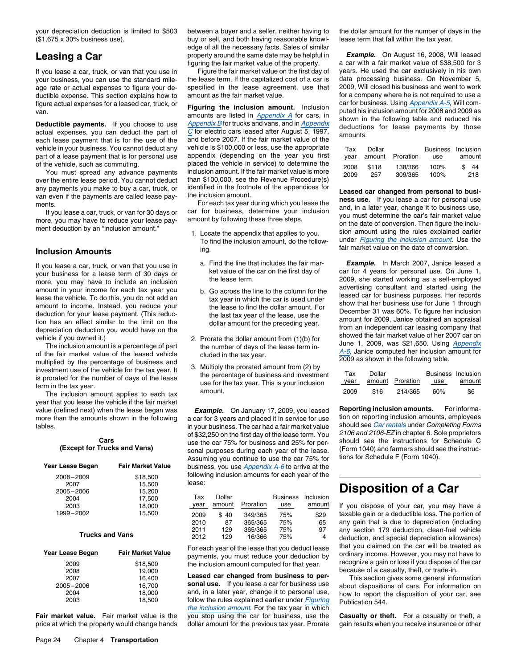(\$1,675 x 30% business use). buy or sell, and both having reasonable knowl- lease term that fall within the tax year.

If you lease a car, truck, or van that you use in Figure the fair market value on the first day of years. He used the car exclusively in his own vour business, you can use the standard mile- the lease term. If the capitali your business, you can use the standard mile-<br>age rate or actual expenses to figure your de- specified in the lease agreement, use that 2009, Will closed his business and went to work age rate or actual expenses to figure your deductible expense. This section explains how to amount as the fair market value. The section of a company where he is not required to use a<br>figure actual expenses for a leased car, truck, or retaining the inclusion amount l

each lease payment that is for the use of the and before 2007. If the fair market value of the vehicle in your business. You cannot deduct any vehicle is \$100,000 or less, use the appropriate vehicle in your business. You cannot deduct any vehicle is \$100,000 or less, use the appropriate part of a lease payment that is for personal use appendix (depending on the year you first part of a lease payment that is for personal use appendix (depending on the year you first of the vehicle such as commuting.

over the entire lease period. You cannot deduct than \$100,000, see the Revenue Procedure(s)<br>any nayments you make to buy a car, truck, or identified in the footnote of the appendices for

year that you lease the vehicle if the fair market value (defined next) when the lease began was *Example.* On January 17, 2009, you leased **Reporting inclusion amounts.** For informa-

| Year Lease Beqan | Fair Market Value | busin  |
|------------------|-------------------|--------|
| $2008 - 2009$    | \$18,500          | follow |
| 2007             | 15.500            | lease: |
| $2005 - 2006$    | 15.200            |        |
| 2004             | 17.500            | Tax    |
| 2003             | 18,000            | year   |
| 1999-2002        | 15.500            | 200C   |

| Year Lease Began | <b>Fair Market Value</b> |
|------------------|--------------------------|
| 2009             | \$18,500                 |
| 2008             | 19,000                   |
| 2007             | 16.400                   |
| $2005 - 2006$    | 16,700                   |
| 2004             | 18,000                   |
| 2003             | 18.500                   |

edge of all the necessary facts. Sales of similar **Leasing a Car** property around the same date may be helpful in *Example.* On August 16, 2008, Will leased figuring the fair market value of the property. a car with a fair market value of \$38.500 for 3

of the vehicle, such as commuting.<br>
You must spread any advance payments inclusion amount. If the fair market value is more<br>
over the entire lease period. You cannot deduct than \$100,000, see the Revenue Procedure(s)

- **Inclusion Amounts** ing. **Inclusion Amounts** ing.
	-
	-
	-
	-

of \$32,250 on the first day of the lease term. You 2106 and 2106-EZ in chapter 6. Sole proprietors<br>use the car 75% for business and 25% for per- should see the instructions for Schedule C **Cars**<br> **Cars** use the car 75% for business and 25% for per-<br>
should see the instructions for Schedule C<br>
sonal purposes during each year of the lease. (Form 1040) and farmers should see the instruc-Sonal purposes during each year of the lease. (Form 1040) and farmers should see the lease of the lease.<br>Assuming you continue to use the car 75% for tions for Schedule F (Form 1040). Assuming you continue to use the car 75% for business, you use *Appendix A-6* to arrive at the following inclusion amounts for each year of the<br>lease:

| סטט∠−כי<br>2004<br>2003 | 15.ZUU<br>17.500<br>18.000 | Tax<br>vear | Dollar<br>amount | Proration | <b>Business</b><br>use | Inclusion<br>amount |
|-------------------------|----------------------------|-------------|------------------|-----------|------------------------|---------------------|
| $9 - 2002$              | 15.500                     | 2009        | \$40             | 349/365   | 75%                    | \$29                |
|                         |                            | 2010        | 87               | 365/365   | 75%                    | 65                  |
|                         |                            | 2011        | 129              | 365/365   | 75%                    | 97                  |
| <b>Trucks and Vans</b>  |                            | 2012        | 129              | 16/366    | 75%                    | 4                   |

**Leased car changed from business to per-**<br>This section gives some general information **sonal use.** If you lease a car for business use about dispositions of cars. For information on and, in a later year, change it to personal use, how to report the disposition of your car see and, in a later year, change it to personal use, how to report the disposition of your car, see follow the rules explained earlier under *Figuring* Publication 544. the inclusion amount. For the tax year in which **Fair market value.** Fair market value is the you stop using the car for business, use the **Casualty or theft.** For a casualty or theft, a price at which the property would change hands dollar amount for the previous tax year. Prorate gain results when you receive insurance or other

your depreciation deduction is limited to \$503 between a buyer and a seller, neither having to the dollar amount for the number of days in the

figuring the fair market value of the property. a car with a fair market value of \$38,500 for 3 Figuring the inclusion amount. Inclusion car for business. Using Appendix A-5, Will com-<br>van. **Deductible payments.** If you choose to use  $\frac{Appendix \text{ A for cars, in}}{C}$  are listed in  $\frac{Appendix \text{ A for cars, in}}{D}$  and  $\frac{appendix}{D}$  for cars, in

| Tax<br>year  | Dollar<br>amount | Proration          | use          | Business Inclusion<br>amount |
|--------------|------------------|--------------------|--------------|------------------------------|
| 2008<br>2009 | \$118<br>257     | 138/366<br>309/365 | 100%<br>100% | \$<br>44<br>218              |

any payments you make to buy a car, truck, or<br>
van even if the payments are called lease pay-<br>
ments.<br>
If you lease a car, truck, or van for 30 days or<br>
if you lease a car, truck, or van for 30 days or<br>
if you lease a car, To find the inclusion amount, do the follow- under *Figuring the inclusion amount*. Use the

If you lease a car, truck, or van that you use in<br>
you lease a car, truck, or van that you use in<br>
Net value of the car on the first day of<br>
pore by car or the sease term of 30 days or<br>
the lease term.<br>
The intervention o

| Tax  | Dollar |           | Business Inclusion |        |
|------|--------|-----------|--------------------|--------|
| year | amount | Proration | use                | amount |
| 2009 | \$16   | 214/365   | 60%                | \$6    |

more than the amounts shown in the following a car for 3 years and placed it in service for use tion on reporting inclusion amounts, employees<br>in your business. The car had a fair market value should see Car rentals under in your business. The car had a fair market value should see Car rentals under Completing Forms<br>of \$32,250 on the first day of the lease term. You 2106 and 2106-EZ in chapter 6. Sole proprietors

# **Disposition of a Car**

If you dispose of your car, you may have a taxable gain or a deductible loss. The portion of any gain that is due to depreciation (including <sup>2011</sup> <sup>129</sup> 365/365 75% <sup>97</sup> any section 179 deduction, clean-fuel vehicle **Trucks and Vans** <sup>2012</sup> <sup>129</sup> 16/366 75% <sup>4</sup> deduction, and special depreciation allowance) For each year of the lease that you deduct lease that you claimed on the car will be treated as payments, you must reduce your deduction by reducation flowever, you may not have to the inclusion amount computed for that ye the inclusion amount computed for that year.<br>because of a casualty, theft, or trade-in.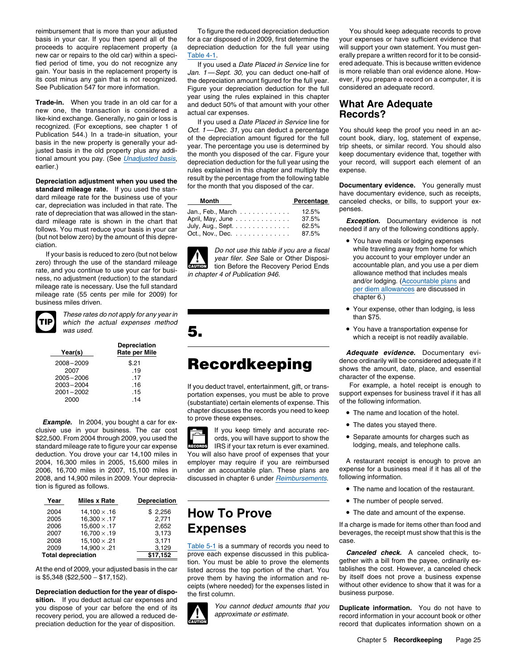reimbursement that is more than your adjusted To figure the reduced depreciation deduction You should keep adequate records to prove basis in your car. If you then spend all of the for a car disposed of in 2009, first determine the your expenses or have sufficient evidence that proceeds to acquire replacement property (a depreciation deduction for the full year using will support your own statement. You must gennew car or repairs to the old car) within a speci- Table 4-1. erally prepare a written record for it to be considfied period of time, you do not recognize any If you used a *Date Placed in Service* line for ered adequate. This is because written evidence income nain. Your basis in the replacement property is  $\lim_{n \to \infty} 1 -$  Sent 30 y gain. Your basis in the replacement property is *Jan. 1—Sept. 30,* you can deduct one-half of is more reliable than oral evidence alone. How-<br>its cost minus any gain that is not recognized. the depreciation amount figured its cost minus any gain that is not recognized. the depreciation amount figured for the full year. ever, if you prepare a record on a See Publication 547 for more information. Figure your depreciation deduction for the ful

like-kind exchange. Generally, no gain or loss is **Records** on the state Placed in Service line for

**Depreciation adjustment when you used the**<br> **standard mileage rate.** If you used the stan-<br>
dard mileage rate for the business use of your<br>
car, depreciation was included in that rate. The<br>
rate of depreciation that was a dard mileage rate is shown in the chart that April, May, June ............. 37.5% *Exception.* Documentary evidence is not July, Aug., Sept. ............. 62.5% follows. You must reduce your basis in your car needed if any of the following conditions apply. Oct., Nov., Dec. ............. 87.5% (but not below zero) by the amount of this depre- •

zero) infough the use of the standard mileage  $\frac{1}{2}$  tion Before the Recovery Period Ends accountable plan, and you use a per diem rate, and you continue to use your car for busi-<br>ness, no adjustment (reduction) to the mileage rate is necessary. Use the full standard per diem allowances are discussed in mileage rate (55 cents per mile for 2009) for chapter 6.) chapter 6.) chapter 6.) chapter 6.)



These rates do not apply for any year in the set of any year in than \$75. Which the actual expenses method which than \$75.

| Year(s)       | <b>Depreciation</b><br><b>Rate per Mile</b> |
|---------------|---------------------------------------------|
| $2008 - 2009$ | \$.21                                       |
| 2007          | .19                                         |
| $2005 - 2006$ | .17                                         |
| $2003 - 2004$ | .16                                         |
| $2001 - 2002$ | .15                                         |
| 2000          | -14                                         |

**Example.** In 2004, you bought a car for ex-<br>sive use in your business. The car cost  $\Box$  If you keep timely and accurate rec- • The dates you stayed there. clusive use in your business. The car cost If you keep timely and accurate rec-<br>\$22.500. From 2004 through 2009, you used the critic and stay you will have support to show the Separate amounts for charges such as \$22,500. From 2004 through 2009, you used the ords, you will have support to show the • Separate amounts for charges such standard mileage such standard mileage rate to figure your car expense assessed. This if your tax re standard mileage rate to figure your car expense **RECORDS** IRS if your tax return is ever examined. deduction. You drove your car 14,100 miles in You will also have proof of expenses that your 2004, 16,300 miles in 2005, 15,600 miles in employer may require if you are reimbursed A restaurant receipt is enough to prove an accountable plan. These plans are expense for a business meal if it has all of the 2008, and 14,900 miles in 2009. Your deprecia-<br>discussed in chapter 6 under Reimbursements. tion is figured as follows. •

| Year                      | <b>Miles x Rate</b>  | <b>Depreciation</b> |                                               | $\bullet$ $\overline{\phantom{a}}$ |
|---------------------------|----------------------|---------------------|-----------------------------------------------|------------------------------------|
| 2004                      | $14.100 \times .16$  | \$2.256             | <b>How To Prove</b>                           | $\bullet$ $\overline{\phantom{a}}$ |
| 2005                      | $16.300 \times 0.17$ | 2.771               |                                               |                                    |
| 2006                      | $15.600 \times .17$  | 2,652               | <b>Expenses</b>                               | If a ch                            |
| 2007                      | $16.700 \times .19$  | 3.173               |                                               | beve                               |
| 2008                      | $15.100 \times .21$  | 3.171               |                                               | case.                              |
| 2009                      | 14.900 $\times$ .21  | 3,129               | Table 5-1 is a summary of records you need to |                                    |
| <b>Total depreciation</b> |                      | \$17,152            | prove each expense discussed in this publica- | Cа                                 |

**Depreciation deduction for the year of dispo-** the first column. **sition.** If you deduct actual car expenses and<br>you dispose of your car before the end of its **Duplicate** information. You do not have to<br>recovery period, you are allowed a reduced de. **Duplicate** or estimate. recovery period, you are allowed a reduced de-<br> **EXECUS** approximate or estimate.<br> **EXECUS** record information in your account book or other preciation deduction for the year of disposition.

Figure your depreciation deduction for the full year using the rules explained in this chapter<br>**Trade-in.** When you trade in an old car for a and deduct 50% of that amount with your other **What Are Adequate**<br>**Records?** 

From the second and the proof you should keep the proof you need in an action and Publication 544.) In a trade-in situation, your and educt a percentage You should keep the proof you need in an action 544.) In a trade-in s

| Month                                    | Percentage |
|------------------------------------------|------------|
| Jan., Feb., March $\ldots \ldots \ldots$ | 12.5%      |
| April, May, June                         | 37.5%      |
| July, Aug., Sept. $\ldots$ .             | 62.5%      |
| Oct., Nov., Dec.                         | 87.5%      |

portation expenses, you must be able to prove support expenses for busine<br>(substantiate) certain elements of expense. This of the following information. (substantiate) certain elements of expense. This chapter discusses the records you need to keep •

under an accountable plan. These plans are expense for a busine<br>discussed in chapter 6 under *Reimbursements* following information.

Total depreciation<br>At the end of 2009, your adjusted basis in the car<br>At the end of 2009, your adjusted basis in the car<br>Itsed across the top portion of the chart. You tablishes the cost. However, a canceled check<br>At the e At the end of 2009, your adjusted basis in the car listed across the top portion of the chart. You tablishes the cost. However, a canceled check is \$5,348 (\$22,500 - \$17,152). prove them by having the information and re- by itself does not prove a business expense<br>ceipts (where needed) for the expenses listed in without other evidence to show that it was for a ceipts (where needed) for the expenses listed in without other evide<br>the first column.

**!**

- (but not below zero) by the amount of this depre-<br>ciation.<br>If you have meals or lodging expenses<br>If your having away from home for which<br>If your having away from home for which From the state of the standard mileage of the standard mileage of the standard mileage of the standard mileage of the standard mileage of the standard mileage of the standard mileage of the standard mileage of the standard and/or lodging. (Accountable plans and
	- Your expense, other than lodging, is less
	- was used. You have a transportation expense for **5.** which a receipt is not readily available.

*Adequate evidence.* Documentary evi-<br>dence ordinarily will be considered adequate if it dence ordinarily will be considered adequate if it 2008–2009 \$.21 <sup>2007</sup> .19 **Recordkeeping** shows the amount, date, place, and essential character of the expense.

If you deduct travel, entertainment, gift, or trans-<br>portation expenses, you must be able to prove support expenses for business travel if it has all

- The name and location of the hotel.
- 
- 

- The name and location of the restaurant.
- **•** The number of people served.
- **How To Prove** The date and amount of the expense.

**Expenses**<br>**Expenses**<br>**Expenses**<br>**Expenses**<br>**Expenses**<br>**Expenses** beverages, the receipt must show that this is the

record that duplicates information shown on a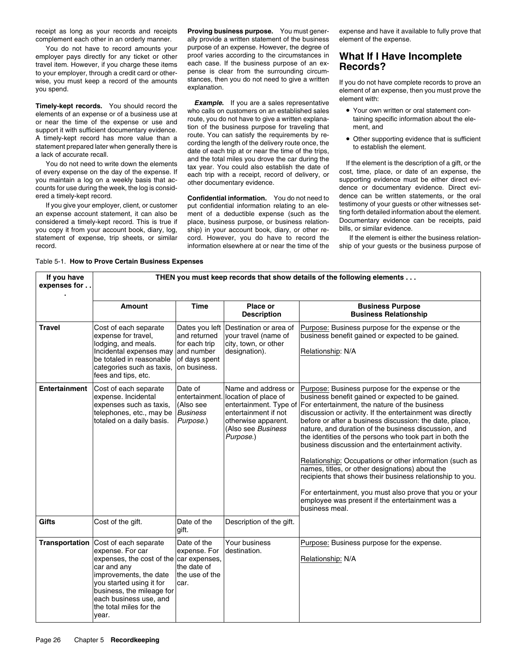employer pays directly for any ticket or other proof varies according to the circumstances in **What If I Have Incomplete**<br>travel item. However, if you charge these items each case. If the business purpose of an ex-<br>to your

an expense account statement, it can also be ment of a deductible expense (such as the ting forth detailed information about the element.<br>considered a timely-kept record. This is true if place, business purpose, or busines you copy it from your account book, diary, log, ship) in your account book, diary, or other restatement of expense, trip sheets, or similar cord. However, you do have to record the If the element is either the business relationrecord. information elsewhere at or near the time of the ship of your guests or the business purpose of

receipt as long as your records and receipts **Proving business purpose.** You must gener- expense and have it available to fully prove that complement each other in an orderly manner. ally provide a written statement of the business element of the expense. You do not have to record amounts your purpose of an expense. However, the degree of<br>plover pays directly for any ticket or other proof varies according to the circumstances in

Timely-kept records. You should record the<br>elements of an expense or of a business use at<br>or near the time of the expense or use and<br>or near the time of the expense or use and<br>or near the time of the expense or use and<br>or

If you give your employer, client, or customer put confidential information relating to an ele-<br>expense festimony of your guests or other witnesses set-<br>expense account statement it can also be ment of a deductible expense place, business purpose, or business relation-<br>ship) in your account book, diary, or other receptibilis, or similar evidence.

wise, you must keep a record of the amounts stances, then you do not need to give a written If you do not have complete records to prove an explanation.<br>
you spend. explanation. explanation. explanation. explanation expens

- 
- 

ered a timely-kept record.<br>**Confidential information.** You do not need to dence can be written statements, or the oral **Confidential information.** You do not need to dence can be written statements, or the oral protection

| Table 5-1. How to Prove Certain Business Expenses |  |  |  |  |  |
|---------------------------------------------------|--|--|--|--|--|
|---------------------------------------------------|--|--|--|--|--|

| If you have<br>expenses for. | THEN you must keep records that show details of the following elements                                                                                                                                                                                              |                                                                                                |                                                                                                                                                         |                                                                                                                                                                                                                                                                                                                                                                                                                                                                                                                                                                                                                                                                                                                                                                     |  |  |  |  |
|------------------------------|---------------------------------------------------------------------------------------------------------------------------------------------------------------------------------------------------------------------------------------------------------------------|------------------------------------------------------------------------------------------------|---------------------------------------------------------------------------------------------------------------------------------------------------------|---------------------------------------------------------------------------------------------------------------------------------------------------------------------------------------------------------------------------------------------------------------------------------------------------------------------------------------------------------------------------------------------------------------------------------------------------------------------------------------------------------------------------------------------------------------------------------------------------------------------------------------------------------------------------------------------------------------------------------------------------------------------|--|--|--|--|
|                              | Amount                                                                                                                                                                                                                                                              | <b>Time</b>                                                                                    | Place or<br><b>Description</b>                                                                                                                          | <b>Business Purpose</b><br><b>Business Relationship</b>                                                                                                                                                                                                                                                                                                                                                                                                                                                                                                                                                                                                                                                                                                             |  |  |  |  |
| <b>Travel</b>                | Cost of each separate<br>expense for travel,<br>lodging, and meals.<br>Incidental expenses may<br>be totaled in reasonable<br>categories such as taxis,<br>fees and tips, etc.                                                                                      | Dates you left<br>and returned<br>for each trip<br>and number<br>of days spent<br>on business. | Destination or area of<br>your travel (name of<br>city, town, or other<br>designation).                                                                 | Purpose: Business purpose for the expense or the<br>business benefit gained or expected to be gained.<br>Relationship: N/A                                                                                                                                                                                                                                                                                                                                                                                                                                                                                                                                                                                                                                          |  |  |  |  |
| Entertainment                | Cost of each separate<br>expense. Incidental<br>expenses such as taxis,<br>telephones, etc., may be<br>totaled on a daily basis.                                                                                                                                    | Date of<br>entertainment.<br>(Also see<br>Business<br>Purpose.)                                | Name and address or<br>location of place of<br>entertainment. Type of<br>entertainment if not<br>otherwise apparent.<br>(Also see Business<br>Purpose.) | Purpose: Business purpose for the expense or the<br>business benefit gained or expected to be gained.<br>For entertainment, the nature of the business<br>discussion or activity. If the entertainment was directly<br>before or after a business discussion: the date, place,<br>nature, and duration of the business discussion, and<br>the identities of the persons who took part in both the<br>business discussion and the entertainment activity.<br>Relationship: Occupations or other information (such as<br>names, titles, or other designations) about the<br>recipients that shows their business relationship to you.<br>For entertainment, you must also prove that you or your<br>employee was present if the entertainment was a<br>business meal. |  |  |  |  |
| <b>Gifts</b>                 | Cost of the gift.                                                                                                                                                                                                                                                   | Date of the<br>gift.                                                                           | Description of the gift.                                                                                                                                |                                                                                                                                                                                                                                                                                                                                                                                                                                                                                                                                                                                                                                                                                                                                                                     |  |  |  |  |
|                              | Transportation Cost of each separate<br>expense. For car<br>expenses, the cost of the car expenses,<br>car and any<br>improvements, the date<br>you started using it for<br>business, the mileage for<br>each business use, and<br>the total miles for the<br>year. | Date of the<br>expense. For<br>the date of<br>the use of the<br>car.                           | Your business<br>destination.                                                                                                                           | Purpose: Business purpose for the expense.<br>Relationship: N/A                                                                                                                                                                                                                                                                                                                                                                                                                                                                                                                                                                                                                                                                                                     |  |  |  |  |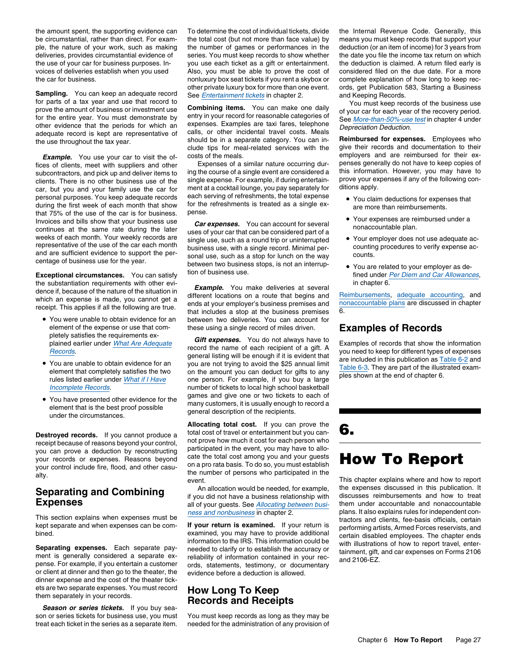be circumstantial, rather than direct. For exam-<br>ple, the nature of your work, such as making the number of games or performances in the deduction (or an item of income) for 3 years from ple, the nature of your work, such as making the number of games or performances in the deliveries, provides circumstantial evidence of series. You must keep records to show whether the date you file the income tax return on which the use of your car for business purposes. In-<br>voices of deliveries establish when you used Also, you must be able to prove the cost of considered filed on the due date. For a more voices of deliveries establish when you used Also, you must be able to prove the cost of

other private luxury box for more than one event. ords, get Publication 583, Starting a Business<br>for parts of a tax year and use that record to<br>prove the amount of business or investment use **Combining items**. You can make prove the amount of business or investment use<br>for the entire year. You must demonstrate by entry in your record for reasonable categories of see More-than-50%-use test in chapter 4 under<br>other evidence that the periods fo other evidence that the periods for which an expenses. Examples are taxi fares, telephone *Depreciation Deduction.*<br>adequate record is kept are representative of calls, or other incidental travel costs. Meals adequate record is kept are representative of

fices of clients, meet with suppliers and other Expenses of a similar nature occurring dur-<br>subcontractors, and pick up and deliver items to ing the course of a single event are considered a this information. However, you subcontractors, and pick up and deliver items to ing the course of a single event are considered a this information. However, you may have to subcontractors, and pick up and deliver items to subcontractors, and pick up and clients. There is no other business use of the single expense. For example, if during entertaincar, but you and your family use the car for ment at a cocktail lounge, you pay separately for ditions apply.<br>
personal purposes. You keep adequate records each serving of refreshments, the total expense personal purposes. You keep adequate records each serving of refreshments, the total expense  $\bullet$  You claim deductions for expenses that during the first week of each month that show for the refreshments is treated as a single ex-<br>that 75% of the use of the car is for business pense. that 75% of the use of the car is for business. Invoices and bills show that your business use **Car expenses**. You can account for several<br>continues at the same rate during the later<br>weeks of each month. Your weekly records are<br>representative of the use of the car each

**Exceptional circumstances.** You can satisfy from of business use. **Exceptional circumstances**, the substantiation requirements with other evi-

- You were unable to obtain evidence for an Examples of Records<br>
pletely satisfies the requirements explained earlier under What Are Adequate<br>
Plained earlier under What Are Adequate<br>
From these using a single record of miles driven.<br>
Gift expenses. You do not alwa
- 
- You have presented onto evidence for the many customers, it is usually enough to record a element that is the best proof possible general description of the recipients.

or client at dinner and then go to the theater, the evidence before a deduction is allowed. dinner expense and the cost of the theater tick-

son or series tickets for business use, you must You must keep records as long as they may be treat each ticket in the series as a separate item. needed for the administration of any provision of

the car for business. nonluxury box seat tickets if you rent a skybox or complete explanation of how long to keep rec-<br>other private luxury box for more than one event. ords, get Publication 583, Starting a Business

should be in a separate category. You can in-<br>the use throughout the tax year.<br>clude tips for meal-related services with the give their records and documentation to their clude tips for meal-related services with the give their records and documentation to their<br>costs of the meals. environmentation of their ex-

centage of business use for the year.<br>
centage of business use for the year.<br>
between two business stops, is not an interrup-<br>  $\begin{array}{ccc}\n\bullet & \text{You are related to your employer as de-  
\n $\begin{array}{ccc}\n\bullet & \text{You are related to your employer as de-  
\n $\end{array}$ \n\end{array}$$ 

the substantiation requirements with other evi-<br>dence if, because of the nature of the situation in<br>which an expense is made, you cannot get a<br>receipt. This applies if all the following are true.<br>receipt. This applies if between two deliveries. You can account for

• You are unable to obtain evidence for an you are not trying to avoid the \$25 annual limit are included in this publication as  $\frac{\text{Table 6-2}}{\text{Table 6-3}}$ . They are part of the illustrated examples listed earlier under *What* Incomplete Records. The number of tickets to local high school basketball • You have presented other evidence for the games and give one or two tickets to each of

**Allocating total cost.** If you can prove the total cost of travel or entertainment but you can-Destroyed records. If you cannot produce a<br>receipt because of reasons beyond your control,<br>you can prove a deduction by reconstructing<br>your records or expenses. Reasons beyond<br>your records or expenses. Reasons beyond<br>your

all of your guests. See *Allocating between busi*-<br>
rem under accountable and nonaccountable<br>
plans. It also explains rules for independent con-

# ets are two separate expenses. You must record **How Long To Keep** them separately in your records. **Records and Receipts** *Season or series tickets.* If you buy sea-

the amount spent, the supporting evidence can To determine the cost of individual tickets, divide the Internal Revenue Code. Generally, this

**Example.** You use your car to visit the of-costs of the meals. exercive and proployers and are reimbursed for their ex-<br>Les of clients, meet with suppliers and other Expenses of a similar nature occurring dur-penses gener

- 
- Your expenses are reimbursed under a
- 
- 

**An allocation would be needed, for example,** the expenses discussed in this publication. It **Separating and Combining** if you did not have a business relationship with discusses reimbursements and how to treat all of your This section explains when expenses must be<br>
kept separate and when expenses can be com-<br>
let **if your return is examined**. If your return is<br>
let **if** your meturn is examined. If your return is<br>
examined, you may have to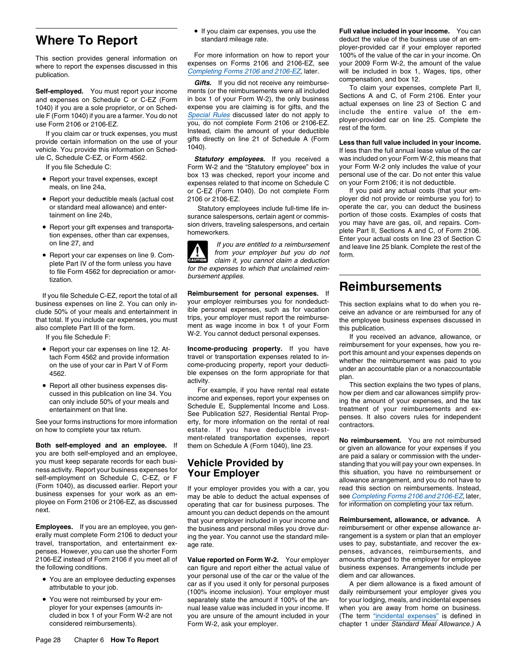If you claim car or truck expenses, you must<br>provide certain information on the use of your gifts directly on line 21 of Schedule A (Form Less than full value included in your income.<br>vehicle. You provide this information

- 
- 
- 
- 

- 
- 

**Both self-employed and an employee.** If them on Schedule A (Form 1040), line 23. The or given an allowance for your expenses if you are both self-employed and an employee,<br>
you are both self-employed and an employee,<br>
you

**Employees.** If you are an employee, you gen-<br>
in the business and personal miles you drove dur-<br>
erally must complete Form 2106 to deduct your<br>
ing the year. You cannot use the standard mile-<br>
rangement is a system or pla travel, transportation, and entertainment ex-<br>penses. However, you can use the shorter Form 2106-EZ instead of Form 2106 if you meet all of **Value reported on Form W-2.** Your employer amounts charged to the employer for employee

- 
- You were not reimbursed by your em-

• If you claim car expenses, you use the

This section provides general information on<br>where to report the expenses discussed in this<br>publication.<br>publication.<br>**Completing Forms 2106** and 2106-EZ, see your 2009 Form W-2, the amount of the value<br>publication.<br>**Gift** 

If you file Schedule C: Form W-2 and the "Statutory employee" box in your Form W-2 only includes the value of your<br>box 13 was checked, report your income and personal use of the car. Do not enter this value box 13 was checked, report your income and personal use of the car. Do not enter the car. Do not enter the car<br>expenses related to that income on Schedule C on your Form 2106; it is not deductible. meals, on line 24a,<br>or C-EZ (Form 1040). Do not complete Form if you paid any actual costs (that your em-<br>ployer did not provide or reimburse you for) to • Report your deductible meals (actual cost 2106 or 2106-EZ. ployer the ployer did not provide or reimburse you for) to

surance salespersons, certain agent or commis-<br>sion drivers, traveling salespersons, and certain you may have are gas, oil, and repairs. Com-• Report your gift expenses and transporta-<br>bomeworkers, traveling salespersons, and certain you may have are gas, oil, and repairs. Com-<br>elect least that the service of Form 2106.

• Report your car expenses on line 9. Com-<br>plete Part IV of the form unless you have claim it, you cannot claim a deduction **!**

The expenses to which that unclaimed reim-<br>tization.<br>If you file Schedule C-EZ, report the total of all<br>bursement applies.<br>If we superses to which that unclaimed reim-<br>tization.<br>If you file Schedule C-EZ, report the total that total. If you include car expenses, you must the form is the employee the employee business expenses discussed in<br>also complete Part III of the form. This publication. W-2. You cannot deduct personal expenses. If you

• Report your car expenses on line 12. At<br>
tach Form 4562 and provide information<br>
on the use of your car in Part V of Form<br>
tavel or transportation expenses related to in-<br>
on the use of your car in Part V of Form<br>
tavel

• Report all other business expenses dis-<br>
cussed in this publication on line 34. You<br>
can only include 50% of your meals and<br>
entertainment on that line.<br>
See Publication 527, Residential Rental of real<br>
See Publication 5 ment-related transportation expenses, report **No reimbursement.** You are not reimbursed them on Schedule A (Form 1040), line 23.

that your employer included in your income and **Reimbursement, allowance, or advance.** <sup>A</sup> ing the year. You cannot use the standard mile-<br>and rangement is a system or plan that an employer<br>and recover the ex-<br>ges to pay, substantiate, and recover the ex-

the following conditions. can figure and report either the actual value of business expenses. Arrangements of business expenses. And the person of the set of the person of the person of the person of the person of the pers your personal use of the car or the value of the diem and car allowances. •Tou are an employee deducting experience of car as if you used it only for personal purposes A per diem allowance is a fixed amount of (100% income inclusion). Your employer must daily reimbursement your employer gives you You were not reimbursed by your em-<br>
ployer for your expenses (amounts in-<br>
ployer for your expenses (amounts in-<br>
player for your expenses (amounts in-<br>
player for your expenses (amounts in-<br>
player for your expenses (amo ployer for your expenses (amounts in-<br>
cluded in box 1 of your Form W-2 are not you are unsure of the amount included in your (The term "incidental expenses" is defined in you are unsure of the amount included in your (The term "incidental expenses" is defined in considered reimbursements). Form W-2, ask your employer. chapter 1 under Standard Meal Allowance.) A

Full value included in your income. You can **Where To Report** standard mileage rate. The deduct the value of the business use of an employer-provided car if your employer reported

ule C, Schedule C-EZ, or Form 4562. *Statutory employees.* If you received a was included on your Form W-2, this means that

or standard meal allowance) and enter-<br>
Statutory employees include full-time life in-<br>
portion of those costs. Examples of costs that<br>
surance salespersons, certain agent or commis-<br>
portion of those costs. Examples of co • Report your gift expenses and transporta-<br>tion expenses, there than car expenses,<br>on line 27, and<br>**a** Bespectively salespersons, and certain plete Part II, Sections A and C, of Form 2106.<br>Inter your actual costs on line

• Report your car expenses on line 12. At-<br>a reimbursement for your expenses, how you re-<br>travel as transportation expenses related to in this amount and your expenses depends on

penses, advances, reimbursements, and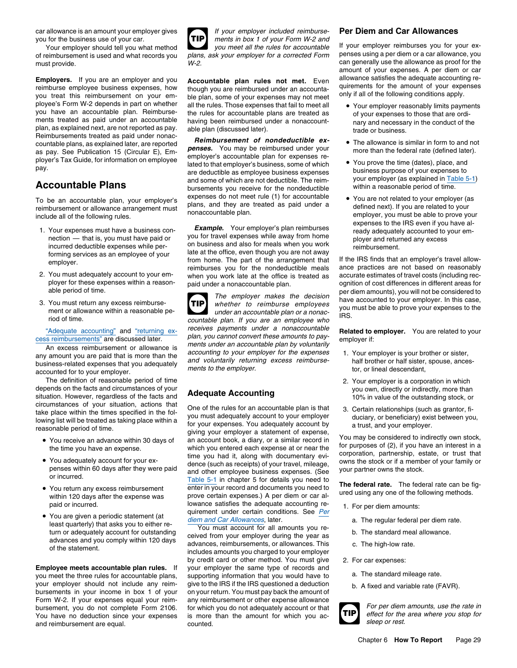car allowance is an amount your employer gives If your employer included reimburse- **Per Diem and Car Allowances** you for the business use of your car. **TIP** ments in box 1 of your Form W-2 and

of reimbursement is used and what records you plans, ask your employer for a corrected Form<br>  $W-2$ must provide. W-2. W-2. Can generally use the allowance as proof for the

reimburse employee business expenses, how though you are reimbursed under an accounta-<br>you treat this reimbursement on your em- ble plan, some of your expenses may not meet only if all of the following conditions apply. you treat this reimbursement on your em- ble plan, some of your expenses may not meet<br>ployee's Form W-2 depends in part on whether all the rules. Those expenses that fail to meet all Reimbursements treated as paid under nonaccountable plans, as explained later, are reported **Reimbursement of nondeductible ex-** • The allowance is similar in form to and not countable plans, as pay See Publication 15 (Circular F). Fm- **penses.** You may be reimbur as pay. See Publication 15 (Circular E), Em-<br>ployer's accountable plan for expenses re-<br>lated to that employer's business, some of which • You prove the time (dates), place, and

- 
- 
- 

The definition of reasonable period of time 2. Your employer is a corporation in which depends on the facts and circumstances of your<br>situation. However, regardless of the facts and<br>circumstances of your situation, actions that<br> $\bigcap_{n=0}^{\infty}$  of the rules for an accountable plan is that<br> $\bigcap_{n=0}^{\infty}$  or t

- 
- 
- 
- You are given a periodic statement (at  $\frac{diam and Car Allowances, later.}$  a. The regular federal per diem rate.<br>
least quarterly) that asks you to either re-<br>
turn or adequately account for outstanding<br>
advances, reimbursements, or allow

**Employee meets accountable plan rules.** If your employer the same type of records and a. The standard mileage rate.<br>
you meet the three rules for accountable plans, supporting information that you would have to a. The standard mileage rate.<br>
your employer should not include any reim-give to the IRS if the I Form W-2. If your expenses equal your reim- any reimbursement or other expense allowance<br>For per diem amounts, use the rate in bursement or other expense allowance<br>Nou have no deduction since your expenses is more than th You have no deduction since your expenses is more than the amount for which you acand reimbursement are equal. The counted.



ployee's Form W-2 depends in part on whether all the rules. Those expenses that fail to meet all vour employer reasonably limits payments<br>you have an accountable plan. Reimburse- the rules for accountable plans are treated

player s Tax Guide, for information on employee<br>pay.<br>**Accountable Plans** are deductible as employee business, some of which<br>**Accountable Plans** business purpose of your expenses to<br>business purpose of your expenses to<br>busi

reimburses you for the nondeductible meals ance practices are not based on reasonably<br>2. You must adequately account to your em-<br>ployer for these expenses within a reason-<br>ployer for these expenses within a reason-<br>ployer

**TIP** ment or allowance within a reasonable pe-<br>
riod of time. Countable plan. If you are an employee who<br>
countable plan. If you are an employee who An exercise in the stress reimbursements" are discussed later.<br>
An excess reimbursements" are discussed later.<br>
An excess reimbursement or allowance is<br>
any amount you are paid that is more than the<br>
business-related expen

circumstances of your situation, actions that<br>
take place within the times specified in the fol-<br>
lowing list will be treated as taking place within a<br>
reasonable period of time.<br>
The structure within 30 days of an account • You receive an advance within 30 days of an account book, a diary, or a similar record in<br>the time you have an expense.<br>• You adequately account for your ex-<br>• You adequately account for your ex-<br>• You adequately account • You adequately account for your ex-<br>
penses within 60 days after they were paid<br>
or incurred.<br>
Table 5-1 in chapter 5 for details you need to<br>
Person incurred.<br>
Table 5-1 in chapter 5 for details you need to<br>
Person of ● You return any excess reimbursement enter in your record and documents you need to and the federal rate. The federal rate can be figure of the following methods.<br>within 120 days after the expense was prove certain expen paid or incurred. lowance satisfies the adequate accounting re-<br>
• You are given a periodic statement (at quirement under certain conditions. See <u>Per</u> a. The regular federal per diem rate.

by credit card or other method. You must give 2. For car expenses: your employer should not include any reim- give to the IRS if the IRS questioned a deduction b. A fixed and variable rate (FAVR). bursements in your income in box 1 of your on your return. You must pay back the amount of

Your employer should tell you what method you meet all the rules for accountable If your employer reimburses you for your ex-<br>Primbursement is used and what records you plans, ask your employer for a corrected Form penses amount of your expenses. A per diem or car **Employers.** If you are an employer and you **Accountable plan rules not met.** Even allowance satisfies the adequate accounting re-<br>reimburse employee business expenses how though you are reimbursed under an accounta quirem

- 
- 
- 
- To be an accountable plan, your employer's<br>
reimbursement or allowance arrangement must<br>
include all of the following rules.<br>
1. Your expenses must have a business con-<br>
include all of the following rules.<br>
1. Your expense

ployer for these expenses within a reason-<br>able period of time.<br>able period of time.<br>able period of time. able period of time.<br>3. You must return any excess reimburse-<br>ment or allowance within a reasonable pe-<br>ander an accountable plan or a nonac-<br>under an accountable plan or a nonac-<br>under an accountable plan or a nonac-<br>unde

- 
- 
- 

- -
	-
	-
- -
	-



sleep or rest.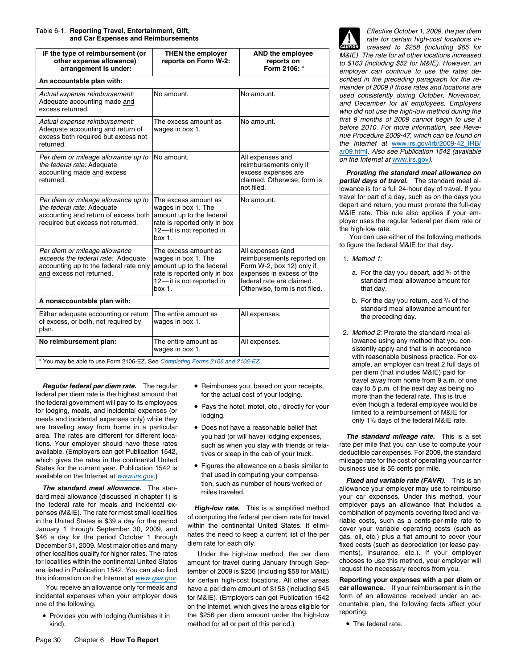# Table 6-1. **Reporting Travel, Entertainment, Gift,** Entertainment of the state of the per diem of the per diem<br>and Car Expenses and Reimbursements and the set of certain high-cost locations in-

|                                                                                                                                                |                                                                                                                                               |                                                                                                                                                                         | <b>ENTION</b> creased to \$258 (including \$65 for                                                                                                                                                                                                                                                                          |
|------------------------------------------------------------------------------------------------------------------------------------------------|-----------------------------------------------------------------------------------------------------------------------------------------------|-------------------------------------------------------------------------------------------------------------------------------------------------------------------------|-----------------------------------------------------------------------------------------------------------------------------------------------------------------------------------------------------------------------------------------------------------------------------------------------------------------------------|
| IF the type of reimbursement (or<br>other expense allowance)<br>arrangement is under:                                                          | <b>THEN the employer</b><br>reports on Form W-2:                                                                                              | AND the employee<br>reports on<br>Form 2106: *                                                                                                                          | M&IE). The rate for all other locations increased<br>to \$163 (including \$52 for M&IE). However, an<br>employer can continue to use the rates de-                                                                                                                                                                          |
| An accountable plan with:                                                                                                                      |                                                                                                                                               |                                                                                                                                                                         | scribed in the preceding paragraph for the re-<br>mainder of 2009 if those rates and locations are                                                                                                                                                                                                                          |
| Actual expense reimbursement:<br>Adequate accounting made and<br>excess returned.                                                              | No amount.                                                                                                                                    | No amount.                                                                                                                                                              | used consistently during October, November,<br>and December for all employees. Employers<br>who did not use the high-low method during the                                                                                                                                                                                  |
| Actual expense reimbursement:<br>Adequate accounting and return of<br>excess both required but excess not<br>returned.                         | The excess amount as<br>wages in box 1.                                                                                                       | No amount.                                                                                                                                                              | first 9 months of 2009 cannot begin to use it<br>before 2010. For more information, see Reve-<br>nue Procedure 2009-47, which can be found on<br>the Internet at www.irs.gov/irb/2009-42_IRB/                                                                                                                               |
| Per diem or mileage allowance up to<br>the federal rate: Adequate<br>accounting made and excess<br>returned.                                   | INo amount.                                                                                                                                   | All expenses and<br>reimbursements only if<br>excess expenses are<br>claimed. Otherwise, form is<br>not filed.                                                          | ar09.html. Also see Publication 1542 (available<br>on the Internet at www.irs.gov).<br>Prorating the standard meal allowance on<br>partial days of travel. The standard meal al-<br>lowance is for a full 24-hour day of travel. If you                                                                                     |
| Per diem or mileage allowance up to<br>the federal rate: Adequate<br>accounting and return of excess both<br>required but excess not returned. | The excess amount as<br>wages in box 1. The<br>amount up to the federal<br>rate is reported only in box<br>12-it is not reported in<br>box 1. | No amount.                                                                                                                                                              | travel for part of a day, such as on the days you<br>depart and return, you must prorate the full-day<br>M&IE rate. This rule also applies if your em-<br>ployer uses the regular federal per diem rate or<br>the high-low rate.<br>You can use either of the following methods<br>to figure the federal M&IE for that day. |
| Per diem or mileage allowance<br>exceeds the federal rate: Adequate<br>accounting up to the federal rate only<br>and excess not returned.      | The excess amount as<br>wages in box 1. The<br>amount up to the federal<br>rate is reported only in box<br>12-it is not reported in<br>box 1. | All expenses (and<br>reimbursements reported on<br>Form W-2, box 12) only if<br>expenses in excess of the<br>federal rate are claimed.<br>Otherwise, form is not filed. | 1. Method 1:<br>a. For the day you depart, add $\frac{3}{4}$ of the<br>standard meal allowance amount for<br>that day.                                                                                                                                                                                                      |
| A nonaccountable plan with:                                                                                                                    |                                                                                                                                               |                                                                                                                                                                         | b. For the day you return, add $\frac{3}{4}$ of the<br>standard meal allowance amount for                                                                                                                                                                                                                                   |
| Either adequate accounting or return<br>of excess, or both, not required by<br>plan.                                                           | The entire amount as<br>wages in box 1.                                                                                                       | All expenses.                                                                                                                                                           | the preceding day.<br>2. Method 2: Prorate the standard meal al-                                                                                                                                                                                                                                                            |
| No reimbursement plan:                                                                                                                         | The entire amount as<br>wages in box 1.                                                                                                       | All expenses.                                                                                                                                                           | lowance using any method that you con-<br>sistently apply and that is in accordance<br>with reasonable business practice. For ex-                                                                                                                                                                                           |
| * You may be able to use Form 2106-EZ. See Completing Forms 2106 and 2106-EZ.                                                                  |                                                                                                                                               |                                                                                                                                                                         | amnle, an emnlover can treat 2 full days of                                                                                                                                                                                                                                                                                 |

the federal government will pay to its employees • Pays the hotel, motel, etc., directly for your even though a federal employee would be • revent fough a federal employee would be • revent fough a federal employee would b Fays the hotel, motel, etc., directly for your limited to a reimbursement of M&IE for meals and incidental expenses only) while they lodging.<br>are traveling away from home in a particular Does not have a reasonable belief t are traveling away from home in a particular area. The rates are different for different loca-<br>
you had (or will have) lodging expenses, **The standard mileage rate.** This is a set<br>
rions. Your employer should have these rates available. (Employers can get Publication 1542, tives or sleep in the cab of your truck. deductible car expenses. For 2009, the standard<br>which gives the rates in the continental United which gives the rates in the continental United  $\overrightarrow{B}$  Figures the allowance on a basis similar to States for the current year. Publication 1542 is  $\bullet$  Figures the allowance on a basis similar to business use is 55 cents per mile.<br>available on the Internet at www irs gov

the federal rate for meals and incidental ex-<br>penses (M&IE). The rate for most small localities<br>in the United States is \$39 a day for the period<br>January 1 through September 30, 2009, and within the continental United State December 31, 2009. Most major cities and many diem rate for each city.<br>
other localities qualify for higher rates. The rates Under the high-low method, the per diem ments), insurance, etc.). If your employer other localities qualify for higher rates. The rates Under the high-low method, the per diem ments), insurance, etc.). If your employer will<br>for localities within the continental United States amount for travel during Janu for localities within the continental United States amount for travel during January through Sep-<br>are listed in Publication 1542. You can also find tember of 2009 is \$256 (including \$58 for M&IF) request the necessary reco are listed in Publication 1542. You can also find tember of 2009 is \$256 (including \$58 for M&IE)<br>this information on the Internet at *www.gsa.gov.* for certain bigh-cost locations. All other areas

• Provides you with lodging (furnishes it in

- 
- 
- 
- 

information on the Internet at *www.gsa.gov*. for certain high-cost locations. All other areas **Reporting your expenses with a per diem or**<br>You receive an allowance only for meals and baye a per diem amount of \$158 (includ You receive an allowance only for meals and have a per diem amount of \$158 (including \$45 **car allowance**. If your reimbursement is in the incidental expenses when your employer does for M&IF) (Fmployers can get Publicatio incidental expenses when your employer does for M&IE). (Employers can get Publication 1542 form of an allowance received under an acone of the following.<br>on the Internet, which gives the areas eligible for countable plan, kind). The federal rate is method for all or part of this period.) The federal rate.

rate for certain high-cost locations increased to \$258 (including \$65 for **!** M&IE). The rate for all other locations increased<br>to \$163 (including \$52 for M&IE). However, an<br>emplover can continue to use the rates described in the preceding paragraph for the remainder of 2009 if those rates and locations are used consistently during October, November, and December for all employees. Employers<br>who did not use the high-low method during the first 9 months of 2009 cannot begin to use it before 2010. For more information, see Revenue Procedure 2009-47, which can be found on the Internet at www.irs.gov/irb/2009-42\_IRB/

- - a. For the day you depart, add  $\frac{3}{4}$  of the standard meal allowance amount for that day.
	- b. For the day you return, add  $\frac{3}{4}$  of the standard meal allowance amount for
- 2. Method 2: Prorate the standard meal allowance using any method that you consistently apply and that is in accordance<br>with reasonable business practice. For example, an employer can treat 2 full days of per diem (that includes M&IE) paid for fravel away from home from 9 a.m. of one<br> **Regular federal per diem rate.** The regular **exe** Reimburses you, based on your receipts,<br>
federal per diem rate is the highest amount that for the actual cost of your lodging. Mo only 11/2 days of the federal M&IE rate.

such as when you stay with friends or rela-<br>tives or sleep in the cab of your truck deductible car expenses. For 2009, the standard

available on the Internet at *www.irs.gov.*) that used in computing your compensa-<br>**The standard meal allowance.** The stan-<br>dard meal allowance (discussed in chapter 1) is miles traveled. allowance your car expenses. Under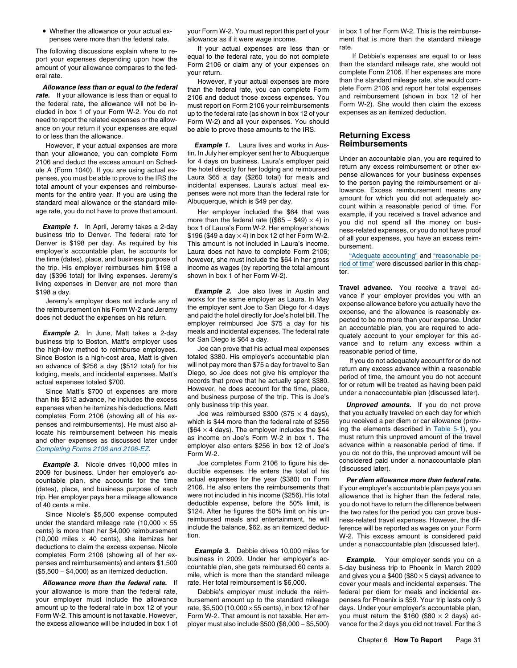• Whether the allowance or your actual ex-

**rate.** If your allowance is less than or equal to 2106 and deduct those excess expenses. You and reimbursement (shown in box 12 of her the federal rate, the allowance will not be in-<br>the federal rate, the allowance will n the federal rate, the allowance will not be in-<br>cluded in box 1 of your Form W-2. You do not up to the federal rate (as shown in box 12 of your expenses as an itemized deduction. cluded in box 1 of your Form W-2. You do not up to the federal rate (as shown in box 12 of your need to report the related expenses or the allow-<br>Form W-2) and all your expenses You should need to report the related expenses or the allow-<br>ance on your return if your expenses are equal be able to prove these amounts to the IRS. to or less than the allowance. **Returning Excess**

countable plan, she accounts for the time actual expenses for the year (\$380) on Form *Per diem allowance more than federal rate.* (dates), place, and business purpose of each 2106. He also enters the reimbursements that If your employer's accountable plan pays you an (dates), place, and business purpose of each I 2106. He also enters here in the mode trip. Her employer pays her a mileage allowance were not included in his income (\$256). His total allowance that is higher than the federal rate,<br>of 40 cents a mile quiference between of 40 cents a mile. deductible expense, before the 50% limit, is you do not have to return the difference between

under the standard mileage rate  $(10,000 \times 55$ <br>cents) is more than her \$4,000 reimbursement<br>(10,000 miles  $\times$  40 cents) she itemizes her tion.<br>(10,000 miles  $\times$  40 cents) she itemizes her tion. (10,000 miles  $\times$  40 cents), she itemizes here tion.<br>
deductions to claim the excess expense. Nicole completes Form 2106 (showing all of her ex-<br>
completes Form 2106 (showing all of her ex-<br>
penses and reimbursements) an

your allowance is more than the federal rate, bebbie's employer must include the reim-<br>1991 vour employer must include the allowance bursement amount up to the standard mileage penses for Phoenix is your employer must include the allowance bursement amount up to the standard mileage penses for Phoenix is \$59. Your trip lasts only 3<br>amount up to the federal rate in box 12 of your rate. \$5.500 (10.000 × 55 cents). in bo amount up to the federal rate in box 12 of your rate, \$5,500 (10,000 × 55 cents), in box 12 of her days. Under your employer's accountable plan,  $\frac{1}{2}$  and  $\frac{1}{2}$  and  $\frac{1}{2}$  and  $\frac{1}{2}$  and  $\frac{1}{2}$  and  $\frac{1}{$ the excess allowance will be included in box 1 of ployer must also include \$500 (\$6,000 − \$5,500) vance for the 2 days you did not travel. For the 3

your Form W-2. You must report this part of your in box 1 of her Form W-2. This is the reimbursepenses were more than the federal rate. allowance as if it were wage income. ment that is more than the standard mileage

The following discussions explain where to re-<br>port your expenses depending upon how the equal to the federal rate, you do not complete last than or the port<br>amount of your allowance compares to the fed-<br>eral rate.<br>eral ra

be able to prove these amounts to the IRS.

However, if your actual expenses are more *Example 1.* Laura lives and works in Aus- **Reimbursements**

locate his reimbursement between his meals  $(464 \times 4 \text{ days})$ . The employer includes the \$44 figure elements described in <u>Table 5-1)</u>, you<br>and other expenses as discussed later under<br>and other expenses as discussed later un

**Example 3.** Nicole drives 10,000 miles in Joe completes Form 2106 to figure his de-<br>2009 for business. Under her employer's ac- ductible expenses. He enters the total of his (discussed later).<br>2009 for business. Under her Since Nicole's \$5,500 expense computed \$124. After he figures the 50% limit on his un-<br>Her the standard mileage rate (10,000  $\times$  55 reimbursed meals and entertainment, he will ness-related travel expenses. However, the d

Form W-2. That amount is not taxable. Her em- you must return the \$160 (\$80  $\times$  2 days) ad-

However, if your actual expenses are more than the standard mileage rate, she would com-<br>In the federal rate, you can complete Form plete Form 2106 and report her total expenses **Allowance less than or equal to the federal** than the federal rate, you can complete Form plete Form 2106 and report her total expenses **rate.** If your allowance is less than or equal to 2106 and deduct those excess expen

than your allowance, you can complete Form thin. In July theremptoyer sent her to Albuquerque<br>
2106 and deduct the excess amount on Sched- for 4 days on business. Laura's employer paid<br>
2106 and deduct the excess amount o

Sing expenses in Denver are not more than<br>
Sing aday.<br>
Sing aday.<br>
Sing aday.<br>
Sing aday.<br>
Sing aday.<br>
Sing aday.<br>
Sing aday.<br>
Sing aday of which can be for the same employer and ball of which<br>
the employer sent Job to Sa

Allowance more than the federal rate. If rate. Her total reimbursement is \$6,000. cover your meals and incidental expenses. The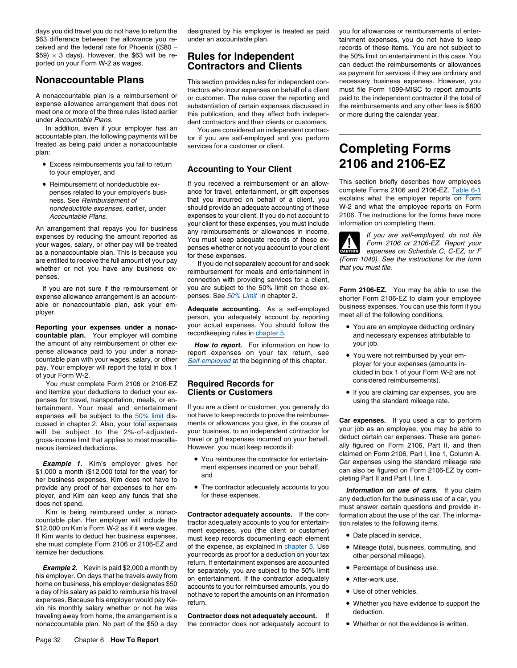In addition, even if your employer has an You are considered an independent contrac-<br>accountable plan, the following payments will be tor if you are self-employed and you perform treated as being paid under a nonaccountable plan:

- Excess reimbursements you fail to return to your employer, and
- 

as a nonaccountable plan. This is because you<br>are entitled to receive the full amount of your pay<br>whether or not you have any business ex-<br>nembursement for meals and entertainment in<br>nesses.<br>here instructions for the form<br>

If you are not sure if the reimbursement or you are subject to the 50% limit on those ex-<br>expense allowance arrangement is an account-<br>penses. See 50% Limit in chapter 2.<br>shorter Form 2106-EZ to claim your employee

**Reporting your expenses under a nonac-** your actual expenses. You should follow the  $\bullet$  You are an employee deducting ordinary **countable plan.** Your employer will combine recordkeeping rules in chapter 5.<br>the amount of the amount of any reimbursement or other ex-<br>pense allowance paid to you under a nonac-<br>report expenses on your tax return, see pense allowance paid to you under a nonac-<br>countable plan with your wages, salary, or other *Self-employed* at the beginning of this chapter.

and itemize your deductions to deduct your ex-<br> **Clients or Customers** • If you are claiming car expenses, you are penses for travel, transportation, meals, or en-<br>tertainment. Your meal and entertainment If you are a client or customer, you generally do<br>exampled standard mileage rate. tertainment. Your meal and entertainment expenses will be subject to the 50% limit dis-<br>cussed in chapter 2. Also, your total expenses ments or allowances you give, in the course of gross-income limit that applies to most miscella-<br>However, you must keep records if: ally figured on Form 2106, Part II, and then neous itemized deductions.

expenses. Because his employer would pay Ke-<br>vin his monthly salary whether or not he was<br>traveling away from home, the arrangement is a **Contractor does not adequately account.** If<br>deduction. nonaccountable plan. No part of the \$50 a day the contractor does not adequately account to • Whether or not the evidence is written.

days you did travel you do not have to return the designated by his employer is treated as paid you for allowances or reimbursements of enter-

A nonaccountable plan is a reimbursement or<br>expense allowance arrangement that does not<br>meet one or more of the three rules listed earlier<br>meet one or more of the three rules listed earlier<br>under *Accountable Plans*.<br>dent

tor if you are self-employed and you perform

If you received a reimbursement or an allownondeductible expenses, earlier, under should provide an adequate accounting of these W-2 and what the employee reports on Form<br>Accountable Plans. expenses to your client. If you do not account to 2106. The instructions fo Accountable Plans. expenses to your client. If you do not account to 2106. The instructions for the forms have more An arrangement that repays you for business your client for these expenses, you must include information on completing them.<br>expenses by reducing the amount reported as You must keep adequate records of these expenses of t

connection with providing services for a client,

cussed in chapter 2. Also, your total expenses ments or allowances you give, in the course of **Car expenses.** If you used a car to perform<br>will be subject to the 2%-of-adjusted-<br>gross-income limit that applies to most misc

- You reimburse the contractor for entertain-
- 

countable plan. Her employer will include the tractor adequately accounts to you for entertain-<br>\$12,000 on Kim's Form W-2 as if it were wages. The ment expenses, you (the client or customer)<br>If Kim wants to deduct her busi Example 2. Kevin is paid \$2,000 a month by<br>
this employer. On days that he travels away from<br>
this employer cesignates \$50<br>
a day of his salary as paid to reimburse his travel<br>
expenses. Because his employer would pay Ke-<br>

\$63 difference between the allowance you re- under an accountable plan.<br>
ceived and the federal rate for Phoenix ((\$80 – ceived and between the ceived sof these items. You are not subject to cecords of these items. You are not subject to<br>
Rules for Independent the 50% limit on entertainment in this case. You \$59) × 3 days). However, the \$63 will be re-<br> **Rules for Independent** the 50% limit on entertainment in this case. You<br> **Contractors and Clients** can deduct the reimbursements or allowances **Contractors and Clients** can deduct the reimbursements or allowances as payment for services if they are ordinary and **Nonaccountable Plans** This section provides rules for independent con- necessary business expenses. However, you tractors who incur expenses on behalf of a client must file Form 1099-MISC to report amounts

# services for a customer or client. **Completing Forms** Excess reimbursements you fail to return **Accounting to Your Client 2106 and 2106-EZ**

• Reimbursement of nondeductible ex-<br>
If you received a reimbursement or an allow-<br>
This section briefly describes how employees ance for travel, entertainment, or gift expenses complete Forms 2106 and 2106-EZ. Table 6-1 penses related to your employer's busi-<br>penses See Reimbursement of that you incurred on behalf of a client you explains what the ness. See Reimbursement of that you incurred on behalf of a client, you explains what the employer reports on Form<br>nondeductible expenses earlier under should provide an adequate accounting of these W-2 and what the employ

*<u><b>* <u>*<u></u></u>*</u></u>

expense allowance arrangement is an account-<br>able or nonaccountable plan, ask your em-<br>ployer. ployer accounting. As a self-employed business expenses. You can use this form if you<br>person, you adequately account by reporti

- 
- Experience on the specific experience on your lax fearn, see Solution of the You were not reimbursed by your em-<br>pay. Your employer will report the total in box 1<br>of your Form W-2.<br>You must complete Form 2106 or 2106-EZ **R** 
	-

claimed on Form 2106, Part I, line 1, Column A. **Example 1.** Kim's employer gives her<br>\$1,000 a month (\$12,000 total for the year) for<br>her business expenses. Kim does not have to and<br>her business expenses. Kim does not have to and<br>her business expenses. Kim does not have

provide any proof of her expenses to her em-<br>ployer, and Kim can keep any funds that she for these expenses.<br>does not spend.<br>Kim is being reimbursed under a nonacception on the business use of a car, you<br>kim is being reimb

- 
- 
- 
- 
- 
- 
-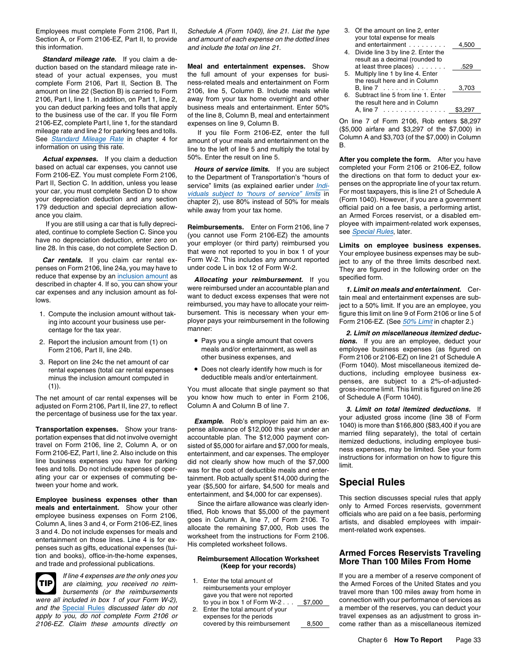Section A, or Form 2106-EZ, Part II, to provide and amount of each expense on the dotted lines this information.

**Standard mileage rate.** If you claim a deduction based on the standard mileage rate in- **Meal and entertainment expenses.** Show mileage rate and line 2 for parking fees and tolls.<br>See *Standard Mileage Rate* in chapter 4 for amount of your meals and entertainment on the Column A and \$3,703 (of the \$7,000) in Column<br>Information on using this rate. I

**Actual expenses.** If you claim a deduction 50%. Enter the result on line 5. **After you complete the form.** After you have based on actual car expenses, you cannot use **Hours of service limits** if you are subject completed based on actual car expenses, you cannot use *Hours of service limits.* If you are subject completed your Form 2106 or 2106-EZ, follow<br>Form 2106-EZ. You must complete Form 2106, to the Department of Transportation's "hou Form 2106-EZ. You must complete Form 2106, to the Department of Transportation's "hours of the directions on that form to deduct your ex-<br>Part II, Section C. In addition, unless you lease service" limits (as explained earl your car, you must complete Section D to show viduals subject to "hours of service" limits in For most taxpayers, this is line 21 of Schedule A your depreciation deduction and any section  $\frac{viduals}{chantar 2)}$  use 80% instead of

- centage for the tax year. manner: *2. Limit on miscellaneous itemized deduc-*
- 
- 

ating your car or expenses of commuting be-<br>tainment. Rob actually spent \$14,000 during the<br>wear (\$5.500 for airfare, \$4,500 for meals and

Employee business expenses other than<br>
meals and entertainment. Show your other<br>
employee business expenses on Form 2106,<br>
Column A, lines 3 and 4, or Form 2106-EZ, lines<br>
3 and 4. Do not include expenses for meals and<br>
en penses such as gifts, educational expenses (tui-<br>tion and books), office-in-the-home expenses, **Reimbursement Allocation Worksheet** More Than 100 Miles From Home and trade and professional publications.



2106-EZ. Claim these amounts directly on

Employees must complete Form 2106, Part II, Schedule A (Form 1040), line 21. List the type and include the total on line 21.

stead of your actual expenses, you must the full amount of your expenses for busi- 5. Multiply line 1 by line 4. Enter<br>complete Form 2106, Part II, Section B. The ness-related meals and entertainment on Form the result her the result here complete Form 2106, Part II, Section B. The ness-related meals and entertainment on Form the result here and the result here and the result here and the result of  $B$ , line 7... amount on line 22 (Section B) is carried to Form 2106, line 5, Column B. Include meals while<br>2106, Part I, line 1. In addition, on Part 1, line 2, away from your tax home overnight and other<br>you can deduct parking fees an

If you are still using a car that is fully depreci-<br>ated, continue to complete Section C. Since you<br>have no depreciation deduction, enter zero on<br>line 28. In this case, do not complete Section D.<br>line 28. In this case, do

reduce that expense by an inclusion amount as<br>described in chapter 4. If so, you can show your<br>car expenses and any inclusion amount as fol-<br>lows.<br>lows.<br>lows. 1. Compute the inclusion amount without tak-<br>ing into account your business use per-<br>ing into account your business use per-<br>ployer pays your reimbursement in the following Form 2106-EZ. (See 50% Limit in chapter 2.) ing into account your business use per- ployer pays your reimbursement in the following Form 2106-EZ. (See 50% Limit in chapter 2.)<br>Centage for the tax year

- 
- 

The net amount of car rental expenses will be you know how much to enter in Form 2106, of Schedule A (Form 1040).<br>adjusted on Form 2106, Part II, line 27, to reflect Column A and Column B of line 7.

tamment. The actually spent \$14,500 daring the **Special Rules** 

# **Reimbursement Allocation Worksheet More Than 100 Miles From Home (Keep for your records)**

| 1. Enter the total amount of      |         |
|-----------------------------------|---------|
| reimbursements your employer      |         |
| gave you that were not reported   |         |
| to you in box 1 of Form $W-2$     | \$7,000 |
| 2. Enter the total amount of your |         |
| expenses for the periods          |         |
| covered by this reimbursement     | 8.500   |

|    | 3. Of the amount on line 2, enter<br>your total expense for meals |       |
|----|-------------------------------------------------------------------|-------|
|    | and entertainment $\ldots$ , $\ldots$                             | 4.500 |
| 4. | Divide line 3 by line 2. Enter the                                |       |
|    | result as a decimal (rounded to                                   |       |
|    | at least three places) $\ldots$                                   | .529  |
| 5. | Multiply line 1 by line 4. Enter                                  |       |
|    | the result here and in Column                                     |       |

your depreciation deduction and any section chapter 2), use 80% instead of 50% for meals (Form 1040). However, if you are a government 179 deduction and special depreciation allow-<br>179 deduction and special depreciation al

**Car rentals.** If you claim car rental ex- Form W-2. This includes any amount reported ject to any of the three limits described next.<br>They are figured in the following order on the penses on Form 2106, line 24a, you may h penses on Form 2106, line 24a, you may have to under code L in box 12 of Form W-2. They are figured in the following order on the reduce that expense by an inclusion amount as all a setting your reduction of the specified

2. Report the inclusion amount from (1) on • Pays you a single amount that covers *tions.* If you are an employee, deduct your Form 2106, Part II, line 24b. meals and/or entertainment, as well as employee business expenses (as figured on<br>http://www.business.and Form 2106 or 2106-EZ) on line 21 of Schedule A 3. Report on line 24c the net amount of car<br>
ental expenses (total car rental expenses<br>
minus the inclusion amount computed in<br>
(1).<br>
Tous not clearly identify how much is for<br>
ender the male and/or entertainment.<br>
You mus

adjusted on Form 2106, Part II, line 27, to reflect Column A and Column B of line 7.<br>
the percentage of business use for the tax year.<br> **Example.** Rob's employer paid him an ex-<br> **Example.** Rob's employer paid him an ex-<br>

If line 4 expenses are the only ones you<br>are claiming, you received no reim-<br>bursements (or the reimbursements our engloyer<br>bursements (or the reimbursements only only that was not reported<br>travel more than 100 miles away were all included in box 1 of your Form W-2),<br>and the Special Rules discussed later do not<br>apply to you, do not complete Form 2106 or expenses for the periods and the special Rules discussed later do not<br>apply to you, do n travel expenses as an adjustment to gross in-<br>come rather than as a miscellaneous itemized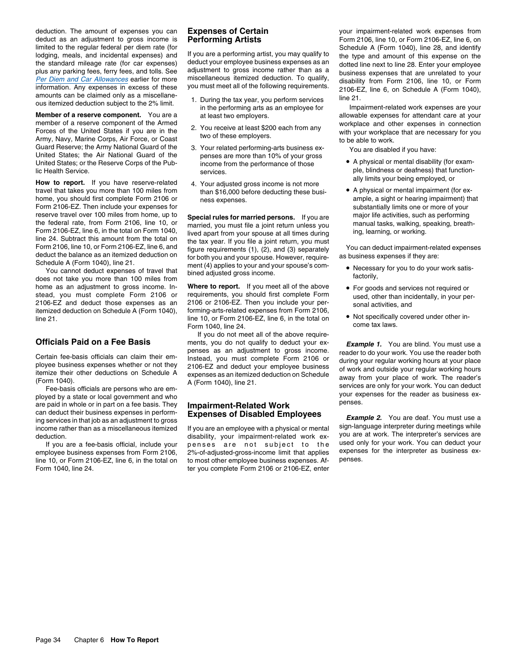deduct as an adjustment to gross income is **Performing Artists** Form 2106, line 10, or Form 2106-EZ, line 6, on<br>Imited to the regular federal per diem rate (for<br>
Finited to the regular federal per diem rate (for limited to the regular federal per diem rate (for<br>lodging, meals, and incidental expenses) and If you are a performing artist, you may qualify to the type and amount of this expense on the lodging, meals, and incidental expenses) and If you are a performing artist, you may qualify to the type and amount of this expense on the the standard mileage rate (for car expenses) deduct your employee business expenses the standard mileage rate (for car expenses) deduct your employee business expenses as an dotted line next to line 28. Enter your employee<br>plus any parking fees, ferry fees, and tolls. See adjustment to gross income rather plus any parking fees, ferry fees, and tolls. See adjustment to gross income rather than as a<br> *Per Diem and Car Allowances* earlier for more miscellaneous itemized deduction. To qualify,<br>
information. Any expenses in exce

member of a reserve component of the Armed<br>
Forces of the United States if you are in the 2. You receive at least \$200 each from any<br>
Army, Navy, Marine Corps, Air Force, or Coast<br>
Guard Reserve; the Army National Guard of Guard Reserve; the Army National Guard of the 3. Your related performing-arts business ex- You are disabled if you have:<br>
United States; the Air National Guard of the penses are more than 10% of your gross<br>
United States; United States; or the Reserve Corps of the Pub-<br>  $\frac{1}{2}$  income from the performance of those<br>
services

Ally limits your being employed, or **How to report.** If you have reserve-related 4. Your adjusted gross income is not more<br>travel that takes you more than 100 miles from than \$16,000 before deducting these busi- A physical travel that takes you more than 100 miles from than \$16,000 before deducting these busi-<br>home, you should first complete Form 2106 or ness expenses.<br>ample, a sight or hearing impairment) that home, you should first complete Form 2106 or ness expenses.<br>
Form 2106-EZ. Then include your expenses for the substantially limits one or more of your Form 2106-EZ. Then include your expenses for reserve travel over 100 miles from home, up to<br>the federal rate, from Form 2106, line 10, or<br>Form 2106-EZ, line 6, in the total on Form 1040, lived anart from your spouse at all times during<br>Form 2106-EZ, line 6, in the to

You cannot deduct expenses of travel that bined adjusted gross income.<br>does not take you more than 100 miles from home as an adjustment to gross income. In-<br>stead, you must complete Form 2106 or requirements, you should first complete Form used other than incidentally in your pe stead, you must complete Form 2106 or requirements, you should first complete Form used, other than incidentally, in your per-<br>2106-EZ and deduct those expenses as an 2106 or 2106-EZ. Then you include your per-<br>2106-EZ and 2106-EZ and deduct those expenses as an 2106 or 2106-EZ. Then you include your per-<br>itemized deduction on Schedule A (Form 1040), forming-arts-related expenses from Form 2106,

are paid in whole or in part on a fee basis. They<br>
can deduct their business expenses in perform-<br>
ing services in that job as an adjustment to gross<br>
income rather than as a miscellaneous itemized<br>
deduction.<br>
If you are

- 
- 
- 
- 

Form 2106-EZ, line 6, in the total on Form 1040, inved apart from your spouse at all times during ing, learning, or working.<br>Iine 24. Subtract this amount from the total on the tax year. If you file a joint return, you mus deduct the balance as an itemized deduction on as for both you and your spouse. However, require-<br>Schedule A (Form 1040), line 21. ment (4) applies to your and your spouse's com-<br>You cannot deduct expenses of travel that<br>h

forming-arts-related expenses from Form 2106, line 21. <br>
Not specifically come that line 10. or Form 2106-EZ, line 6, in the total on the Not specifically<br>
Eorm 1040 line 24 Form 1040, line 24.

If you do not meet all of the above require-**Officials Paid on a Fee Basis** ments, you do not qualify to deduct your ex-<br>penses as an adjustment to gross income. reader to do your work. You use the reader both

If you are a fee-basis official, include your penses are not subject to the used only for your work. You can deduct your<br>employee business expenses from Form 2106, 2%-of-adjusted-gross-income limit that applies expenses fo line 10, or Form 2106-EZ, line 6, in the total on to most other employee business expenses. Af-Form 1040, line 24. ter you complete Form 2106 or 2106-EZ, enter

deduction. The amount of expenses you can **Expenses of Certain** your impairment-related work expenses from

**Member of a reserve component.** You are a at least two employers. allowable expenses for attendant care at your member of a reserve component of the Armed expenses in connection

- lice Health Services. **ple**, blindness or deafness) that function-
	-

- 
- 
- Not specifically covered under other in-

Certain fee-basis officials can claim their em-<br>ployee business expenses whether or not they<br>itemize their other deductions on Schedule A<br>(Form 1040), line 21.<br>ployed by a state or local government and who<br>ployed by a stat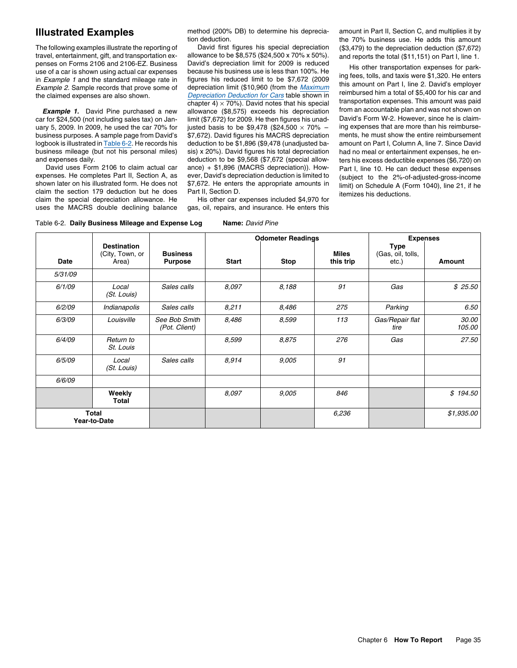uary 5, 2009. In 2009, he used the car 70% for justed basis to be \$9,478 (\$24,500  $\times$  70% –

expenses. He completes Part II, Section A, as ever, David's depreciation deduction is limited to (subject to the 2%-of-adjusted-gross-income shown later on his illustrated form. He does not \$7,672. He enters the appropriat claim the special depreciation allowance. He uses the MACRS double declining balance gas, oil, repairs, and insurance. He enters this

travel, entertainment, gift, and transportation ex- allowance to be \$8,575 (\$24,500 x 70% x 50%). and reports the total (\$11,151) on Part I, line 1.<br>penses on Forms 2106 and 2106-EZ. Business David's depreciation limit for penses on Forms 2106 and 2106-EZ. Business David's depreciation limit for 2009 is reduced<br>use of a car is shown using actual car expenses because his business use is less than 100%. He<br>in *Example 1* and the standard milea Example 2. Sample records that prove some of depreciation limit (\$10,960 (from the *Maximum* this amount on Part I, line 2. David's employer<br>the claimed expenses are also shown.<br>chapter 4)  $\times$  70%). David notes that his chapter 4)  $\times$  70%). David notes that his special transportation expenses. This amount was paid<br>allowance (\$8,575), exceeds, his depreciation from an accountable plan and was not shown on **Example 1.** David Pine purchased a new allowance (\$8,575) exceeds his depreciation from an accountable plan and was not shown on <br>In for \$24,500 (not including sales tax) on Jan-limit (\$7,672) for 2009. He then figures hi car for \$24,500 (not including sales tax) on Jan- limit (\$7,672) for 2009. He then figures his unad- David's Form W-2. However, since he is claim-<br>uary 5, 2009. In 2009, he used the car 70% for iusted basis to be \$9.478 ( business purposes. A sample page from David's \$7,672). David figures his MACRS depreciation ments, he must show the entire reimbursement logbook is illustrated in Table 6-2. He records his deduction to be \$1,896 (\$9,478 (u deduction to be \$1,896 (\$9,478 (unadjusted ba- amount on Part I, Column A, line 7. Since David business mileage (but not his personal miles) sis) x 20%). David figures his total depreciation had no meal or entertainment expenses, he enand expenses daily. deduction to be \$9,568 (\$7,672 (special allow-<br>David uses Form 2106 to claim actual car ance) + \$1,896 (MACRS depreciation)). How- Part Lline 10, He can deduct these expenses David uses Form 2106 to claim actual car ance) + \$1,896 (MACRS depreciation)). How-<br>expenses. He completes Part II, Section A, as ever, David's depreciation deduction is limited to (subject to the 2%-of-adjusted-gross-inco

**Illustrated Examples** method (200% DB) to determine his deprecia-<br>tion deduction. the 70% business use. He adds this amount The following examples illustrate the reporting of David first figures his special depreciation (\$3,479) to the depreciation deduction (\$7,672) travel, entertainment, gift, and transportation ex-<br>travel, entertainment, gif



|                              |                                                |                                   | <b>Odometer Readings</b> |             |                           | <b>Expenses</b>                           |                 |
|------------------------------|------------------------------------------------|-----------------------------------|--------------------------|-------------|---------------------------|-------------------------------------------|-----------------|
| <b>Date</b>                  | <b>Destination</b><br>(City, Town, or<br>Area) | <b>Business</b><br><b>Purpose</b> | <b>Start</b>             | <b>Stop</b> | <b>Miles</b><br>this trip | <b>Type</b><br>(Gas, oil, tolls,<br>etc.) | Amount          |
| 5/31/09                      |                                                |                                   |                          |             |                           |                                           |                 |
| 6/1/09                       | Local<br>(St. Louis)                           | Sales calls                       | 8.097                    | 8.188       | 91<br>Gas                 |                                           | \$25.50         |
| 6/2/09                       | Indianapolis                                   | Sales calls                       | 8,211                    | 8,486       | 275                       | Parking                                   | 6.50            |
| 6/3/09                       | Louisville                                     | See Bob Smith<br>(Pot. Client)    | 8,486                    | 8,599       | 113                       | Gas/Repair flat<br>tire                   | 30.00<br>105.00 |
| 6/4/09                       | Return to<br>St. Louis                         |                                   | 8,599                    | 8,875       | 276                       | Gas                                       | 27.50           |
| 6/5/09                       | Local<br>(St. Louis)                           | Sales calls                       | 8,914                    | 9.005       | 91                        |                                           |                 |
| 6/6/09                       |                                                |                                   |                          |             |                           |                                           |                 |
|                              | Weekly<br><b>Total</b>                         |                                   | 8.097                    | 9.005       | 846                       |                                           | \$194.50        |
| <b>Total</b><br>Year-to-Date |                                                |                                   |                          |             | 6,236                     |                                           | \$1,935.00      |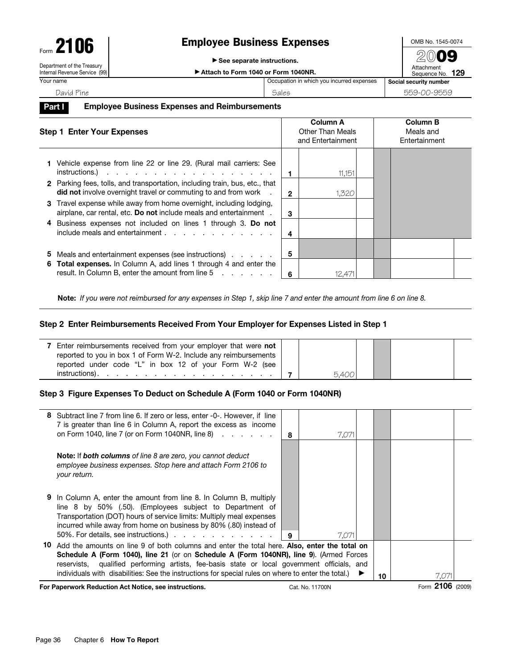# Form Department of the Treasury Internal Revenue Service (99)

# Employee Business Expenses

**See separate instructions.** 

**2009** Attachment

**Attach to Form 1040 or Form 1040NR.**

Your name **The Contract of the Contract of Contract of Contract of Contract of Contract of Contract of Contract of Contract of Contract of Contract of Contract of Contract of Contract of Contract of Contract of Contract of** 

David Pine 559-00-9559

OMB No. 1545-0074

Sequence No. **129**

**Part I** Employee Business Expenses and Reimbursements

|   | <b>Step 1 Enter Your Expenses</b>                                                                                                                           | Column A<br>Other Than Meals<br>and Entertainment |        |  | <b>Column B</b><br>Meals and<br>Entertainment |  |  |
|---|-------------------------------------------------------------------------------------------------------------------------------------------------------------|---------------------------------------------------|--------|--|-----------------------------------------------|--|--|
|   | Vehicle expense from line 22 or line 29. (Rural mail carriers: See<br>$instructions.)$                                                                      |                                                   | 11.151 |  |                                               |  |  |
|   | 2 Parking fees, tolls, and transportation, including train, bus, etc., that<br><b>did not</b> involve overnight travel or commuting to and from work        | 2                                                 | 1.320  |  |                                               |  |  |
|   | Travel expense while away from home overnight, including lodging,<br>airplane, car rental, etc. Do not include meals and entertainment.                     | 3                                                 |        |  |                                               |  |  |
|   | Business expenses not included on lines 1 through 3. Do not<br>include meals and entertainment                                                              | 4                                                 |        |  |                                               |  |  |
|   | Meals and entertainment expenses (see instructions)                                                                                                         | 5                                                 |        |  |                                               |  |  |
| 6 | <b>Total expenses.</b> In Column A, add lines 1 through 4 and enter the<br>result. In Column B, enter the amount from line 5<br>and a state of the state of | ิค                                                | 12.471 |  |                                               |  |  |

 **Note:** *If you were not reimbursed for any expenses in Step 1, skip line 7 and enter the amount from line 6 on line 8.* 

# **Step 2 Enter Reimbursements Received From Your Employer for Expenses Listed in Step 1**

| Enter reimbursements received from your employer that were not<br>reported to you in box 1 of Form W-2. Include any reimbursements                                                                                                              |      |  |  |
|-------------------------------------------------------------------------------------------------------------------------------------------------------------------------------------------------------------------------------------------------|------|--|--|
| reported under code "L" in box 12 of your Form W-2 (see                                                                                                                                                                                         |      |  |  |
| instructions).<br>a construction of the construction of the construction of the construction of the construction of the construction of the construction of the construction of the construction of the construction of the construction of the | 5400 |  |  |

# **Step 3 Figure Expenses To Deduct on Schedule A (Form 1040 or Form 1040NR)**

|     | 8 Subtract line 7 from line 6. If zero or less, enter -0-. However, if line<br>7 is greater than line 6 in Column A, report the excess as income<br>on Form 1040, line 7 (or on Form 1040NR, line 8) $\ldots$                                                                                                                                                                                  | 8  | 7,071           |   |    |                  |  |
|-----|------------------------------------------------------------------------------------------------------------------------------------------------------------------------------------------------------------------------------------------------------------------------------------------------------------------------------------------------------------------------------------------------|----|-----------------|---|----|------------------|--|
|     | <b>Note:</b> If <b>both columns</b> of line 8 are zero, you cannot deduct<br>employee business expenses. Stop here and attach Form 2106 to<br>your return.                                                                                                                                                                                                                                     |    |                 |   |    |                  |  |
|     | <b>9</b> In Column A, enter the amount from line 8. In Column B, multiply<br>line 8 by 50% (.50). (Employees subject to Department of<br>Transportation (DOT) hours of service limits: Multiply meal expenses<br>incurred while away from home on business by 80% (.80) instead of<br>50%. For details, see instructions.)                                                                     | -9 | 7.071           |   |    |                  |  |
| 10. | Add the amounts on line 9 of both columns and enter the total here. Also, enter the total on<br>Schedule A (Form 1040), line 21 (or on Schedule A (Form 1040NR), line 9). (Armed Forces<br>reservists, qualified performing artists, fee-basis state or local government officials, and<br>individuals with disabilities: See the instructions for special rules on where to enter the total.) |    |                 | ▶ | 10 | 7,071            |  |
|     | For Paperwork Reduction Act Notice, see instructions.                                                                                                                                                                                                                                                                                                                                          |    | Cat. No. 11700N |   |    | Form 2106 (2009) |  |

Page 36 Chapter 6 **How To Report**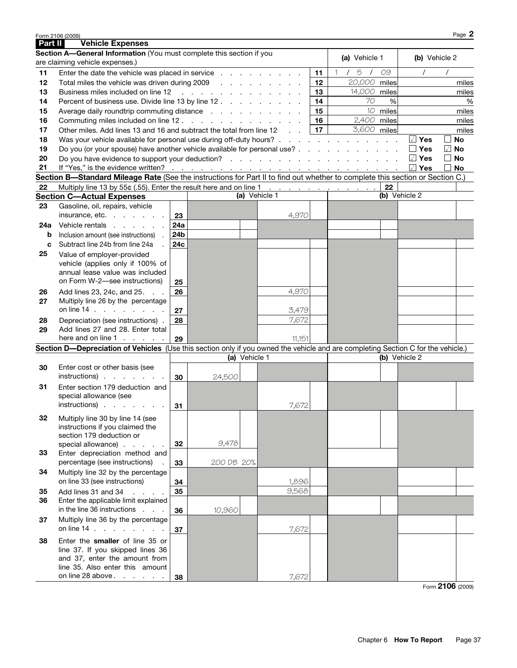| <b>Part II</b> | Form 2106 (2009)<br><b>Vehicle Expenses</b>                                                                                       |                 |                                                 |                      |    |                   |          |                |   | Page 2           |
|----------------|-----------------------------------------------------------------------------------------------------------------------------------|-----------------|-------------------------------------------------|----------------------|----|-------------------|----------|----------------|---|------------------|
|                | Section A-General Information (You must complete this section if you                                                              |                 |                                                 |                      |    |                   |          |                |   |                  |
|                | are claiming vehicle expenses.)                                                                                                   |                 |                                                 |                      |    | (a) Vehicle 1     |          | (b) Vehicle 2  |   |                  |
| 11             | Enter the date the vehicle was placed in service                                                                                  |                 |                                                 |                      | 11 | 5<br>$\mathbf{1}$ | 09       |                |   |                  |
| 12             | Total miles the vehicle was driven during 2009                                                                                    |                 |                                                 |                      | 12 | 20,000            | miles    |                |   | miles            |
| 13             | Business miles included on line 12                                                                                                |                 | the contract of the contract of the contract of |                      | 13 | 14,000            | miles    |                |   | miles            |
| 14             | Percent of business use. Divide line 13 by line 12                                                                                |                 |                                                 |                      | 14 | 70                | %        |                |   | %                |
| 15             | Average daily roundtrip commuting distance                                                                                        |                 |                                                 |                      | 15 |                   | 10 miles |                |   | miles            |
| 16             | Commuting miles included on line 12.                                                                                              |                 |                                                 |                      | 16 | 2,400 miles       |          |                |   | miles            |
| 17             | Other miles. Add lines 13 and 16 and subtract the total from line 12                                                              |                 |                                                 | $\sim$ $\sim$ $\sim$ | 17 | 3,600 miles       |          |                |   | miles            |
| 18             | Was your vehicle available for personal use during off-duty hours?                                                                |                 |                                                 |                      |    |                   |          | $\sqrt{ }$ Yes |   | <b>No</b>        |
| 19             | Do you (or your spouse) have another vehicle available for personal use?                                                          |                 |                                                 |                      |    |                   |          | <b>Yes</b>     | M | No               |
| 20             |                                                                                                                                   |                 |                                                 |                      |    |                   |          | $\vee$ Yes     |   | No               |
| 21             |                                                                                                                                   |                 |                                                 |                      |    |                   |          | I√ Yes         |   | <b>No</b>        |
|                | Section B-Standard Mileage Rate (See the instructions for Part II to find out whether to complete this section or Section C.)     |                 |                                                 |                      |    |                   |          |                |   |                  |
| 22             | Multiply line 13 by 55 $\phi$ (.55). Enter the result here and on line 1 $\cdots$<br><b>Section C-Actual Expenses</b>             |                 |                                                 | (a) Vehicle 1        |    |                   | 22       | (b) Vehicle 2  |   |                  |
| 23             | Gasoline, oil, repairs, vehicle                                                                                                   |                 |                                                 |                      |    |                   |          |                |   |                  |
|                | insurance, etc.                                                                                                                   | 23              |                                                 | 4,970                |    |                   |          |                |   |                  |
| 24a            | Vehicle rentals                                                                                                                   | 24a             |                                                 |                      |    |                   |          |                |   |                  |
| b              | Inclusion amount (see instructions)                                                                                               | 24 <sub>b</sub> |                                                 |                      |    |                   |          |                |   |                  |
| c              | Subtract line 24b from line 24a                                                                                                   | 24c             |                                                 |                      |    |                   |          |                |   |                  |
| 25             | Value of employer-provided                                                                                                        |                 |                                                 |                      |    |                   |          |                |   |                  |
|                | vehicle (applies only if 100% of                                                                                                  |                 |                                                 |                      |    |                   |          |                |   |                  |
|                | annual lease value was included                                                                                                   |                 |                                                 |                      |    |                   |          |                |   |                  |
|                | on Form W-2-see instructions)                                                                                                     | 25              |                                                 |                      |    |                   |          |                |   |                  |
| 26             | Add lines 23, 24c, and 25. .                                                                                                      | 26              |                                                 | 4,970                |    |                   |          |                |   |                  |
| 27             | Multiply line 26 by the percentage                                                                                                |                 |                                                 |                      |    |                   |          |                |   |                  |
|                | on line $14$                                                                                                                      | 27              |                                                 | 3,479                |    |                   |          |                |   |                  |
| 28             | Depreciation (see instructions).                                                                                                  | 28              |                                                 | 7,672                |    |                   |          |                |   |                  |
| 29             | Add lines 27 and 28. Enter total                                                                                                  |                 |                                                 |                      |    |                   |          |                |   |                  |
|                | here and on line $1 \ldots \ldots$                                                                                                | 29              |                                                 | 11,151               |    |                   |          |                |   |                  |
|                | Section D-Depreciation of Vehicles (Use this section only if you owned the vehicle and are completing Section C for the vehicle.) |                 | (a) Vehicle 1                                   |                      |    |                   |          | (b) Vehicle 2  |   |                  |
| 30             | Enter cost or other basis (see                                                                                                    |                 |                                                 |                      |    |                   |          |                |   |                  |
|                | instructions)                                                                                                                     | 30              | 24,500                                          |                      |    |                   |          |                |   |                  |
| 31             | Enter section 179 deduction and                                                                                                   |                 |                                                 |                      |    |                   |          |                |   |                  |
|                | special allowance (see                                                                                                            |                 |                                                 |                      |    |                   |          |                |   |                  |
|                | instructions)                                                                                                                     | 31              |                                                 | 7,672                |    |                   |          |                |   |                  |
| 32             |                                                                                                                                   |                 |                                                 |                      |    |                   |          |                |   |                  |
|                | Multiply line 30 by line 14 (see<br>instructions if you claimed the                                                               |                 |                                                 |                      |    |                   |          |                |   |                  |
|                | section 179 deduction or                                                                                                          |                 |                                                 |                      |    |                   |          |                |   |                  |
|                | special allowance)                                                                                                                | 32              | 9,478                                           |                      |    |                   |          |                |   |                  |
| 33             | Enter depreciation method and                                                                                                     |                 |                                                 |                      |    |                   |          |                |   |                  |
|                | percentage (see instructions)                                                                                                     | 33              | 200 DB 20%                                      |                      |    |                   |          |                |   |                  |
| 34             | Multiply line 32 by the percentage                                                                                                |                 |                                                 |                      |    |                   |          |                |   |                  |
|                | on line 33 (see instructions)                                                                                                     | 34              |                                                 | 1,896                |    |                   |          |                |   |                  |
| 35             | Add lines 31 and 34<br>and a state                                                                                                | 35              |                                                 | 9,568                |    |                   |          |                |   |                  |
| 36             | Enter the applicable limit explained<br>in the line 36 instructions                                                               |                 |                                                 |                      |    |                   |          |                |   |                  |
|                |                                                                                                                                   | 36              | 10,960                                          |                      |    |                   |          |                |   |                  |
| 37             | Multiply line 36 by the percentage<br>on line $14 \cdot \cdot \cdot \cdot \cdot \cdot$                                            | 37              |                                                 | 7,672                |    |                   |          |                |   |                  |
|                |                                                                                                                                   |                 |                                                 |                      |    |                   |          |                |   |                  |
| 38             | Enter the smaller of line 35 or                                                                                                   |                 |                                                 |                      |    |                   |          |                |   |                  |
|                | line 37. If you skipped lines 36<br>and 37, enter the amount from                                                                 |                 |                                                 |                      |    |                   |          |                |   |                  |
|                | line 35. Also enter this amount                                                                                                   |                 |                                                 |                      |    |                   |          |                |   |                  |
|                | on line 28 above.                                                                                                                 | 38              |                                                 | 7,672                |    |                   |          |                |   |                  |
|                |                                                                                                                                   |                 |                                                 |                      |    |                   |          |                |   | Form 2106 (2009) |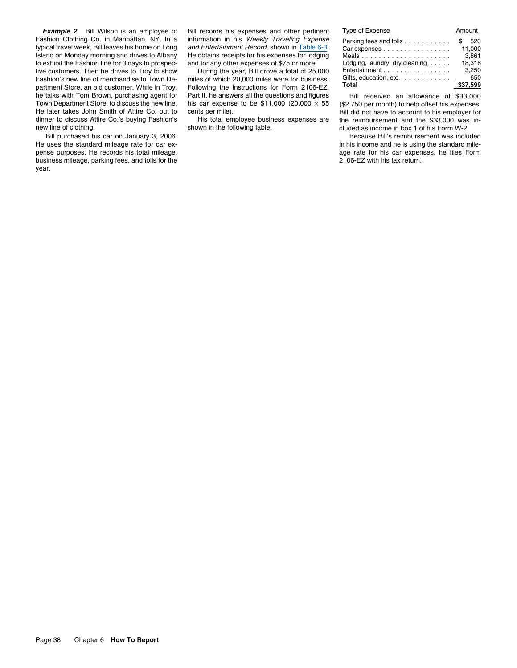Fashion Clothing Co. in Manhattan, NY. In a information in his Weekly Traveling Expense typical travel week, Bill leaves his home on Long and Entertainment Record, shown in Table 6-3. typical travel week, Bill leaves his home on Long and Entertainment Record, shown in Table 6-3.<br>Island on Monday morning and drives to Albany He obtains receipts for his expenses for lodging to exhibit the Fashion line for 3 days to prospec- and for any other expenses of \$75 or more.<br>tive customers. Then he drives to Troy to show During the year, Bill drove a total of 25,000 tive customers. Then he drives to Troy to show Fashion's new line of merchandise to Town De- miles of which 20,000 miles were for business. **Total \$37,599** partment Store, an old customer. While in Troy, Following the instructions for Form 2106-EZ, he talks with Tom Brown, purchasing agent for Part II, he answers all the questions and figures Bill received an allowance of \$33,000 Town Department Store, to discuss the new line. his car expense to be \$11,000 (20,000

business mileage, parking fees, and tolls for the 2106-EZ with his tax return. year.

*Example 2.* Bill Wilson is an employee of Bill records his expenses and other pertinent He obtains receipts for his expenses for lodging

| Amount                           |
|----------------------------------|
| 520<br>\$                        |
| 11,000                           |
| 3.861                            |
| 18.318                           |
| 3,250                            |
| Gifts, education, etc. __<br>650 |
| \$37,599                         |
|                                  |

Town Department Store, to discuss the new line. his car expense to be \$11,000 (20,000 × 55 (\$2,750 per month) to help offset his expenses.<br>He later takes John Smith of Attire Co. out to cents per mile). He later takes John Smith of Attire Co. out to cents per mile).<br>
did not have to account to his employer for dinner to discuss Attire Co.'s buying Fashion's His total employee business expenses are the reimbursement and th dinner to discuss Attire Co.'s buying Fashion's His total employee business expenses are the reimbursement and the \$33,000 was in-<br>shown in the following table. cluded as income in box 1 of his Form W-2. cluded as income in box 1 of his Form W-2.

Bill purchased his car on January 3, 2006. But a state of the state Bill's reimbursement was included He uses the standard mileage rate for car ex-<br> **He uses the standard mile-** in his income and he is using the standard milepense purposes. He records his total mileage, and the state of this car expenses, he files Form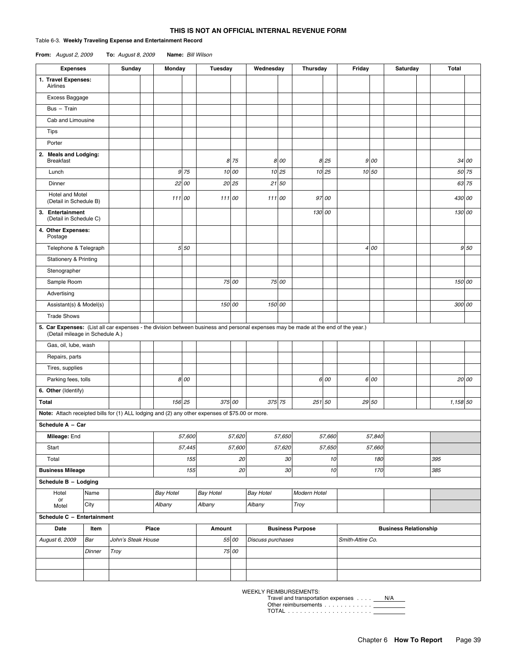# **THIS IS NOT AN OFFICIAL INTERNAL REVENUE FORM**

## Table 6-3. **Weekly Traveling Expense and Entertainment Record**

**From:** August 2, 2009 **To:** August 8, 2009 **Name:** Bill Wilson

| <b>Expenses</b>                                                                                                                                                       |        | Sunday             |       | Monday           |             | Tuesday   |        | Wednesday         |                  | Thursday                |        | Friday |        | Saturday                     | Total    |       |
|-----------------------------------------------------------------------------------------------------------------------------------------------------------------------|--------|--------------------|-------|------------------|-------------|-----------|--------|-------------------|------------------|-------------------------|--------|--------|--------|------------------------------|----------|-------|
| 1. Travel Expenses:<br>Airlines                                                                                                                                       |        |                    |       |                  |             |           |        |                   |                  |                         |        |        |        |                              |          |       |
| Excess Baggage                                                                                                                                                        |        |                    |       |                  |             |           |        |                   |                  |                         |        |        |        |                              |          |       |
| Bus - Train                                                                                                                                                           |        |                    |       |                  |             |           |        |                   |                  |                         |        |        |        |                              |          |       |
| Cab and Limousine                                                                                                                                                     |        |                    |       |                  |             |           |        |                   |                  |                         |        |        |        |                              |          |       |
| <b>Tips</b>                                                                                                                                                           |        |                    |       |                  |             |           |        |                   |                  |                         |        |        |        |                              |          |       |
| Porter                                                                                                                                                                |        |                    |       |                  |             |           |        |                   |                  |                         |        |        |        |                              |          |       |
| 2. Meals and Lodging:<br><b>Breakfast</b>                                                                                                                             |        |                    |       |                  |             |           | 8 75   |                   | 8 00             |                         | 8 25   |        | 900    |                              |          | 34 00 |
| Lunch                                                                                                                                                                 |        |                    |       |                  | $9 \mid 75$ |           | 10 00  |                   | 10 25            |                         | 10 25  |        | 10 50  |                              |          | 50 75 |
| Dinner                                                                                                                                                                |        |                    |       | 22 00            |             |           | 20 25  |                   | 21 50            |                         |        |        |        |                              |          | 63 75 |
| Hotel and Motel<br>(Detail in Schedule B)                                                                                                                             |        |                    |       | 111 00           |             | 111 00    |        | 111 00            |                  |                         | 97 00  |        |        |                              | 430 00   |       |
| 3. Entertainment<br>(Detail in Schedule C)                                                                                                                            |        |                    |       |                  |             |           |        |                   |                  | 130 00                  |        |        |        |                              | 130 00   |       |
| 4. Other Expenses:<br>Postage                                                                                                                                         |        |                    |       |                  |             |           |        |                   |                  |                         |        |        |        |                              |          |       |
| Telephone & Telegraph                                                                                                                                                 |        |                    |       |                  | 5 50        |           |        |                   |                  |                         |        |        | 4 00   |                              |          | 9 50  |
| <b>Stationery &amp; Printing</b>                                                                                                                                      |        |                    |       |                  |             |           |        |                   |                  |                         |        |        |        |                              |          |       |
| Stenographer                                                                                                                                                          |        |                    |       |                  |             |           |        |                   |                  |                         |        |        |        |                              |          |       |
| Sample Room                                                                                                                                                           |        |                    |       |                  |             |           | 75 00  | 75 00             |                  |                         |        |        |        |                              | 150 00   |       |
| Advertising                                                                                                                                                           |        |                    |       |                  |             |           |        |                   |                  |                         |        |        |        |                              |          |       |
| Assistant(s) & Model(s)                                                                                                                                               |        |                    |       |                  |             | 150 00    |        | 150 00            |                  |                         |        |        |        |                              | 300 00   |       |
| <b>Trade Shows</b>                                                                                                                                                    |        |                    |       |                  |             |           |        |                   |                  |                         |        |        |        |                              |          |       |
| 5. Car Expenses: (List all car expenses - the division between business and personal expenses may be made at the end of the year.)<br>(Detail mileage in Schedule A.) |        |                    |       |                  |             |           |        |                   |                  |                         |        |        |        |                              |          |       |
| Gas, oil, lube, wash                                                                                                                                                  |        |                    |       |                  |             |           |        |                   |                  |                         |        |        |        |                              |          |       |
| Repairs, parts                                                                                                                                                        |        |                    |       |                  |             |           |        |                   |                  |                         |        |        |        |                              |          |       |
| Tires, supplies                                                                                                                                                       |        |                    |       |                  |             |           |        |                   |                  |                         |        |        |        |                              |          |       |
| Parking fees, tolls                                                                                                                                                   |        |                    |       |                  | 8 00        |           |        |                   |                  |                         | 6 00   |        | 6 00   |                              |          | 20 00 |
| 6. Other (Identify)                                                                                                                                                   |        |                    |       |                  |             |           |        |                   |                  |                         |        |        |        |                              |          |       |
| <b>Total</b>                                                                                                                                                          |        |                    |       | 156 25           |             | 375 00    |        | 375 75            |                  | 251 50                  |        |        | 29 50  |                              | 1,158 50 |       |
| Note: Attach receipted bills for (1) ALL lodging and (2) any other expenses of \$75.00 or more.                                                                       |        |                    |       |                  |             |           |        |                   |                  |                         |        |        |        |                              |          |       |
| Schedule A - Car                                                                                                                                                      |        |                    |       |                  |             |           |        |                   |                  |                         |        |        |        |                              |          |       |
| Mileage: End                                                                                                                                                          |        |                    |       |                  | 57,600      |           | 57,620 |                   | 57,650           |                         | 57,660 |        | 57,840 |                              |          |       |
| Start                                                                                                                                                                 |        |                    |       |                  | 57,445      |           | 57,600 |                   | 57,620           |                         | 57,650 |        | 57,660 |                              |          |       |
| Total                                                                                                                                                                 |        |                    |       |                  | 155         |           | $20\,$ |                   | 30               |                         | 10     |        | 180    |                              | 395      |       |
| <b>Business Mileage</b>                                                                                                                                               |        |                    |       |                  | 155         |           | 20     |                   | $30\,$           |                         | 10     |        | 170    |                              | 385      |       |
| Schedule B - Lodging                                                                                                                                                  |        |                    |       |                  |             |           |        |                   |                  |                         |        |        |        |                              |          |       |
| Hotel<br>or                                                                                                                                                           | Name   |                    |       | <b>Bay Hotel</b> |             | Bay Hotel |        | <b>Bay Hotel</b>  |                  | Modern Hotel            |        |        |        |                              |          |       |
| Motel                                                                                                                                                                 | City   |                    |       | Albany           |             | Albany    |        | Albany            |                  | Troy                    |        |        |        |                              |          |       |
| Schedule C - Entertainment                                                                                                                                            |        |                    |       |                  |             |           |        |                   |                  |                         |        |        |        |                              |          |       |
| Date                                                                                                                                                                  | Item   |                    | Place |                  |             | Amount    |        |                   |                  | <b>Business Purpose</b> |        |        |        | <b>Business Relationship</b> |          |       |
| August 6, 2009                                                                                                                                                        | Bar    | John's Steak House |       |                  |             |           | 55 00  | Discuss purchases | Smith-Attire Co. |                         |        |        |        |                              |          |       |
|                                                                                                                                                                       | Dinner | Troy               |       |                  |             |           | 75 00  |                   |                  |                         |        |        |        |                              |          |       |
|                                                                                                                                                                       |        |                    |       |                  |             |           |        |                   |                  |                         |        |        |        |                              |          |       |
|                                                                                                                                                                       |        |                    |       |                  |             |           |        |                   |                  |                         |        |        |        |                              |          |       |

WEEKLY REIMBURSEMENTS:

Travel and transportation expenses ....<u> N/A</u><br>Other reimbursements ............<br>TOTAL .........................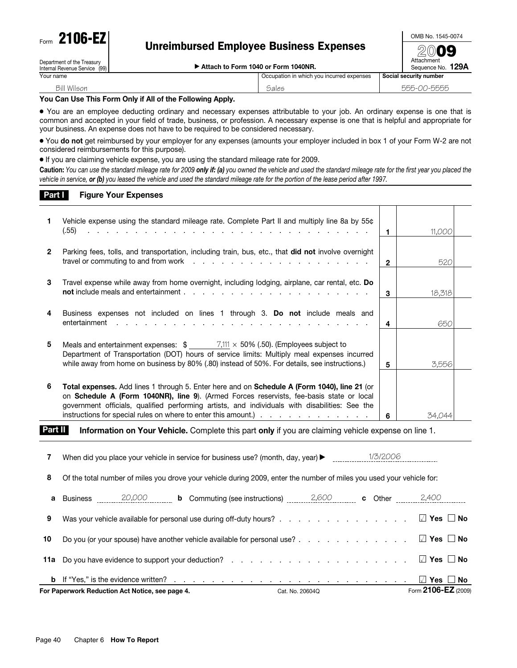

Department of the Treasury Internal Revenue Service (99)

# Unreimbursed Employee Business Expenses

| OMB No. 1545-0074 |  |
|-------------------|--|
| 2009              |  |
| Attachment        |  |

Sequence No. **129A**

 **Attach to Form 1040 or Form 1040NR.**

| Your name      | Occupation in which you i<br>incurred expenses<br>. | ⊩ Social securitv number           |
|----------------|-----------------------------------------------------|------------------------------------|
| Bill<br>Wilson | <b>Sales</b>                                        | ----<br>hhhr<br>nnn<br>ンンンこ<br>ンンこ |

# **You Can Use This Form Only if All of the Following Apply.**

● You are an employee deducting ordinary and necessary expenses attributable to your job. An ordinary expense is one that is common and accepted in your field of trade, business, or profession. A necessary expense is one that is helpful and appropriate for your business. An expense does not have to be required to be considered necessary.

● You **do not** get reimbursed by your employer for any expenses (amounts your employer included in box 1 of your Form W-2 are not considered reimbursements for this purpose).

● If you are claiming vehicle expense, you are using the standard mileage rate for 2009.

Caution: You can use the standard mileage rate for 2009 only if: (a) you owned the vehicle and used the standard mileage rate for the first year you placed the *vehicle in service, or (b) you leased the vehicle and used the standard mileage rate for the portion of the lease period after 1997.*

| Part I. | <b>Figure Your Expenses</b> |  |
|---------|-----------------------------|--|
|---------|-----------------------------|--|

|   | Vehicle expense using the standard mileage rate. Complete Part II and multiply line 8a by 55¢<br>a constitution of the constitution of the constitution of the constitution of the constitution of the constitution of the constitution of the constitution of the constitution of the constitution of the constitution of the<br>(.55)                      | $\overline{\mathbf{1}}$ | 11,000 |
|---|--------------------------------------------------------------------------------------------------------------------------------------------------------------------------------------------------------------------------------------------------------------------------------------------------------------------------------------------------------------|-------------------------|--------|
| 2 | Parking fees, tolls, and transportation, including train, bus, etc., that <b>did not</b> involve overnight                                                                                                                                                                                                                                                   | $\overline{2}$          | 520    |
| 3 | Travel expense while away from home overnight, including lodging, airplane, car rental, etc. Do                                                                                                                                                                                                                                                              | 3                       | 18,318 |
| 4 | Business expenses not included on lines 1 through 3. Do not include meals and<br>entertainment<br>de la caractería de la caractería de la caractería de la caractería de la caractería                                                                                                                                                                       | 4                       | 650    |
| 5 | Meals and entertainment expenses: $\frac{2}{3}$ 7,111 $\times$ 50% (.50). (Employees subject to<br>Department of Transportation (DOT) hours of service limits: Multiply meal expenses incurred<br>while away from home on business by 80% (.80) instead of 50%. For details, see instructions.)                                                              | 5                       | 3.556  |
| 6 | Total expenses. Add lines 1 through 5. Enter here and on Schedule A (Form 1040), line 21 (or<br>on Schedule A (Form 1040NR), line 9). (Armed Forces reservists, fee-basis state or local<br>government officials, qualified performing artists, and individuals with disabilities: See the<br>instructions for special rules on where to enter this amount.) | 6                       | 34.044 |

**Part II** Information on Your Vehicle. Complete this part only if you are claiming vehicle expense on line 1.

**7** When did you place your vehicle in service for business use? (month, day, year) **8** Of the total number of miles you drove your vehicle during 2009, enter the number of miles you used your vehicle for: **a** Business \_\_\_\_\_\_\_\_20,000\_\_\_\_\_\_\_\_ **b** Commuting (see instructions) \_\_\_\_\_\_\_2,600\_\_\_\_\_\_\_\_ **c** Other \_\_\_\_\_\_\_\_2,400 **9** Was your vehicle available for personal use during off-duty hours? ............. **10** Do you (or your spouse) have another vehicle available for personal use? ...................... 1/3/2006  $\Box$  Yes  $\Box$  No  $\sqrt{ }$  Yes  $\Box$  No

| For Paperwork Reduction Act Notice, see page 4. |  |  | Cat. No. 20604Q |  |  |  |  |  |  | Form 2106-EZ (2009) |  |
|-------------------------------------------------|--|--|-----------------|--|--|--|--|--|--|---------------------|--|
|                                                 |  |  |                 |  |  |  |  |  |  |                     |  |
|                                                 |  |  |                 |  |  |  |  |  |  |                     |  |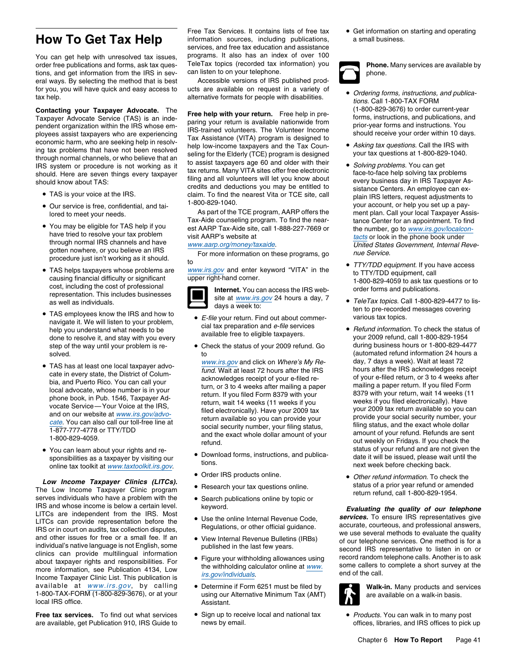order free publications and forms, ask tax ques-<br>
TeleTax topics (recorded tax information) you<br> **Phone.** Many services are available by<br>
nhone<br>
nhone tions, and get information from the IRS in sev- can listen to on your telephone. eral ways. By selecting the method that is best Accessible versions of IRS published prodfor you, you will have quick and easy access to ucts are available on request in a variety of  $\bullet$  Ordering forms, instructions, and publica-<br>tax help.

Contacting your Taxpayer Advocate. The<br>
Taxpayer Advocate Service (TAS) is an inde-<br>
pendent organization within the IRS whose em-<br>
ployees assist taxpayers who are experiencing<br>
in resolv-<br>
Ex Assistance (VITA) program is economic harm, who are seeking help in resolver<br>ing tax problems that have not been resolved<br>through normal channels, or who believe that an<br>IRS system or procedure is not working as it<br>is the system of procedure is not wo

- 
- 
- You may be eligible for TAS help if you<br>have tried to resolve your tax problem<br>through normal IRS channels and have<br>gotten nowhere, or you believe an IRS<br>procedure just isn't working as it should.<br>procedure just isn't wo
- TAS helps taxpayers whose problems are www.irs.gov and enter keyword "VITA" in the causing financial difficulty or significant upper right-hand corner.<br>
cost, including the cost of professional representation. This inclu
- TAS employees know the IRS and how to navigate it. We will listen to your problem, help you understand what needs to be available free to eligible taxpayers.<br>
done to resolve it, and stay with you every available free to eligible taxpayers.<br>
done to resolve it, and stay with you every available free to e
- 
- 

The Low Income Taxpayer Clinic program Case of the Countries of the Case of a provision of the Search publications online by topic or return refund, call 1-800-829-1954.<br>IRS and whose income is below a certain level. Reywo IRS and whose income is below a certain level.<br>
LITCs are independent from the IRS. Most **•** Use the online Internal Revenue Code, *Services*. To ensure IRS representatives give<br>
LITCs can provide representation before t Elitos can provide report from the internet of the state of the Section of the Section of the Section of the Section of the Section of the Section of the Section of the Section of the Section of the Section of the Section and other issues for free or a small fee. If an vertical Revenue Bulletins (IRBs) of our telephone services. One method is for a published in the last few years.<br>
individual's native language is not English, some published clinics can provide multilingual information<br>about taxpayer rights and responsibilities. For<br>more information, see Publication 4134, Low<br>Income Taxpayer Clinic List. This publication is<br> $\frac{irs.gov/individuals}{s}$ . available at *www.irs.gov*, by calling • Determine if Form 6251 must be filed by **Walk-in.** Many products and services 1-800-TAX-FORM (1-800-829-3676), or at your using our Alternative Minimum Tax (AMT) are available on a walk-in basis. local IRS office. Assistant.

**Free tax services.** To find out what services . Sign up to receive local and national tax . Products. You can walk in to many post are available, get Publication 910, IRS Guide to onews by email. The state of the solution offices, libraries, and IRS offices to pick up

Free Tax Services. It contains lists of free tax • Get information on starting and operating How To Get Tax Help information sources, including publications, a small business. services, and free tax education and assistance You can get help with unresolved tax issues, programs. It also has an index of over 100 order free publications and forms, ask tax ques-<br>Order free publications and forms, ask tax ques-<br>

IRS system or procedure is not working as it<br>should. Here are seven things every taxpayer tax returns. Many VITA sites offer free electronic<br>should know about TAS:<br>Thing and all volunteers will let you know about<br>should kn TAS is your voice at the IRS. credits and deductions you may be entitled to<br>• TAS is your voice at the IRS. claim. To find the nearest Vita or TCE site, call plain IRS letters, request adjustments to • plain IRS letters, r

Iored to meet your needs.<br>Tax-Aide counseling program. To find the near-<br>est AARP Tax-Aide site, call 1-888-227-7669 or the number, go to www.irs.gov/localcon-<br>est AARP Tax-Aide site, call 1-888-227-7669 or the number, go

- 
- step of the way until your problem is re- Check the status of your 2009 refund. Go

- 
- Order IRS products online.  $\bullet$
- 
- 
- 
- 
- 
- 
- 



- alternative formats for people with disabilities.<br>tions. Call 1-800-TAX FORM
	-
- Our service is free, confidential, and tai-<br>Intervity the TCE program, AARP offers the ment plan. Call your local Taxpayer Assis-<br>Intervity on the TCE program, AARP offers the ment plan. Call your local Taxpayer Assis-
- THE PRESS FOR THE STATE STATE THE STATE OF THE STATE OF THE STATE OF THE STATE OF THE STATE OF THE STATE OF THE STATE OF THE STATE OF THE STATE OF THE STATE OF THE STATE OF THE STATE OF THE STATE OF THE STATE OF THE STATE
	- as well as individuals.<br>
	TAS employees know the IRS and how to erecorded messages covering<br>
	Fact to pre-recorded messages covering<br>
	Fact to pre-recorded messages covering<br>
	E-file your return. Find out about commer-<br>
	Variou
- done to resolve it, and stay with you every divaliable free to eligible taxpayers.<br>
step of the way until your problem is re-<br>
Scheck the status of your 2009 refund. Go during business hours or 1-800-829-4477 solved.<br>
to to the change of the control of the control of the www.irs.gov and click on Where's My Re-<br>
The base a week). Wait at least 72 • TAS has at least one local taxpayer advo-<br>fund. Wait at least 72 hours after the IRS extra in the IRS acknowledges receipt • TAS has at least one local taxpayer advocate in every state in the URS and Puerto Folious Column in the URS and Puerto Folious Column local advocate, whose number is in your and lyour c-filed return, or 3 to 4 weeks aft • You can learn about your rights and re- status of your refund and are not given the •Pownload forms, instructions, and publica-<br>sponsibilities as a taxpayer by visiting our date it will be issued, please wait until the<br>online tax toolkit at www.taxtoolkit.irs.gov.<br>next week before checking back.
- **Low Income Taxpayer Clinics (LITCs).** Order IHS products online. Other refund information. To check the **Low Income Taxpayer Clinics (LITCs).** Research your tax questions online. • • • • • • • • •

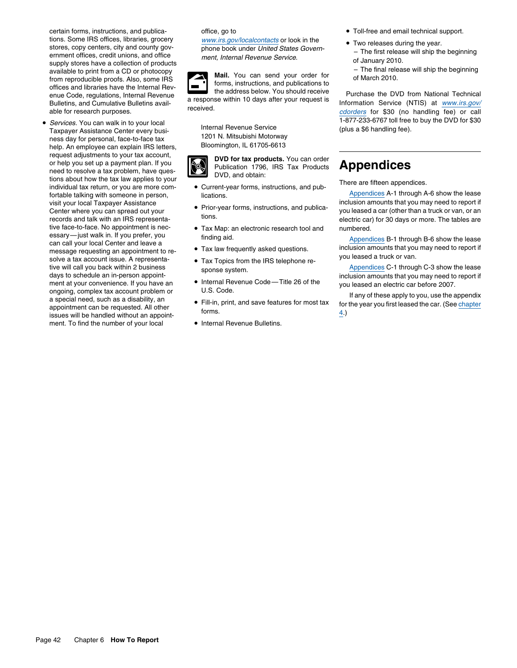certain forms, instructions, and publica- office, go to • Toll-free and email technical support. tions. Some IRS offices, libraries, grocery www.irs.gov/localcontacts or look in the • Two releases during the year.<br>stores, copy centers, city and county gov-<br>mone book under United States Governstores, come in the stores, come in the year.<br>
stores, copy centers, city and county gov-<br>
ernment offices, credit unions, and office ment, Internal Revenue Service. The first release will ship the beginning<br>
supply stores

 Services. You can walk in to your local Taxpayer Assistance Center every busi-<br>Taxpayer Assistance Center every busi-<br>ness dou far personal face to face to y ness day for personal, face-to-face tax **Bloomington, IL 61705-6613**<br>help. An employee can explain IRS letters, Bloomington, IL 61705-6613 request adjustments to your tax account,<br>or help you set up a payment plan. If you<br>need to resolve a tax problem, have ques-<br>tions about how the tax law applies to your<br>individual tax return, or you are more com-<br>individua visit your local Taxpayer Assistance<br>Center where you can spread out your **exercise and your state inclusion** and publicaessary—just walk in. If you prefer, you finding aid. <br>
can call your local Center and leave a can call your local Center and Leave and Leave and Leave and Leave an<br>
message requesting an appointment to recast of Tax law fr message requesting an appointment to re-<br>solve a tax account issue. A representa- • Tax Topics from the IRS telephone re- you leased a truck or van. ment at your convenience. If you have an • Internal Revenue Code—Title 26 of the you leased an electric car before 2007.<br>S. Code. examples an electric car before 2007. If any of the security you that is very the contributi  $\frac{1}{2}$  appointment can be requested. All other  $\frac{1}{2}$  issues will be handled without an appoint-<br>issues will be handled without an appoint-<br>ment. To find the number of your local  $\frac{1}{2}$  internal Revenue Bulletins ment. To find the number of your local

available to print from a CD or photocopy<br>from reproducible proofs. Also, some IRS<br>offices and libraries have the Internal Rev-<br>enue Code, regulations, Internal Revenue<br>enue Code, regulations, Internal Revenue<br>and the addr

- 
- 
- tive face-to-face. No appointment is nec-<br>essary—just walk in. If you prefer, you exactly finding aid.
	- Tax law frequently asked questions.
	-
	-
	-
	-
- 
- -
	-

enue Code, regulations, Internal Revenue<br>Bulletins, and Cumulative Bulletins avail-<br>able for research purposes. The received. The matter your request is information Service (NTIS) at www.irs.gov/<br>cdorders for \$30 (no handl 1-877-233-6767 toll free to buy the DVD for \$30<br>Internal Revenue Service  $\binom{1}{k}$  only a \$6 handling fee)

Fortable talking with someone in person, and the lications.<br>
Fortable talking with someone in person, lications.<br>
visit your local Taxpayer Assistance **in the lications** inclusion amounts that you may need to report if Center where you can spread out your<br>records and talk with an IRS representa-<br>tive face-to-face. No appointment is nec-<br>tive face-to-face. No appointment is nec-<br>Tax Map: an electronic research tool and<br>and numbered.<br>numbe

The will call you back within 2 business appoint sponse system.<br>  $\begin{array}{r}\n\text{days to schedule an in-person appoint}\n\end{array}$  an  $\begin{array}{r}\n\text{shows an example of a problem of the image is given by the image of the matrix is given by the image of the matrix is given by the image of the matrix is given by the image of the matrix is given by the image of the matrix is given by the image of the matrix is given by the image of the matrix is given by the image of the matrix is given by the image of the matrix is given by the image of the matrix is given by the image of the matrix is given by the image of the matrix is given by the image of the matrix$ 

ongoing, complex tax account problem or  $\bullet$  C.S. Code.<br>
a special need, such as a disability, an  $\bullet$  Fill-in, print, and save features for most tax for the year you first leased the car. (See chapter appointment can be r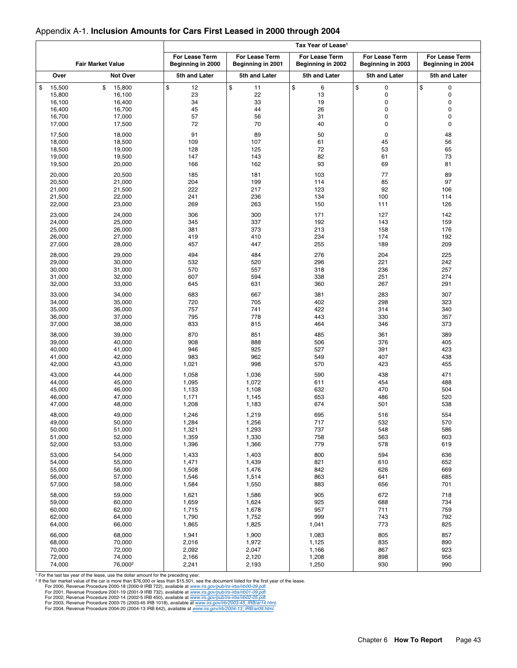|              |                          |                                     |                                     | Tax Year of Lease <sup>1</sup>      |                                     |                                     |
|--------------|--------------------------|-------------------------------------|-------------------------------------|-------------------------------------|-------------------------------------|-------------------------------------|
|              | <b>Fair Market Value</b> | For Lease Term<br>Beginning in 2000 | For Lease Term<br>Beginning in 2001 | For Lease Term<br>Beginning in 2002 | For Lease Term<br>Beginning in 2003 | For Lease Term<br>Beginning in 2004 |
| Over         | Not Over                 | 5th and Later                       | 5th and Later                       | 5th and Later                       | 5th and Later                       | 5th and Later                       |
| \$<br>15,500 | \$<br>15,800             | \$<br>12                            | \$<br>11                            | \$<br>6                             | \$<br>0                             | \$<br>0                             |
| 15,800       | 16,100                   | 23                                  | 22                                  | 13                                  | 0                                   | 0                                   |
| 16,100       | 16,400                   | 34                                  | 33                                  | 19                                  | 0                                   | 0                                   |
| 16,400       | 16,700                   | 45                                  | 44                                  | 26                                  | 0                                   | 0                                   |
|              |                          | 57                                  | 56                                  |                                     | 0                                   | 0                                   |
| 16,700       | 17,000                   |                                     |                                     | 31                                  |                                     |                                     |
| 17,000       | 17,500                   | 72                                  | 70                                  | 40                                  | 0                                   | 0                                   |
| 17,500       | 18,000                   | 91                                  | 89                                  | 50                                  | 0                                   | 48                                  |
| 18,000       | 18,500                   | 109                                 | 107                                 | 61                                  | 45                                  | 56                                  |
| 18,500       | 19,000                   | 128                                 | 125                                 | 72                                  | 53                                  | 65                                  |
| 19,000       | 19,500                   | 147                                 | 143                                 | 82                                  | 61                                  | 73                                  |
| 19,500       | 20,000                   | 166                                 | 162                                 | 93                                  | 69                                  | 81                                  |
|              |                          |                                     |                                     |                                     |                                     |                                     |
| 20,000       | 20,500                   | 185                                 | 181                                 | 103                                 | 77                                  | 89                                  |
| 20,500       | 21,000                   | 204                                 | 199                                 | 114                                 | 85                                  | 97                                  |
| 21,000       | 21,500                   | 222                                 | 217                                 | 123                                 | 92                                  | 106                                 |
| 21,500       | 22,000                   | 241                                 | 236                                 | 134                                 | 100                                 | 114                                 |
| 22,000       | 23,000                   | 269                                 | 263                                 | 150                                 | 111                                 | 126                                 |
|              |                          |                                     |                                     |                                     |                                     |                                     |
| 23,000       | 24,000                   | 306                                 | 300                                 | 171                                 | 127                                 | 142                                 |
| 24,000       | 25,000                   | 345                                 | 337                                 | 192                                 | 143                                 | 159                                 |
| 25,000       | 26,000                   | 381                                 | 373                                 | 213                                 | 158                                 | 176                                 |
| 26,000       | 27,000                   | 419                                 | 410                                 | 234                                 | 174                                 | 192                                 |
| 27,000       | 28,000                   | 457                                 | 447                                 | 255                                 | 189                                 | 209                                 |
| 28,000       | 29,000                   | 494                                 | 484                                 | 276                                 | 204                                 | 225                                 |
|              |                          |                                     |                                     | 296                                 | 221                                 | 242                                 |
| 29,000       | 30,000                   | 532                                 | 520                                 |                                     |                                     |                                     |
| 30,000       | 31,000                   | 570                                 | 557                                 | 318                                 | 236                                 | 257                                 |
| 31,000       | 32,000                   | 607                                 | 594                                 | 338                                 | 251                                 | 274                                 |
| 32,000       | 33,000                   | 645                                 | 631                                 | 360                                 | 267                                 | 291                                 |
| 33,000       | 34,000                   | 683                                 | 667                                 | 381                                 | 283                                 | 307                                 |
| 34,000       | 35,000                   | 720                                 | 705                                 | 402                                 | 298                                 | 323                                 |
| 35,000       | 36,000                   | 757                                 | 741                                 | 422                                 | 314                                 | 340                                 |
| 36,000       | 37,000                   | 795                                 | 778                                 | 443                                 | 330                                 | 357                                 |
|              |                          |                                     | 815                                 |                                     |                                     | 373                                 |
| 37,000       | 38,000                   | 833                                 |                                     | 464                                 | 346                                 |                                     |
| 38,000       | 39,000                   | 870                                 | 851                                 | 485                                 | 361                                 | 389                                 |
| 39,000       | 40,000                   | 908                                 | 888                                 | 506                                 | 376                                 | 405                                 |
| 40,000       | 41,000                   | 946                                 | 925                                 | 527                                 | 391                                 | 423                                 |
| 41,000       | 42,000                   | 983                                 | 962                                 | 549                                 | 407                                 | 438                                 |
| 42,000       | 43,000                   | 1,021                               | 998                                 | 570                                 | 423                                 | 455                                 |
|              |                          |                                     |                                     |                                     |                                     |                                     |
| 43,000       | 44,000                   | 1,058                               | 1,036                               | 590                                 | 438                                 | 471                                 |
| 44,000       | 45,000                   | 1,095                               | 1,072                               | 611                                 | 454                                 | 488                                 |
| 45,000       | 46,000                   | 1,133                               | 1,108                               | 632                                 | 470                                 | 504                                 |
| 46,000       | 47,000                   | 1,171                               | 1,145                               | 653                                 | 486                                 | 520                                 |
| 47,000       | 48,000                   | 1,208                               | 1,183                               | 674                                 | 501                                 | 538                                 |
| 48,000       | 49,000                   | 1,246                               | 1,219                               | 695                                 | 516                                 | 554                                 |
| 49,000       | 50,000                   | 1,284                               | 1,256                               | 717                                 | 532                                 | 570                                 |
|              |                          |                                     |                                     |                                     |                                     |                                     |
| 50,000       | 51,000                   | 1,321                               | 1,293                               | 737                                 | 548                                 | 586                                 |
| 51,000       | 52,000                   | 1,359                               | 1,330                               | 758                                 | 563                                 | 603                                 |
| 52,000       | 53,000                   | 1,396                               | 1,366                               | 779                                 | 578                                 | 619                                 |
| 53,000       | 54,000                   | 1,433                               | 1,403                               | 800                                 | 594                                 | 636                                 |
| 54,000       | 55,000                   | 1,471                               | 1,439                               | 821                                 | 610                                 | 652                                 |
| 55,000       | 56,000                   | 1,508                               | 1,476                               | 842                                 | 626                                 | 669                                 |
| 56,000       | 57,000                   | 1,546                               | 1,514                               | 863                                 | 641                                 | 685                                 |
| 57,000       | 58,000                   | 1,584                               | 1,550                               | 883                                 |                                     | 701                                 |
|              |                          |                                     |                                     |                                     | 656                                 |                                     |
| 58,000       | 59,000                   | 1,621                               | 1,586                               | 905                                 | 672                                 | 718                                 |
| 59,000       | 60,000                   | 1,659                               | 1,624                               | 925                                 | 688                                 | 734                                 |
| 60,000       | 62,000                   | 1,715                               | 1,678                               | 957                                 | 711                                 | 759                                 |
| 62,000       | 64,000                   | 1,790                               | 1,752                               | 999                                 | 743                                 | 792                                 |
| 64,000       | 66,000                   | 1,865                               | 1,825                               | 1,041                               | 773                                 | 825                                 |
| 66,000       | 68,000                   | 1,941                               | 1,900                               | 1,083                               | 805                                 | 857                                 |
|              |                          |                                     |                                     |                                     |                                     |                                     |
| 68,000       | 70,000                   | 2,016                               | 1,972                               | 1,125                               | 835                                 | 890                                 |
| 70,000       | 72,000                   | 2,092                               | 2,047                               | 1,166                               | 867                                 | 923                                 |
| 72,000       | 74,000                   | 2,166                               | 2,120                               | 1,208                               | 898                                 | 956                                 |

74,000 76,000<sup>2</sup> | 2,241 | 2,193 | 1,250 | 930 | 990

# Appendix A-1. **Inclusion Amounts for Cars First Leased in 2000 through 2004**

<sup>1</sup> For the last tax year of the lease, use the dollar amount for the preceding year.<br>
<sup>2</sup> If the fair market value of the car is more than \$76,000 or less than \$15,501, see the document listed for the first year of the l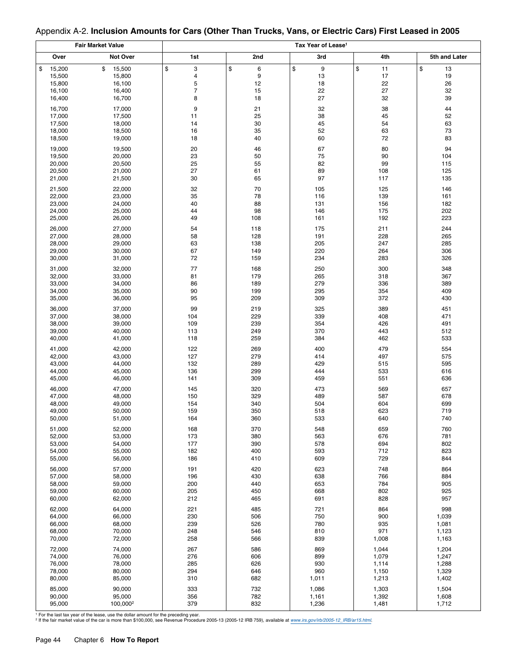|              | <b>Fair Market Value</b> |                |         | Tax Year of Lease <sup>1</sup> |          |               |
|--------------|--------------------------|----------------|---------|--------------------------------|----------|---------------|
| Over         | Not Over                 | 1st            | 2nd     | 3rd                            | 4th      | 5th and Later |
|              |                          |                |         |                                |          |               |
| \$<br>15,200 | \$<br>15,500             | \$<br>3        | \$<br>6 | \$<br>9                        | \$<br>11 | \$<br>13      |
| 15,500       | 15,800                   | 4              | 9       | 13                             | 17       | 19            |
| 15,800       | 16,100                   | 5              | 12      | 18                             | 22       | 26            |
| 16,100       | 16,400                   | $\overline{7}$ | 15      | 22                             | 27       | 32            |
| 16,400       | 16,700                   | 8              | 18      | 27                             | 32       | 39            |
| 16,700       | 17,000                   | 9              | 21      | 32                             | 38       | 44            |
| 17,000       | 17,500                   | 11             | 25      | 38                             | 45       | 52            |
| 17,500       | 18,000                   | 14             | 30      | 45                             | 54       | 63            |
| 18,000       | 18,500                   | 16             | 35      | 52                             | 63       | 73            |
|              |                          |                |         |                                |          |               |
| 18,500       | 19,000                   | 18             | 40      | 60                             | 72       | 83            |
| 19,000       | 19,500                   | 20             | 46      | 67                             | 80       | 94            |
| 19,500       | 20,000                   | 23             | 50      | 75                             | 90       | 104           |
| 20,000       | 20,500                   | 25             | 55      | 82                             | 99       | 115           |
| 20,500       | 21,000                   | 27             | 61      | 89                             | 108      | 125           |
| 21,000       | 21,500                   | 30             | 65      | 97                             | 117      | 135           |
|              |                          |                |         |                                |          |               |
| 21,500       | 22,000                   | 32             | 70      | 105                            | 125      | 146           |
| 22,000       | 23,000                   | 35             | 78      | 116                            | 139      | 161           |
| 23,000       | 24,000                   | 40             | 88      | 131                            | 156      | 182           |
| 24,000       | 25,000                   | 44             | 98      | 146                            | 175      | 202           |
| 25,000       | 26,000                   | 49             | 108     | 161                            | 192      | 223           |
|              |                          |                |         |                                |          |               |
| 26,000       | 27,000                   | 54             | 118     | 175                            | 211      | 244           |
| 27,000       | 28,000                   | 58             | 128     | 191                            | 228      | 265           |
| 28,000       | 29,000                   | 63             | 138     | 205                            | 247      | 285           |
| 29,000       | 30,000                   | 67             | 149     | 220                            | 264      | 306           |
| 30,000       | 31,000                   | 72             | 159     | 234                            | 283      | 326           |
| 31,000       | 32.000                   | 77             | 168     | 250                            | 300      | 348           |
| 32,000       | 33,000                   | 81             | 179     | 265                            | 318      | 367           |
| 33,000       | 34,000                   | 86             | 189     | 279                            | 336      | 389           |
| 34,000       | 35,000                   | 90             | 199     | 295                            | 354      | 409           |
| 35,000       | 36,000                   | 95             | 209     | 309                            | 372      | 430           |
|              |                          |                |         |                                |          |               |
| 36,000       | 37,000                   | 99             | 219     | 325                            | 389      | 451           |
| 37,000       | 38,000                   | 104            | 229     | 339                            | 408      | 471           |
| 38,000       | 39,000                   | 109            | 239     | 354                            | 426      | 491           |
| 39,000       | 40,000                   | 113            | 249     | 370                            | 443      | 512           |
| 40,000       | 41,000                   | 118            | 259     | 384                            | 462      | 533           |
|              |                          | 122            |         | 400                            | 479      | 554           |
| 41,000       | 42,000                   |                | 269     |                                |          |               |
| 42,000       | 43,000                   | 127            | 279     | 414                            | 497      | 575           |
| 43,000       | 44,000                   | 132            | 289     | 429                            | 515      | 595           |
| 44,000       | 45,000                   | 136            | 299     | 444                            | 533      | 616           |
| 45,000       | 46,000                   | 141            | 309     | 459                            | 551      | 636           |
| 46,000       | 47,000                   | 145            | 320     | 473                            | 569      | 657           |
| 47,000       | 48,000                   | 150            | 329     | 489                            | 587      | 678           |
| 48,000       | 49,000                   | 154            | 340     | 504                            | 604      | 699           |
| 49,000       | 50,000                   | 159            | 350     | 518                            | 623      | 719           |
| 50,000       | 51,000                   | 164            | 360     | 533                            | 640      | 740           |
|              |                          |                |         |                                |          |               |
| 51,000       | 52,000                   | 168            | 370     | 548                            | 659      | 760           |
| 52,000       | 53,000                   | 173            | 380     | 563                            | 676      | 781           |
| 53,000       | 54,000                   | 177            | 390     | 578                            | 694      | 802           |
| 54,000       | 55,000                   | 182            | 400     | 593                            | 712      | 823           |
| 55,000       | 56,000                   | 186            | 410     | 609                            | 729      | 844           |
| 56,000       | 57,000                   | 191            | 420     | 623                            | 748      | 864           |
| 57,000       | 58,000                   | 196            | 430     | 638                            | 766      | 884           |
| 58,000       | 59,000                   | 200            | 440     | 653                            | 784      | 905           |
| 59,000       | 60,000                   | 205            | 450     | 668                            | 802      | 925           |
| 60,000       | 62,000                   | 212            | 465     | 691                            | 828      | 957           |
|              |                          |                |         |                                |          |               |
| 62,000       | 64,000                   | 221            | 485     | 721                            | 864      | 998           |
| 64,000       | 66,000                   | 230            | 506     | 750                            | 900      | 1,039         |
| 66,000       | 68,000                   | 239            | 526     | 780                            | 935      | 1,081         |
| 68,000       | 70,000                   | 248            | 546     | 810                            | 971      | 1,123         |
| 70,000       | 72,000                   | 258            | 566     | 839                            | 1,008    | 1,163         |
|              |                          |                |         |                                |          |               |
| 72,000       | 74,000                   | 267            | 586     | 869                            | 1,044    | 1,204         |
| 74,000       | 76,000                   | 276            | 606     | 899                            | 1,079    | 1,247         |
| 76,000       | 78,000                   | 285            | 626     | 930                            | 1,114    | 1,288         |
| 78,000       | 80,000                   | 294            | 646     | 960                            | 1,150    | 1,329         |
| 80,000       | 85,000                   | 310            | 682     | 1,011                          | 1,213    | 1,402         |
| 85,000       | 90,000                   | 333            | 732     | 1,086                          | 1,303    | 1,504         |
| 90,000       | 95,000                   | 356            | 782     | 1,161                          | 1,392    | 1,608         |
| 95,000       | 100,000 <sup>2</sup>     | 379            | 832     | 1,236                          | 1,481    | 1,712         |
|              |                          |                |         |                                |          |               |

# Appendix A-2. **Inclusion Amounts for Cars (Other Than Trucks, Vans, or Electric Cars) First Leased in 2005**

<sup>1</sup> For the last tax year of the lease, use the dollar amount for the preceding year.<br><sup>2</sup> If the fair market value of the car is more than \$100,000, see Revenue Procedure 2005-13 (2005-12 IRB 759), available at *www.irs.go*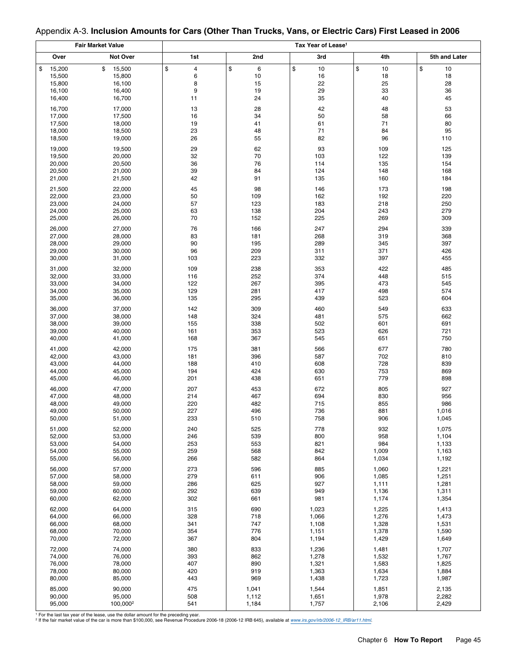|              | <b>Fair Market Value</b> |                 |         | Tax Year of Lease <sup>1</sup> |          |               |
|--------------|--------------------------|-----------------|---------|--------------------------------|----------|---------------|
| Over         | Not Over                 | 1st             | 2nd     | 3rd                            | 4th      | 5th and Later |
|              |                          |                 |         |                                |          |               |
| \$<br>15,200 | \$<br>15,500             | \$<br>$\pmb{4}$ | \$<br>6 | \$<br>10                       | \$<br>10 | \$<br>10      |
| 15,500       | 15,800                   | 6               | 10      | 16                             | 18       | 18            |
| 15,800       | 16,100                   | 8               | 15      | 22                             | 25       | 28            |
| 16,100       | 16,400                   | 9               | 19      | 29                             | 33       | 36            |
| 16,400       | 16,700                   | 11              | 24      | 35                             | 40       | 45            |
|              |                          |                 |         |                                |          |               |
| 16,700       | 17,000                   | 13              | 28      | 42                             | 48       | 53            |
| 17,000       | 17,500                   | 16              | 34      | 50                             | 58       | 66            |
| 17,500       | 18,000                   | 19              | 41      | 61                             | 71       | 80            |
| 18,000       | 18,500                   | 23              | 48      | 71                             | 84       | 95            |
| 18,500       | 19,000                   | 26              | 55      | 82                             | 96       | 110           |
|              |                          |                 |         |                                |          |               |
| 19,000       | 19,500                   | 29              | 62      | 93                             | 109      | 125           |
| 19,500       | 20,000                   | 32              | 70      | 103                            | 122      | 139           |
| 20,000       | 20,500                   | 36              | 76      | 114                            | 135      | 154           |
| 20,500       | 21,000                   | 39              | 84      | 124                            | 148      | 168           |
| 21,000       | 21,500                   | 42              | 91      | 135                            | 160      | 184           |
|              |                          |                 |         |                                |          |               |
| 21,500       | 22,000                   | 45              | 98      | 146                            | 173      | 198           |
| 22,000       | 23,000                   | 50              | 109     | 162                            | 192      | 220           |
| 23,000       | 24,000                   | 57              | 123     | 183                            | 218      | 250           |
| 24,000       | 25,000                   | 63              | 138     | 204                            | 243      | 279           |
| 25,000       | 26,000                   | 70              | 152     | 225                            | 269      | 309           |
|              |                          |                 |         |                                |          |               |
| 26,000       | 27,000                   | 76              | 166     | 247                            | 294      | 339           |
| 27,000       | 28,000                   | 83              | 181     | 268                            | 319      | 368           |
| 28,000       | 29,000                   | 90              | 195     | 289                            | 345      | 397           |
| 29,000       | 30,000                   | 96              | 209     | 311                            | 371      | 426           |
| 30,000       | 31,000                   | 103             | 223     | 332                            | 397      | 455           |
|              |                          |                 |         |                                |          |               |
| 31,000       | 32.000                   | 109             | 238     | 353                            | 422      | 485           |
| 32,000       | 33,000                   | 116             | 252     | 374                            | 448      | 515           |
| 33,000       | 34,000                   | 122             | 267     | 395                            | 473      | 545           |
| 34,000       | 35,000                   | 129             | 281     | 417                            | 498      | 574           |
| 35,000       | 36,000                   | 135             | 295     | 439                            | 523      | 604           |
|              |                          |                 |         |                                |          |               |
| 36,000       | 37,000                   | 142             | 309     | 460                            | 549      | 633           |
| 37,000       | 38,000                   | 148             | 324     | 481                            | 575      | 662           |
| 38,000       | 39,000                   | 155             | 338     | 502                            | 601      | 691           |
| 39,000       | 40,000                   | 161             | 353     | 523                            | 626      | 721           |
| 40,000       | 41,000                   | 168             | 367     | 545                            | 651      | 750           |
|              |                          |                 |         |                                |          |               |
| 41,000       | 42,000                   | 175             | 381     | 566                            | 677      | 780           |
| 42,000       | 43,000                   | 181             | 396     | 587                            | 702      | 810           |
| 43,000       | 44,000                   | 188             | 410     | 608                            | 728      | 839           |
| 44,000       | 45,000                   | 194             | 424     | 630                            | 753      | 869           |
| 45,000       | 46,000                   | 201             | 438     | 651                            | 779      | 898           |
|              |                          |                 |         |                                |          |               |
| 46,000       | 47,000                   | 207             | 453     | 672                            | 805      | 927           |
| 47,000       | 48,000                   | 214             | 467     | 694                            | 830      | 956           |
| 48,000       | 49,000                   | 220             | 482     | 715                            | 855      | 986           |
| 49,000       | 50,000                   | 227             | 496     | 736                            | 881      | 1,016         |
| 50,000       | 51,000                   | 233             | 510     | 758                            | 906      | 1,045         |
|              |                          |                 |         |                                |          |               |
| 51,000       | 52,000                   | 240             | 525     | 778                            | 932      | 1,075         |
| 52,000       | 53,000                   | 246             | 539     | 800                            | 958      | 1,104         |
| 53,000       | 54,000                   | 253             | 553     | 821                            | 984      | 1,133         |
| 54,000       | 55,000                   | 259             | 568     | 842                            | 1,009    | 1,163         |
| 55,000       | 56,000                   | 266             | 582     | 864                            | 1,034    | 1,192         |
|              |                          |                 |         |                                |          |               |
| 56,000       | 57,000                   | 273             | 596     | 885                            | 1,060    | 1,221         |
| 57,000       | 58,000                   | 279             | 611     | 906                            | 1,085    | 1,251         |
| 58,000       | 59,000                   | 286             | 625     | 927                            | 1,111    | 1,281         |
| 59,000       | 60,000                   | 292             | 639     | 949                            | 1,136    | 1,311         |
| 60,000       | 62,000                   | 302             | 661     | 981                            | 1,174    | 1,354         |
|              |                          |                 |         |                                |          |               |
| 62,000       | 64,000                   | 315             | 690     | 1,023                          | 1,225    | 1,413         |
| 64,000       | 66,000                   | 328             | 718     | 1,066                          | 1,276    | 1,473         |
| 66,000       | 68,000                   | 341             | 747     | 1,108                          | 1,328    | 1,531         |
| 68,000       | 70,000                   | 354             | 776     | 1,151                          | 1,378    | 1,590         |
| 70,000       | 72,000                   | 367             | 804     | 1,194                          | 1,429    | 1,649         |
|              |                          |                 |         |                                |          |               |
| 72,000       | 74,000                   | 380             | 833     | 1,236                          | 1,481    | 1,707         |
| 74,000       | 76,000                   | 393             | 862     | 1,278                          | 1,532    | 1,767         |
| 76,000       | 78,000                   | 407             | 890     | 1,321                          | 1,583    | 1,825         |
| 78,000       | 80,000                   | 420             | 919     | 1,363                          | 1,634    | 1,884         |
| 80,000       | 85,000                   | 443             | 969     | 1,438                          | 1,723    | 1,987         |
|              |                          |                 |         |                                |          |               |
| 85,000       | 90,000                   | 475             | 1,041   | 1,544                          | 1,851    | 2,135         |
| 90,000       | 95,000                   | 508             | 1,112   | 1,651                          | 1,978    | 2,282         |
| 95,000       | 100,000 <sup>2</sup>     | 541             | 1,184   | 1,757                          | 2,106    | 2,429         |
|              |                          |                 |         |                                |          |               |

# Appendix A-3. **Inclusion Amounts for Cars (Other Than Trucks, Vans, or Electric Cars) First Leased in 2006**

<sup>1</sup> For the last tax year of the lease, use the dollar amount for the preceding year.<br><sup>2</sup> If the fair market value of the car is more than \$100,000, see Revenue Procedure 2006-18 (2006-12 IRB 645), available at *www.irs.go*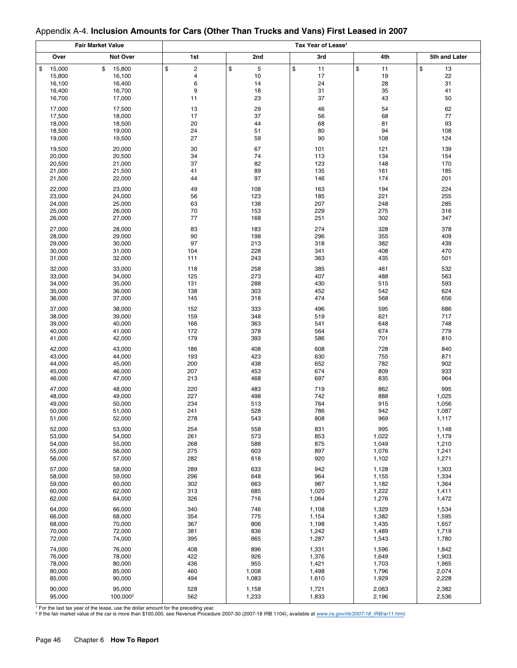| <b>Fair Market Value</b>                                            |       | Tax Year of Lease <sup>1</sup> |          |               |
|---------------------------------------------------------------------|-------|--------------------------------|----------|---------------|
| Over<br>Not Over<br>1st                                             | 2nd   | 3rd                            | 4th      | 5th and Later |
| \$<br>\$<br>$\overline{\mathbf{c}}$<br>15,000<br>\$<br>15,800<br>\$ | 5     | \$<br>11                       | \$<br>11 | \$<br>13      |
| 4<br>15,800<br>16,100                                               | 10    | 17                             | 19       | 22            |
| 6<br>16,100<br>16,400                                               | 14    | 24                             | 28       | 31            |
|                                                                     |       |                                |          | 41            |
| 9<br>16,400<br>16,700                                               | 18    | 31                             | 35       |               |
| 16,700<br>17,000<br>11                                              | 23    | 37                             | 43       | 50            |
| 17,000<br>13<br>17,500                                              | 29    | 46                             | 54       | 62            |
| 17,500<br>18,000<br>17                                              | 37    | 56                             | 68       | 77            |
| 18,000<br>18,500<br>20                                              | 44    | 68                             | 81       | 93            |
| 24<br>18,500<br>19,000                                              | 51    | 80                             | 94       | 108           |
| 19,000<br>27<br>19,500                                              | 59    | 90                             | 108      | 124           |
|                                                                     |       |                                |          |               |
| 30<br>19,500<br>20,000                                              | 67    | 101                            | 121      | 139           |
| 34<br>20,000<br>20,500                                              | 74    | 113                            | 134      | 154           |
| 20,500<br>21,000<br>37                                              | 82    | 123                            | 148      | 170           |
| 41<br>21,000<br>21,500                                              | 89    | 135                            | 161      | 185           |
| 44<br>21,500<br>22,000                                              | 97    | 146                            | 174      | 201           |
|                                                                     |       |                                |          |               |
| 22,000<br>23,000<br>49                                              | 108   | 163                            | 194      | 224           |
| 56<br>23,000<br>24,000                                              | 123   | 185                            | 221      | 255           |
| 24,000<br>63<br>25,000                                              | 138   | 207                            | 248      | 285           |
| 70<br>25,000<br>26,000                                              | 153   | 229                            | 275      | 316           |
| 77<br>26,000<br>27,000                                              | 168   | 251                            | 302      | 347           |
| 83<br>27,000<br>28,000                                              | 183   | 274                            | 328      | 378           |
| 90<br>28,000<br>29,000                                              | 198   | 296                            | 355      | 409           |
| 29,000<br>97                                                        | 213   | 318                            | 382      | 439           |
| 30,000                                                              |       |                                |          |               |
| 30,000<br>31,000<br>104                                             | 228   | 341                            | 408      | 470           |
| 31,000<br>32,000<br>111                                             | 243   | 363                            | 435      | 501           |
| 32,000<br>33.000<br>118                                             | 258   | 385                            | 461      | 532           |
| 33,000<br>34,000<br>125                                             | 273   | 407                            | 488      | 563           |
| 34,000<br>35,000<br>131                                             | 288   | 430                            | 515      | 593           |
| 35,000<br>36,000<br>138                                             | 303   | 452                            | 542      | 624           |
| 36,000<br>37,000<br>145                                             | 318   | 474                            | 568      | 656           |
|                                                                     |       |                                |          |               |
| 37,000<br>38,000<br>152                                             | 333   | 496                            | 595      | 686           |
| 38,000<br>39,000<br>159                                             | 348   | 519                            | 621      | 717           |
| 39,000<br>40,000<br>166                                             | 363   | 541                            | 648      | 748           |
| 40,000<br>41,000<br>172                                             | 378   | 564                            | 674      | 779           |
| 179<br>41,000<br>42,000                                             | 393   | 586                            | 701      | 810           |
| 42,000<br>43,000<br>186                                             | 408   | 608                            | 728      | 840           |
| 43,000<br>44,000<br>193                                             | 423   | 630                            | 755      | 871           |
|                                                                     |       |                                |          | 902           |
| 44,000<br>45,000<br>200                                             | 438   | 652                            | 782      |               |
| 45,000<br>46,000<br>207                                             | 453   | 674                            | 809      | 933           |
| 46,000<br>47,000<br>213                                             | 468   | 697                            | 835      | 964           |
| 47,000<br>48,000<br>220                                             | 483   | 719                            | 862      | 995           |
| 48,000<br>49,000<br>227                                             | 498   | 742                            | 888      | 1,025         |
| 234<br>49,000<br>50,000                                             | 513   | 764                            | 915      | 1,056         |
| 51,000<br>241<br>50,000                                             | 528   | 786                            | 942      | 1,087         |
| 51,000<br>52,000<br>278                                             | 543   | 808                            | 969      | 1,117         |
|                                                                     |       |                                |          |               |
| 52,000<br>53,000<br>254                                             | 558   | 831                            | 995      | 1,148         |
| 53,000<br>54,000<br>261                                             | 573   | 853                            | 1,022    | 1,179         |
| 54,000<br>55,000<br>268                                             | 588   | 875                            | 1,049    | 1,210         |
| 55,000<br>275<br>56,000                                             | 603   | 897                            | 1,076    | 1,241         |
| 56,000<br>282<br>57,000                                             | 618   | 920                            | 1,102    | 1,271         |
| 289<br>57,000<br>58,000                                             | 633   | 942                            | 1,128    | 1,303         |
| 58,000<br>59,000<br>296                                             | 648   | 964                            | 1,155    | 1,334         |
| 59,000<br>60,000<br>302                                             | 663   | 987                            | 1,182    | 1,364         |
|                                                                     |       |                                |          |               |
| 60,000<br>62,000<br>313                                             | 685   | 1,020                          | 1,222    | 1,411         |
| 62,000<br>326<br>64,000                                             | 716   | 1,064                          | 1,276    | 1,472         |
| 64,000<br>66,000<br>340                                             | 746   | 1,108                          | 1,329    | 1,534         |
| 66,000<br>68,000<br>354                                             | 775   | 1,154                          | 1,382    | 1,595         |
| 68,000<br>70,000<br>367                                             | 806   | 1,198                          | 1,435    | 1,657         |
| 70,000<br>72,000<br>381                                             | 836   | 1,242                          | 1,489    | 1,719         |
| 72,000<br>74,000<br>395                                             | 865   | 1,287                          | 1,543    | 1,780         |
|                                                                     |       |                                |          |               |
| 74,000<br>76,000<br>408                                             | 896   | 1,331                          | 1,596    | 1,842         |
| 76,000<br>78,000<br>422                                             | 926   | 1,376                          | 1,649    | 1,903         |
| 78,000<br>80,000<br>436                                             | 955   | 1,421                          | 1,703    | 1,965         |
| 80,000<br>85,000<br>460                                             | 1,008 | 1,498                          | 1,796    | 2,074         |
| 85,000<br>494<br>90,000                                             | 1,083 | 1,610                          | 1,929    | 2,228         |
| 95,000<br>528<br>90,000                                             |       | 1,721                          | 2,063    | 2,382         |
| 95,000<br>562                                                       | 1,158 | 1,833                          | 2,196    | 2,536         |

# Appendix A-4. **Inclusion Amounts for Cars (Other Than Trucks and Vans) First Leased in 2007**

<sup>1</sup> For the last tax year of the lease, use the dollar amount for the preceding year.<br><sup>2</sup> If the fair market value of the car is more than \$100,000, see Revenue Procedure 2007-30 (2007-18 IRB 1104), available at *www.irs.g*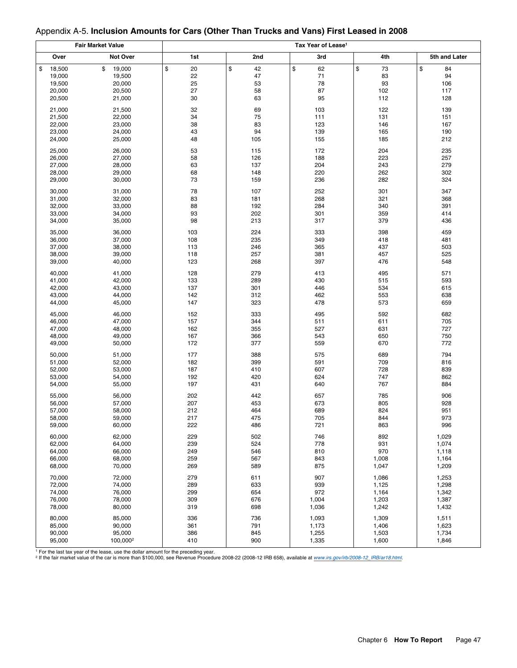|                  | <b>Fair Market Value</b> | Tax Year of Lease <sup>1</sup> |            |            |            |               |
|------------------|--------------------------|--------------------------------|------------|------------|------------|---------------|
| Over             | Not Over                 | 1st                            | 2nd        | 3rd        | 4th        | 5th and Later |
| \$<br>18,500     | \$<br>19,000             | \$<br>20                       | \$<br>42   | \$<br>62   | \$<br>73   | \$<br>84      |
| 19,000           | 19,500                   | 22                             | 47         | 71         | 83         | 94            |
| 19,500           | 20,000                   | 25                             | 53         | 78         | 93         | 106           |
| 20,000           | 20,500                   | 27                             | 58         | 87         | 102        | 117           |
| 20,500           | 21,000                   | 30                             | 63         | 95         | 112        | 128           |
| 21,000           | 21,500                   | 32                             | 69         | 103        | 122        | 139           |
| 21,500           | 22,000                   | 34                             | 75         | 111        | 131        | 151           |
| 22,000           | 23,000                   | 38                             | 83         | 123        | 146        | 167           |
| 23,000           | 24,000                   | 43                             | 94         | 139        | 165        | 190           |
| 24,000           | 25,000                   | 48                             | 105        | 155        | 185        | 212           |
|                  |                          |                                |            |            |            |               |
| 25,000           | 26,000                   | 53                             | 115        | 172        | 204        | 235           |
| 26,000           | 27,000                   | 58                             | 126        | 188        | 223        | 257           |
| 27,000           | 28,000                   | 63                             | 137        | 204        | 243        | 279           |
| 28,000           | 29,000                   | 68                             | 148        | 220        | 262        | 302           |
| 29,000           | 30,000                   | 73                             | 159        | 236        | 282        | 324           |
| 30,000           | 31,000                   | 78                             | 107        | 252        | 301        | 347           |
| 31,000           | 32,000                   | 83                             | 181        | 268        | 321        | 368           |
| 32,000           | 33,000                   | 88                             | 192        | 284        | 340        | 391           |
| 33,000           | 34,000                   | 93                             | 202        | 301        | 359        | 414           |
| 34,000           | 35,000                   | 98                             | 213        | 317        | 379        | 436           |
|                  |                          |                                |            |            |            |               |
| 35,000           | 36,000                   | 103                            | 224        | 333        | 398        | 459           |
| 36,000           | 37,000                   | 108                            | 235        | 349        | 418        | 481           |
| 37,000           | 38,000                   | 113                            | 246        | 365        | 437        | 503           |
| 38,000           | 39,000                   | 118                            | 257        | 381        | 457        | 525           |
| 39,000           | 40,000                   | 123                            | 268        | 397        | 476        | 548           |
| 40,000           | 41,000                   | 128                            | 279        | 413        | 495        | 571           |
| 41,000           | 42,000                   | 133                            | 289        | 430        | 515        | 593           |
| 42,000           | 43,000                   | 137                            | 301        | 446        | 534        | 615           |
| 43,000           | 44,000                   | 142                            | 312        | 462        | 553        | 638           |
| 44,000           | 45,000                   | 147                            | 323        | 478        | 573        | 659           |
| 45,000           | 46,000                   | 152                            | 333        | 495        | 592        | 682           |
| 46,000           | 47,000                   | 157                            | 344        | 511        | 611        | 705           |
| 47,000           | 48,000                   | 162                            | 355        | 527        | 631        | 727           |
| 48,000           | 49,000                   | 167                            | 366        | 543        | 650        | 750           |
| 49,000           | 50,000                   | 172                            | 377        | 559        | 670        | 772           |
| 50,000           | 51,000                   | 177                            | 388        | 575        | 689        | 794           |
| 51,000           | 52,000                   | 182                            | 399        | 591        | 709        | 816           |
| 52,000           | 53,000                   | 187                            | 410        | 607        | 728        | 839           |
| 53,000           | 54,000                   | 192                            | 420        | 624        | 747        | 862           |
| 54,000           | 55,000                   | 197                            | 431        | 640        | 767        | 884           |
| 55,000           | 56,000                   | 202                            | 442        | 657        | 785        | 906           |
|                  |                          |                                |            |            |            |               |
| 56,000           | 57,000                   | 207                            | 453        | 673        | 805        | 928           |
| 57,000           | 58,000                   | 212                            | 464        | 689        | 824        | 951           |
| 58,000<br>59,000 | 59,000<br>60,000         | 217<br>222                     | 475<br>486 | 705<br>721 | 844<br>863 | 973<br>996    |
|                  |                          |                                |            |            |            |               |
| 60,000           | 62,000                   | 229                            | 502        | 746        | 892        | 1,029         |
| 62,000           | 64,000                   | 239                            | 524        | 778        | 931        | 1,074         |
| 64,000           | 66,000                   | 249                            | 546        | 810        | 970        | 1,118         |
| 66,000           | 68,000                   | 259                            | 567        | 843        | 1,008      | 1,164         |
| 68,000           | 70,000                   | 269                            | 589        | 875        | 1,047      | 1,209         |
| 70,000           | 72,000                   | 279                            | 611        | 907        | 1,086      | 1,253         |
| 72,000           | 74,000                   | 289                            | 633        | 939        | 1,125      | 1,298         |
| 74,000           | 76,000                   | 299                            | 654        | 972        | 1,164      | 1,342         |
| 76,000           | 78,000                   | 309                            | 676        | 1,004      | 1,203      | 1,387         |
| 78,000           | 80,000                   | 319                            | 698        | 1,036      | 1,242      | 1,432         |
| 80,000           | 85,000                   | 336                            | 736        | 1,093      | 1,309      | 1,511         |
| 85,000           | 90,000                   | 361                            | 791        | 1,173      | 1,406      | 1,623         |
| 90,000           | 95,000                   | 386                            | 845        | 1,255      | 1,503      | 1,734         |
| 95,000           | 100,000 <sup>2</sup>     | 410                            | 900        | 1,335      | 1,600      | 1,846         |
|                  |                          |                                |            |            |            |               |

# Appendix A-5. **Inclusion Amounts for Cars (Other Than Trucks and Vans) First Leased in 2008**

1 For the last tax year of the lease, use the dollar amount for the preceding year.<br><sup>2</sup> If the fair market value of the car is more than \$100,000, see Revenue Procedure 2008-22 (2008-12 IRB 658), available at *www.irs.gov/*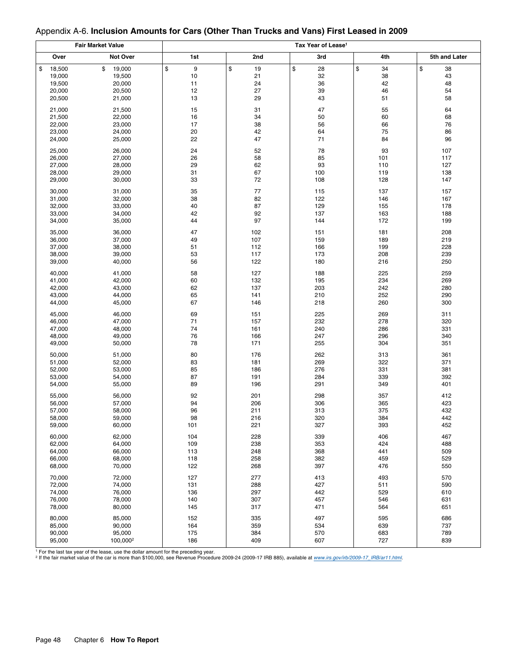|              | <b>Fair Market Value</b> | Tax Year of Lease <sup>1</sup> |          |          |          |               |
|--------------|--------------------------|--------------------------------|----------|----------|----------|---------------|
| Over         | Not Over                 | 1st                            | 2nd      | 3rd      | 4th      | 5th and Later |
| \$<br>18,500 | \$<br>19,000             | \$<br>9                        | \$<br>19 | \$<br>28 | \$<br>34 | \$<br>38      |
| 19,000       | 19,500                   | 10                             | 21       | 32       | 38       | 43            |
| 19,500       | 20,000                   | 11                             | 24       | 36       | 42       | 48            |
| 20,000       | 20,500                   | 12                             | 27       | 39       | 46       | 54            |
| 20,500       | 21,000                   | 13                             | 29       | 43       | 51       | 58            |
|              |                          |                                |          |          |          |               |
| 21,000       | 21,500                   | 15                             | 31       | 47       | 55       | 64            |
| 21,500       | 22,000                   | 16                             | 34       | 50       | 60       | 68            |
| 22,000       | 23,000                   | 17                             | 38       | 56       | 66       | 76            |
| 23,000       | 24,000                   | 20                             | 42       | 64       | 75       | 86            |
| 24,000       | 25,000                   | 22                             | 47       | 71       | 84       | 96            |
| 25,000       | 26,000                   | 24                             | 52       | 78       | 93       | 107           |
| 26,000       | 27,000                   | 26                             | 58       | 85       | 101      | 117           |
| 27,000       | 28,000                   | 29                             | 62       | 93       | 110      | 127           |
| 28,000       | 29,000                   | 31                             | 67       | 100      | 119      | 138           |
| 29,000       | 30,000                   | 33                             | 72       | 108      | 128      | 147           |
|              |                          |                                |          |          |          |               |
| 30,000       | 31,000                   | 35                             | 77       | 115      | 137      | 157           |
| 31,000       | 32,000                   | 38                             | 82       | 122      | 146      | 167           |
| 32,000       | 33,000                   | 40                             | 87       | 129      | 155      | 178           |
| 33,000       | 34,000                   | 42                             | 92       | 137      | 163      | 188           |
| 34,000       | 35,000                   | 44                             | 97       | 144      | 172      | 199           |
| 35,000       | 36,000                   | 47                             | 102      | 151      | 181      | 208           |
| 36,000       | 37,000                   | 49                             | 107      | 159      | 189      | 219           |
| 37,000       | 38,000                   | 51                             | 112      | 166      | 199      | 228           |
| 38,000       | 39,000                   | 53                             | 117      | 173      | 208      | 239           |
| 39,000       | 40,000                   | 56                             | 122      | 180      | 216      | 250           |
| 40,000       | 41,000                   | 58                             | 127      | 188      | 225      | 259           |
| 41,000       | 42,000                   | 60                             | 132      | 195      | 234      | 269           |
| 42,000       | 43,000                   | 62                             | 137      | 203      | 242      | 280           |
| 43,000       |                          | 65                             |          |          | 252      | 290           |
|              | 44,000                   | 67                             | 141      | 210      |          |               |
| 44,000       | 45,000                   |                                | 146      | 218      | 260      | 300           |
| 45,000       | 46,000                   | 69                             | 151      | 225      | 269      | 311           |
| 46,000       | 47,000                   | 71                             | 157      | 232      | 278      | 320           |
| 47,000       | 48,000                   | 74                             | 161      | 240      | 286      | 331           |
| 48,000       | 49,000                   | 76                             | 166      | 247      | 296      | 340           |
| 49,000       | 50,000                   | 78                             | 171      | 255      | 304      | 351           |
| 50,000       | 51,000                   | 80                             | 176      | 262      | 313      | 361           |
| 51,000       | 52,000                   | 83                             | 181      | 269      | 322      | 371           |
| 52,000       | 53,000                   | 85                             | 186      | 276      | 331      | 381           |
| 53,000       | 54,000                   | 87                             | 191      | 284      | 339      | 392           |
| 54,000       | 55,000                   | 89                             | 196      | 291      | 349      | 401           |
| 55,000       | 56,000                   | 92                             | 201      | 298      | 357      | 412           |
| 56,000       | 57,000                   | 94                             | 206      | 306      | 365      | 423           |
| 57,000       | 58,000                   | 96                             | 211      | 313      | 375      | 432           |
| 58,000       | 59,000                   | 98                             | 216      | 320      | 384      | 442           |
| 59,000       | 60,000                   | 101                            | 221      | 327      | 393      | 452           |
|              |                          |                                |          |          |          |               |
| 60,000       | 62,000                   | 104                            | 228      | 339      | 406      | 467           |
| 62,000       | 64,000                   | 109                            | 238      | 353      | 424      | 488           |
| 64,000       | 66,000                   | 113                            | 248      | 368      | 441      | 509           |
| 66,000       | 68,000                   | 118                            | 258      | 382      | 459      | 529           |
| 68,000       | 70,000                   | 122                            | 268      | 397      | 476      | 550           |
| 70,000       | 72,000                   | 127                            | 277      | 413      | 493      | 570           |
| 72,000       | 74,000                   | 131                            | 288      | 427      | 511      | 590           |
| 74,000       | 76,000                   | 136                            | 297      | 442      | 529      | 610           |
| 76,000       | 78,000                   | 140                            | 307      | 457      | 546      | 631           |
| 78,000       | 80,000                   | 145                            | 317      | 471      | 564      | 651           |
| 80,000       | 85,000                   | 152                            | 335      | 497      | 595      | 686           |
| 85,000       | 90,000                   | 164                            | 359      | 534      | 639      | 737           |
| 90,000       | 95,000                   | 175                            | 384      | 570      | 683      | 789           |
| 95,000       | 100,000 <sup>2</sup>     | 186                            | 409      | 607      | 727      | 839           |

# Appendix A-6. **Inclusion Amounts for Cars (Other Than Trucks and Vans) First Leased in 2009**

<sup>1</sup> For the last tax year of the lease, use the dollar amount for the preceding year.<br><sup>2</sup> If the fair market value of the car is more than \$100,000, see Revenue Procedure 2009-24 (2009-17 IRB 885), available at *www.irs.go*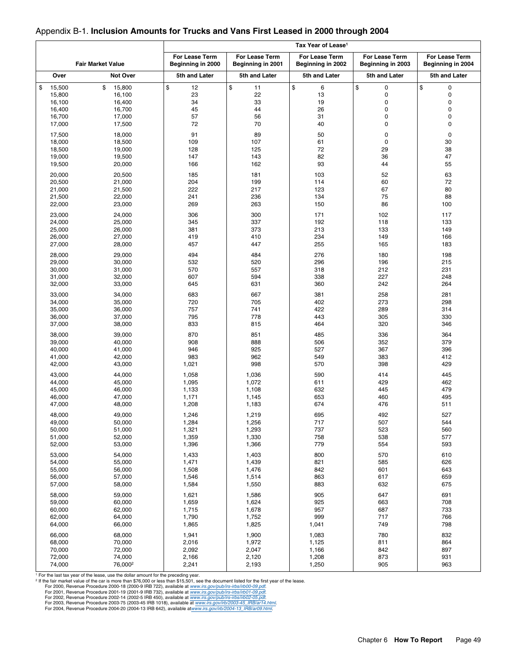|              |                          | Tax Year of Lease <sup>1</sup>      |                                     |                                     |                                     |                                     |
|--------------|--------------------------|-------------------------------------|-------------------------------------|-------------------------------------|-------------------------------------|-------------------------------------|
|              | <b>Fair Market Value</b> | For Lease Term<br>Beginning in 2000 | For Lease Term<br>Beginning in 2001 | For Lease Term<br>Beginning in 2002 | For Lease Term<br>Beginning in 2003 | For Lease Term<br>Beginning in 2004 |
| Over         | Not Over                 | 5th and Later                       | 5th and Later                       | 5th and Later                       | 5th and Later                       | 5th and Later                       |
| \$<br>15,500 | \$<br>15,800             | \$<br>12                            | \$<br>11                            | \$<br>6                             | \$<br>0                             | \$<br>0                             |
| 15,800       | 16,100                   | 23                                  | 22                                  | 13                                  | 0                                   | 0                                   |
| 16,100       | 16,400                   | 34                                  | 33                                  | 19                                  | 0                                   | $\mathsf 0$                         |
| 16,400       | 16,700                   | 45                                  | 44                                  | 26                                  | 0                                   | 0                                   |
| 16,700       | 17,000                   | 57                                  | 56                                  | 31                                  | 0                                   | 0                                   |
| 17,000       | 17,500                   | 72                                  | 70                                  | 40                                  | 0                                   | 0                                   |
|              |                          |                                     |                                     |                                     |                                     |                                     |
| 17,500       | 18,000                   | 91                                  | 89                                  | 50                                  | 0                                   | $\mathsf 0$                         |
| 18,000       | 18,500                   | 109                                 | 107                                 | 61                                  | $\mathbf 0$                         | 30                                  |
| 18,500       | 19,000                   | 128                                 | 125                                 | 72                                  | 29                                  | 38                                  |
| 19,000       | 19,500                   | 147                                 | 143                                 | 82                                  | 36                                  | 47                                  |
| 19,500       | 20,000                   | 166                                 | 162                                 | 93                                  | 44                                  | 55                                  |
| 20,000       | 20,500                   | 185                                 | 181                                 | 103                                 | 52                                  | 63                                  |
| 20,500       | 21,000                   | 204                                 | 199                                 | 114                                 | 60                                  | 72                                  |
| 21,000       | 21,500                   | 222                                 | 217                                 | 123                                 | 67                                  | 80                                  |
| 21,500       | 22,000                   | 241                                 | 236                                 | 134                                 | 75                                  | 88                                  |
| 22,000       | 23,000                   | 269                                 | 263                                 | 150                                 | 86                                  | 100                                 |
|              |                          |                                     |                                     |                                     |                                     |                                     |
| 23,000       | 24,000                   | 306                                 | 300                                 | 171                                 | 102                                 | 117                                 |
| 24,000       | 25,000                   | 345                                 | 337                                 | 192                                 | 118                                 | 133                                 |
| 25,000       | 26,000                   | 381                                 | 373                                 | 213                                 | 133                                 | 149                                 |
| 26,000       | 27,000                   | 419                                 | 410                                 | 234                                 | 149                                 | 166                                 |
| 27,000       | 28,000                   | 457                                 | 447                                 | 255                                 | 165                                 | 183                                 |
| 28,000       | 29,000                   | 494                                 | 484                                 | 276                                 | 180                                 | 198                                 |
|              | 30,000                   | 532                                 |                                     | 296                                 | 196                                 |                                     |
| 29,000       |                          |                                     | 520                                 |                                     |                                     | 215                                 |
| 30,000       | 31,000                   | 570                                 | 557                                 | 318                                 | 212                                 | 231                                 |
| 31,000       | 32,000                   | 607                                 | 594                                 | 338                                 | 227                                 | 248                                 |
| 32,000       | 33,000                   | 645                                 | 631                                 | 360                                 | 242                                 | 264                                 |
| 33,000       | 34,000                   | 683                                 | 667                                 | 381                                 | 258                                 | 281                                 |
| 34,000       | 35,000                   | 720                                 | 705                                 | 402                                 | 273                                 | 298                                 |
| 35,000       | 36,000                   | 757                                 | 741                                 | 422                                 | 289                                 | 314                                 |
| 36,000       | 37,000                   | 795                                 | 778                                 | 443                                 | 305                                 | 330                                 |
| 37,000       | 38,000                   | 833                                 | 815                                 | 464                                 | 320                                 | 346                                 |
|              |                          |                                     |                                     |                                     |                                     |                                     |
| 38,000       | 39,000                   | 870                                 | 851                                 | 485                                 | 336                                 | 364                                 |
| 39,000       | 40,000                   | 908                                 | 888                                 | 506                                 | 352                                 | 379                                 |
| 40,000       | 41,000                   | 946                                 | 925                                 | 527                                 | 367                                 | 396                                 |
| 41,000       | 42,000                   | 983                                 | 962                                 | 549                                 | 383                                 | 412                                 |
| 42,000       | 43,000                   | 1,021                               | 998                                 | 570                                 | 398                                 | 429                                 |
| 43,000       | 44,000                   | 1,058                               | 1,036                               | 590                                 | 414                                 | 445                                 |
| 44,000       | 45,000                   | 1,095                               | 1,072                               | 611                                 | 429                                 | 462                                 |
| 45,000       | 46.000                   | 1,133                               | 1,108                               | 632                                 | 445                                 | 479                                 |
| 46,000       | 47,000                   | 1,171                               | 1,145                               | 653                                 | 460                                 | 495                                 |
| 47,000       | 48,000                   | 1,208                               | 1,183                               | 674                                 | 476                                 | 511                                 |
|              |                          |                                     |                                     |                                     |                                     |                                     |
| 48,000       | 49,000                   | 1,246                               | 1,219                               | 695                                 | 492                                 | 527                                 |
| 49,000       | 50,000                   | 1,284                               | 1,256                               | 717                                 | 507                                 | 544                                 |
| 50,000       | 51,000                   | 1,321                               | 1,293                               | 737                                 | 523                                 | 560                                 |
| 51,000       | 52,000                   | 1,359                               | 1,330                               | 758                                 | 538                                 | 577                                 |
| 52,000       | 53,000                   | 1,396                               | 1,366                               | 779                                 | 554                                 | 593                                 |
| 53,000       | 54,000                   | 1,433                               | 1,403                               | 800                                 | 570                                 | 610                                 |
| 54,000       | 55,000                   | 1,471                               | 1,439                               | 821                                 | 585                                 | 626                                 |
| 55,000       | 56,000                   | 1,508                               | 1,476                               | 842                                 | 601                                 | 643                                 |
| 56,000       | 57,000                   | 1,546                               | 1,514                               | 863                                 | 617                                 | 659                                 |
| 57,000       | 58,000                   | 1,584                               | 1,550                               | 883                                 | 632                                 | 675                                 |
|              |                          |                                     |                                     |                                     |                                     |                                     |
| 58,000       | 59,000                   | 1,621                               | 1,586                               | 905                                 | 647                                 | 691                                 |
| 59,000       | 60,000                   | 1,659                               | 1,624                               | 925                                 | 663                                 | 708                                 |
| 60,000       | 62,000                   | 1,715                               | 1,678                               | 957                                 | 687                                 | 733                                 |
| 62,000       | 64,000                   | 1,790                               | 1,752                               | 999                                 | 717                                 | 766                                 |
| 64,000       | 66,000                   | 1,865                               | 1,825                               | 1,041                               | 749                                 | 798                                 |
| 66,000       | 68,000                   | 1,941                               | 1,900                               | 1,083                               | 780                                 | 832                                 |
|              |                          |                                     |                                     |                                     |                                     |                                     |
| 68,000       | 70,000                   | 2,016                               | 1,972                               | 1,125                               | 811                                 | 864                                 |
| 70,000       | 72,000                   | 2,092                               | 2,047                               | 1,166                               | 842                                 | 897<br>931                          |
| 72,000       | 74,000                   | 2,166                               | 2,120                               | 1,208                               | 873                                 |                                     |
| 74,000       | 76,000 <sup>2</sup>      | 2,241                               | 2,193                               | 1,250                               | 905                                 | 963                                 |

<sup>1</sup> For the last tax year of the lease, use the dollar amount for the preceding year.<br>
<sup>2</sup> If the fair market value of the car is more than \$76,000 or less than \$15,501, see the document listed for the first year of the l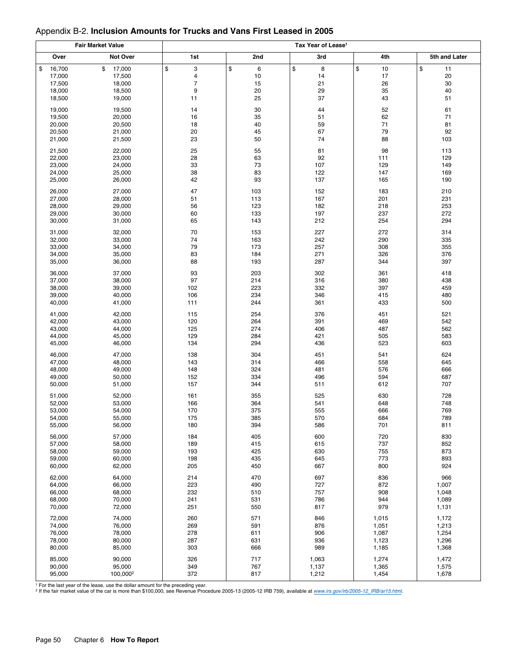| <b>Fair Market Value</b> |        |                      | Tax Year of Lease <sup>1</sup> |         |         |          |               |  |
|--------------------------|--------|----------------------|--------------------------------|---------|---------|----------|---------------|--|
|                          | Over   | Not Over             | 1st                            | 2nd     | 3rd     | 4th      | 5th and Later |  |
| \$                       | 16,700 | \$<br>17,000         | \$<br>3                        | \$<br>6 | \$<br>8 | \$<br>10 | \$<br>11      |  |
|                          | 17,000 | 17,500               | $\overline{4}$                 | 10      | 14      | 17       | 20            |  |
|                          | 17,500 | 18,000               | $\overline{7}$                 | 15      | 21      | 26       | 30            |  |
|                          | 18,000 | 18,500               | 9                              | 20      | 29      | 35       | 40            |  |
|                          | 18,500 | 19,000               | 11                             | 25      | 37      | 43       | 51            |  |
|                          | 19,000 | 19,500               | 14                             | 30      | 44      | 52       | 61            |  |
|                          | 19,500 | 20,000               | 16                             | 35      | 51      | 62       | 71            |  |
|                          | 20,000 | 20,500               | 18                             | 40      | 59      | 71       | 81            |  |
|                          | 20,500 | 21,000               | 20                             | 45      | 67      | 79       | 92            |  |
|                          | 21,000 | 21,500               | 23                             | 50      | 74      | 88       | 103           |  |
|                          | 21,500 | 22,000               | 25                             | 55      | 81      | 98       | 113           |  |
|                          | 22,000 | 23,000               | 28                             | 63      | 92      | 111      | 129           |  |
|                          | 23,000 | 24,000               | 33                             | 73      | 107     | 129      | 149           |  |
|                          | 24,000 | 25,000               | 38                             | 83      | 122     | 147      | 169           |  |
|                          | 25,000 | 26,000               | 42                             | 93      | 137     | 165      | 190           |  |
|                          | 26,000 | 27,000               | 47                             | 103     | 152     | 183      | 210           |  |
|                          | 27,000 | 28,000               | 51                             | 113     | 167     | 201      | 231           |  |
|                          |        |                      |                                |         |         |          |               |  |
|                          | 28,000 | 29,000               | 56                             | 123     | 182     | 218      | 253<br>272    |  |
|                          | 29,000 | 30,000               | 60                             | 133     | 197     | 237      |               |  |
|                          | 30,000 | 31,000               | 65                             | 143     | 212     | 254      | 294           |  |
|                          | 31,000 | 32,000               | 70                             | 153     | 227     | 272      | 314           |  |
|                          | 32,000 | 33,000               | 74                             | 163     | 242     | 290      | 335           |  |
|                          | 33,000 | 34,000               | 79                             | 173     | 257     | 308      | 355           |  |
|                          | 34,000 | 35,000               | 83                             | 184     | 271     | 326      | 376           |  |
|                          | 35,000 | 36,000               | 88                             | 193     | 287     | 344      | 397           |  |
|                          | 36,000 | 37,000               | 93                             | 203     | 302     | 361      | 418           |  |
|                          | 37,000 | 38,000               | 97                             | 214     | 316     | 380      | 438           |  |
|                          | 38,000 | 39,000               | 102                            | 223     | 332     | 397      | 459           |  |
|                          | 39,000 | 40,000               | 106                            | 234     | 346     | 415      | 480           |  |
|                          | 40,000 | 41,000               | 111                            | 244     | 361     | 433      | 500           |  |
|                          | 41,000 | 42,000               | 115                            | 254     | 376     | 451      | 521           |  |
|                          |        |                      |                                |         |         |          |               |  |
|                          | 42,000 | 43,000               | 120                            | 264     | 391     | 469      | 542           |  |
|                          | 43,000 | 44,000               | 125                            | 274     | 406     | 487      | 562           |  |
|                          | 44,000 | 45,000               | 129                            | 284     | 421     | 505      | 583           |  |
|                          | 45,000 | 46,000               | 134                            | 294     | 436     | 523      | 603           |  |
|                          | 46,000 | 47,000               | 138                            | 304     | 451     | 541      | 624           |  |
|                          | 47,000 | 48,000               | 143                            | 314     | 466     | 558      | 645           |  |
|                          | 48,000 | 49,000               | 148                            | 324     | 481     | 576      | 666           |  |
|                          | 49,000 | 50,000               | 152                            | 334     | 496     | 594      | 687           |  |
|                          | 50,000 | 51,000               | 157                            | 344     | 511     | 612      | 707           |  |
|                          | 51,000 | 52,000               | 161                            | 355     | 525     | 630      | 728           |  |
|                          | 52,000 | 53,000               | 166                            | 364     | 541     | 648      | 748           |  |
|                          | 53,000 | 54,000               | 170                            | 375     | 555     | 666      | 769           |  |
|                          | 54,000 | 55,000               | 175                            | 385     | 570     | 684      | 789           |  |
|                          | 55,000 | 56,000               | 180                            | 394     | 586     | 701      | 811           |  |
|                          | 56,000 | 57,000               | 184                            | 405     | 600     | 720      | 830           |  |
|                          | 57,000 | 58,000               | 189                            | 415     | 615     | 737      | 852           |  |
|                          | 58,000 | 59,000               | 193                            | 425     | 630     | 755      | 873           |  |
|                          | 59,000 | 60,000               | 198                            | 435     | 645     | 773      | 893           |  |
|                          | 60,000 | 62,000               | 205                            | 450     | 667     | 800      | 924           |  |
|                          | 62,000 | 64,000               | 214                            | 470     | 697     | 836      | 966           |  |
|                          | 64,000 | 66,000               | 223                            | 490     | 727     | 872      | 1,007         |  |
|                          | 66,000 | 68,000               | 232                            | 510     | 757     | 908      | 1,048         |  |
|                          | 68,000 | 70,000               | 241                            | 531     | 786     | 944      | 1,089         |  |
|                          | 70,000 | 72,000               | 251                            | 550     | 817     | 979      | 1,131         |  |
|                          | 72,000 | 74,000               | 260                            | 571     | 846     | 1,015    | 1,172         |  |
|                          | 74,000 | 76,000               | 269                            | 591     | 876     | 1,051    | 1,213         |  |
|                          | 76,000 | 78,000               | 278                            | 611     | 906     | 1,087    | 1,254         |  |
|                          | 78,000 | 80,000               | 287                            | 631     | 936     | 1,123    | 1,296         |  |
|                          | 80,000 | 85,000               | 303                            | 666     | 989     | 1,185    | 1,368         |  |
|                          | 85,000 | 90,000               | 326                            | 717     | 1,063   | 1,274    | 1,472         |  |
|                          | 90,000 | 95,000               | 349                            | 767     | 1,137   | 1,365    | 1,575         |  |
|                          | 95,000 | 100,000 <sup>2</sup> | 372                            | 817     | 1,212   | 1,454    |               |  |
|                          |        |                      |                                |         |         |          | 1,678         |  |

# Appendix B-2. **Inclusion Amounts for Trucks and Vans First Leased in 2005**

<sup>1</sup> For the last year of the lease, use the dollar amount for the preceding year.<br><sup>2</sup> If the fair market value of the car is more than \$100,000, see Revenue Procedure 2005-13 (2005-12 IRB 759), available at *www.irs.gov/ir*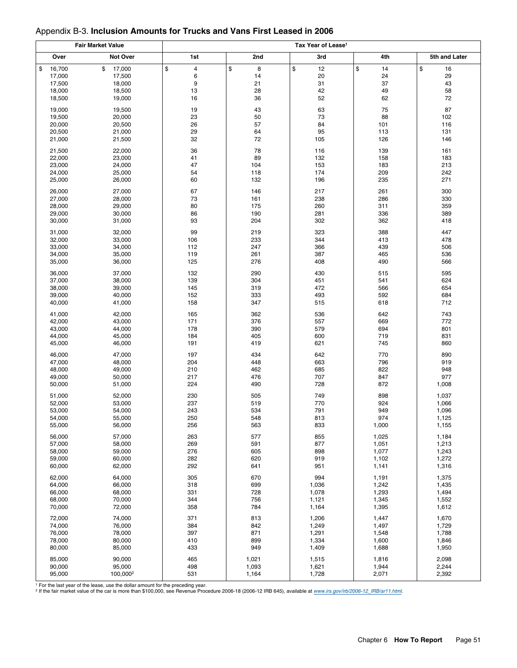|              | <b>Fair Market Value</b> | Tax Year of Lease <sup>1</sup> |         |          |          |               |
|--------------|--------------------------|--------------------------------|---------|----------|----------|---------------|
| Over         | Not Over                 | 1st                            | 2nd     | 3rd      | 4th      | 5th and Later |
| \$<br>16,700 | \$<br>17,000             | \$<br>4                        | \$<br>8 | \$<br>12 | \$<br>14 | \$<br>16      |
| 17,000       | 17,500                   | 6                              | 14      | 20       | 24       | 29            |
| 17,500       | 18,000                   | 9                              | 21      | 31       | 37       | 43            |
| 18,000       | 18,500                   | 13                             | 28      | 42       | 49       | 58            |
| 18,500       | 19,000                   | 16                             | 36      | 52       | 62       | 72            |
| 19,000       | 19,500                   | 19                             | 43      | 63       | 75       | 87            |
| 19,500       | 20,000                   | 23                             | 50      | 73       | 88       | 102           |
| 20,000       | 20,500                   | 26                             | 57      | 84       | 101      | 116           |
| 20,500       | 21,000                   | 29                             | 64      | 95       | 113      | 131           |
| 21,000       | 21,500                   | 32                             | 72      | 105      | 126      | 146           |
| 21,500       | 22,000                   | 36                             | 78      | 116      | 139      | 161           |
| 22,000       | 23,000                   | 41                             | 89      | 132      | 158      | 183           |
| 23,000       | 24,000                   | 47                             | 104     | 153      | 183      | 213           |
| 24,000       | 25,000                   | 54                             | 118     | 174      | 209      | 242           |
| 25,000       | 26,000                   | 60                             | 132     | 196      | 235      | 271           |
| 26,000       | 27,000                   | 67                             | 146     | 217      | 261      | 300           |
| 27,000       | 28,000                   | 73                             | 161     | 238      | 286      | 330           |
| 28,000       | 29,000                   | 80                             | 175     | 260      | 311      | 359           |
| 29,000       | 30,000                   | 86                             | 190     | 281      | 336      | 389           |
| 30,000       | 31,000                   | 93                             | 204     | 302      | 362      | 418           |
|              |                          | 99                             |         |          |          |               |
| 31,000       | 32,000                   |                                | 219     | 323      | 388      | 447           |
| 32,000       | 33,000                   | 106                            | 233     | 344      | 413      | 478           |
| 33,000       | 34,000                   | 112                            | 247     | 366      | 439      | 506           |
| 34,000       | 35,000                   | 119                            | 261     | 387      | 465      | 536           |
| 35,000       | 36,000                   | 125                            | 276     | 408      | 490      | 566           |
| 36,000       | 37,000                   | 132                            | 290     | 430      | 515      | 595           |
| 37,000       | 38,000                   | 139                            | 304     | 451      | 541      | 624           |
| 38,000       | 39,000                   | 145                            | 319     | 472      | 566      | 654           |
| 39,000       | 40,000                   | 152                            | 333     | 493      | 592      | 684           |
| 40,000       | 41,000                   | 158                            | 347     | 515      | 618      | 712           |
| 41,000       | 42,000                   | 165                            | 362     | 536      | 642      | 743           |
| 42,000       | 43,000                   | 171                            | 376     | 557      | 669      | 772           |
| 43,000       | 44,000                   | 178                            | 390     | 579      | 694      | 801           |
| 44,000       | 45,000                   | 184                            | 405     | 600      | 719      | 831           |
| 45,000       | 46,000                   | 191                            | 419     | 621      | 745      | 860           |
| 46,000       | 47,000                   | 197                            | 434     | 642      | 770      | 890           |
| 47,000       | 48,000                   | 204                            | 448     | 663      | 796      | 919           |
| 48,000       | 49,000                   | 210                            | 462     | 685      | 822      | 948           |
| 49,000       | 50,000                   | 217                            | 476     | 707      | 847      | 977           |
| 50,000       | 51,000                   | 224                            | 490     | 728      | 872      | 1,008         |
| 51,000       | 52,000                   | 230                            | 505     | 749      | 898      | 1,037         |
| 52,000       | 53,000                   | 237                            | 519     | 770      | 924      | 1,066         |
| 53,000       | 54,000                   | 243                            | 534     | 791      | 949      | 1,096         |
| 54,000       | 55,000                   | 250                            | 548     | 813      | 974      | 1,125         |
| 55,000       | 56,000                   | 256                            | 563     | 833      | 1,000    | 1,155         |
| 56,000       | 57,000                   | 263                            | 577     | 855      | 1,025    | 1,184         |
| 57,000       | 58,000                   | 269                            | 591     | 877      | 1,051    | 1,213         |
| 58,000       | 59,000                   | 276                            | 605     | 898      | 1,077    | 1,243         |
| 59,000       | 60,000                   | 282                            | 620     | 919      | 1,102    | 1,272         |
| 60,000       | 62,000                   | 292                            | 641     | 951      | 1,141    | 1,316         |
| 62,000       | 64,000                   | 305                            | 670     | 994      | 1,191    | 1,375         |
| 64,000       | 66,000                   | 318                            | 699     | 1,036    | 1,242    | 1,435         |
| 66,000       | 68,000                   | 331                            | 728     | 1,078    | 1,293    | 1,494         |
| 68,000       | 70,000                   | 344                            | 756     | 1,121    | 1,345    | 1,552         |
| 70,000       | 72,000                   | 358                            | 784     | 1,164    | 1,395    | 1,612         |
| 72,000       | 74,000                   | 371                            | 813     | 1,206    | 1,447    | 1,670         |
| 74,000       | 76,000                   | 384                            | 842     | 1,249    | 1,497    | 1,729         |
| 76,000       | 78,000                   | 397                            | 871     | 1,291    | 1,548    | 1,788         |
| 78,000       | 80,000                   | 410                            | 899     | 1,334    | 1,600    |               |
| 80,000       | 85,000                   | 433                            | 949     | 1,409    | 1,688    | 1,846         |
|              |                          |                                |         |          |          | 1,950         |
| 85,000       | 90,000                   | 465                            | 1,021   | 1,515    | 1,816    | 2,098         |
| 90,000       | 95,000                   | 498                            | 1,093   | 1,621    | 1,944    | 2,244         |
| 95,000       | 100,000 <sup>2</sup>     | 531                            | 1,164   | 1,728    | 2,071    | 2,392         |

# Appendix B-3. **Inclusion Amounts for Trucks and Vans First Leased in 2006**

<sup>1</sup> For the last year of the lease, use the dollar amount for the preceding year.<br><sup>2</sup> If the fair market value of the car is more than \$100,000, see Revenue Procedure 2006-18 (2006-12 IRB 645), available at *www.irs.gov/ir*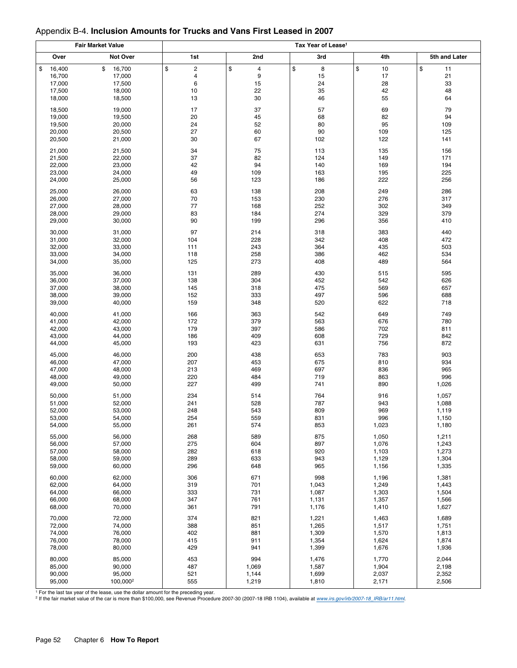|              | <b>Fair Market Value</b> | Tax Year of Lease <sup>1</sup> |         |         |          |               |
|--------------|--------------------------|--------------------------------|---------|---------|----------|---------------|
| Over         | Not Over                 | 1st                            | 2nd     | 3rd     | 4th      | 5th and Later |
| \$<br>16,400 | \$<br>16,700             | \$<br>$\mathbf 2$              | \$<br>4 | \$<br>8 | \$<br>10 | \$<br>11      |
| 16,700       | 17,000                   | $\overline{4}$                 | 9       | 15      | 17       | 21            |
| 17,000       | 17,500                   | 6                              | 15      | 24      | 28       | 33            |
| 17,500       | 18,000                   | 10                             | 22      | 35      | 42       | 48            |
| 18,000       | 18,500                   | 13                             | 30      | 46      | 55       | 64            |
|              |                          |                                |         |         |          |               |
| 18,500       | 19,000                   | 17                             | 37      | 57      | 69       | 79            |
| 19,000       | 19,500                   | 20                             | 45      | 68      | 82       | 94            |
| 19,500       | 20,000                   | 24                             | 52      | 80      | 95       | 109           |
| 20,000       | 20,500                   | 27                             | 60      | 90      | 109      | 125           |
| 20,500       | 21,000                   | 30                             | 67      | 102     | 122      | 141           |
|              |                          |                                |         |         |          |               |
| 21,000       | 21,500                   | 34                             | 75      | 113     | 135      | 156           |
| 21,500       | 22,000                   | 37                             | 82      | 124     | 149      | 171           |
| 22,000       | 23,000                   | 42                             | 94      | 140     | 169      | 194           |
| 23,000       | 24,000                   | 49                             | 109     | 163     | 195      | 225           |
| 24,000       | 25,000                   | 56                             | 123     | 186     | 222      | 256           |
|              |                          |                                |         |         |          |               |
| 25,000       | 26,000                   | 63                             | 138     | 208     | 249      | 286           |
| 26,000       | 27,000                   | 70                             | 153     | 230     | 276      | 317           |
| 27,000       | 28,000                   | 77                             | 168     | 252     | 302      | 349           |
| 28,000       | 29,000                   | 83                             | 184     | 274     | 329      | 379           |
| 29,000       | 30,000                   | 90                             | 199     | 296     | 356      | 410           |
|              |                          |                                |         |         |          |               |
| 30,000       | 31,000                   | 97                             | 214     | 318     | 383      | 440           |
| 31,000       | 32,000                   | 104                            | 228     | 342     | 408      | 472           |
| 32,000       | 33,000                   | 111                            | 243     | 364     | 435      | 503           |
| 33,000       | 34,000                   | 118                            | 258     | 386     | 462      | 534           |
| 34,000       | 35,000                   | 125                            | 273     | 408     | 489      | 564           |
|              |                          |                                |         |         |          |               |
| 35,000       | 36,000                   | 131                            | 289     | 430     | 515      | 595           |
| 36,000       | 37,000                   | 138                            | 304     | 452     | 542      | 626           |
| 37,000       | 38,000                   | 145                            | 318     | 475     | 569      | 657           |
| 38,000       | 39,000                   | 152                            | 333     | 497     | 596      | 688           |
| 39,000       | 40,000                   | 159                            | 348     | 520     | 622      | 718           |
|              |                          |                                |         |         |          |               |
| 40,000       | 41,000                   | 166                            | 363     | 542     | 649      | 749           |
| 41,000       | 42,000                   | 172                            | 379     | 563     | 676      | 780           |
| 42,000       | 43,000                   | 179                            | 397     | 586     | 702      | 811           |
| 43,000       | 44,000                   | 186                            | 409     | 608     | 729      | 842           |
| 44,000       | 45,000                   | 193                            | 423     | 631     | 756      | 872           |
|              |                          |                                |         |         |          |               |
| 45,000       | 46,000                   | 200                            | 438     | 653     | 783      | 903           |
| 46,000       | 47,000                   | 207                            | 453     | 675     | 810      | 934           |
| 47,000       | 48,000                   | 213                            | 469     | 697     | 836      | 965           |
| 48,000       | 49,000                   | 220                            | 484     | 719     | 863      | 996           |
| 49,000       | 50,000                   | 227                            | 499     | 741     | 890      | 1,026         |
|              |                          |                                |         |         |          |               |
| 50,000       | 51,000                   | 234                            | 514     | 764     | 916      | 1,057         |
| 51,000       | 52,000                   | 241                            | 528     | 787     | 943      | 1,088         |
| 52,000       | 53,000                   | 248                            | 543     | 809     | 969      | 1,119         |
| 53,000       | 54,000                   | 254                            | 559     | 831     | 996      | 1,150         |
| 54,000       | 55,000                   | 261                            | 574     | 853     | 1,023    | 1,180         |
|              |                          |                                |         |         |          |               |
| 55,000       | 56,000                   | 268                            | 589     | 875     | 1,050    | 1,211         |
| 56,000       | 57,000                   | 275                            | 604     | 897     | 1,076    | 1,243         |
| 57,000       | 58,000                   | 282                            | 618     | 920     | 1,103    | 1,273         |
| 58,000       | 59,000                   | 289                            | 633     | 943     | 1,129    | 1,304         |
| 59,000       | 60,000                   | 296                            | 648     | 965     | 1,156    | 1,335         |
| 60,000       | 62,000                   | 306                            | 671     | 998     | 1,196    | 1,381         |
|              |                          |                                |         |         |          |               |
| 62,000       | 64,000                   | 319                            | 701     | 1,043   | 1,249    | 1,443         |
| 64,000       | 66,000                   | 333                            | 731     | 1,087   | 1,303    | 1,504         |
| 66,000       | 68,000                   | 347                            | 761     | 1,131   | 1,357    | 1,566         |
| 68,000       | 70,000                   | 361                            | 791     | 1,176   | 1,410    | 1,627         |
| 70,000       | 72,000                   | 374                            | 821     | 1,221   | 1,463    | 1,689         |
| 72,000       | 74,000                   | 388                            | 851     | 1,265   | 1,517    | 1,751         |
|              |                          |                                |         |         |          |               |
| 74,000       | 76,000                   | 402                            | 881     | 1,309   | 1,570    | 1,813         |
| 76,000       | 78,000                   | 415                            | 911     | 1,354   | 1,624    | 1,874         |
| 78,000       | 80,000                   | 429                            | 941     | 1,399   | 1,676    | 1,936         |
| 80,000       | 85,000                   | 453                            | 994     | 1,476   | 1,770    | 2,044         |
| 85,000       | 90,000                   | 487                            | 1,069   | 1,587   | 1,904    | 2,198         |
| 90,000       | 95,000                   | 521                            | 1,144   | 1,699   | 2,037    | 2,352         |
|              |                          |                                |         |         |          |               |
| 95,000       | 100,000 <sup>2</sup>     | 555                            | 1,219   | 1,810   | 2,171    | 2,506         |

# Appendix B-4. **Inclusion Amounts for Trucks and Vans First Leased in 2007**

<sup>1</sup> For the last tax year of the lease, use the dollar amount for the preceding year.<br><sup>2</sup> If the fair market value of the car is more than \$100,000, see Revenue Procedure 2007-30 (2007-18 IRB 1104), available at *www.irs.g*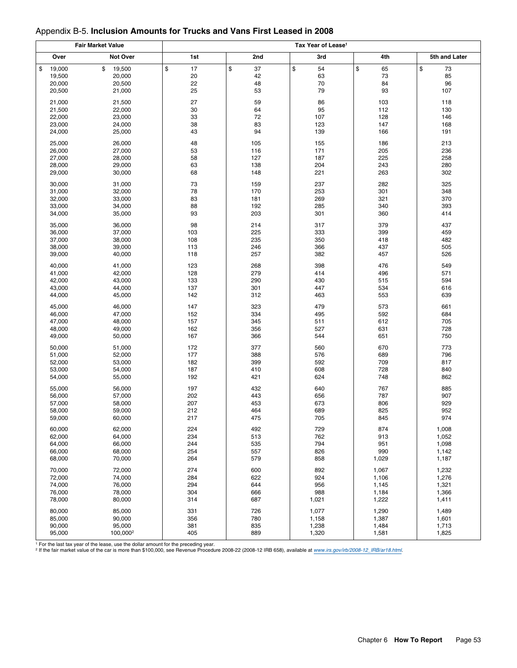|              | <b>Fair Market Value</b> |          |          | Tax Year of Lease <sup>1</sup> |          |               |
|--------------|--------------------------|----------|----------|--------------------------------|----------|---------------|
| Over         | Not Over                 | 1st      | 2nd      | 3rd                            | 4th      | 5th and Later |
| \$<br>19,000 | \$<br>19,500             | \$<br>17 | \$<br>37 | \$<br>54                       | \$<br>65 | \$<br>73      |
|              |                          |          |          |                                |          |               |
| 19,500       | 20,000                   | 20       | 42       | 63                             | 73       | 85            |
| 20,000       | 20,500                   | 22       | 48       | 70                             | 84       | 96            |
| 20,500       | 21,000                   | 25       | 53       | 79                             | 93       | 107           |
|              |                          |          |          |                                |          |               |
| 21,000       | 21,500                   | 27       | 59       | 86                             | 103      | 118           |
| 21,500       | 22,000                   | 30       | 64       | 95                             | 112      | 130           |
| 22,000       | 23,000                   | 33       | 72       | 107                            | 128      | 146           |
| 23,000       | 24,000                   | 38       | 83       | 123                            | 147      | 168           |
|              |                          |          |          |                                |          |               |
| 24,000       | 25,000                   | 43       | 94       | 139                            | 166      | 191           |
| 25,000       | 26,000                   | 48       | 105      | 155                            | 186      | 213           |
|              |                          |          |          |                                |          |               |
| 26,000       | 27,000                   | 53       | 116      | 171                            | 205      | 236           |
| 27,000       | 28,000                   | 58       | 127      | 187                            | 225      | 258           |
| 28,000       | 29,000                   | 63       | 138      | 204                            | 243      | 280           |
| 29,000       | 30,000                   | 68       | 148      | 221                            | 263      | 302           |
|              |                          |          |          |                                |          |               |
| 30,000       | 31,000                   | 73       | 159      | 237                            | 282      | 325           |
| 31,000       | 32,000                   | 78       | 170      | 253                            | 301      | 348           |
| 32,000       | 33,000                   | 83       | 181      | 269                            | 321      | 370           |
|              |                          |          |          |                                |          |               |
| 33,000       | 34,000                   | 88       | 192      | 285                            | 340      | 393           |
| 34,000       | 35,000                   | 93       | 203      | 301                            | 360      | 414           |
|              |                          |          |          |                                |          |               |
| 35,000       | 36,000                   | 98       | 214      | 317                            | 379      | 437           |
| 36,000       | 37,000                   | 103      | 225      | 333                            | 399      | 459           |
| 37,000       | 38,000                   | 108      | 235      | 350                            | 418      | 482           |
| 38,000       | 39,000                   | 113      | 246      | 366                            | 437      | 505           |
| 39,000       | 40,000                   |          | 257      | 382                            | 457      | 526           |
|              |                          | 118      |          |                                |          |               |
| 40,000       | 41,000                   | 123      | 268      | 398                            | 476      | 549           |
|              |                          |          | 279      | 414                            | 496      | 571           |
| 41,000       | 42,000                   | 128      |          |                                |          |               |
| 42,000       | 43,000                   | 133      | 290      | 430                            | 515      | 594           |
| 43,000       | 44,000                   | 137      | 301      | 447                            | 534      | 616           |
| 44,000       | 45,000                   | 142      | 312      | 463                            | 553      | 639           |
|              |                          |          |          |                                |          |               |
| 45,000       | 46,000                   | 147      | 323      | 479                            | 573      | 661           |
| 46,000       | 47,000                   | 152      | 334      | 495                            | 592      | 684           |
| 47,000       | 48,000                   | 157      | 345      | 511                            | 612      | 705           |
|              |                          |          |          |                                |          |               |
| 48,000       | 49,000                   | 162      | 356      | 527                            | 631      | 728           |
| 49,000       | 50,000                   | 167      | 366      | 544                            | 651      | 750           |
| 50,000       | 51,000                   | 172      | 377      | 560                            | 670      | 773           |
|              |                          |          |          |                                |          |               |
| 51,000       | 52,000                   | 177      | 388      | 576                            | 689      | 796           |
| 52,000       | 53,000                   | 182      | 399      | 592                            | 709      | 817           |
| 53,000       | 54,000                   | 187      | 410      | 608                            | 728      | 840           |
| 54,000       | 55,000                   | 192      | 421      | 624                            | 748      | 862           |
|              |                          |          |          |                                |          |               |
| 55,000       | 56,000                   | 197      | 432      | 640                            | 767      | 885           |
| 56,000       | 57,000                   | 202      | 443      | 656                            | 787      | 907           |
| 57,000       | 58,000                   | 207      | 453      | 673                            | 806      | 929           |
|              |                          |          |          |                                |          | 952           |
| 58,000       | 59,000                   | 212      | 464      | 689                            | 825      |               |
| 59,000       | 60,000                   | 217      | 475      | 705                            | 845      | 974           |
| 60,000       | 62,000                   | 224      | 492      | 729                            | 874      | 1,008         |
|              |                          |          |          |                                |          |               |
| 62,000       | 64,000                   | 234      | 513      | 762                            | 913      | 1,052         |
| 64,000       | 66,000                   | 244      | 535      | 794                            | 951      | 1,098         |
| 66,000       | 68,000                   | 254      | 557      | 826                            | 990      | 1,142         |
| 68,000       | 70,000                   | 264      | 579      | 858                            | 1,029    | 1,187         |
|              |                          |          |          |                                |          |               |
| 70,000       | 72,000                   | 274      | 600      | 892                            | 1,067    | 1,232         |
| 72,000       | 74,000                   | 284      | 622      | 924                            | 1,106    | 1,276         |
| 74,000       | 76,000                   | 294      | 644      | 956                            | 1,145    | 1,321         |
|              |                          |          |          |                                |          |               |
| 76,000       | 78,000                   | 304      | 666      | 988                            | 1,184    | 1,366         |
| 78,000       | 80,000                   | 314      | 687      | 1,021                          | 1,222    | 1,411         |
|              |                          |          |          |                                |          |               |
| 80,000       | 85,000                   | 331      | 726      | 1,077                          | 1,290    | 1,489         |
| 85,000       | 90,000                   | 356      | 780      | 1,158                          | 1,387    | 1,601         |
| 90,000       | 95,000                   | 381      | 835      | 1,238                          | 1,484    | 1,713         |
| 95,000       | 100,000 <sup>2</sup>     | 405      | 889      | 1,320                          | 1,581    | 1,825         |
|              |                          |          |          |                                |          |               |

# Appendix B-5. **Inclusion Amounts for Trucks and Vans First Leased in 2008**

<sup>1</sup> For the last tax year of the lease, use the dollar amount for the preceding year.<br><sup>2</sup> If the fair market value of the car is more than \$100,000, see Revenue Procedure 2008-22 (2008-12 IRB 658), available at *www.irs.go*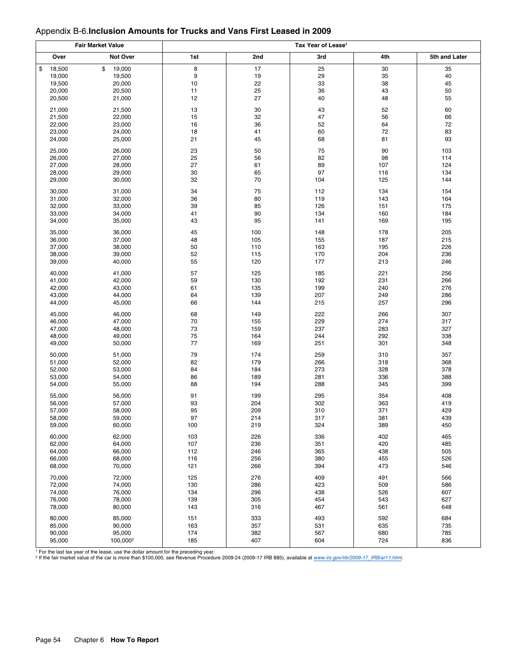| Appendix B-6. Inclusion Amounts for Trucks and Vans First Leased in 2009 |
|--------------------------------------------------------------------------|
|--------------------------------------------------------------------------|

|              | <b>Fair Market Value</b> | Tax Year of Lease <sup>1</sup> |     |     |            |               |
|--------------|--------------------------|--------------------------------|-----|-----|------------|---------------|
| Over         | Not Over                 | 1st                            | 2nd | 3rd | 4th        | 5th and Later |
| \$<br>18,500 | \$<br>19,000             | 8                              | 17  | 25  | 30         | 35            |
| 19,000       | 19,500                   | 9                              | 19  | 29  | 35         | 40            |
| 19,500       | 20,000                   | 10                             | 22  | 33  | 38         | 45            |
| 20,000       | 20,500                   | 11                             | 25  | 36  | 43         | 50            |
| 20,500       | 21,000                   | 12                             | 27  | 40  | 48         | 55            |
|              |                          |                                |     |     |            |               |
| 21,000       | 21,500                   | 13                             | 30  | 43  | 52         | 60            |
| 21,500       | 22,000                   | 15                             | 32  | 47  | 56         | 66            |
| 22,000       | 23,000                   | 16                             | 36  | 52  | 64         | 72            |
| 23,000       | 24,000                   | 18                             | 41  | 60  | 72         | 83            |
| 24,000       | 25,000                   | 21                             | 45  | 68  | 81         | 93            |
| 25,000       | 26,000                   | 23                             | 50  | 75  | 90         | 103           |
| 26,000       | 27,000                   | 25                             | 56  | 82  | 98         | 114           |
| 27,000       | 28,000                   | 27                             | 61  | 89  | 107        | 124           |
| 28,000       | 29,000                   | 30                             | 65  | 97  | 116        | 134           |
| 29,000       | 30,000                   | 32                             | 70  | 104 | 125        | 144           |
|              |                          |                                |     |     |            |               |
| 30,000       | 31,000                   | 34                             | 75  | 112 | 134        | 154           |
| 31,000       | 32,000                   | 36                             | 80  | 119 | 143        | 164           |
| 32,000       | 33,000                   | 39                             | 85  | 126 | 151        | 175           |
| 33,000       | 34,000                   | 41                             | 90  | 134 | 160        | 184           |
| 34,000       | 35,000                   | 43                             | 95  | 141 | 169        | 195           |
|              |                          |                                |     |     |            |               |
| 35,000       | 36,000                   | 45                             | 100 | 148 | 178        | 205           |
| 36,000       | 37,000                   | 48                             | 105 | 155 | 187        | 215           |
| 37,000       | 38,000                   | 50                             | 110 | 163 | 195        | 226           |
| 38,000       | 39,000                   | 52                             | 115 | 170 | 204        | 236           |
| 39,000       | 40,000                   | 55                             | 120 | 177 | 213        | 246           |
| 40,000       | 41,000                   | 57                             | 125 | 185 | 221        | 256           |
| 41,000       | 42,000                   | 59                             | 130 | 192 | 231        | 266           |
| 42,000       | 43,000                   | 61                             | 135 | 199 | 240        | 276           |
| 43,000       | 44,000                   | 64                             | 139 | 207 | 249        | 286           |
| 44,000       | 45,000                   | 66                             | 144 | 215 | 257        | 296           |
|              |                          |                                |     |     |            |               |
| 45,000       | 46,000                   | 68                             | 149 | 222 | 266        | 307           |
| 46,000       | 47,000                   | 70                             | 155 | 229 | 274        | 317           |
| 47,000       | 48,000                   | 73                             | 159 | 237 | 283        | 327           |
| 48,000       | 49,000                   | 75                             | 164 | 244 | 292        | 338           |
| 49,000       | 50,000                   | 77                             | 169 | 251 | 301        | 348           |
| 50,000       | 51,000                   | 79                             | 174 | 259 | 310        | 357           |
| 51,000       | 52,000                   | 82                             | 179 | 266 | 318        | 368           |
| 52,000       | 53,000                   | 84                             | 184 | 273 | 328        | 378           |
| 53,000       | 54,000                   | 86                             | 189 | 281 | 336        | 388           |
| 54,000       | 55,000                   | 88                             | 194 | 288 | 345        | 399           |
| 55,000       | 56,000                   | 91                             | 199 | 295 | 354        | 408           |
| 56,000       | 57,000                   | 93                             | 204 | 302 | 363        | 419           |
|              |                          | 95                             | 209 |     | 371        | 429           |
| 57,000       | 58,000                   |                                |     | 310 |            | 439           |
| 58,000       | 59,000                   | 97<br>100                      | 214 | 317 | 381<br>389 |               |
| 59,000       | 60,000                   |                                | 219 | 324 |            | 450           |
| 60,000       | 62,000                   | 103                            | 226 | 336 | 402        | 465           |
| 62,000       | 64,000                   | 107                            | 236 | 351 | 420        | 485           |
| 64,000       | 66,000                   | 112                            | 246 | 365 | 438        | 505           |
| 66,000       | 68,000                   | 116                            | 256 | 380 | 455        | 526           |
| 68,000       | 70,000                   | 121                            | 266 | 394 | 473        | 546           |
| 70,000       | 72,000                   | 125                            | 276 | 409 | 491        | 566           |
| 72,000       | 74,000                   | 130                            | 286 | 423 | 509        | 586           |
| 74,000       | 76,000                   | 134                            | 296 | 438 | 526        | 607           |
| 76,000       | 78,000                   | 139                            | 305 | 454 | 543        | 627           |
| 78,000       | 80,000                   | 143                            | 316 | 467 | 561        | 648           |
|              |                          |                                |     |     |            |               |
| 80,000       | 85,000                   | 151                            | 333 | 493 | 592        | 684           |
| 85,000       | 90,000                   | 163                            | 357 | 531 | 635        | 735           |
| 90,000       | 95,000                   | 174                            | 382 | 567 | 680        | 785           |
| 95,000       | 100,000 <sup>2</sup>     | 185                            | 407 | 604 | 724        | 836           |
|              |                          |                                |     |     |            |               |

<sup>1</sup> For the last tax year of the lease, use the dollar amount for the preceding year.<br><sup>2</sup> If the fair market value of the car is more than \$100,000, see Revenue Procedure 2009-24 (2009-17 IRB 885), available at *www.irs.go*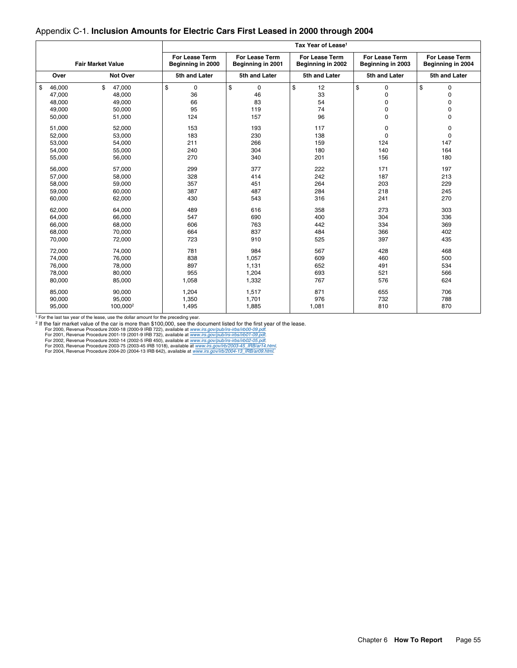| Appendix C-1. Inclusion Amounts for Electric Cars First Leased in 2000 through 2004 |  |  |  |  |  |
|-------------------------------------------------------------------------------------|--|--|--|--|--|
|-------------------------------------------------------------------------------------|--|--|--|--|--|

|              |                          | Tax Year of Lease <sup>1</sup>      |                                     |                                     |                                     |                                     |
|--------------|--------------------------|-------------------------------------|-------------------------------------|-------------------------------------|-------------------------------------|-------------------------------------|
|              | <b>Fair Market Value</b> | For Lease Term<br>Beginning in 2000 | For Lease Term<br>Beginning in 2001 | For Lease Term<br>Beginning in 2002 | For Lease Term<br>Beginning in 2003 | For Lease Term<br>Beginning in 2004 |
| Over         | Not Over                 | 5th and Later                       | 5th and Later                       | 5th and Later                       | 5th and Later                       | 5th and Later                       |
| \$<br>46,000 | \$<br>47,000             | \$<br>0                             | \$<br>$\mathbf 0$                   | \$<br>12                            | \$<br>$\mathbf 0$                   | \$<br>0                             |
| 47,000       | 48,000                   | 36                                  | 46                                  | 33                                  | 0                                   | 0                                   |
| 48,000       | 49,000                   | 66                                  | 83                                  | 54                                  | 0                                   | 0                                   |
| 49,000       | 50,000                   | 95                                  | 119                                 | 74                                  | 0                                   | 0                                   |
| 50,000       | 51,000                   | 124                                 | 157                                 | 96                                  | $\Omega$                            | 0                                   |
| 51,000       | 52,000                   | 153                                 | 193                                 | 117                                 | 0                                   | 0                                   |
| 52,000       | 53,000                   | 183                                 | 230                                 | 138                                 | 0                                   | $\mathbf 0$                         |
| 53,000       | 54,000                   | 211                                 | 266                                 | 159                                 | 124                                 | 147                                 |
| 54,000       | 55,000                   | 240                                 | 304                                 | 180                                 | 140                                 | 164                                 |
| 55,000       | 56,000                   | 270                                 | 340                                 | 201                                 | 156                                 | 180                                 |
| 56,000       | 57,000                   | 299                                 | 377                                 | 222                                 | 171                                 | 197                                 |
| 57,000       | 58,000                   | 328                                 | 414                                 | 242                                 | 187                                 | 213                                 |
| 58,000       | 59,000                   | 357                                 | 451                                 | 264                                 | 203                                 | 229                                 |
| 59,000       | 60,000                   | 387                                 | 487                                 | 284                                 | 218                                 | 245                                 |
| 60,000       | 62,000                   | 430                                 | 543                                 | 316                                 | 241                                 | 270                                 |
| 62,000       | 64,000                   | 489                                 | 616                                 | 358                                 | 273                                 | 303                                 |
| 64,000       | 66,000                   | 547                                 | 690                                 | 400                                 | 304                                 | 336                                 |
| 66,000       | 68,000                   | 606                                 | 763                                 | 442                                 | 334                                 | 369                                 |
| 68,000       | 70,000                   | 664                                 | 837                                 | 484                                 | 366                                 | 402                                 |
| 70,000       | 72,000                   | 723                                 | 910                                 | 525                                 | 397                                 | 435                                 |
| 72,000       | 74,000                   | 781                                 | 984                                 | 567                                 | 428                                 | 468                                 |
| 74,000       | 76,000                   | 838                                 | 1.057                               | 609                                 | 460                                 | 500                                 |
| 76,000       | 78,000                   | 897                                 | 1,131                               | 652                                 | 491                                 | 534                                 |
| 78,000       | 80.000                   | 955                                 | 1,204                               | 693                                 | 521                                 | 566                                 |
| 80,000       | 85,000                   | 1,058                               | 1,332                               | 767                                 | 576                                 | 624                                 |
| 85,000       | 90,000                   | 1,204                               | 1,517                               | 871                                 | 655                                 | 706                                 |
| 90,000       | 95.000                   | 1,350                               | 1,701                               | 976                                 | 732                                 | 788                                 |
| 95,000       | 100,000 <sup>2</sup>     | 1,495                               | 1,885                               | 1,081                               | 810                                 | 870                                 |

<sup>1</sup> For the last tax year of the lease, use the dollar amount for the preceding year.<br>
<sup>2</sup> If the fair market value of the car is more than \$100,000, see the document listed for the first year of the lease.<br>
For 2000, Rev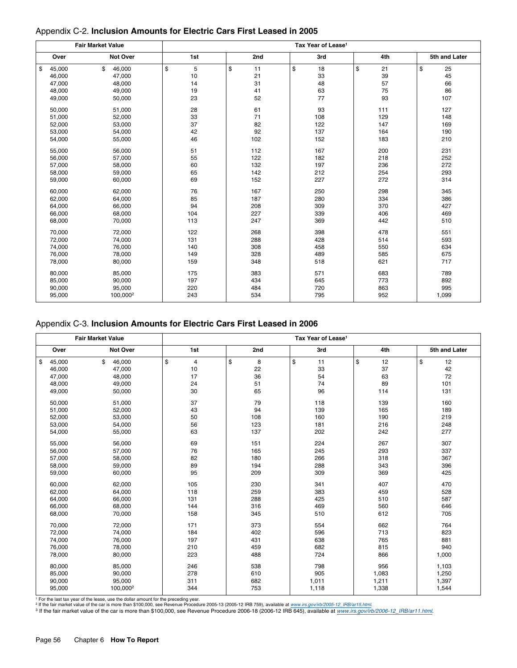| <b>Fair Market Value</b> |                      | Tax Year of Lease <sup>1</sup> |          |          |          |               |
|--------------------------|----------------------|--------------------------------|----------|----------|----------|---------------|
| Over                     | Not Over             | 1st                            | 2nd      | 3rd      | 4th      | 5th and Later |
| \$<br>45,000             | \$<br>46,000         | \$<br>5                        | \$<br>11 | \$<br>18 | \$<br>21 | \$<br>25      |
| 46,000                   | 47,000               | 10                             | 21       | 33       | 39       | 45            |
| 47,000                   | 48,000               | 14                             | 31       | 48       | 57       | 66            |
| 48,000                   | 49,000               | 19                             | 41       | 63       | 75       | 86            |
| 49,000                   | 50,000               | 23                             | 52       | 77       | 93       | 107           |
| 50,000                   | 51,000               | 28                             | 61       | 93       | 111      | 127           |
| 51,000                   | 52,000               | 33                             | 71       | 108      | 129      | 148           |
| 52,000                   | 53,000               | 37                             | 82       | 122      | 147      | 169           |
| 53,000                   | 54,000               | 42                             | 92       | 137      | 164      | 190           |
| 54,000                   | 55,000               | 46                             | 102      | 152      | 183      | 210           |
| 55,000                   | 56,000               | 51                             | 112      | 167      | 200      | 231           |
| 56,000                   | 57,000               | 55                             | 122      | 182      | 218      | 252           |
| 57,000                   | 58,000               | 60                             | 132      | 197      | 236      | 272           |
| 58,000                   | 59,000               | 65                             | 142      | 212      | 254      | 293           |
| 59,000                   | 60,000               | 69                             | 152      | 227      | 272      | 314           |
| 60,000                   | 62,000               | 76                             | 167      | 250      | 298      | 345           |
| 62,000                   | 64,000               | 85                             | 187      | 280      | 334      | 386           |
| 64,000                   | 66,000               | 94                             | 208      | 309      | 370      | 427           |
| 66,000                   | 68,000               | 104                            | 227      | 339      | 406      | 469           |
| 68,000                   | 70,000               | 113                            | 247      | 369      | 442      | 510           |
| 70,000                   | 72,000               | 122                            | 268      | 398      | 478      | 551           |
| 72,000                   | 74,000               | 131                            | 288      | 428      | 514      | 593           |
| 74,000                   | 76,000               | 140                            | 308      | 458      | 550      | 634           |
| 76,000                   | 78,000               | 149                            | 328      | 489      | 585      | 675           |
| 78,000                   | 80,000               | 159                            | 348      | 518      | 621      | 717           |
| 80,000                   | 85,000               | 175                            | 383      | 571      | 683      | 789           |
| 85,000                   | 90,000               | 197                            | 434      | 645      | 773      | 892           |
| 90,000                   | 95,000               | 220                            | 484      | 720      | 863      | 995           |
| 95,000                   | 100,000 <sup>2</sup> | 243                            | 534      | 795      | 952      | 1,099         |

# Appendix C-3. **Inclusion Amounts for Electric Cars First Leased in 2006**

| <b>Fair Market Value</b> |                      | Tax Year of Lease <sup>1</sup> |         |          |          |               |  |
|--------------------------|----------------------|--------------------------------|---------|----------|----------|---------------|--|
| Over                     | Not Over             | 1st                            | 2nd     | 3rd      | 4th      | 5th and Later |  |
| \$<br>45,000             | \$<br>46,000         | \$<br>4                        | \$<br>8 | \$<br>11 | \$<br>12 | \$<br>12      |  |
| 46,000                   | 47,000               | 10                             | 22      | 33       | 37       | 42            |  |
| 47,000                   | 48,000               | 17                             | 36      | 54       | 63       | 72            |  |
| 48,000                   | 49,000               | 24                             | 51      | 74       | 89       | 101           |  |
| 49,000                   | 50,000               | 30                             | 65      | 96       | 114      | 131           |  |
| 50,000                   | 51,000               | 37                             | 79      | 118      | 139      | 160           |  |
| 51,000                   | 52,000               | 43                             | 94      | 139      | 165      | 189           |  |
| 52,000                   | 53,000               | 50                             | 108     | 160      | 190      | 219           |  |
| 53,000                   | 54,000               | 56                             | 123     | 181      | 216      | 248           |  |
| 54,000                   | 55,000               | 63                             | 137     | 202      | 242      | 277           |  |
| 55,000                   | 56,000               | 69                             | 151     | 224      | 267      | 307           |  |
| 56,000                   | 57,000               | 76                             | 165     | 245      | 293      | 337           |  |
| 57,000                   | 58,000               | 82                             | 180     | 266      | 318      | 367           |  |
| 58,000                   | 59,000               | 89                             | 194     | 288      | 343      | 396           |  |
| 59,000                   | 60,000               | 95                             | 209     | 309      | 369      | 425           |  |
| 60,000                   | 62,000               | 105                            | 230     | 341      | 407      | 470           |  |
| 62,000                   | 64,000               | 118                            | 259     | 383      | 459      | 528           |  |
| 64,000                   | 66,000               | 131                            | 288     | 425      | 510      | 587           |  |
| 66,000                   | 68,000               | 144                            | 316     | 469      | 560      | 646           |  |
| 68,000                   | 70,000               | 158                            | 345     | 510      | 612      | 705           |  |
| 70,000                   | 72,000               | 171                            | 373     | 554      | 662      | 764           |  |
| 72,000                   | 74,000               | 184                            | 402     | 596      | 713      | 823           |  |
| 74,000                   | 76,000               | 197                            | 431     | 638      | 765      | 881           |  |
| 76,000                   | 78,000               | 210                            | 459     | 682      | 815      | 940           |  |
| 78,000                   | 80,000               | 223                            | 488     | 724      | 866      | 1,000         |  |
| 80,000                   | 85,000               | 246                            | 538     | 798      | 956      | 1,103         |  |
| 85,000                   | 90,000               | 278                            | 610     | 905      | 1,083    | 1,250         |  |
| 90,000                   | 95,000               | 311                            | 682     | 1,011    | 1,211    | 1,397         |  |
| 95,000                   | 100,000 <sup>2</sup> | 344                            | 753     | 1,118    | 1,338    | 1,544         |  |

' For the last tax year of the lease, use the dollar amount for the preceding year.<br><sup>2</sup> If the fair market value of the car is more than \$100,000, see Revenue Procedure 2005-13 (2005-12 IRB/ari*b, awailable at www.irs.gov*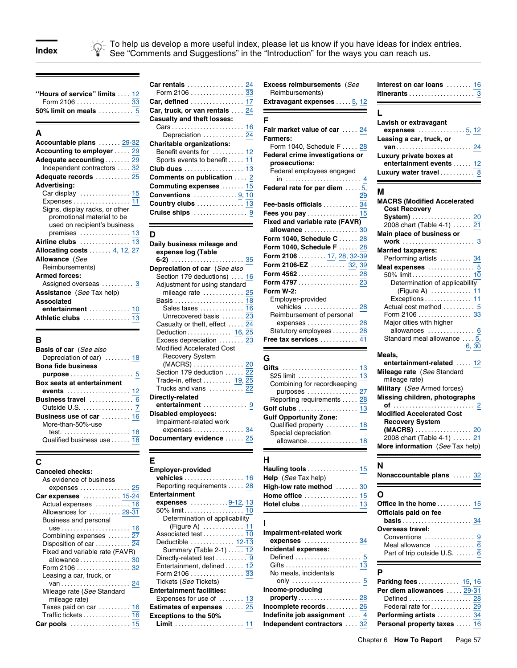To help us develop a more useful index, please let us know if you have ideas for index entries.<br>**Index** See "Comments and Suggestions" in the "Introduction" for the ways you can reach us.

| "Hours of service" limits                    |  |
|----------------------------------------------|--|
| Form 2106                                    |  |
| $50\%$ limit on meals $\ldots \ldots \ldots$ |  |

| Accountable plans  29-32         |
|----------------------------------|
| <b>Accounting to employer</b> 29 |
| Adequate accounting29            |
| Independent contractors  32      |
| Adequate records  25             |
| <b>Advertising:</b>              |
| Car display  15                  |
|                                  |
| Signs, display racks, or other   |
| promotional material to be       |
| used on recipient's business     |
| premises  13                     |
| Airline clubs  13                |
| Allocating costs  4, 12, 27      |
| Allowance (See                   |
| Reimbursements)                  |
| <b>Armed forces:</b>             |
| Assigned overseas  3             |
| <b>Assistance</b> (See Tax help) |
| Associated                       |
| entertainment  10                |
| Athletic clubs  13               |
|                                  |

| <b>Basis of car</b> (See also     |
|-----------------------------------|
| Depreciation of car)  1           |
| <b>Bona fide business</b>         |
|                                   |
| <b>Box seats at entertainment</b> |
|                                   |
| Business travel                   |
| Outside U.S.                      |
| Business use of car  1            |
| More-than-50%-use                 |
|                                   |
| Qualified business use  1         |
|                                   |

| <b>Canceled checks:</b>           |
|-----------------------------------|
| As evidence of business           |
| expenses  2                       |
| Car expenses  15-2                |
|                                   |
| Allowances for  29-3              |
| <b>Business and personal</b>      |
|                                   |
| Combining expenses  2             |
| Disposition of car $\overline{2}$ |
| Fixed and variable rate (FAVR)    |
| allowance 3                       |
| Form 2106 $\frac{1}{3}$           |
| Leasing a car, truck, or          |
| van 2                             |
| Mileage rate (See Standard        |
| mileage rate)                     |
| Taxes paid on car  1              |
| Traffic tickets  1                |
| Car pools  1                      |

| Airline clubs  13<br>Allocating costs  4, 12, 27<br>Allowance ( <i>See</i><br>Reimbursements)<br>Armed forces:<br>Assigned overseas  3<br><b>Assistance</b> (See Tax help)<br>Associated<br>entertainment  10 | Daily business mileage and<br>expense log (Table<br>Depreciation of car (See also<br>Section 179 deductions)  16<br>Adjustment for using standard<br>mileage rate  25<br>Sales taxes  16                            | Form 1040, Schedule C $28$<br>Form 1040, Schedule F  28<br>Form 2106 17, 28, 32-39<br>Form 2106-EZ  32, 39<br>Form W-2:<br>Employer-provided<br>vehicles  28             | <b>Married taxpayers:</b><br>Performing artists<br>Meal expenses<br>$50\%$ limit<br>Determination of applicability<br>(Figure A) $\ldots$<br>Exceptions $\dots\dots\dots\dots\dots$<br>Actual cost method<br>Form 2106 |
|---------------------------------------------------------------------------------------------------------------------------------------------------------------------------------------------------------------|---------------------------------------------------------------------------------------------------------------------------------------------------------------------------------------------------------------------|--------------------------------------------------------------------------------------------------------------------------------------------------------------------------|------------------------------------------------------------------------------------------------------------------------------------------------------------------------------------------------------------------------|
| Athletic clubs  13                                                                                                                                                                                            | Unrecovered basis  23<br>Casualty or theft, effect  24                                                                                                                                                              | Reimbursement of personal<br>expenses $\ldots$ 28                                                                                                                        | Major cities with higher<br>allowances                                                                                                                                                                                 |
| <b>Basis of car</b> (See also<br>Depreciation of car)  18<br><b>Bona fide business</b><br><b>purpose</b> 5<br>Box seats at entertainment<br>Business travel  6                                                | Deduction 16, 25<br>Excess depreciation  23<br>Modified Accelerated Cost<br>Recovery System<br>Section 179 deduction  22<br>Trade-in, effect  19, 25<br>Trucks and vans  22<br>Directly-related<br>entertainment  9 | Statutory employees  28<br>Free tax services  41<br>G<br>\$25 limit  13<br>Combining for recordkeeping<br>27<br>purposes<br>Reporting requirements  28<br>Golf clubs  13 | Standard meal allowance<br>6,<br>Meals,<br>entertainment-related<br>Mileage rate (See Standard<br>mileage rate)<br>Military (See Armed forces)<br>Missing children, photographs                                        |
| Business use of car $\ldots \ldots 16$<br>More-than-50%-use<br>Qualified business use  18                                                                                                                     | <b>Disabled employees:</b><br>Impairment-related work<br>Documentary evidence  25                                                                                                                                   | <b>Gulf Opportunity Zone:</b><br>Qualified property  18<br>Special depreciation                                                                                          | <b>Modified Accelerated Cost</b><br><b>Recovery System</b><br>2008 chart (Table 4-1)<br>More information (See Tax hel                                                                                                  |

| <b>Employer-provided</b>         | Hauling tools $\ldots \ldots \ldots \ldots \ldots 15$                                                                                                                                                           | Nonaccountable plans  32                                                                                                                                                                                                                               |
|----------------------------------|-----------------------------------------------------------------------------------------------------------------------------------------------------------------------------------------------------------------|--------------------------------------------------------------------------------------------------------------------------------------------------------------------------------------------------------------------------------------------------------|
|                                  |                                                                                                                                                                                                                 |                                                                                                                                                                                                                                                        |
| Reporting requirements  28       | High-low rate method  30                                                                                                                                                                                        |                                                                                                                                                                                                                                                        |
| Entertainment                    | Home office $\ldots \ldots \ldots \ldots \ldots 15$                                                                                                                                                             | O                                                                                                                                                                                                                                                      |
|                                  | Hotel clubs $\ldots \ldots \ldots \ldots \ldots$ 13                                                                                                                                                             | Office in the home  15                                                                                                                                                                                                                                 |
|                                  |                                                                                                                                                                                                                 | Officials paid on fee                                                                                                                                                                                                                                  |
|                                  |                                                                                                                                                                                                                 |                                                                                                                                                                                                                                                        |
|                                  |                                                                                                                                                                                                                 | <b>Overseas travel:</b>                                                                                                                                                                                                                                |
|                                  |                                                                                                                                                                                                                 |                                                                                                                                                                                                                                                        |
|                                  |                                                                                                                                                                                                                 | Meal allowance $\dots\dots\dots\dots$ 6                                                                                                                                                                                                                |
|                                  |                                                                                                                                                                                                                 | Part of trip outside U.S.  6                                                                                                                                                                                                                           |
| Directly-related test  9         |                                                                                                                                                                                                                 |                                                                                                                                                                                                                                                        |
| Entertainment, defined  12       |                                                                                                                                                                                                                 |                                                                                                                                                                                                                                                        |
|                                  |                                                                                                                                                                                                                 |                                                                                                                                                                                                                                                        |
|                                  |                                                                                                                                                                                                                 | <b>Parking fees</b> 15, 16                                                                                                                                                                                                                             |
| <b>Entertainment facilities:</b> | Income-producing                                                                                                                                                                                                | Per diem allowances  29-31                                                                                                                                                                                                                             |
| Expenses for use of  13          | <b>property</b> 28                                                                                                                                                                                              | Defined  28                                                                                                                                                                                                                                            |
| <b>Estimates of expenses</b> 25  |                                                                                                                                                                                                                 | Federal rate for  29                                                                                                                                                                                                                                   |
| <b>Exceptions to the 50%</b>     | Indefinite job assignment  4                                                                                                                                                                                    | Performing artists  34                                                                                                                                                                                                                                 |
|                                  |                                                                                                                                                                                                                 | Personal property taxes  16                                                                                                                                                                                                                            |
|                                  | expenses $\dots\dots\dots9-12, 13$<br>Determination of applicability<br>$(Figure A)$ 11<br>Deductible  12-13<br>Summary (Table 2-1)  12<br>Tickets (See Tickets)<br>Taxes paid on car $\ldots \ldots \ldots$ 16 | <b>Help</b> ( <i>See</i> Tax help)<br>Impairment-related work<br>Incidental expenses:<br>Defined $\ldots \ldots \ldots \ldots \ldots \ldots 5$<br>No meals, incidentals<br>Incomplete records $\ldots \ldots \ldots 26$<br>Independent contractors  32 |

| "Hours of service" limits $\ldots$ 12        | Car rentals  24<br>Form 2106  33      | <b>Excess reimbursements</b> (See<br>Reimbursements) | Interest on car loans  16<br>Itinerants  3                                        |
|----------------------------------------------|---------------------------------------|------------------------------------------------------|-----------------------------------------------------------------------------------|
|                                              |                                       | Extravagant expenses  5, 12                          |                                                                                   |
| 50% limit on meals $\ldots \ldots \ldots 5$  | Car, truck, or van rentals  24        |                                                      |                                                                                   |
|                                              | <b>Casualty and theft losses:</b>     | F                                                    | Lavish or extravagant                                                             |
|                                              | Depreciation  24                      | Fair market value of car  24<br>Farmers:             | expenses $\dots\dots\dots\dots\dots \frac{5}{5}$ , 12<br>Leasing a car, truck, or |
| Accountable plans  29-32                     | <b>Charitable organizations:</b>      | Form 1040, Schedule F 28                             |                                                                                   |
| Accounting to employer $\ldots$ 29           | Benefit events for  12                | Federal crime investigations or                      | Luxury private boxes at                                                           |
| Adequate accounting 29                       | Sports events to benefit  11          | prosecutions:                                        | entertainment events  12                                                          |
| Independent contractors  32                  | Club dues  13                         | Federal employees engaged                            | Luxury water travel  8                                                            |
| Adequate records  25                         | Comments on publication  2            |                                                      |                                                                                   |
| Advertising:                                 | Commuting expenses  15                | Federal rate for per diem 5,                         |                                                                                   |
| Car display  15                              | <b>Conventions</b> 9, 10              |                                                      | м                                                                                 |
| Expenses $\dots\dots\dots\dots\dots\dots$ 11 | Country clubs  13                     |                                                      | <b>MACRS (Modified Accelerated</b>                                                |
| Signs, display racks, or other               |                                       | Fees you pay  15                                     | <b>Cost Recovery</b>                                                              |
| promotional material to be                   |                                       | Fixed and variable rate (FAVR)                       | System)  20                                                                       |
| used on recipient's business                 |                                       | allowance  30                                        | 2008 chart (Table 4-1)  21                                                        |
| premises $\dots \dots \dots \dots \dots 13$  | D.                                    | Form 1040, Schedule C 28                             | Main place of business or                                                         |
| Airline clubs  13                            | Daily business mileage and            | <b>Form 1040, Schedule F</b> 28                      | work  3                                                                           |
| <b>Allocating costs</b> 4, 12, 27            | expense log (Table                    | Form 2106 17, 28, 32-39                              | <b>Married taxpayers:</b>                                                         |
| Allowance (See                               |                                       | Form 2106-EZ  32, 39                                 | Performing artists  34                                                            |
| Reimbursements)                              | Depreciation of car (See also         | Form 4562 28                                         | Meal expenses  5                                                                  |
| <b>Armed forces:</b>                         | Section 179 deductions)  16           | Form 4797  23                                        | 50% limit 10<br>Determination of applicability                                    |
| Assigned overseas  3                         | Adjustment for using standard         | Form W-2:                                            | $(Figure A)$ 11                                                                   |
| <b>Assistance</b> (See Tax help)             | mileage rate $\ldots$ 25              | Employer-provided                                    | Exceptions 11                                                                     |
| Associated                                   | Sales taxes $\dots\dots\dots\dots$ 16 | vehicles  28                                         | Actual cost method  5                                                             |
| entertainment  10                            | Unrecovered basis  23                 | Reimbursement of personal                            | Form 2106  33                                                                     |
| <b>Athletic clubs</b> 13                     | Casualty or theft, effect  24         | expenses $\ldots$ 28                                 | Major cities with higher                                                          |
|                                              | Deduction 16, 25                      | Statutory employees  28                              | allowances  6                                                                     |
|                                              | Excess depreciation  23               | Free tax services  41                                | Standard meal allowance  5.                                                       |
| <b>Basis of car</b> (See also                | <b>Modified Accelerated Cost</b>      |                                                      | 6, 30                                                                             |
| Depreciation of car)  18                     | Recovery System                       |                                                      | Meals,                                                                            |
| Bona fide business                           |                                       | Cifte<br>12                                          | entertainment-related  12                                                         |
|                                              |                                       |                                                      |                                                                                   |

| \$25 limit  13                |  |
|-------------------------------|--|
| Combining for recordkeeping   |  |
| purposes  27                  |  |
| Reporting requirements  28    |  |
|                               |  |
| <b>Gulf Opportunity Zone:</b> |  |
| Qualified property  18        |  |
| Special depreciation          |  |
| allowance 18                  |  |
|                               |  |

# **C <sup>E</sup> <sup>H</sup>**

| Hauling tools  15       | N |
|-------------------------|---|
| Help (See Tax help)     | N |
| High-low rate method 30 | Ξ |
| Home office  15         | O |
| Hotel clubs  13         | O |

| use 16<br>Combining expenses  27<br>Disposition of car  24<br>Fixed and variable rate (FAVR)<br>allowance 30<br>Form 2106 32<br>Leasing a car, truck, or<br>van  24<br>Mileage rate (See Standard<br>mileage rate)<br>Taxes paid on car $\ldots \ldots \ldots$ 16 | (Figure A) 1<br>Deductible  12-13<br>Summary (Table $2-1$ )  12<br>Entertainment, defined  12<br>Form 2106 33<br>Tickets ( <i>See</i> Tickets)<br><b>Entertainment facilities:</b><br><b>Estimates of expenses</b> 25<br><b>Exceptions to the 50%</b> | Impairment-related work<br>Incidental expenses:<br>Defined  5<br>No meals, incidentals<br>Income-producing<br>$property \ldots \ldots \ldots \ldots \ldots 28$<br>Incomplete records $\ldots \ldots \ldots 26$<br>Indefinite job assignment  4 | <b>Overseas travel:</b><br>Conventions  9<br>Meal allowance  6<br>Part of trip outside U.S.  6<br><b>Parking fees</b> 15, 16<br>Per diem allowances  29-31<br>Defined  28<br>Federal rate for  29<br>Performing artists  34 |
|-------------------------------------------------------------------------------------------------------------------------------------------------------------------------------------------------------------------------------------------------------------------|-------------------------------------------------------------------------------------------------------------------------------------------------------------------------------------------------------------------------------------------------------|------------------------------------------------------------------------------------------------------------------------------------------------------------------------------------------------------------------------------------------------|-----------------------------------------------------------------------------------------------------------------------------------------------------------------------------------------------------------------------------|
| Car pools ………………… 15                                                                                                                                                                                                                                              |                                                                                                                                                                                                                                                       | Independent contractors  32                                                                                                                                                                                                                    | Personal property taxes  16                                                                                                                                                                                                 |
|                                                                                                                                                                                                                                                                   |                                                                                                                                                                                                                                                       |                                                                                                                                                                                                                                                |                                                                                                                                                                                                                             |

| Interest on car loans $\dots \dots 16$                               |  |
|----------------------------------------------------------------------|--|
| L                                                                    |  |
| Lavish or extravagant<br>expenses $\dots\dots\dots\dots \frac{5}{2}$ |  |
| Leasing a car, truck, or                                             |  |
| Luxury private boxes at<br>entertainment events  12                  |  |
| Luxury water travel  8                                               |  |

|                                          |                                              | 29                                                    | W                                  |
|------------------------------------------|----------------------------------------------|-------------------------------------------------------|------------------------------------|
|                                          |                                              |                                                       | <b>MACRS (Modified Accelerated</b> |
| Signs, display racks, or other           |                                              | Fees you pay  15                                      | <b>Cost Recovery</b>               |
| promotional material to be               |                                              |                                                       | System)  20                        |
| used on recipient's business             |                                              | Fixed and variable rate (FAVR)                        | 2008 chart (Table 4-1)  21         |
|                                          | D                                            | allowance $\ldots \ldots \ldots \ldots \frac{30}{20}$ | Main place of business or          |
| Airline clubs  13                        | Daily business mileage and                   | Form 1040, Schedule C 28                              |                                    |
| Allocating costs  4, 12, 27              | expense log (Table                           | Form 1040, Schedule F  28                             | <b>Married taxpayers:</b>          |
| Allowance (See                           |                                              | Form 2106 17, 28, 32-39                               | Performing artists  34             |
| Reimbursements)                          | Depreciation of car (See also                | Form 2106-EZ  32, 39                                  | Meal expenses  5                   |
| Armed forces:                            | Section 179 deductions)  16                  |                                                       | 50% limit 10                       |
| Assigned overseas  3                     | Adjustment for using standard                |                                                       | Determination of applicability     |
| <b>Assistance</b> (See Tax help)         | mileage rate $\dots\dots\dots\dots$ 25       | Form W-2:                                             | $(Figure A)$ 11                    |
| Associated                               | Basis  18                                    | Employer-provided                                     | Exceptions 11                      |
|                                          | Sales taxes  16                              | vehicles  28                                          | Actual cost method  5              |
| Athletic clubs  13                       | Unrecovered basis $\ldots$ . $\overline{23}$ | Reimbursement of personal                             | Form 2106  33                      |
|                                          | Casualty or theft, effect  24                | expenses $\ldots$ 28                                  | Major cities with higher           |
|                                          | Deduction 16, 25                             | Statutory employees 28                                | allowances  6                      |
|                                          | Excess depreciation  23                      | Free tax services  41                                 | Standard meal allowance  5.        |
| <b>Basis of car</b> (See also            | <b>Modified Accelerated Cost</b>             |                                                       | 6, 30                              |
| Depreciation of car)  18                 | <b>Recovery System</b>                       | G                                                     | Meals.                             |
| <b>Bona fide business</b>                |                                              |                                                       | entertainment-related  12          |
| $purpose \ldots \ldots \ldots \ldots 5$  | Section 179 deduction  22                    |                                                       | Mileage rate (See Standard         |
| Box seats at entertainment               |                                              | \$25 limit  13                                        | mileage rate)                      |
|                                          |                                              | Combining for recordkeeping                           | Military (See Armed forces)        |
| Business travel $\ldots \ldots \ldots 6$ | Directly-related                             | purposes  27                                          | Missing children, photographs      |
|                                          | entertainment  9                             | Reporting requirements  28                            |                                    |
|                                          | <b>Disabled employees:</b>                   | Golf clubs  13                                        | <b>Modified Accelerated Cost</b>   |
| Business use of car  16                  | Impairment-related work                      | <b>Gulf Opportunity Zone:</b>                         | <b>Recovery System</b>             |
| More-than-50%-use                        | expenses $34$                                |                                                       | (MACRS)  20                        |
| Qualified business use  18               | Documentary evidence  25                     | Special depreciation                                  | 2008 chart (Table 4-1)  21         |
|                                          |                                              | allowance 18                                          | More information (See Tax help)    |
|                                          |                                              |                                                       |                                    |
|                                          |                                              |                                                       |                                    |

| Office in the home  1<br>Officials paid on fee                                    |  |
|-----------------------------------------------------------------------------------|--|
| Overseas travel:<br>Conventions  9<br>Meal allowance<br>Part of trip outside U.S. |  |
|                                                                                   |  |

| Parking fees  15, 16        |  |
|-----------------------------|--|
| Per diem allowances  29-31  |  |
|                             |  |
|                             |  |
| Performing artists  34      |  |
| Personal property taxes  16 |  |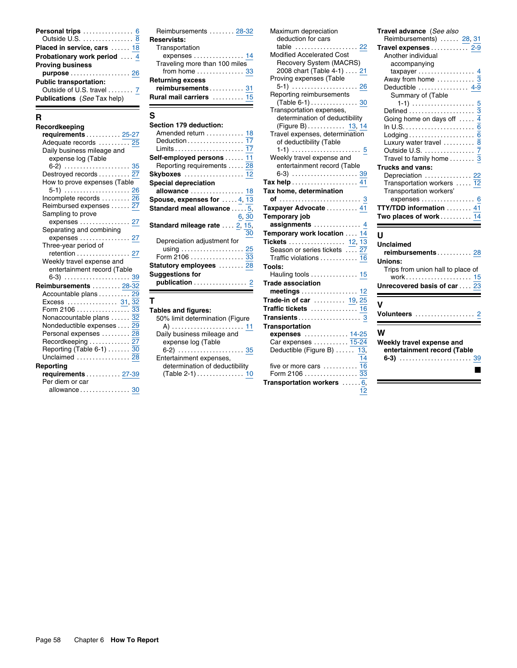| Placed in service, cars  18        |
|------------------------------------|
| Probationary work period           |
| <b>Proving business</b>            |
| <b>purpose</b> 26                  |
| <b>Public transportation:</b>      |
| Outside of U.S. travel             |
| <b>Publications</b> (See Tax help) |

| requirements $\ldots \ldots \ldots 25-27$                                      | Amended return  18                    | Travel expenses, determination |
|--------------------------------------------------------------------------------|---------------------------------------|--------------------------------|
| Adequate records  25                                                           | Deduction  17                         | of deductibility (Table        |
| Daily business mileage and                                                     |                                       |                                |
| expense log (Table                                                             | Self-employed persons  11             | Weekly travel expense and      |
|                                                                                | Reporting requirements  28            | entertainment record (Table    |
| Destroyed records  27                                                          | <b>Skyboxes</b> 12                    |                                |
| How to prove expenses (Table                                                   | <b>Special depreciation</b>           |                                |
|                                                                                | allowance  18                         | Tax home, determination        |
| Incomplete records  26                                                         | Spouse, expenses for  4, 13           |                                |
| Reimbursed expenses  27                                                        | Standard meal allowance  5.           | Taxpayer Advocate  41          |
| Sampling to prove                                                              | 6,30                                  | Temporary job                  |
| expenses $\ldots$ 27                                                           | Standard mileage rate $\ldots$ 2, 15, | assignments  4                 |
| Separating and combining                                                       | 30                                    | Temporary work location 14     |
|                                                                                | Depreciation adjustment for           |                                |
| Three-year period of                                                           |                                       | Season or series tickets  27   |
| retention $\ldots \ldots \ldots \ldots \ldots 27$<br>Weekly travel expense and |                                       | Traffic violations  16         |
| entertainment record (Table                                                    | Statutory employees  28               | Tools:                         |
|                                                                                | <b>Suggestions for</b>                | Hauling tools  15              |
| Reimbursements  28-32                                                          | publication  2                        | <b>Trade association</b>       |
| Accountable plans  29                                                          |                                       | meetings  12                   |
| Excess  31, 32                                                                 | т                                     | Trade-in of car  19, 25        |
| Form 2106  33                                                                  | <b>Tables and figures:</b>            | Traffic tickets  16            |
| Nonaccountable plans  32                                                       | 50% limit determination (Figure       | <b>Transients 3</b>            |
| Nondeductible expenses 29                                                      |                                       | Transportation                 |
| Personal expenses  28                                                          | Daily business mileage and            | expenses  14-25                |
| Recordkeeping  27                                                              | expense log (Table                    | Car expenses  15-24            |
| Reporting (Table 6-1)  30                                                      |                                       | Deductible (Figure B)  13,     |
| Unclaimed  28                                                                  | Entertainment expenses,               | 14                             |
| Reporting                                                                      | determination of deductibility        | five or more cars  16          |
| requirements $\ldots \ldots \ldots 27-39$                                      |                                       | Form 2106 33                   |
| Per diem or car                                                                |                                       | Transportation workers  6,     |
| allowance 30                                                                   |                                       | 12                             |
|                                                                                |                                       |                                |

| Heimbursements  28-32                      |
|--------------------------------------------|
| Reservists:                                |
| Transportation                             |
|                                            |
| Traveling more than 100 miles              |
| from home $\ldots \ldots \ldots \ldots 33$ |
| <b>Returning excess</b>                    |
| reimbursements 31                          |
| Rural mail carriers  15                    |
|                                            |

| ecordkeeping                                               | Section 179 deduction:                            |                                |
|------------------------------------------------------------|---------------------------------------------------|--------------------------------|
| $requirements \dots 25-27$                                 | Amended return  18                                | Travel expenses, determination |
| Adequate records  25                                       |                                                   | of deductibility (Table        |
| Daily business mileage and                                 |                                                   |                                |
| expense log (Table                                         | Self-employed persons  11                         | Weekly travel expense and      |
|                                                            | Reporting requirements  28                        | entertainment record (Table    |
| Destroyed records 27                                       |                                                   |                                |
| How to prove expenses (Table                               | <b>Special depreciation</b>                       |                                |
| 5-1) <u>26</u>                                             | allowance $\ldots \ldots \ldots \ldots \ldots 18$ | Tax home, determination        |
| Incomplete records  26                                     | Spouse, expenses for  4, 13                       |                                |
| Reimbursed expenses  27                                    | Standard meal allowance  5.                       | Taxpayer Advocate  41          |
| Sampling to prove                                          | 6,30                                              | Temporary job                  |
|                                                            | Standard mileage rate  2, 15,                     | assignments  4                 |
| Separating and combining                                   | 30                                                | Temporary work location  14    |
|                                                            | Depreciation adjustment for                       | <b>Tickets</b> 12, 13          |
| Three-year period of                                       |                                                   | Season or series tickets  27   |
| retention 27                                               | Form 2106  33                                     | Traffic violations  16         |
| Weekly travel expense and                                  | <b>Statutory employees</b> 28                     | Tools:                         |
| entertainment record (Table                                | <b>Suggestions for</b>                            | Hauling tools  15              |
| 6 3) $\ldots \ldots \ldots \ldots \ldots \ldots \ldots 39$ |                                                   | <b>Trade association</b>       |
| eimbursements  28-32                                       |                                                   |                                |
| Accountable plans 29                                       |                                                   | meetings  12                   |

| FOIIII 2106 33             | Tables and figures:             | TIAIIIU UUNGIS |
|----------------------------|---------------------------------|----------------|
| Nonaccountable plans  32   | 50% limit determination (Figure | Transients     |
| Nondeductible expenses  29 |                                 | Transportation |
| Personal expenses  28      | Daily business mileage and      | expenses       |
| Recordkeeping  27          | expense log (Table              | Car expenses   |
| Reporting (Table 6-1)  30  |                                 | Deductible (F  |
| Unclaimed  28              | Entertainment expenses,         |                |
| porting                    | determination of deductibility  | five or more c |
| <b>requirements</b> 27-39  |                                 | Form 2106      |
| Per diem or car            |                                 | Transportation |

| Personal trips  6<br>Outside U.S.  8 | Reimbursements  28-32<br><b>Reservists:</b>  | Maximum depreciation<br>deduction for cars      | Travel advance (See also<br>Reimbursements)  28, 31 |
|--------------------------------------|----------------------------------------------|-------------------------------------------------|-----------------------------------------------------|
| Placed in service, cars  18          | Transportation                               |                                                 | Travel expenses  2-9                                |
| Probationary work period  4          | expenses $\dots\dots\dots\dots\dots\dots$ 14 | Modified Accelerated Cost                       | Another individual                                  |
|                                      | Traveling more than 100 miles                | Recovery System (MACRS)                         | accompanying                                        |
| <b>Proving business</b>              | from home $\ldots \ldots \ldots \ldots 33$   | 2008 chart (Table 4-1) 21                       | taxpayer $4$                                        |
| purpose  26                          | <b>Returning excess</b>                      | Proving expenses (Table                         | Away from home  3                                   |
| <b>Public transportation:</b>        | reimbursements 31                            | $5-1)$ 26                                       | Deductible  4-9                                     |
| Outside of U.S. travel  7            |                                              | Reporting reimbursements                        | Summary of (Table                                   |
| <b>Publications</b> (See Tax help)   | Rural mail carriers  15                      |                                                 |                                                     |
|                                      |                                              | Transportation expenses,                        |                                                     |
| R                                    |                                              | determination of deductibility                  | Going home on days off $\dots$ $\overline{4}$       |
| Recordkeeping                        | Section 179 deduction:                       | (Figure B) 13, 14                               |                                                     |
| requirements  25-27                  | Amended return  18                           | Travel expenses, determination                  |                                                     |
| Adequate records  25                 | Deduction 17                                 | of deductibility (Table                         | Luxury water travel  8                              |
| Daily business mileage and           |                                              |                                                 |                                                     |
| expense log (Table                   | Self-employed persons  11                    | Weekly travel expense and                       | Travel to family home $\overline{3}$                |
|                                      | Reporting requirements  28                   | entertainment record (Table                     | <b>Trucks and vans:</b>                             |
| Destroyed records  27                | <b>Skyboxes</b> 12                           |                                                 | Depreciation  22                                    |
| How to prove expenses (Table         | <b>Special depreciation</b>                  | Tax help  41                                    | Transportation workers  12                          |
|                                      | allowance  18                                | Tax home, determination                         | Transportation workers'                             |
| Incomplete records  26               | Spouse, expenses for  4, 13                  |                                                 | expenses $\ldots$ 6                                 |
| Reimbursed expenses  27              | Standard meal allowance  5.                  | Taxpayer Advocate  41                           | TTY/TDD information  41                             |
| Sampling to prove                    | 6,30                                         | Temporary job                                   | Two places of work 14                               |
| expenses  27                         |                                              | assignments  4                                  |                                                     |
| Separating and combining             | Standard mileage rate  2, 15,                | Temporary work location  14                     |                                                     |
| expenses  27                         | Depreciation adjustment for                  |                                                 | $\mathbf{U}$                                        |
| Three-year period of                 |                                              | Tickets  12, 13                                 | <b>Unclaimed</b>                                    |
| retention  27                        | Form 2106  33                                | Season or series tickets  27                    | reimbursements 28                                   |
| Weekly travel expense and            |                                              | Traffic violations  16                          | <b>Unions:</b>                                      |
| entertainment record (Table          | Statutory employees  28                      | Tools:                                          | Trips from union hall to place of                   |
|                                      | <b>Suggestions for</b>                       | Hauling tools  15                               | work 15                                             |
| Reimbursements  28-32                | publication  2                               | <b>Trade association</b>                        | Unrecovered basis of car  23                        |
| Accountable plans  29                |                                              | meetings  12                                    |                                                     |
| Excess  31, 32                       | Т                                            | Trade-in of car $\dots\dots\dots \frac{19}{25}$ | $\mathbf{V}$                                        |
| Form 2106 $\overline{11}$ 33         | <b>Tables and figures:</b>                   | Traffic tickets  16                             |                                                     |
| Nonaccountable plans  32             | 50% limit determination (Figure              |                                                 |                                                     |
| Nondeductible expenses 29            |                                              | Transportation                                  |                                                     |
| Personal expenses  28                | Daily business mileage and                   | expenses  14-25                                 | W                                                   |
| Recordkeeping  27                    | expense log (Table                           | Car expenses  15-24                             | Weekly travel expense and                           |
| Reporting (Table 6-1)  30            |                                              | Deductible (Figure B)  13,                      | entertainment record (Table                         |
| Unclaimed  28                        | Entertainment expenses,                      |                                                 |                                                     |
| Reporting                            | determination of deductibility               | five or more cars $\ldots \ldots \ldots 16$     |                                                     |
| requirements  27-39                  |                                              | Form 2106 33                                    |                                                     |
| Per diem or car                      |                                              | Transportation workers  6,                      |                                                     |
|                                      |                                              |                                                 |                                                     |